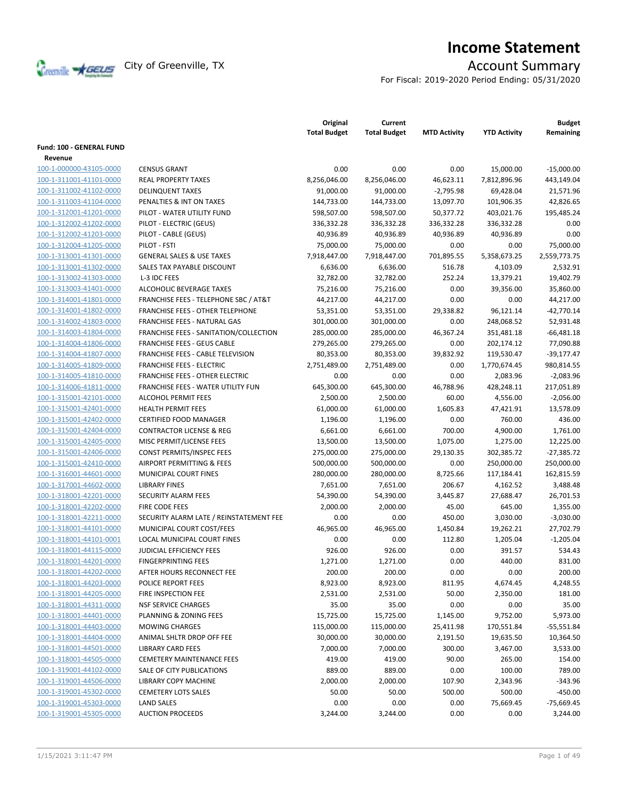

# **Income Statement**

For Fiscal: 2019-2020 Period Ending: 05/31/2020

|                          |                                                  | Original<br><b>Total Budget</b> | Current<br><b>Total Budget</b> | <b>MTD Activity</b> | <b>YTD Activity</b> | <b>Budget</b><br>Remaining |
|--------------------------|--------------------------------------------------|---------------------------------|--------------------------------|---------------------|---------------------|----------------------------|
| Fund: 100 - GENERAL FUND |                                                  |                                 |                                |                     |                     |                            |
| Revenue                  |                                                  |                                 |                                |                     |                     |                            |
| 100-1-000000-43105-0000  | <b>CENSUS GRANT</b>                              | 0.00                            | 0.00                           | 0.00                | 15,000.00           | $-15,000.00$               |
| 100-1-311001-41101-0000  | <b>REAL PROPERTY TAXES</b>                       | 8,256,046.00                    | 8,256,046.00                   | 46,623.11           | 7,812,896.96        | 443,149.04                 |
| 100-1-311002-41102-0000  | <b>DELINQUENT TAXES</b>                          | 91,000.00                       | 91,000.00                      | $-2,795.98$         | 69,428.04           | 21,571.96                  |
| 100-1-311003-41104-0000  | PENALTIES & INT ON TAXES                         | 144,733.00                      | 144,733.00                     | 13,097.70           | 101,906.35          | 42,826.65                  |
| 100-1-312001-41201-0000  | PILOT - WATER UTILITY FUND                       | 598,507.00                      | 598,507.00                     | 50,377.72           | 403,021.76          | 195,485.24                 |
| 100-1-312002-41202-0000  | PILOT - ELECTRIC (GEUS)                          | 336,332.28                      | 336,332.28                     | 336,332.28          | 336,332.28          | 0.00                       |
| 100-1-312002-41203-0000  | PILOT - CABLE (GEUS)                             | 40,936.89                       | 40,936.89                      | 40,936.89           | 40,936.89           | 0.00                       |
| 100-1-312004-41205-0000  | PILOT - FSTI                                     | 75,000.00                       | 75,000.00                      | 0.00                | 0.00                | 75,000.00                  |
| 100-1-313001-41301-0000  | <b>GENERAL SALES &amp; USE TAXES</b>             | 7,918,447.00                    | 7,918,447.00                   | 701,895.55          | 5,358,673.25        | 2,559,773.75               |
| 100-1-313001-41302-0000  | SALES TAX PAYABLE DISCOUNT                       | 6,636.00                        | 6,636.00                       | 516.78              | 4,103.09            | 2,532.91                   |
| 100-1-313002-41303-0000  | L-3 IDC FEES                                     | 32,782.00                       | 32,782.00                      | 252.24              | 13,379.21           | 19,402.79                  |
| 100-1-313003-41401-0000  | <b>ALCOHOLIC BEVERAGE TAXES</b>                  | 75,216.00                       | 75,216.00                      | 0.00                | 39,356.00           | 35,860.00                  |
| 100-1-314001-41801-0000  | <b>FRANCHISE FEES - TELEPHONE SBC / AT&amp;T</b> | 44,217.00                       | 44,217.00                      | 0.00                | 0.00                | 44,217.00                  |
| 100-1-314001-41802-0000  | <b>FRANCHISE FEES - OTHER TELEPHONE</b>          | 53,351.00                       | 53,351.00                      | 29,338.82           | 96,121.14           | $-42,770.14$               |
| 100-1-314002-41803-0000  | <b>FRANCHISE FEES - NATURAL GAS</b>              | 301,000.00                      | 301,000.00                     | 0.00                | 248,068.52          | 52,931.48                  |
| 100-1-314003-41804-0000  | FRANCHISE FEES - SANITATION/COLLECTION           | 285,000.00                      | 285,000.00                     | 46,367.24           | 351,481.18          | $-66,481.18$               |
| 100-1-314004-41806-0000  | <b>FRANCHISE FEES - GEUS CABLE</b>               | 279,265.00                      | 279,265.00                     | 0.00                | 202,174.12          | 77,090.88                  |
| 100-1-314004-41807-0000  | FRANCHISE FEES - CABLE TELEVISION                | 80,353.00                       | 80,353.00                      | 39,832.92           | 119,530.47          | $-39,177.47$               |
| 100-1-314005-41809-0000  | <b>FRANCHISE FEES - ELECTRIC</b>                 | 2,751,489.00                    | 2,751,489.00                   | 0.00                | 1,770,674.45        | 980,814.55                 |
| 100-1-314005-41810-0000  | <b>FRANCHISE FEES - OTHER ELECTRIC</b>           | 0.00                            | 0.00                           | 0.00                | 2,083.96            | $-2,083.96$                |
| 100-1-314006-41811-0000  | FRANCHISE FEES - WATER UTILITY FUN               | 645,300.00                      | 645,300.00                     | 46,788.96           | 428,248.11          | 217,051.89                 |
| 100-1-315001-42101-0000  | <b>ALCOHOL PERMIT FEES</b>                       | 2,500.00                        | 2,500.00                       | 60.00               | 4,556.00            | $-2,056.00$                |
| 100-1-315001-42401-0000  | <b>HEALTH PERMIT FEES</b>                        | 61,000.00                       | 61,000.00                      | 1,605.83            | 47,421.91           | 13,578.09                  |
| 100-1-315001-42402-0000  | CERTIFIED FOOD MANAGER                           | 1,196.00                        | 1,196.00                       | 0.00                | 760.00              | 436.00                     |
| 100-1-315001-42404-0000  | <b>CONTRACTOR LICENSE &amp; REG</b>              | 6,661.00                        | 6,661.00                       | 700.00              | 4,900.00            | 1,761.00                   |
| 100-1-315001-42405-0000  | MISC PERMIT/LICENSE FEES                         | 13,500.00                       | 13,500.00                      | 1,075.00            | 1,275.00            | 12,225.00                  |
| 100-1-315001-42406-0000  | CONST PERMITS/INSPEC FEES                        | 275,000.00                      | 275,000.00                     | 29,130.35           | 302,385.72          | $-27,385.72$               |
| 100-1-315001-42410-0000  | AIRPORT PERMITTING & FEES                        | 500,000.00                      | 500,000.00                     | 0.00                | 250,000.00          | 250,000.00                 |
| 100-1-316001-44601-0000  | MUNICIPAL COURT FINES                            | 280,000.00                      | 280,000.00                     | 8,725.66            | 117,184.41          | 162,815.59                 |
| 100-1-317001-44602-0000  | <b>LIBRARY FINES</b>                             | 7,651.00                        | 7,651.00                       | 206.67              | 4,162.52            | 3,488.48                   |
| 100-1-318001-42201-0000  | SECURITY ALARM FEES                              | 54,390.00                       | 54,390.00                      | 3,445.87            | 27,688.47           | 26,701.53                  |
| 100-1-318001-42202-0000  | <b>FIRE CODE FEES</b>                            | 2,000.00                        | 2,000.00                       | 45.00               | 645.00              | 1,355.00                   |
| 100-1-318001-42211-0000  | SECURITY ALARM LATE / REINSTATEMENT FEE          | 0.00                            | 0.00                           | 450.00              | 3,030.00            | $-3,030.00$                |
| 100-1-318001-44101-0000  | MUNICIPAL COURT COST/FEES                        | 46,965.00                       | 46,965.00                      | 1,450.84            | 19,262.21           | 27,702.79                  |
| 100-1-318001-44101-0001  | <b>LOCAL MUNICIPAL COURT FINES</b>               | 0.00                            | 0.00                           | 112.80              | 1,205.04            | $-1,205.04$                |
| 100-1-318001-44115-0000  | JUDICIAL EFFICIENCY FEES                         | 926.00                          | 926.00                         | 0.00                | 391.57              | 534.43                     |
| 100-1-318001-44201-0000  | <b>FINGERPRINTING FEES</b>                       | 1,271.00                        | 1,271.00                       | 0.00                | 440.00              | 831.00                     |
| 100-1-318001-44202-0000  | AFTER HOURS RECONNECT FEE                        | 200.00                          | 200.00                         | 0.00                | 0.00                | 200.00                     |
| 100-1-318001-44203-0000  | POLICE REPORT FEES                               | 8,923.00                        | 8,923.00                       | 811.95              | 4,674.45            | 4,248.55                   |
| 100-1-318001-44205-0000  | FIRE INSPECTION FEE                              | 2,531.00                        | 2,531.00                       | 50.00               | 2,350.00            | 181.00                     |
| 100-1-318001-44311-0000  | <b>NSF SERVICE CHARGES</b>                       | 35.00                           | 35.00                          | 0.00                | 0.00                | 35.00                      |
| 100-1-318001-44401-0000  | PLANNING & ZONING FEES                           | 15,725.00                       | 15,725.00                      | 1,145.00            | 9,752.00            | 5,973.00                   |
| 100-1-318001-44403-0000  | <b>MOWING CHARGES</b>                            | 115,000.00                      | 115,000.00                     | 25,411.98           | 170,551.84          | $-55,551.84$               |
| 100-1-318001-44404-0000  | ANIMAL SHLTR DROP OFF FEE                        | 30,000.00                       | 30,000.00                      | 2,191.50            | 19,635.50           | 10,364.50                  |
| 100-1-318001-44501-0000  | <b>LIBRARY CARD FEES</b>                         | 7,000.00                        | 7,000.00                       | 300.00              | 3,467.00            | 3,533.00                   |
| 100-1-318001-44505-0000  | <b>CEMETERY MAINTENANCE FEES</b>                 | 419.00                          | 419.00                         | 90.00               | 265.00              | 154.00                     |
| 100-1-319001-44102-0000  | SALE OF CITY PUBLICATIONS                        | 889.00                          | 889.00                         | 0.00                | 100.00              | 789.00                     |
| 100-1-319001-44506-0000  | <b>LIBRARY COPY MACHINE</b>                      | 2,000.00                        | 2,000.00                       | 107.90              | 2,343.96            | -343.96                    |
| 100-1-319001-45302-0000  | <b>CEMETERY LOTS SALES</b>                       | 50.00                           | 50.00                          | 500.00              | 500.00              | -450.00                    |
| 100-1-319001-45303-0000  | <b>LAND SALES</b>                                | 0.00                            | 0.00                           | 0.00                | 75,669.45           | $-75,669.45$               |
| 100-1-319001-45305-0000  | <b>AUCTION PROCEEDS</b>                          | 3,244.00                        | 3,244.00                       | 0.00                | 0.00                | 3,244.00                   |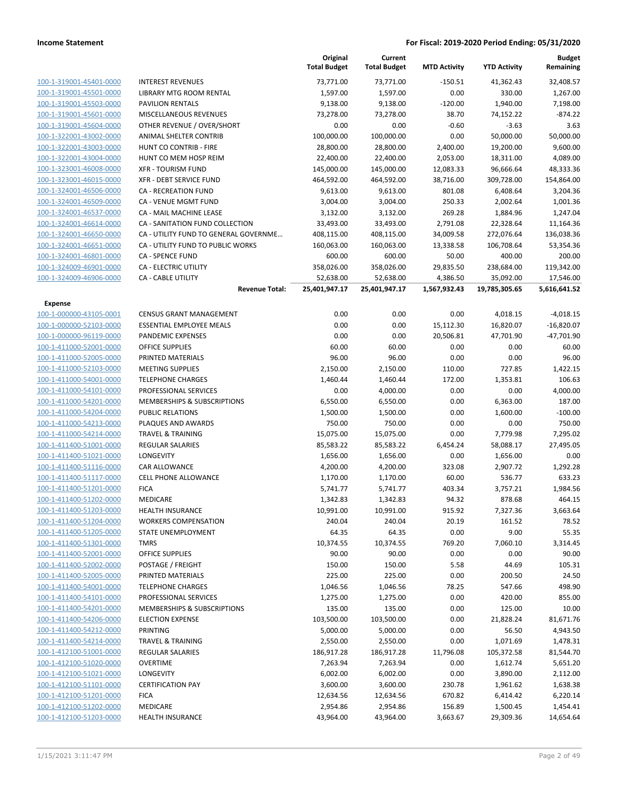|                         |                                       | Original<br><b>Total Budget</b> | Current<br><b>Total Budget</b> | <b>MTD Activity</b> | <b>YTD Activity</b> | <b>Budget</b><br>Remaining |
|-------------------------|---------------------------------------|---------------------------------|--------------------------------|---------------------|---------------------|----------------------------|
| 100-1-319001-45401-0000 | <b>INTEREST REVENUES</b>              | 73,771.00                       | 73,771.00                      | $-150.51$           | 41,362.43           | 32,408.57                  |
| 100-1-319001-45501-0000 | LIBRARY MTG ROOM RENTAL               | 1,597.00                        | 1,597.00                       | 0.00                | 330.00              | 1,267.00                   |
| 100-1-319001-45503-0000 | <b>PAVILION RENTALS</b>               | 9,138.00                        | 9,138.00                       | $-120.00$           | 1,940.00            | 7,198.00                   |
| 100-1-319001-45601-0000 | <b>MISCELLANEOUS REVENUES</b>         | 73,278.00                       | 73,278.00                      | 38.70               | 74,152.22           | $-874.22$                  |
| 100-1-319001-45604-0000 | OTHER REVENUE / OVER/SHORT            | 0.00                            | 0.00                           | $-0.60$             | $-3.63$             | 3.63                       |
| 100-1-322001-43002-0000 | ANIMAL SHELTER CONTRIB                | 100,000.00                      | 100,000.00                     | 0.00                | 50,000.00           | 50,000.00                  |
| 100-1-322001-43003-0000 | HUNT CO CONTRIB - FIRE                | 28,800.00                       | 28,800.00                      | 2,400.00            | 19,200.00           | 9,600.00                   |
| 100-1-322001-43004-0000 | HUNT CO MEM HOSP REIM                 | 22,400.00                       | 22,400.00                      | 2,053.00            | 18,311.00           | 4,089.00                   |
| 100-1-323001-46008-0000 | <b>XFR - TOURISM FUND</b>             | 145,000.00                      | 145,000.00                     | 12,083.33           | 96,666.64           | 48,333.36                  |
| 100-1-323001-46015-0000 | XFR - DEBT SERVICE FUND               | 464,592.00                      | 464,592.00                     | 38,716.00           | 309,728.00          | 154,864.00                 |
| 100-1-324001-46506-0000 | <b>CA - RECREATION FUND</b>           | 9,613.00                        | 9,613.00                       | 801.08              | 6,408.64            | 3,204.36                   |
| 100-1-324001-46509-0000 | CA - VENUE MGMT FUND                  | 3,004.00                        | 3,004.00                       | 250.33              | 2,002.64            | 1,001.36                   |
| 100-1-324001-46537-0000 | CA - MAIL MACHINE LEASE               | 3,132.00                        | 3,132.00                       | 269.28              | 1,884.96            | 1,247.04                   |
| 100-1-324001-46614-0000 | CA - SANITATION FUND COLLECTION       | 33,493.00                       | 33,493.00                      | 2,791.08            | 22,328.64           | 11,164.36                  |
| 100-1-324001-46650-0000 | CA - UTILITY FUND TO GENERAL GOVERNME | 408,115.00                      | 408,115.00                     | 34,009.58           | 272,076.64          | 136,038.36                 |
| 100-1-324001-46651-0000 | CA - UTILITY FUND TO PUBLIC WORKS     | 160,063.00                      | 160,063.00                     | 13,338.58           | 106,708.64          | 53,354.36                  |
| 100-1-324001-46801-0000 | <b>CA - SPENCE FUND</b>               | 600.00                          | 600.00                         | 50.00               | 400.00              | 200.00                     |
| 100-1-324009-46901-0000 | CA - ELECTRIC UTILITY                 | 358,026.00                      | 358,026.00                     | 29,835.50           | 238,684.00          | 119,342.00                 |
| 100-1-324009-46906-0000 | <b>CA - CABLE UTILITY</b>             | 52,638.00                       | 52,638.00                      | 4,386.50            | 35,092.00           | 17,546.00                  |
|                         | <b>Revenue Total:</b>                 | 25,401,947.17                   | 25,401,947.17                  | 1,567,932.43        | 19,785,305.65       | 5,616,641.52               |
| <b>Expense</b>          |                                       |                                 |                                |                     |                     |                            |
| 100-1-000000-43105-0001 | <b>CENSUS GRANT MANAGEMENT</b>        | 0.00                            | 0.00                           | 0.00                | 4,018.15            | $-4,018.15$                |
| 100-1-000000-52103-0000 | <b>ESSENTIAL EMPLOYEE MEALS</b>       | 0.00                            | 0.00                           | 15,112.30           | 16,820.07           | $-16,820.07$               |
| 100-1-000000-96119-0000 | <b>PANDEMIC EXPENSES</b>              | 0.00                            | 0.00                           | 20,506.81           | 47,701.90           | $-47,701.90$               |
| 100-1-411000-52001-0000 | <b>OFFICE SUPPLIES</b>                | 60.00                           | 60.00                          | 0.00                | 0.00                | 60.00                      |
| 100-1-411000-52005-0000 | PRINTED MATERIALS                     | 96.00                           | 96.00                          | 0.00                | 0.00                | 96.00                      |
| 100-1-411000-52103-0000 | <b>MEETING SUPPLIES</b>               | 2,150.00                        | 2,150.00                       | 110.00              | 727.85              | 1,422.15                   |
| 100-1-411000-54001-0000 | <b>TELEPHONE CHARGES</b>              | 1,460.44                        | 1,460.44                       | 172.00              | 1,353.81            | 106.63                     |
| 100-1-411000-54101-0000 | PROFESSIONAL SERVICES                 | 0.00                            | 4,000.00                       | 0.00                | 0.00                | 4,000.00                   |
| 100-1-411000-54201-0000 | MEMBERSHIPS & SUBSCRIPTIONS           | 6,550.00                        | 6,550.00                       | 0.00                | 6,363.00            | 187.00                     |
| 100-1-411000-54204-0000 | <b>PUBLIC RELATIONS</b>               | 1,500.00                        | 1,500.00                       | 0.00                | 1,600.00            | $-100.00$                  |
| 100-1-411000-54213-0000 | PLAQUES AND AWARDS                    | 750.00                          | 750.00                         | 0.00                | 0.00                | 750.00                     |
| 100-1-411000-54214-0000 | <b>TRAVEL &amp; TRAINING</b>          | 15,075.00                       | 15,075.00                      | 0.00                | 7,779.98            | 7,295.02                   |
| 100-1-411400-51001-0000 | REGULAR SALARIES                      | 85,583.22                       | 85,583.22                      | 6,454.24            | 58,088.17           | 27,495.05                  |
| 100-1-411400-51021-0000 | <b>LONGEVITY</b>                      | 1,656.00                        | 1,656.00                       | 0.00                | 1,656.00            | 0.00                       |
| 100-1-411400-51116-0000 | <b>CAR ALLOWANCE</b>                  | 4,200.00                        | 4,200.00                       | 323.08              | 2,907.72            | 1,292.28                   |
| 100-1-411400-51117-0000 | <b>CELL PHONE ALLOWANCE</b>           | 1,170.00                        | 1,170.00                       | 60.00               | 536.77              | 633.23                     |
| 100-1-411400-51201-0000 | <b>FICA</b>                           | 5,741.77                        | 5,741.77                       | 403.34              | 3,757.21            | 1,984.56                   |
| 100-1-411400-51202-0000 | MEDICARE                              | 1,342.83                        | 1,342.83                       | 94.32               | 878.68              | 464.15                     |
| 100-1-411400-51203-0000 | <b>HEALTH INSURANCE</b>               | 10,991.00                       | 10,991.00                      | 915.92              | 7,327.36            | 3,663.64                   |
| 100-1-411400-51204-0000 | <b>WORKERS COMPENSATION</b>           | 240.04                          | 240.04                         | 20.19               | 161.52              | 78.52                      |
| 100-1-411400-51205-0000 | STATE UNEMPLOYMENT                    | 64.35                           | 64.35                          | 0.00                | 9.00                | 55.35                      |
| 100-1-411400-51301-0000 | <b>TMRS</b>                           | 10,374.55                       | 10,374.55                      | 769.20              | 7,060.10            | 3,314.45                   |
| 100-1-411400-52001-0000 | OFFICE SUPPLIES                       | 90.00                           | 90.00                          | 0.00                | 0.00                | 90.00                      |
| 100-1-411400-52002-0000 | POSTAGE / FREIGHT                     | 150.00                          | 150.00                         | 5.58                | 44.69               | 105.31                     |
| 100-1-411400-52005-0000 | PRINTED MATERIALS                     | 225.00                          | 225.00                         | 0.00                | 200.50              | 24.50                      |
| 100-1-411400-54001-0000 | <b>TELEPHONE CHARGES</b>              | 1,046.56                        | 1,046.56                       | 78.25               | 547.66              | 498.90                     |
| 100-1-411400-54101-0000 | PROFESSIONAL SERVICES                 | 1,275.00                        | 1,275.00                       | 0.00                | 420.00              | 855.00                     |
| 100-1-411400-54201-0000 | MEMBERSHIPS & SUBSCRIPTIONS           | 135.00                          | 135.00                         | 0.00                | 125.00              | 10.00                      |
| 100-1-411400-54206-0000 | <b>ELECTION EXPENSE</b>               | 103,500.00                      | 103,500.00                     | 0.00                | 21,828.24           | 81,671.76                  |
| 100-1-411400-54212-0000 | PRINTING                              | 5,000.00                        | 5,000.00                       | 0.00                | 56.50               | 4,943.50                   |
| 100-1-411400-54214-0000 | <b>TRAVEL &amp; TRAINING</b>          | 2,550.00                        | 2,550.00                       | 0.00                | 1,071.69            | 1,478.31                   |
| 100-1-412100-51001-0000 | REGULAR SALARIES                      | 186,917.28                      | 186,917.28                     | 11,796.08           | 105,372.58          | 81,544.70                  |
| 100-1-412100-51020-0000 | <b>OVERTIME</b>                       | 7,263.94                        | 7,263.94                       | 0.00                | 1,612.74            | 5,651.20                   |
| 100-1-412100-51021-0000 | LONGEVITY                             | 6,002.00                        | 6,002.00                       | 0.00                | 3,890.00            | 2,112.00                   |
| 100-1-412100-51101-0000 | <b>CERTIFICATION PAY</b>              | 3,600.00                        | 3,600.00                       | 230.78              | 1,961.62            | 1,638.38                   |
| 100-1-412100-51201-0000 | <b>FICA</b>                           | 12,634.56                       | 12,634.56                      | 670.82              | 6,414.42            | 6,220.14                   |
| 100-1-412100-51202-0000 | MEDICARE                              | 2,954.86                        | 2,954.86                       | 156.89              | 1,500.45            | 1,454.41                   |
| 100-1-412100-51203-0000 | <b>HEALTH INSURANCE</b>               | 43,964.00                       | 43,964.00                      | 3,663.67            | 29,309.36           | 14,654.64                  |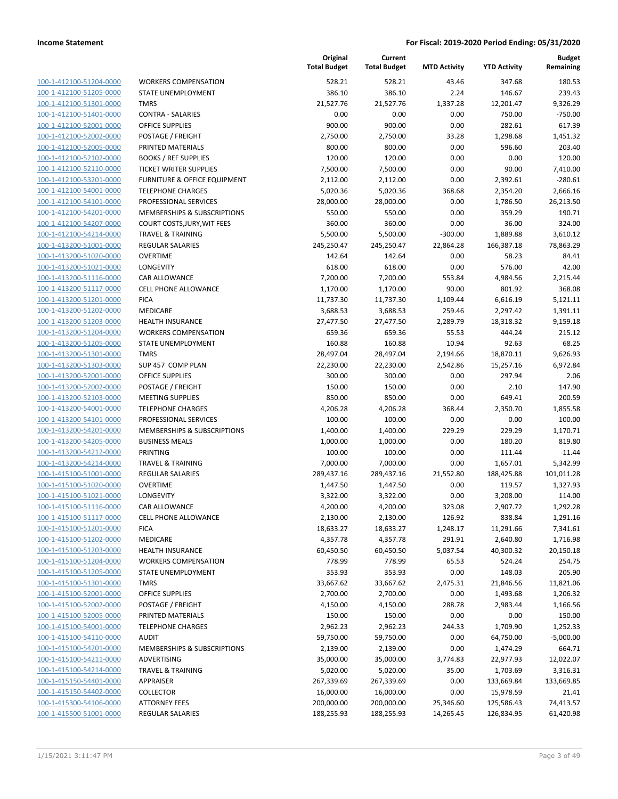| 100-1-412100-51204-0000        |
|--------------------------------|
| 100-1-412100-51205-0000        |
| <u>100-1-412100-51301-0000</u> |
| 100-1-412100-51401-0000        |
| 100-1-412100-52001-0000        |
| 100-1-412100-52002-0000        |
|                                |
| 100-1-412100-52005-0000        |
| 100-1-412100-52102-0000        |
| 100-1-412100-52110-0000        |
| 100-1-412100-53201-0000        |
| 100-1-412100-54001-0000        |
| 100-1-412100-54101-0000        |
| <u>100-1-412100-54201-0000</u> |
| 100-1-412100-54207-0000        |
| 100-1-412100-54214-0000        |
| 100-1-413200-51001-0000        |
|                                |
| 100-1-413200-51020-0000        |
| 100-1-413200-51021-0000        |
| 100-1-413200-51116-0000        |
| 100-1-413200-51117-0000        |
| 100-1-413200-51201-0000        |
| 100-1-413200-51202-0000        |
| <u>100-1-413200-51203-0000</u> |
| 100-1-413200-51204-0000        |
| 100-1-413200-51205-0000        |
|                                |
| 100-1-413200-51301-0000        |
| 100-1-413200-51303-0000        |
| 100-1-413200-52001-0000        |
| 100-1-413200-52002-0000        |
| 100-1-413200-52103-0000        |
| 100-1-413200-54001-0000        |
| 100-1-413200-54101-0000        |
| <u>100-1-413200-54201-0000</u> |
| 100-1-413200-54205-0000        |
| 100-1-413200-54212-0000        |
| 100-1-413200-54214-0000        |
|                                |
| 100-1-415100-51001-0000        |
| <u>100-1-415100-51020-0000</u> |
| 100-1-415100-51021-0000        |
| 100-1-415100-51116-0000        |
| 100-1-415100-51117-0000        |
| 100-1-415100-51201-0000        |
| <u>100-1-415100-51202-0000</u> |
| 100-1-415100-51203-0000        |
| 100-1-415100-51204-0000        |
| 100-1-415100-51205-0000        |
|                                |
| 100-1-415100-51301-0000        |
| <u>100-1-415100-52001-0000</u> |
| <u>100-1-415100-52002-0000</u> |
| 100-1-415100-52005-0000        |
| 100-1-415100-54001-0000        |
| 100-1-415100-54110-0000        |
| <u>100-1-415100-54201-0000</u> |
| <u>100-1-415100-54211-0000</u> |
| <u>100-1-415100-54214-0000</u> |
| 100-1-415150-54401-0000        |
| <u>100-1-415150-54402-0000</u> |
|                                |
| <u>100-1-415300-54106-0000</u> |
| <u>100-1-415500-51001-0000</u> |

|                                                    |                                   | Original<br><b>Total Budget</b> | Current<br><b>Total Budget</b> | <b>MTD Activity</b> | <b>YTD Activity</b> | <b>Budget</b><br>Remaining |
|----------------------------------------------------|-----------------------------------|---------------------------------|--------------------------------|---------------------|---------------------|----------------------------|
| 100-1-412100-51204-0000                            | <b>WORKERS COMPENSATION</b>       | 528.21                          | 528.21                         | 43.46               | 347.68              | 180.53                     |
| 100-1-412100-51205-0000                            | <b>STATE UNEMPLOYMENT</b>         | 386.10                          | 386.10                         | 2.24                | 146.67              | 239.43                     |
| 100-1-412100-51301-0000                            | <b>TMRS</b>                       | 21,527.76                       | 21,527.76                      | 1,337.28            | 12,201.47           | 9,326.29                   |
| 100-1-412100-51401-0000                            | <b>CONTRA - SALARIES</b>          | 0.00                            | 0.00                           | 0.00                | 750.00              | $-750.00$                  |
| 100-1-412100-52001-0000                            | <b>OFFICE SUPPLIES</b>            | 900.00                          | 900.00                         | 0.00                | 282.61              | 617.39                     |
| 100-1-412100-52002-0000                            | POSTAGE / FREIGHT                 | 2,750.00                        | 2,750.00                       | 33.28               | 1,298.68            | 1,451.32                   |
| 100-1-412100-52005-0000                            | PRINTED MATERIALS                 | 800.00                          | 800.00                         | 0.00                | 596.60              | 203.40                     |
| 100-1-412100-52102-0000                            | <b>BOOKS / REF SUPPLIES</b>       | 120.00                          | 120.00                         | 0.00                | 0.00                | 120.00                     |
| 100-1-412100-52110-0000                            | <b>TICKET WRITER SUPPLIES</b>     | 7,500.00                        | 7,500.00                       | 0.00                | 90.00               | 7,410.00                   |
| 100-1-412100-53201-0000                            | FURNITURE & OFFICE EQUIPMENT      | 2,112.00                        | 2,112.00                       | 0.00                | 2,392.61            | $-280.61$                  |
| 100-1-412100-54001-0000                            | <b>TELEPHONE CHARGES</b>          | 5,020.36                        | 5,020.36                       | 368.68              | 2,354.20            | 2,666.16                   |
| 100-1-412100-54101-0000                            | PROFESSIONAL SERVICES             | 28,000.00                       | 28,000.00                      | 0.00                | 1,786.50            | 26,213.50                  |
| 100-1-412100-54201-0000                            | MEMBERSHIPS & SUBSCRIPTIONS       | 550.00                          | 550.00                         | 0.00                | 359.29              | 190.71                     |
| 100-1-412100-54207-0000                            | COURT COSTS, JURY, WIT FEES       | 360.00                          | 360.00                         | 0.00                | 36.00               | 324.00                     |
| 100-1-412100-54214-0000                            | <b>TRAVEL &amp; TRAINING</b>      | 5,500.00                        | 5,500.00                       | $-300.00$           | 1,889.88            | 3,610.12                   |
| 100-1-413200-51001-0000                            | <b>REGULAR SALARIES</b>           | 245,250.47                      | 245,250.47                     | 22,864.28           | 166,387.18          | 78,863.29                  |
| 100-1-413200-51020-0000                            | <b>OVERTIME</b>                   | 142.64                          | 142.64                         | 0.00                | 58.23               | 84.41                      |
| 100-1-413200-51021-0000                            | <b>LONGEVITY</b>                  | 618.00                          | 618.00                         | 0.00                | 576.00              | 42.00                      |
| 100-1-413200-51116-0000                            | <b>CAR ALLOWANCE</b>              | 7,200.00                        | 7,200.00                       | 553.84              | 4,984.56            | 2,215.44                   |
| 100-1-413200-51117-0000                            | <b>CELL PHONE ALLOWANCE</b>       | 1,170.00                        | 1,170.00                       | 90.00               | 801.92              | 368.08                     |
| 100-1-413200-51201-0000                            | <b>FICA</b>                       | 11,737.30                       | 11,737.30                      | 1,109.44            | 6,616.19            | 5,121.11                   |
| 100-1-413200-51202-0000                            | MEDICARE                          | 3,688.53                        | 3,688.53                       | 259.46              | 2,297.42            | 1,391.11                   |
| 100-1-413200-51203-0000                            | <b>HEALTH INSURANCE</b>           | 27,477.50                       | 27,477.50                      | 2,289.79            | 18,318.32           | 9,159.18                   |
| 100-1-413200-51204-0000                            | <b>WORKERS COMPENSATION</b>       | 659.36                          | 659.36                         | 55.53               | 444.24              | 215.12                     |
| 100-1-413200-51205-0000<br>100-1-413200-51301-0000 | STATE UNEMPLOYMENT<br><b>TMRS</b> | 160.88<br>28,497.04             | 160.88<br>28,497.04            | 10.94<br>2,194.66   | 92.63<br>18,870.11  | 68.25<br>9,626.93          |
| 100-1-413200-51303-0000                            | SUP 457 COMP PLAN                 |                                 |                                | 2,542.86            | 15,257.16           | 6,972.84                   |
| 100-1-413200-52001-0000                            | <b>OFFICE SUPPLIES</b>            | 22,230.00<br>300.00             | 22,230.00<br>300.00            | 0.00                | 297.94              | 2.06                       |
| 100-1-413200-52002-0000                            | POSTAGE / FREIGHT                 | 150.00                          | 150.00                         | 0.00                | 2.10                | 147.90                     |
| 100-1-413200-52103-0000                            | <b>MEETING SUPPLIES</b>           | 850.00                          | 850.00                         | 0.00                | 649.41              | 200.59                     |
| 100-1-413200-54001-0000                            | <b>TELEPHONE CHARGES</b>          | 4,206.28                        | 4,206.28                       | 368.44              | 2,350.70            | 1,855.58                   |
| 100-1-413200-54101-0000                            | PROFESSIONAL SERVICES             | 100.00                          | 100.00                         | 0.00                | 0.00                | 100.00                     |
| 100-1-413200-54201-0000                            | MEMBERSHIPS & SUBSCRIPTIONS       | 1,400.00                        | 1,400.00                       | 229.29              | 229.29              | 1,170.71                   |
| 100-1-413200-54205-0000                            | <b>BUSINESS MEALS</b>             | 1,000.00                        | 1,000.00                       | 0.00                | 180.20              | 819.80                     |
| 100-1-413200-54212-0000                            | PRINTING                          | 100.00                          | 100.00                         | 0.00                | 111.44              | $-11.44$                   |
| 100-1-413200-54214-0000                            | <b>TRAVEL &amp; TRAINING</b>      | 7,000.00                        | 7,000.00                       | 0.00                | 1,657.01            | 5,342.99                   |
| 100-1-415100-51001-0000                            | <b>REGULAR SALARIES</b>           | 289,437.16                      | 289,437.16                     | 21,552.80           | 188,425.88          | 101,011.28                 |
| 100-1-415100-51020-0000                            | <b>OVERTIME</b>                   | 1,447.50                        | 1,447.50                       | 0.00                | 119.57              | 1,327.93                   |
| 100-1-415100-51021-0000                            | <b>LONGEVITY</b>                  | 3,322.00                        | 3,322.00                       | 0.00                | 3,208.00            | 114.00                     |
| 100-1-415100-51116-0000                            | CAR ALLOWANCE                     | 4,200.00                        | 4,200.00                       | 323.08              | 2,907.72            | 1,292.28                   |
| 100-1-415100-51117-0000                            | <b>CELL PHONE ALLOWANCE</b>       | 2,130.00                        | 2,130.00                       | 126.92              | 838.84              | 1,291.16                   |
| 100-1-415100-51201-0000                            | <b>FICA</b>                       | 18,633.27                       | 18,633.27                      | 1,248.17            | 11,291.66           | 7,341.61                   |
| 100-1-415100-51202-0000                            | MEDICARE                          | 4,357.78                        | 4,357.78                       | 291.91              | 2,640.80            | 1,716.98                   |
| 100-1-415100-51203-0000                            | HEALTH INSURANCE                  | 60,450.50                       | 60,450.50                      | 5,037.54            | 40,300.32           | 20,150.18                  |
| 100-1-415100-51204-0000                            | <b>WORKERS COMPENSATION</b>       | 778.99                          | 778.99                         | 65.53               | 524.24              | 254.75                     |
| 100-1-415100-51205-0000                            | STATE UNEMPLOYMENT                | 353.93                          | 353.93                         | 0.00                | 148.03              | 205.90                     |
| 100-1-415100-51301-0000                            | <b>TMRS</b>                       | 33,667.62                       | 33,667.62                      | 2,475.31            | 21,846.56           | 11,821.06                  |
| 100-1-415100-52001-0000                            | OFFICE SUPPLIES                   | 2,700.00                        | 2,700.00                       | 0.00                | 1,493.68            | 1,206.32                   |
| 100-1-415100-52002-0000                            | POSTAGE / FREIGHT                 | 4,150.00                        | 4,150.00                       | 288.78              | 2,983.44            | 1,166.56                   |
| 100-1-415100-52005-0000                            | PRINTED MATERIALS                 | 150.00                          | 150.00                         | 0.00                | 0.00                | 150.00                     |
| 100-1-415100-54001-0000                            | <b>TELEPHONE CHARGES</b>          | 2,962.23                        | 2,962.23                       | 244.33              | 1,709.90            | 1,252.33                   |
| 100-1-415100-54110-0000                            | <b>AUDIT</b>                      | 59,750.00                       | 59,750.00                      | 0.00                | 64,750.00           | $-5,000.00$                |
| 100-1-415100-54201-0000                            | MEMBERSHIPS & SUBSCRIPTIONS       | 2,139.00                        | 2,139.00                       | 0.00                | 1,474.29            | 664.71                     |
| 100-1-415100-54211-0000                            | ADVERTISING                       | 35,000.00                       | 35,000.00                      | 3,774.83            | 22,977.93           | 12,022.07                  |
| 100-1-415100-54214-0000                            | <b>TRAVEL &amp; TRAINING</b>      | 5,020.00                        | 5,020.00                       | 35.00               | 1,703.69            | 3,316.31                   |
| 100-1-415150-54401-0000                            | APPRAISER                         | 267,339.69                      | 267,339.69                     | 0.00                | 133,669.84          | 133,669.85                 |
| 100-1-415150-54402-0000                            | <b>COLLECTOR</b>                  | 16,000.00                       | 16,000.00                      | 0.00                | 15,978.59           | 21.41                      |
| 100-1-415300-54106-0000                            | <b>ATTORNEY FEES</b>              | 200,000.00                      | 200,000.00                     | 25,346.60           | 125,586.43          | 74,413.57                  |
| 100-1-415500-51001-0000                            | <b>REGULAR SALARIES</b>           | 188,255.93                      | 188,255.93                     | 14,265.45           | 126,834.95          | 61,420.98                  |
|                                                    |                                   |                                 |                                |                     |                     |                            |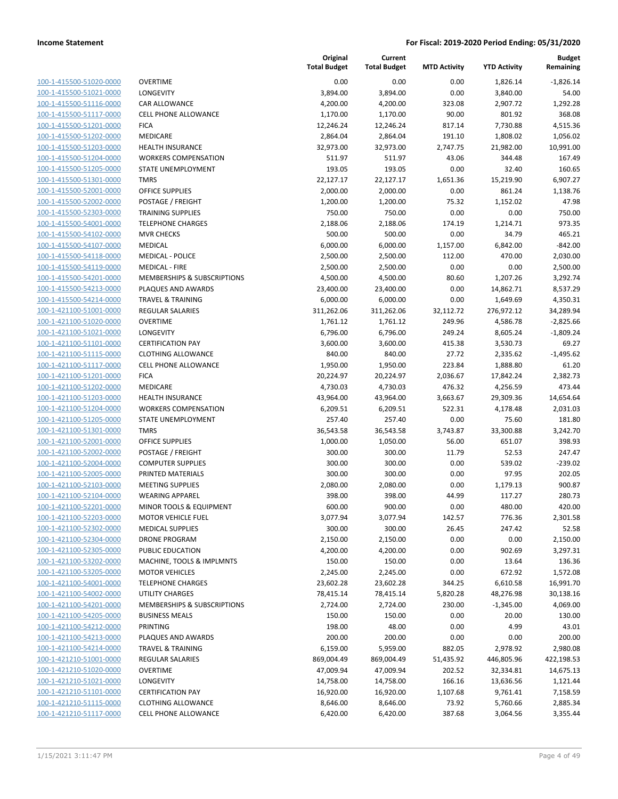| 100-1-415500-51020-0000        |
|--------------------------------|
| 100-1-415500-51021-0000        |
| 100-1-415500-51116-0000        |
| 100-1-415500-51117-0000        |
| 100-1-415500-51201-0000        |
| 100-1-415500-51202-0000        |
| 100-1-415500-51203-0000        |
| 100-1-415500-51204-0000        |
| 100-1-415500-51205-0000        |
| 100-1-415500-51301-0000        |
| 100-1-415500-52001-0000        |
| 100-1-415500-52002-0000        |
| 100-1-415500-52303-0000        |
| 100-1-415500-54001-0000        |
| 100-1-415500-54102-0000        |
| 100-1-415500-54107-0000        |
| 100-1-415500-54118-0000        |
| 100-1-415500-54119-0000        |
| 100-1-415500-54201-0000        |
| 100-1-415500-54213-0000        |
| 100-1-415500-54214-0000        |
| 100-1-421100-51001-0000        |
| 100-1-421100-51020-0000        |
| 100-1-421100-51021-0000        |
| 100-1-421100-51101-0000        |
| 100-1-421100-51115-0000        |
| 100-1-421100-51117-0000        |
|                                |
| 100-1-421100-51201-0000        |
| 100-1-421100-51202-0000        |
| 100-1-421100-51203-0000        |
| 100-1-421100-51204-0000        |
| 100-1-421100-51205-0000        |
| 100-1-421100-51301-0000        |
| 100-1-421100-52001-0000        |
| 100-1-421100-52002-0000        |
| 100-1-421100-52004-0000        |
| 100-1-421100-52005-0000        |
| 100-1-421100-52103-0000        |
| 100-1-421100-52104-0000        |
| 100-1-421100-52201-0000        |
| 100-1-421100-52203-0000        |
| <u>100-1-421100-52302-0000</u> |
| <u>100-1-421100-52304-0000</u> |
| <u>100-1-421100-52305-0000</u> |
| 100-1-421100-53202-0000        |
| <u>100-1-421100-53205-0000</u> |
| 100-1-421100-54001-0000        |
| 100-1-421100-54002-0000        |
| <u>100-1-421100-54201-0000</u> |
| 100-1-421100-54205-0000        |
| 100-1-421100-54212-0000        |
| 100-1-421100-54213-0000        |
| <u>100-1-421100-54214-0000</u> |
| <u>100-1-421210-51001-0000</u> |
| <u>100-1-421210-51020-0000</u> |
| <u>100-1-421210-51021-0000</u> |
| <u>100-1-421210-51101-0000</u> |
|                                |
| <u>100-1-421210-51115-0000</u> |
| <u>100-1-421210-51117-0000</u> |

| VERTIME                                |
|----------------------------------------|
| ONGEVITY                               |
| AR ALLOWANCE                           |
| ELL PHONE ALLOWANCE                    |
| <b>CA</b>                              |
| <b>IEDICARE</b>                        |
| <b>EALTH INSURANCE</b>                 |
| <b>/ORKERS COMPENSATION</b>            |
| TATE UNEMPLOYMENT                      |
| MRS                                    |
| <b>FFICE SUPPLIES</b>                  |
| OSTAGE / FREIGHT                       |
| RAINING SUPPLIES                       |
| ELEPHONE CHARGES                       |
| IVR CHECKS                             |
| <b>IEDICAL</b>                         |
| <b>IEDICAL - POLICE</b>                |
| 1EDICAL - FIRE                         |
| <b>IEMBERSHIPS &amp; SUBSCRIPTIONS</b> |
| LAQUES AND AWARDS                      |
| RAVEL & TRAINING                       |
| EGULAR SALARIES                        |
| VERTIME                                |
| ONGEVITY                               |
| ERTIFICATION PAY                       |
| LOTHING ALLOWANCE                      |
| ELL PHONE ALLOWANCE                    |
| <b>ICA</b>                             |
| 1EDICARE                               |
| <b>EALTH INSURANCE</b>                 |
| /ORKERS COMPENSATION                   |
| TATE UNEMPLOYMENT                      |
| MRS                                    |
| <b>FFICE SUPPLIES</b>                  |
| OSTAGE / FREIGHT<br>OMPUTER SUPPLIES   |
| RINTED MATERIALS                       |
| <b>IEETING SUPPLIES</b>                |
| /EARING APPAREL                        |
| 1INOR TOOLS & EQUIPMENT                |
| 1OTOR VEHICLE FUEL                     |
| <b>IEDICAL SUPPLIES</b>                |
| RONE PROGRAM                           |
| <b>UBLIC EDUCATION</b>                 |
| 1ACHINE, TOOLS & IMPLMNTS              |
| <b>1OTOR VEHICLES</b>                  |
| ELEPHONE CHARGES                       |
| <b>TILITY CHARGES</b>                  |
| <b>IEMBERSHIPS &amp; SUBSCRIPTIONS</b> |
| USINESS MEALS                          |
| RINTING                                |
| LAQUES AND AWARDS                      |
| RAVEL & TRAINING                       |
| EGULAR SALARIES                        |
| VERTIME                                |
| <b>ONGEVITY</b>                        |
| ERTIFICATION PAY                       |
| LOTHING ALLOWANCE                      |

|                                                    |                                               | Original<br><b>Total Budget</b> | Current<br><b>Total Budget</b> | <b>MTD Activity</b> | <b>YTD Activity</b>  | <b>Budget</b><br>Remaining |
|----------------------------------------------------|-----------------------------------------------|---------------------------------|--------------------------------|---------------------|----------------------|----------------------------|
| 100-1-415500-51020-0000                            | <b>OVERTIME</b>                               | 0.00                            | 0.00                           | 0.00                | 1,826.14             | $-1,826.14$                |
| 100-1-415500-51021-0000                            | <b>LONGEVITY</b>                              | 3,894.00                        | 3,894.00                       | 0.00                | 3,840.00             | 54.00                      |
| 100-1-415500-51116-0000                            | <b>CAR ALLOWANCE</b>                          | 4,200.00                        | 4,200.00                       | 323.08              | 2,907.72             | 1,292.28                   |
| 100-1-415500-51117-0000                            | <b>CELL PHONE ALLOWANCE</b>                   | 1,170.00                        | 1,170.00                       | 90.00               | 801.92               | 368.08                     |
| 100-1-415500-51201-0000                            | <b>FICA</b>                                   | 12,246.24                       | 12,246.24                      | 817.14              | 7,730.88             | 4,515.36                   |
| 100-1-415500-51202-0000                            | <b>MEDICARE</b>                               | 2,864.04                        | 2,864.04                       | 191.10              | 1,808.02             | 1,056.02                   |
| 100-1-415500-51203-0000                            | <b>HEALTH INSURANCE</b>                       | 32,973.00                       | 32,973.00                      | 2,747.75            | 21,982.00            | 10,991.00                  |
| 100-1-415500-51204-0000                            | <b>WORKERS COMPENSATION</b>                   | 511.97                          | 511.97                         | 43.06               | 344.48               | 167.49                     |
| 100-1-415500-51205-0000                            | <b>STATE UNEMPLOYMENT</b>                     | 193.05                          | 193.05                         | 0.00                | 32.40                | 160.65                     |
| 100-1-415500-51301-0000                            | <b>TMRS</b>                                   | 22,127.17                       | 22,127.17                      | 1,651.36            | 15,219.90            | 6,907.27                   |
| 100-1-415500-52001-0000                            | <b>OFFICE SUPPLIES</b>                        | 2,000.00                        | 2,000.00                       | 0.00                | 861.24               | 1,138.76                   |
| 100-1-415500-52002-0000                            | POSTAGE / FREIGHT                             | 1,200.00                        | 1,200.00                       | 75.32               | 1,152.02             | 47.98                      |
| 100-1-415500-52303-0000                            | <b>TRAINING SUPPLIES</b>                      | 750.00                          | 750.00                         | 0.00                | 0.00                 | 750.00                     |
| 100-1-415500-54001-0000                            | <b>TELEPHONE CHARGES</b>                      | 2,188.06                        | 2,188.06                       | 174.19              | 1,214.71             | 973.35                     |
| 100-1-415500-54102-0000                            | <b>MVR CHECKS</b>                             | 500.00                          | 500.00                         | 0.00                | 34.79                | 465.21                     |
| 100-1-415500-54107-0000                            | <b>MEDICAL</b>                                | 6,000.00                        | 6,000.00                       | 1,157.00            | 6,842.00             | $-842.00$                  |
| 100-1-415500-54118-0000                            | <b>MEDICAL - POLICE</b>                       | 2,500.00                        | 2,500.00                       | 112.00              | 470.00               | 2,030.00                   |
| 100-1-415500-54119-0000                            | <b>MEDICAL - FIRE</b>                         | 2,500.00                        | 2,500.00                       | 0.00                | 0.00                 | 2,500.00                   |
| 100-1-415500-54201-0000                            | MEMBERSHIPS & SUBSCRIPTIONS                   | 4,500.00                        | 4,500.00                       | 80.60               | 1,207.26             | 3,292.74                   |
| 100-1-415500-54213-0000                            | PLAQUES AND AWARDS                            | 23,400.00                       | 23,400.00                      | 0.00                | 14,862.71            | 8,537.29                   |
| 100-1-415500-54214-0000                            | <b>TRAVEL &amp; TRAINING</b>                  | 6,000.00                        | 6,000.00                       | 0.00                | 1,649.69             | 4,350.31                   |
| 100-1-421100-51001-0000<br>100-1-421100-51020-0000 | <b>REGULAR SALARIES</b><br><b>OVERTIME</b>    | 311,262.06<br>1,761.12          | 311,262.06                     | 32,112.72<br>249.96 | 276,972.12           | 34,289.94                  |
| 100-1-421100-51021-0000                            | LONGEVITY                                     | 6,796.00                        | 1,761.12<br>6,796.00           | 249.24              | 4,586.78<br>8,605.24 | $-2,825.66$<br>$-1,809.24$ |
| 100-1-421100-51101-0000                            | <b>CERTIFICATION PAY</b>                      | 3,600.00                        | 3,600.00                       | 415.38              | 3,530.73             | 69.27                      |
| 100-1-421100-51115-0000                            | <b>CLOTHING ALLOWANCE</b>                     | 840.00                          | 840.00                         | 27.72               | 2,335.62             | $-1,495.62$                |
| 100-1-421100-51117-0000                            | <b>CELL PHONE ALLOWANCE</b>                   | 1,950.00                        | 1,950.00                       | 223.84              | 1,888.80             | 61.20                      |
| 100-1-421100-51201-0000                            | <b>FICA</b>                                   | 20,224.97                       | 20,224.97                      | 2,036.67            | 17,842.24            | 2,382.73                   |
| 100-1-421100-51202-0000                            | MEDICARE                                      | 4,730.03                        | 4,730.03                       | 476.32              | 4,256.59             | 473.44                     |
| 100-1-421100-51203-0000                            | <b>HEALTH INSURANCE</b>                       | 43,964.00                       | 43,964.00                      | 3,663.67            | 29,309.36            | 14,654.64                  |
| 100-1-421100-51204-0000                            | <b>WORKERS COMPENSATION</b>                   | 6,209.51                        | 6,209.51                       | 522.31              | 4,178.48             | 2,031.03                   |
| 100-1-421100-51205-0000                            | STATE UNEMPLOYMENT                            | 257.40                          | 257.40                         | 0.00                | 75.60                | 181.80                     |
| 100-1-421100-51301-0000                            | <b>TMRS</b>                                   | 36,543.58                       | 36,543.58                      | 3,743.87            | 33,300.88            | 3,242.70                   |
| 100-1-421100-52001-0000                            | <b>OFFICE SUPPLIES</b>                        | 1,000.00                        | 1,050.00                       | 56.00               | 651.07               | 398.93                     |
| 100-1-421100-52002-0000                            | POSTAGE / FREIGHT                             | 300.00                          | 300.00                         | 11.79               | 52.53                | 247.47                     |
| 100-1-421100-52004-0000                            | <b>COMPUTER SUPPLIES</b>                      | 300.00                          | 300.00                         | 0.00                | 539.02               | $-239.02$                  |
| 100-1-421100-52005-0000                            | PRINTED MATERIALS                             | 300.00                          | 300.00                         | 0.00                | 97.95                | 202.05                     |
| 100-1-421100-52103-0000                            | <b>MEETING SUPPLIES</b>                       | 2,080.00                        | 2,080.00                       | 0.00                | 1,179.13             | 900.87                     |
| 100-1-421100-52104-0000                            | <b>WEARING APPAREL</b>                        | 398.00                          | 398.00                         | 44.99               | 117.27               | 280.73                     |
| 100-1-421100-52201-0000                            | MINOR TOOLS & EQUIPMENT                       | 600.00                          | 900.00                         | 0.00                | 480.00               | 420.00                     |
| 100-1-421100-52203-0000                            | <b>MOTOR VEHICLE FUEL</b>                     | 3,077.94                        | 3,077.94                       | 142.57              | 776.36               | 2,301.58                   |
| 100-1-421100-52302-0000                            | <b>MEDICAL SUPPLIES</b>                       | 300.00                          | 300.00                         | 26.45               | 247.42               | 52.58                      |
| 100-1-421100-52304-0000                            | <b>DRONE PROGRAM</b>                          | 2,150.00                        | 2,150.00                       | 0.00                | 0.00                 | 2,150.00                   |
| 100-1-421100-52305-0000                            | PUBLIC EDUCATION<br>MACHINE, TOOLS & IMPLMNTS | 4,200.00<br>150.00              | 4,200.00                       | 0.00<br>0.00        | 902.69<br>13.64      | 3,297.31<br>136.36         |
| 100-1-421100-53202-0000<br>100-1-421100-53205-0000 | <b>MOTOR VEHICLES</b>                         | 2,245.00                        | 150.00<br>2,245.00             | 0.00                | 672.92               |                            |
| 100-1-421100-54001-0000                            | <b>TELEPHONE CHARGES</b>                      | 23,602.28                       | 23,602.28                      | 344.25              | 6,610.58             | 1,572.08<br>16,991.70      |
| 100-1-421100-54002-0000                            | <b>UTILITY CHARGES</b>                        | 78,415.14                       | 78,415.14                      | 5,820.28            | 48,276.98            | 30,138.16                  |
| 100-1-421100-54201-0000                            | MEMBERSHIPS & SUBSCRIPTIONS                   | 2,724.00                        | 2,724.00                       | 230.00              | $-1,345.00$          | 4,069.00                   |
| 100-1-421100-54205-0000                            | <b>BUSINESS MEALS</b>                         | 150.00                          | 150.00                         | 0.00                | 20.00                | 130.00                     |
| 100-1-421100-54212-0000                            | PRINTING                                      | 198.00                          | 48.00                          | 0.00                | 4.99                 | 43.01                      |
| 100-1-421100-54213-0000                            | PLAQUES AND AWARDS                            | 200.00                          | 200.00                         | 0.00                | 0.00                 | 200.00                     |
| 100-1-421100-54214-0000                            | <b>TRAVEL &amp; TRAINING</b>                  | 6,159.00                        | 5,959.00                       | 882.05              | 2,978.92             | 2,980.08                   |
| 100-1-421210-51001-0000                            | <b>REGULAR SALARIES</b>                       | 869,004.49                      | 869,004.49                     | 51,435.92           | 446,805.96           | 422,198.53                 |
| 100-1-421210-51020-0000                            | <b>OVERTIME</b>                               | 47,009.94                       | 47,009.94                      | 202.52              | 32,334.81            | 14,675.13                  |
| 100-1-421210-51021-0000                            | <b>LONGEVITY</b>                              | 14,758.00                       | 14,758.00                      | 166.16              | 13,636.56            | 1,121.44                   |
| 100-1-421210-51101-0000                            | <b>CERTIFICATION PAY</b>                      | 16,920.00                       | 16,920.00                      | 1,107.68            | 9,761.41             | 7,158.59                   |
| 100-1-421210-51115-0000                            | <b>CLOTHING ALLOWANCE</b>                     | 8,646.00                        | 8,646.00                       | 73.92               | 5,760.66             | 2,885.34                   |
| 100-1-421210-51117-0000                            | <b>CELL PHONE ALLOWANCE</b>                   | 6,420.00                        | 6,420.00                       | 387.68              | 3,064.56             | 3,355.44                   |
|                                                    |                                               |                                 |                                |                     |                      |                            |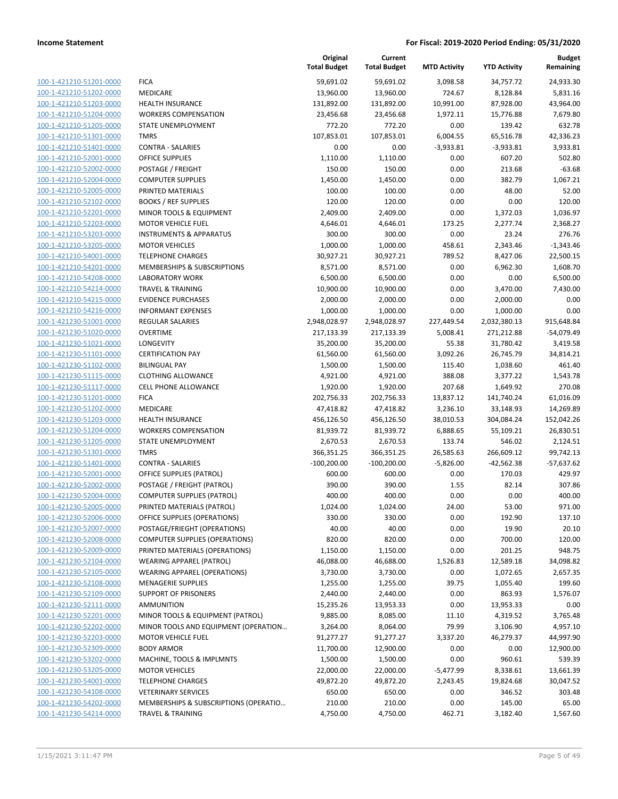| 100-1-421210-51201-0000 | <b>FICA</b>                    |
|-------------------------|--------------------------------|
| 100-1-421210-51202-0000 | MEDICARE                       |
| 100-1-421210-51203-0000 | <b>HEALTH INSURANCE</b>        |
| 100-1-421210-51204-0000 | <b>WORKERS COMPENSATION</b>    |
| 100-1-421210-51205-0000 | <b>STATE UNEMPLOYMENT</b>      |
| 100-1-421210-51301-0000 | TMRS                           |
| 100-1-421210-51401-0000 | <b>CONTRA - SALARIES</b>       |
| 100-1-421210-52001-0000 | <b>OFFICE SUPPLIES</b>         |
| 100-1-421210-52002-0000 | POSTAGE / FREIGHT              |
| 100-1-421210-52004-0000 | <b>COMPUTER SUPPLIES</b>       |
| 100-1-421210-52005-0000 | PRINTED MATERIALS              |
| 100-1-421210-52102-0000 | <b>BOOKS / REF SUPPLIES</b>    |
| 100-1-421210-52201-0000 | MINOR TOOLS & EQUIPMEN         |
| 100-1-421210-52203-0000 | <b>MOTOR VEHICLE FUEL</b>      |
| 100-1-421210-53203-0000 | INSTRUMENTS & APPARATU         |
| 100-1-421210-53205-0000 | <b>MOTOR VEHICLES</b>          |
| 100-1-421210-54001-0000 | <b>TELEPHONE CHARGES</b>       |
| 100-1-421210-54201-0000 | MEMBERSHIPS & SUBSCRIPT        |
| 100-1-421210-54208-0000 | <b>LABORATORY WORK</b>         |
| 100-1-421210-54214-0000 | TRAVEL & TRAINING              |
| 100-1-421210-54215-0000 | <b>EVIDENCE PURCHASES</b>      |
| 100-1-421210-54216-0000 | <b>INFORMANT EXPENSES</b>      |
| 100-1-421230-51001-0000 | <b>REGULAR SALARIES</b>        |
| 100-1-421230-51020-0000 | <b>OVERTIME</b>                |
| 100-1-421230-51021-0000 | LONGEVITY                      |
| 100-1-421230-51101-0000 | <b>CERTIFICATION PAY</b>       |
| 100-1-421230-51102-0000 | <b>BILINGUAL PAY</b>           |
| 100-1-421230-51115-0000 | <b>CLOTHING ALLOWANCE</b>      |
| 100-1-421230-51117-0000 | CELL PHONE ALLOWANCE           |
| 100-1-421230-51201-0000 | <b>FICA</b>                    |
| 100-1-421230-51202-0000 | <b>MEDICARE</b>                |
| 100-1-421230-51203-0000 | <b>HEALTH INSURANCE</b>        |
| 100-1-421230-51204-0000 | <b>WORKERS COMPENSATION</b>    |
| 100-1-421230-51205-0000 | <b>STATE UNEMPLOYMENT</b>      |
| 100-1-421230-51301-0000 | <b>TMRS</b>                    |
| 100-1-421230-51401-0000 | <b>CONTRA - SALARIES</b>       |
| 100-1-421230-52001-0000 | OFFICE SUPPLIES (PATROL)       |
| 100-1-421230-52002-0000 | POSTAGE / FREIGHT (PATRC       |
| 100-1-421230-52004-0000 | <b>COMPUTER SUPPLIES (PATR</b> |
| 100-1-421230-52005-0000 | PRINTED MATERIALS (PATR(       |
| 100-1-421230-52006-0000 | OFFICE SUPPLIES (OPERATIC      |
| 100-1-421230-52007-0000 | POSTAGE/FRIEGHT (OPERAT        |
| 100-1-421230-52008-0000 | <b>COMPUTER SUPPLIES (OPER</b> |
| 100-1-421230-52009-0000 | PRINTED MATERIALS (OPER        |
| 100-1-421230-52104-0000 | WEARING APPAREL (PATRO         |
| 100-1-421230-52105-0000 | WEARING APPAREL (OPERA)        |
| 100-1-421230-52108-0000 | <b>MENAGERIE SUPPLIES</b>      |
| 100-1-421230-52109-0000 | <b>SUPPORT OF PRISONERS</b>    |
| 100-1-421230-52111-0000 | <b>AMMUNITION</b>              |
| 100-1-421230-52201-0000 | MINOR TOOLS & EQUIPMEN         |
| 100-1-421230-52202-0000 | MINOR TOOLS AND EQUIPN         |
| 100-1-421230-52203-0000 | <b>MOTOR VEHICLE FUEL</b>      |
| 100-1-421230-52309-0000 | <b>BODY ARMOR</b>              |
| 100-1-421230-53202-0000 | MACHINE, TOOLS & IMPLMI        |
| 100-1-421230-53205-0000 | <b>MOTOR VEHICLES</b>          |
| 100-1-421230-54001-0000 | <b>TELEPHONE CHARGES</b>       |
| 100-1-421230-54108-0000 | <b>VETERINARY SERVICES</b>     |
| 100-1-421230-54202-0000 | MEMBERSHIPS & SUBSCRIPT        |
| 100-1-421230-54214-0000 | TRAVEL & TRAINING              |
|                         |                                |

|                                                    |                                                              | Original<br><b>Total Budget</b> | Current<br><b>Total Budget</b> | <b>MTD Activity</b> | <b>YTD Activity</b> | <b>Budget</b><br>Remaining |
|----------------------------------------------------|--------------------------------------------------------------|---------------------------------|--------------------------------|---------------------|---------------------|----------------------------|
| 100-1-421210-51201-0000                            | <b>FICA</b>                                                  | 59,691.02                       | 59,691.02                      | 3,098.58            | 34,757.72           | 24,933.30                  |
| 100-1-421210-51202-0000                            | MEDICARE                                                     | 13,960.00                       | 13,960.00                      | 724.67              | 8,128.84            | 5,831.16                   |
| 100-1-421210-51203-0000                            | <b>HEALTH INSURANCE</b>                                      | 131,892.00                      | 131,892.00                     | 10,991.00           | 87,928.00           | 43,964.00                  |
| 100-1-421210-51204-0000                            | <b>WORKERS COMPENSATION</b>                                  | 23,456.68                       | 23,456.68                      | 1,972.11            | 15,776.88           | 7,679.80                   |
| 100-1-421210-51205-0000                            | STATE UNEMPLOYMENT                                           | 772.20                          | 772.20                         | 0.00                | 139.42              | 632.78                     |
| 100-1-421210-51301-0000                            | <b>TMRS</b>                                                  | 107,853.01                      | 107,853.01                     | 6,004.55            | 65,516.78           | 42,336.23                  |
| 100-1-421210-51401-0000                            | <b>CONTRA - SALARIES</b>                                     | 0.00                            | 0.00                           | $-3,933.81$         | $-3,933.81$         | 3,933.81                   |
| 100-1-421210-52001-0000                            | <b>OFFICE SUPPLIES</b>                                       | 1,110.00                        | 1,110.00                       | 0.00                | 607.20              | 502.80                     |
| 100-1-421210-52002-0000                            | POSTAGE / FREIGHT                                            | 150.00                          | 150.00                         | 0.00                | 213.68              | $-63.68$                   |
| 100-1-421210-52004-0000                            | <b>COMPUTER SUPPLIES</b>                                     | 1,450.00                        | 1,450.00                       | 0.00                | 382.79              | 1,067.21                   |
| 100-1-421210-52005-0000                            | PRINTED MATERIALS                                            | 100.00                          | 100.00                         | 0.00                | 48.00               | 52.00                      |
| 100-1-421210-52102-0000                            | <b>BOOKS / REF SUPPLIES</b>                                  | 120.00                          | 120.00                         | 0.00                | 0.00                | 120.00                     |
| 100-1-421210-52201-0000                            | MINOR TOOLS & EQUIPMENT                                      | 2,409.00                        | 2,409.00                       | 0.00                | 1,372.03            | 1,036.97                   |
| 100-1-421210-52203-0000                            | <b>MOTOR VEHICLE FUEL</b>                                    | 4,646.01                        | 4,646.01                       | 173.25              | 2,277.74            | 2,368.27                   |
| 100-1-421210-53203-0000                            | <b>INSTRUMENTS &amp; APPARATUS</b>                           | 300.00                          | 300.00                         | 0.00                | 23.24               | 276.76                     |
| 100-1-421210-53205-0000                            | <b>MOTOR VEHICLES</b>                                        | 1,000.00                        | 1,000.00                       | 458.61              | 2,343.46            | $-1,343.46$                |
| 100-1-421210-54001-0000                            | <b>TELEPHONE CHARGES</b>                                     | 30,927.21                       | 30,927.21                      | 789.52              | 8,427.06            | 22,500.15                  |
| 100-1-421210-54201-0000                            | MEMBERSHIPS & SUBSCRIPTIONS                                  | 8,571.00                        | 8,571.00                       | 0.00                | 6,962.30            | 1,608.70                   |
| 100-1-421210-54208-0000                            | <b>LABORATORY WORK</b>                                       | 6,500.00                        | 6,500.00                       | 0.00                | 0.00                | 6,500.00                   |
| 100-1-421210-54214-0000                            | TRAVEL & TRAINING                                            | 10,900.00                       | 10,900.00                      | 0.00                | 3,470.00            | 7,430.00                   |
| 100-1-421210-54215-0000                            | <b>EVIDENCE PURCHASES</b>                                    | 2,000.00                        | 2,000.00                       | 0.00                | 2,000.00            | 0.00                       |
| 100-1-421210-54216-0000                            | <b>INFORMANT EXPENSES</b>                                    | 1,000.00                        | 1,000.00                       | 0.00                | 1,000.00            | 0.00                       |
| 100-1-421230-51001-0000                            | REGULAR SALARIES                                             | 2,948,028.97                    | 2,948,028.97                   | 227,449.54          | 2,032,380.13        | 915,648.84                 |
| 100-1-421230-51020-0000                            | <b>OVERTIME</b>                                              | 217,133.39                      | 217,133.39                     | 5,008.41            | 271,212.88          | $-54,079.49$               |
| 100-1-421230-51021-0000                            | LONGEVITY                                                    | 35,200.00                       | 35,200.00                      | 55.38               | 31,780.42           | 3,419.58                   |
| 100-1-421230-51101-0000                            | <b>CERTIFICATION PAY</b>                                     | 61,560.00                       | 61,560.00                      | 3,092.26            | 26,745.79           | 34,814.21                  |
| 100-1-421230-51102-0000                            | <b>BILINGUAL PAY</b>                                         | 1,500.00                        | 1,500.00                       | 115.40              | 1,038.60            | 461.40                     |
| 100-1-421230-51115-0000                            | <b>CLOTHING ALLOWANCE</b>                                    | 4,921.00                        | 4,921.00                       | 388.08              | 3,377.22            | 1,543.78                   |
| 100-1-421230-51117-0000                            | <b>CELL PHONE ALLOWANCE</b>                                  | 1,920.00                        | 1,920.00                       | 207.68              | 1,649.92            | 270.08                     |
| 100-1-421230-51201-0000                            | <b>FICA</b>                                                  | 202,756.33                      | 202,756.33                     | 13,837.12           | 141,740.24          | 61,016.09                  |
| 100-1-421230-51202-0000                            | MEDICARE                                                     | 47,418.82                       | 47,418.82                      | 3,236.10            | 33,148.93           | 14,269.89                  |
| 100-1-421230-51203-0000                            | <b>HEALTH INSURANCE</b>                                      | 456,126.50                      | 456,126.50                     | 38,010.53           | 304,084.24          | 152,042.26                 |
| 100-1-421230-51204-0000                            | <b>WORKERS COMPENSATION</b>                                  | 81,939.72                       | 81,939.72                      | 6,888.65            | 55,109.21           | 26,830.51                  |
| 100-1-421230-51205-0000                            | STATE UNEMPLOYMENT                                           | 2,670.53                        | 2,670.53                       | 133.74              | 546.02              | 2,124.51                   |
| 100-1-421230-51301-0000                            | <b>TMRS</b>                                                  | 366,351.25                      | 366,351.25                     | 26,585.63           | 266,609.12          | 99,742.13                  |
| 100-1-421230-51401-0000                            | <b>CONTRA - SALARIES</b>                                     | $-100,200.00$                   | $-100,200.00$                  | $-5,826.00$         | $-42,562.38$        | $-57,637.62$               |
| 100-1-421230-52001-0000                            | OFFICE SUPPLIES (PATROL)                                     | 600.00                          | 600.00                         | 0.00                | 170.03              | 429.97                     |
| 100-1-421230-52002-0000                            | POSTAGE / FREIGHT (PATROL)                                   | 390.00                          | 390.00                         | 1.55                | 82.14               | 307.86                     |
| 100-1-421230-52004-0000                            | <b>COMPUTER SUPPLIES (PATROL)</b>                            | 400.00                          | 400.00                         | 0.00                | 0.00                | 400.00                     |
| 100-1-421230-52005-0000                            | PRINTED MATERIALS (PATROL)                                   | 1,024.00                        | 1,024.00                       | 24.00<br>0.00       | 53.00               | 971.00                     |
| 100-1-421230-52006-0000<br>100-1-421230-52007-0000 | OFFICE SUPPLIES (OPERATIONS)<br>POSTAGE/FRIEGHT (OPERATIONS) | 330.00<br>40.00                 | 330.00<br>40.00                | 0.00                | 192.90<br>19.90     | 137.10<br>20.10            |
| 100-1-421230-52008-0000                            | <b>COMPUTER SUPPLIES (OPERATIONS)</b>                        | 820.00                          | 820.00                         | 0.00                | 700.00              | 120.00                     |
| 100-1-421230-52009-0000                            | PRINTED MATERIALS (OPERATIONS)                               | 1,150.00                        | 1,150.00                       | 0.00                | 201.25              | 948.75                     |
| 100-1-421230-52104-0000                            | <b>WEARING APPAREL (PATROL)</b>                              | 46,088.00                       | 46,688.00                      | 1,526.83            | 12,589.18           | 34,098.82                  |
| 100-1-421230-52105-0000                            | WEARING APPAREL (OPERATIONS)                                 | 3,730.00                        | 3,730.00                       | 0.00                | 1,072.65            | 2,657.35                   |
| 100-1-421230-52108-0000                            | <b>MENAGERIE SUPPLIES</b>                                    | 1,255.00                        | 1,255.00                       | 39.75               | 1,055.40            | 199.60                     |
| 100-1-421230-52109-0000                            | <b>SUPPORT OF PRISONERS</b>                                  | 2,440.00                        | 2,440.00                       | 0.00                | 863.93              | 1,576.07                   |
| 100-1-421230-52111-0000                            | <b>AMMUNITION</b>                                            | 15,235.26                       | 13,953.33                      | 0.00                | 13,953.33           | 0.00                       |
| 100-1-421230-52201-0000                            | MINOR TOOLS & EQUIPMENT (PATROL)                             | 9,885.00                        | 8,085.00                       | 11.10               | 4,319.52            | 3,765.48                   |
| 100-1-421230-52202-0000                            | MINOR TOOLS AND EQUIPMENT (OPERATION                         | 3,264.00                        | 8,064.00                       | 79.99               | 3,106.90            | 4,957.10                   |
| 100-1-421230-52203-0000                            | <b>MOTOR VEHICLE FUEL</b>                                    | 91,277.27                       | 91,277.27                      | 3,337.20            | 46,279.37           | 44,997.90                  |
| 100-1-421230-52309-0000                            | <b>BODY ARMOR</b>                                            | 11,700.00                       | 12,900.00                      | 0.00                | 0.00                | 12,900.00                  |
| 100-1-421230-53202-0000                            | MACHINE, TOOLS & IMPLMNTS                                    | 1,500.00                        | 1,500.00                       | 0.00                | 960.61              | 539.39                     |
| 100-1-421230-53205-0000                            | <b>MOTOR VEHICLES</b>                                        | 22,000.00                       | 22,000.00                      | $-5,477.99$         | 8,338.61            | 13,661.39                  |
| 100-1-421230-54001-0000                            | <b>TELEPHONE CHARGES</b>                                     | 49,872.20                       | 49,872.20                      | 2,243.45            | 19,824.68           | 30,047.52                  |
| 100-1-421230-54108-0000                            | <b>VETERINARY SERVICES</b>                                   | 650.00                          | 650.00                         | 0.00                | 346.52              | 303.48                     |
| 100-1-421230-54202-0000                            | MEMBERSHIPS & SUBSCRIPTIONS (OPERATIO                        | 210.00                          | 210.00                         | 0.00                | 145.00              | 65.00                      |
| 100-1-421230-54214-0000                            | <b>TRAVEL &amp; TRAINING</b>                                 | 4,750.00                        | 4,750.00                       | 462.71              | 3,182.40            | 1,567.60                   |
|                                                    |                                                              |                                 |                                |                     |                     |                            |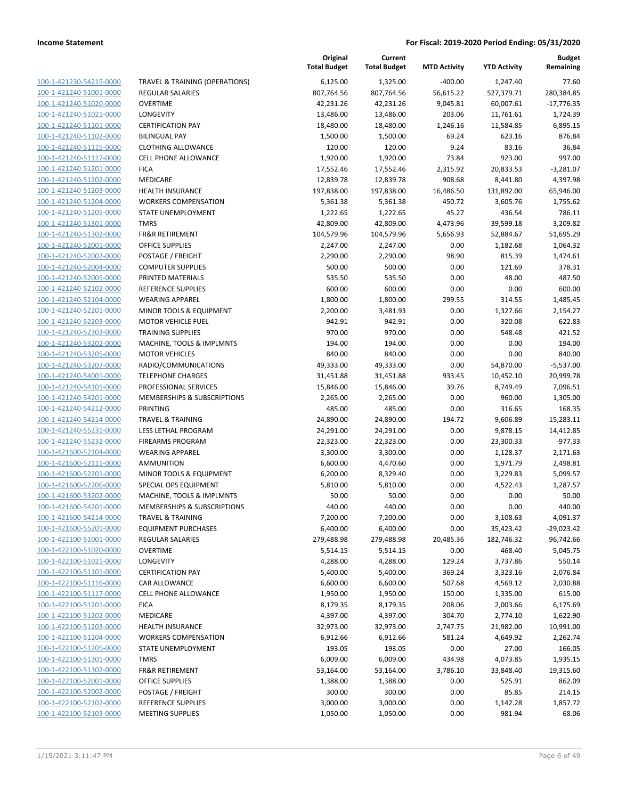| TRAVEL & TRAINING (OPERATIONS)<br>6,125.00<br>1,325.00<br>$-400.00$<br>100-1-421230-54215-0000<br>1,247.40<br>100-1-421240-51001-0000<br><b>REGULAR SALARIES</b><br>807,764.56<br>807,764.56<br>56,615.22<br>527,379.71<br>100-1-421240-51020-0000<br><b>OVERTIME</b><br>42,231.26<br>42,231.26<br>9,045.81<br>60,007.61<br>100-1-421240-51021-0000<br>LONGEVITY<br>13,486.00<br>13,486.00<br>203.06<br>11,761.61<br>100-1-421240-51101-0000<br><b>CERTIFICATION PAY</b><br>18,480.00<br>1,246.16<br>11,584.85<br>18,480.00<br>100-1-421240-51102-0000<br><b>BILINGUAL PAY</b><br>1,500.00<br>1,500.00<br>69.24<br>623.16<br>9.24<br>83.16<br>100-1-421240-51115-0000<br><b>CLOTHING ALLOWANCE</b><br>120.00<br>120.00<br>100-1-421240-51117-0000<br>1,920.00<br>1,920.00<br>73.84<br>923.00<br><b>CELL PHONE ALLOWANCE</b><br>100-1-421240-51201-0000<br><b>FICA</b><br>17,552.46<br>17,552.46<br>2,315.92<br>20,833.53<br>100-1-421240-51202-0000<br>MEDICARE<br>12,839.78<br>12,839.78<br>908.68<br>8,441.80<br>100-1-421240-51203-0000<br><b>HEALTH INSURANCE</b><br>197,838.00<br>197,838.00<br>16,486.50<br>131,892.00<br>450.72<br>100-1-421240-51204-0000<br><b>WORKERS COMPENSATION</b><br>5,361.38<br>5,361.38<br>3,605.76<br>100-1-421240-51205-0000<br>1,222.65<br>1,222.65<br>45.27<br>436.54<br>STATE UNEMPLOYMENT<br>100-1-421240-51301-0000<br><b>TMRS</b><br>42,809.00<br>42,809.00<br>4,473.96<br>39,599.18<br>100-1-421240-51302-0000<br><b>FR&amp;R RETIREMENT</b><br>104,579.96<br>104,579.96<br>5,656.93<br>52,884.67<br>100-1-421240-52001-0000<br><b>OFFICE SUPPLIES</b><br>0.00<br>1,182.68<br>2,247.00<br>2,247.00<br>98.90<br>100-1-421240-52002-0000<br>POSTAGE / FREIGHT<br>2,290.00<br>2,290.00<br>815.39<br>100-1-421240-52004-0000<br><b>COMPUTER SUPPLIES</b><br>500.00<br>500.00<br>0.00<br>121.69<br>100-1-421240-52005-0000<br>48.00<br>PRINTED MATERIALS<br>535.50<br>535.50<br>0.00<br>100-1-421240-52102-0000<br>REFERENCE SUPPLIES<br>600.00<br>600.00<br>0.00<br>0.00<br>100-1-421240-52104-0000<br><b>WEARING APPAREL</b><br>1,800.00<br>1,800.00<br>299.55<br>314.55<br>0.00<br>100-1-421240-52201-0000<br>MINOR TOOLS & EQUIPMENT<br>2,200.00<br>3,481.93<br>1,327.66<br>100-1-421240-52203-0000<br><b>MOTOR VEHICLE FUEL</b><br>942.91<br>942.91<br>0.00<br>320.08<br>100-1-421240-52303-0000<br><b>TRAINING SUPPLIES</b><br>970.00<br>970.00<br>0.00<br>548.48<br>100-1-421240-53202-0000<br>MACHINE, TOOLS & IMPLMNTS<br>194.00<br>194.00<br>0.00<br>0.00<br>100-1-421240-53205-0000<br><b>MOTOR VEHICLES</b><br>840.00<br>840.00<br>0.00<br>0.00<br>100-1-421240-53207-0000<br>RADIO/COMMUNICATIONS<br>49,333.00<br>49,333.00<br>0.00<br>54,870.00<br>100-1-421240-54001-0000<br>31,451.88<br>31,451.88<br>933.45<br>10,452.10<br><b>TELEPHONE CHARGES</b><br>100-1-421240-54101-0000<br>39.76<br>PROFESSIONAL SERVICES<br>15,846.00<br>15,846.00<br>8,749.49<br>100-1-421240-54201-0000<br>MEMBERSHIPS & SUBSCRIPTIONS<br>0.00<br>960.00<br>2,265.00<br>2,265.00<br>100-1-421240-54212-0000<br><b>PRINTING</b><br>485.00<br>485.00<br>0.00<br>316.65<br>100-1-421240-54214-0000<br>194.72<br><b>TRAVEL &amp; TRAINING</b><br>24,890.00<br>24,890.00<br>9,606.89<br>100-1-421240-55231-0000<br>LESS LETHAL PROGRAM<br>24,291.00<br>24,291.00<br>0.00<br>9,878.15<br>100-1-421240-55232-0000<br><b>FIREARMS PROGRAM</b><br>22,323.00<br>22,323.00<br>0.00<br>23,300.33<br>100-1-421600-52104-0000<br>3,300.00<br>0.00<br><b>WEARING APPAREL</b><br>3,300.00<br>1,128.37<br>100-1-421600-52111-0000<br><b>AMMUNITION</b><br>6,600.00<br>4,470.60<br>0.00<br>1,971.79<br>100-1-421600-52201-0000<br>MINOR TOOLS & EQUIPMENT<br>6,200.00<br>8,329.40<br>0.00<br>3,229.83<br>100-1-421600-52206-0000<br>5,810.00<br>0.00<br>SPECIAL OPS EQUIPMENT<br>5,810.00<br>4,522.43<br>100-1-421600-53202-0000<br>MACHINE, TOOLS & IMPLMNTS<br>50.00<br>50.00<br>0.00<br>0.00<br>100-1-421600-54201-0000<br>MEMBERSHIPS & SUBSCRIPTIONS<br>440.00<br>440.00<br>0.00<br>0.00<br>100-1-421600-54214-0000<br>7,200.00<br>7,200.00<br>0.00<br>3,108.63<br><b>TRAVEL &amp; TRAINING</b><br>100-1-421600-55201-0000<br>0.00<br><b>EQUIPMENT PURCHASES</b><br>6,400.00<br>6,400.00<br>35,423.42<br>100-1-422100-51001-0000<br>20,485.36<br><b>REGULAR SALARIES</b><br>279,488.98<br>279,488.98<br>182,746.32<br>100-1-422100-51020-0000<br><b>OVERTIME</b><br>5,514.15<br>5,514.15<br>0.00<br>468.40<br>100-1-422100-51021-0000<br><b>LONGEVITY</b><br>4,288.00<br>129.24<br>3,737.86<br>4,288.00<br>100-1-422100-51101-0000<br><b>CERTIFICATION PAY</b><br>369.24<br>5,400.00<br>5,400.00<br>3,323.16<br>100-1-422100-51116-0000<br>6,600.00<br>6,600.00<br>507.68<br>CAR ALLOWANCE<br>4,569.12<br>100-1-422100-51117-0000<br><b>CELL PHONE ALLOWANCE</b><br>150.00<br>1,950.00<br>1,950.00<br>1,335.00<br>100-1-422100-51201-0000<br><b>FICA</b><br>8,179.35<br>8,179.35<br>208.06<br>2,003.66<br>100-1-422100-51202-0000<br>MEDICARE<br>4,397.00<br>304.70<br>4,397.00<br>2,774.10<br>100-1-422100-51203-0000<br><b>HEALTH INSURANCE</b><br>32,973.00<br>32,973.00<br>2,747.75<br>21,982.00<br>100-1-422100-51204-0000<br><b>WORKERS COMPENSATION</b><br>6,912.66<br>581.24<br>4,649.92<br>6,912.66<br>100-1-422100-51205-0000<br>193.05<br>193.05<br>27.00<br>STATE UNEMPLOYMENT<br>0.00<br>100-1-422100-51301-0000<br><b>TMRS</b><br>6,009.00<br>6,009.00<br>434.98<br>4,073.85<br>100-1-422100-51302-0000<br><b>FR&amp;R RETIREMENT</b><br>53,164.00<br>3,786.10<br>53,164.00<br>33,848.40<br>100-1-422100-52001-0000<br><b>OFFICE SUPPLIES</b><br>0.00<br>1,388.00<br>1,388.00<br>525.91<br>100-1-422100-52002-0000<br>POSTAGE / FREIGHT<br>300.00<br>300.00<br>0.00<br>85.85<br>100-1-422100-52102-0000<br>REFERENCE SUPPLIES<br>3,000.00<br>3,000.00<br>0.00<br>1,142.28<br>100-1-422100-52103-0000<br><b>MEETING SUPPLIES</b><br>1,050.00<br>1,050.00<br>0.00<br>981.94 |  | Original<br><b>Total Budget</b> | Current<br><b>Total Budget</b> | <b>MTD Activity</b> | <b>YTD Activity</b> | <b>Budget</b><br>Remaining |
|-------------------------------------------------------------------------------------------------------------------------------------------------------------------------------------------------------------------------------------------------------------------------------------------------------------------------------------------------------------------------------------------------------------------------------------------------------------------------------------------------------------------------------------------------------------------------------------------------------------------------------------------------------------------------------------------------------------------------------------------------------------------------------------------------------------------------------------------------------------------------------------------------------------------------------------------------------------------------------------------------------------------------------------------------------------------------------------------------------------------------------------------------------------------------------------------------------------------------------------------------------------------------------------------------------------------------------------------------------------------------------------------------------------------------------------------------------------------------------------------------------------------------------------------------------------------------------------------------------------------------------------------------------------------------------------------------------------------------------------------------------------------------------------------------------------------------------------------------------------------------------------------------------------------------------------------------------------------------------------------------------------------------------------------------------------------------------------------------------------------------------------------------------------------------------------------------------------------------------------------------------------------------------------------------------------------------------------------------------------------------------------------------------------------------------------------------------------------------------------------------------------------------------------------------------------------------------------------------------------------------------------------------------------------------------------------------------------------------------------------------------------------------------------------------------------------------------------------------------------------------------------------------------------------------------------------------------------------------------------------------------------------------------------------------------------------------------------------------------------------------------------------------------------------------------------------------------------------------------------------------------------------------------------------------------------------------------------------------------------------------------------------------------------------------------------------------------------------------------------------------------------------------------------------------------------------------------------------------------------------------------------------------------------------------------------------------------------------------------------------------------------------------------------------------------------------------------------------------------------------------------------------------------------------------------------------------------------------------------------------------------------------------------------------------------------------------------------------------------------------------------------------------------------------------------------------------------------------------------------------------------------------------------------------------------------------------------------------------------------------------------------------------------------------------------------------------------------------------------------------------------------------------------------------------------------------------------------------------------------------------------------------------------------------------------------------------------------------------------------------------------------------------------------------------------------------------------------------------------------------------------------------------------------------------------------------------------------------------------------------------------------------------------------------------------------------------------------------------------------------------------------------------------------------------------------------------------------------------------------------------------------------------------------------------------------------------------------------------------------------------------------------------------------------------------------------------------------------------------------------------------------------------------------------------------------------------------------------------------------------------------------------------------------------------------------------------------------------------------------------------------------------------------------------------------------------------------------------------------------------------------------------------------------|--|---------------------------------|--------------------------------|---------------------|---------------------|----------------------------|
|                                                                                                                                                                                                                                                                                                                                                                                                                                                                                                                                                                                                                                                                                                                                                                                                                                                                                                                                                                                                                                                                                                                                                                                                                                                                                                                                                                                                                                                                                                                                                                                                                                                                                                                                                                                                                                                                                                                                                                                                                                                                                                                                                                                                                                                                                                                                                                                                                                                                                                                                                                                                                                                                                                                                                                                                                                                                                                                                                                                                                                                                                                                                                                                                                                                                                                                                                                                                                                                                                                                                                                                                                                                                                                                                                                                                                                                                                                                                                                                                                                                                                                                                                                                                                                                                                                                                                                                                                                                                                                                                                                                                                                                                                                                                                                                                                                                                                                                                                                                                                                                                                                                                                                                                                                                                                                                                                                                                                                                                                                                                                                                                                                                                                                                                                                                                                                                                                                             |  |                                 |                                |                     |                     | 77.60                      |
|                                                                                                                                                                                                                                                                                                                                                                                                                                                                                                                                                                                                                                                                                                                                                                                                                                                                                                                                                                                                                                                                                                                                                                                                                                                                                                                                                                                                                                                                                                                                                                                                                                                                                                                                                                                                                                                                                                                                                                                                                                                                                                                                                                                                                                                                                                                                                                                                                                                                                                                                                                                                                                                                                                                                                                                                                                                                                                                                                                                                                                                                                                                                                                                                                                                                                                                                                                                                                                                                                                                                                                                                                                                                                                                                                                                                                                                                                                                                                                                                                                                                                                                                                                                                                                                                                                                                                                                                                                                                                                                                                                                                                                                                                                                                                                                                                                                                                                                                                                                                                                                                                                                                                                                                                                                                                                                                                                                                                                                                                                                                                                                                                                                                                                                                                                                                                                                                                                             |  |                                 |                                |                     |                     | 280,384.85                 |
|                                                                                                                                                                                                                                                                                                                                                                                                                                                                                                                                                                                                                                                                                                                                                                                                                                                                                                                                                                                                                                                                                                                                                                                                                                                                                                                                                                                                                                                                                                                                                                                                                                                                                                                                                                                                                                                                                                                                                                                                                                                                                                                                                                                                                                                                                                                                                                                                                                                                                                                                                                                                                                                                                                                                                                                                                                                                                                                                                                                                                                                                                                                                                                                                                                                                                                                                                                                                                                                                                                                                                                                                                                                                                                                                                                                                                                                                                                                                                                                                                                                                                                                                                                                                                                                                                                                                                                                                                                                                                                                                                                                                                                                                                                                                                                                                                                                                                                                                                                                                                                                                                                                                                                                                                                                                                                                                                                                                                                                                                                                                                                                                                                                                                                                                                                                                                                                                                                             |  |                                 |                                |                     |                     | $-17,776.35$               |
|                                                                                                                                                                                                                                                                                                                                                                                                                                                                                                                                                                                                                                                                                                                                                                                                                                                                                                                                                                                                                                                                                                                                                                                                                                                                                                                                                                                                                                                                                                                                                                                                                                                                                                                                                                                                                                                                                                                                                                                                                                                                                                                                                                                                                                                                                                                                                                                                                                                                                                                                                                                                                                                                                                                                                                                                                                                                                                                                                                                                                                                                                                                                                                                                                                                                                                                                                                                                                                                                                                                                                                                                                                                                                                                                                                                                                                                                                                                                                                                                                                                                                                                                                                                                                                                                                                                                                                                                                                                                                                                                                                                                                                                                                                                                                                                                                                                                                                                                                                                                                                                                                                                                                                                                                                                                                                                                                                                                                                                                                                                                                                                                                                                                                                                                                                                                                                                                                                             |  |                                 |                                |                     |                     | 1,724.39                   |
|                                                                                                                                                                                                                                                                                                                                                                                                                                                                                                                                                                                                                                                                                                                                                                                                                                                                                                                                                                                                                                                                                                                                                                                                                                                                                                                                                                                                                                                                                                                                                                                                                                                                                                                                                                                                                                                                                                                                                                                                                                                                                                                                                                                                                                                                                                                                                                                                                                                                                                                                                                                                                                                                                                                                                                                                                                                                                                                                                                                                                                                                                                                                                                                                                                                                                                                                                                                                                                                                                                                                                                                                                                                                                                                                                                                                                                                                                                                                                                                                                                                                                                                                                                                                                                                                                                                                                                                                                                                                                                                                                                                                                                                                                                                                                                                                                                                                                                                                                                                                                                                                                                                                                                                                                                                                                                                                                                                                                                                                                                                                                                                                                                                                                                                                                                                                                                                                                                             |  |                                 |                                |                     |                     | 6,895.15                   |
|                                                                                                                                                                                                                                                                                                                                                                                                                                                                                                                                                                                                                                                                                                                                                                                                                                                                                                                                                                                                                                                                                                                                                                                                                                                                                                                                                                                                                                                                                                                                                                                                                                                                                                                                                                                                                                                                                                                                                                                                                                                                                                                                                                                                                                                                                                                                                                                                                                                                                                                                                                                                                                                                                                                                                                                                                                                                                                                                                                                                                                                                                                                                                                                                                                                                                                                                                                                                                                                                                                                                                                                                                                                                                                                                                                                                                                                                                                                                                                                                                                                                                                                                                                                                                                                                                                                                                                                                                                                                                                                                                                                                                                                                                                                                                                                                                                                                                                                                                                                                                                                                                                                                                                                                                                                                                                                                                                                                                                                                                                                                                                                                                                                                                                                                                                                                                                                                                                             |  |                                 |                                |                     |                     | 876.84                     |
|                                                                                                                                                                                                                                                                                                                                                                                                                                                                                                                                                                                                                                                                                                                                                                                                                                                                                                                                                                                                                                                                                                                                                                                                                                                                                                                                                                                                                                                                                                                                                                                                                                                                                                                                                                                                                                                                                                                                                                                                                                                                                                                                                                                                                                                                                                                                                                                                                                                                                                                                                                                                                                                                                                                                                                                                                                                                                                                                                                                                                                                                                                                                                                                                                                                                                                                                                                                                                                                                                                                                                                                                                                                                                                                                                                                                                                                                                                                                                                                                                                                                                                                                                                                                                                                                                                                                                                                                                                                                                                                                                                                                                                                                                                                                                                                                                                                                                                                                                                                                                                                                                                                                                                                                                                                                                                                                                                                                                                                                                                                                                                                                                                                                                                                                                                                                                                                                                                             |  |                                 |                                |                     |                     | 36.84                      |
|                                                                                                                                                                                                                                                                                                                                                                                                                                                                                                                                                                                                                                                                                                                                                                                                                                                                                                                                                                                                                                                                                                                                                                                                                                                                                                                                                                                                                                                                                                                                                                                                                                                                                                                                                                                                                                                                                                                                                                                                                                                                                                                                                                                                                                                                                                                                                                                                                                                                                                                                                                                                                                                                                                                                                                                                                                                                                                                                                                                                                                                                                                                                                                                                                                                                                                                                                                                                                                                                                                                                                                                                                                                                                                                                                                                                                                                                                                                                                                                                                                                                                                                                                                                                                                                                                                                                                                                                                                                                                                                                                                                                                                                                                                                                                                                                                                                                                                                                                                                                                                                                                                                                                                                                                                                                                                                                                                                                                                                                                                                                                                                                                                                                                                                                                                                                                                                                                                             |  |                                 |                                |                     |                     | 997.00                     |
|                                                                                                                                                                                                                                                                                                                                                                                                                                                                                                                                                                                                                                                                                                                                                                                                                                                                                                                                                                                                                                                                                                                                                                                                                                                                                                                                                                                                                                                                                                                                                                                                                                                                                                                                                                                                                                                                                                                                                                                                                                                                                                                                                                                                                                                                                                                                                                                                                                                                                                                                                                                                                                                                                                                                                                                                                                                                                                                                                                                                                                                                                                                                                                                                                                                                                                                                                                                                                                                                                                                                                                                                                                                                                                                                                                                                                                                                                                                                                                                                                                                                                                                                                                                                                                                                                                                                                                                                                                                                                                                                                                                                                                                                                                                                                                                                                                                                                                                                                                                                                                                                                                                                                                                                                                                                                                                                                                                                                                                                                                                                                                                                                                                                                                                                                                                                                                                                                                             |  |                                 |                                |                     |                     | $-3,281.07$                |
|                                                                                                                                                                                                                                                                                                                                                                                                                                                                                                                                                                                                                                                                                                                                                                                                                                                                                                                                                                                                                                                                                                                                                                                                                                                                                                                                                                                                                                                                                                                                                                                                                                                                                                                                                                                                                                                                                                                                                                                                                                                                                                                                                                                                                                                                                                                                                                                                                                                                                                                                                                                                                                                                                                                                                                                                                                                                                                                                                                                                                                                                                                                                                                                                                                                                                                                                                                                                                                                                                                                                                                                                                                                                                                                                                                                                                                                                                                                                                                                                                                                                                                                                                                                                                                                                                                                                                                                                                                                                                                                                                                                                                                                                                                                                                                                                                                                                                                                                                                                                                                                                                                                                                                                                                                                                                                                                                                                                                                                                                                                                                                                                                                                                                                                                                                                                                                                                                                             |  |                                 |                                |                     |                     | 4,397.98                   |
|                                                                                                                                                                                                                                                                                                                                                                                                                                                                                                                                                                                                                                                                                                                                                                                                                                                                                                                                                                                                                                                                                                                                                                                                                                                                                                                                                                                                                                                                                                                                                                                                                                                                                                                                                                                                                                                                                                                                                                                                                                                                                                                                                                                                                                                                                                                                                                                                                                                                                                                                                                                                                                                                                                                                                                                                                                                                                                                                                                                                                                                                                                                                                                                                                                                                                                                                                                                                                                                                                                                                                                                                                                                                                                                                                                                                                                                                                                                                                                                                                                                                                                                                                                                                                                                                                                                                                                                                                                                                                                                                                                                                                                                                                                                                                                                                                                                                                                                                                                                                                                                                                                                                                                                                                                                                                                                                                                                                                                                                                                                                                                                                                                                                                                                                                                                                                                                                                                             |  |                                 |                                |                     |                     | 65,946.00                  |
|                                                                                                                                                                                                                                                                                                                                                                                                                                                                                                                                                                                                                                                                                                                                                                                                                                                                                                                                                                                                                                                                                                                                                                                                                                                                                                                                                                                                                                                                                                                                                                                                                                                                                                                                                                                                                                                                                                                                                                                                                                                                                                                                                                                                                                                                                                                                                                                                                                                                                                                                                                                                                                                                                                                                                                                                                                                                                                                                                                                                                                                                                                                                                                                                                                                                                                                                                                                                                                                                                                                                                                                                                                                                                                                                                                                                                                                                                                                                                                                                                                                                                                                                                                                                                                                                                                                                                                                                                                                                                                                                                                                                                                                                                                                                                                                                                                                                                                                                                                                                                                                                                                                                                                                                                                                                                                                                                                                                                                                                                                                                                                                                                                                                                                                                                                                                                                                                                                             |  |                                 |                                |                     |                     | 1,755.62                   |
|                                                                                                                                                                                                                                                                                                                                                                                                                                                                                                                                                                                                                                                                                                                                                                                                                                                                                                                                                                                                                                                                                                                                                                                                                                                                                                                                                                                                                                                                                                                                                                                                                                                                                                                                                                                                                                                                                                                                                                                                                                                                                                                                                                                                                                                                                                                                                                                                                                                                                                                                                                                                                                                                                                                                                                                                                                                                                                                                                                                                                                                                                                                                                                                                                                                                                                                                                                                                                                                                                                                                                                                                                                                                                                                                                                                                                                                                                                                                                                                                                                                                                                                                                                                                                                                                                                                                                                                                                                                                                                                                                                                                                                                                                                                                                                                                                                                                                                                                                                                                                                                                                                                                                                                                                                                                                                                                                                                                                                                                                                                                                                                                                                                                                                                                                                                                                                                                                                             |  |                                 |                                |                     |                     | 786.11                     |
|                                                                                                                                                                                                                                                                                                                                                                                                                                                                                                                                                                                                                                                                                                                                                                                                                                                                                                                                                                                                                                                                                                                                                                                                                                                                                                                                                                                                                                                                                                                                                                                                                                                                                                                                                                                                                                                                                                                                                                                                                                                                                                                                                                                                                                                                                                                                                                                                                                                                                                                                                                                                                                                                                                                                                                                                                                                                                                                                                                                                                                                                                                                                                                                                                                                                                                                                                                                                                                                                                                                                                                                                                                                                                                                                                                                                                                                                                                                                                                                                                                                                                                                                                                                                                                                                                                                                                                                                                                                                                                                                                                                                                                                                                                                                                                                                                                                                                                                                                                                                                                                                                                                                                                                                                                                                                                                                                                                                                                                                                                                                                                                                                                                                                                                                                                                                                                                                                                             |  |                                 |                                |                     |                     | 3,209.82                   |
|                                                                                                                                                                                                                                                                                                                                                                                                                                                                                                                                                                                                                                                                                                                                                                                                                                                                                                                                                                                                                                                                                                                                                                                                                                                                                                                                                                                                                                                                                                                                                                                                                                                                                                                                                                                                                                                                                                                                                                                                                                                                                                                                                                                                                                                                                                                                                                                                                                                                                                                                                                                                                                                                                                                                                                                                                                                                                                                                                                                                                                                                                                                                                                                                                                                                                                                                                                                                                                                                                                                                                                                                                                                                                                                                                                                                                                                                                                                                                                                                                                                                                                                                                                                                                                                                                                                                                                                                                                                                                                                                                                                                                                                                                                                                                                                                                                                                                                                                                                                                                                                                                                                                                                                                                                                                                                                                                                                                                                                                                                                                                                                                                                                                                                                                                                                                                                                                                                             |  |                                 |                                |                     |                     | 51,695.29                  |
|                                                                                                                                                                                                                                                                                                                                                                                                                                                                                                                                                                                                                                                                                                                                                                                                                                                                                                                                                                                                                                                                                                                                                                                                                                                                                                                                                                                                                                                                                                                                                                                                                                                                                                                                                                                                                                                                                                                                                                                                                                                                                                                                                                                                                                                                                                                                                                                                                                                                                                                                                                                                                                                                                                                                                                                                                                                                                                                                                                                                                                                                                                                                                                                                                                                                                                                                                                                                                                                                                                                                                                                                                                                                                                                                                                                                                                                                                                                                                                                                                                                                                                                                                                                                                                                                                                                                                                                                                                                                                                                                                                                                                                                                                                                                                                                                                                                                                                                                                                                                                                                                                                                                                                                                                                                                                                                                                                                                                                                                                                                                                                                                                                                                                                                                                                                                                                                                                                             |  |                                 |                                |                     |                     | 1,064.32                   |
|                                                                                                                                                                                                                                                                                                                                                                                                                                                                                                                                                                                                                                                                                                                                                                                                                                                                                                                                                                                                                                                                                                                                                                                                                                                                                                                                                                                                                                                                                                                                                                                                                                                                                                                                                                                                                                                                                                                                                                                                                                                                                                                                                                                                                                                                                                                                                                                                                                                                                                                                                                                                                                                                                                                                                                                                                                                                                                                                                                                                                                                                                                                                                                                                                                                                                                                                                                                                                                                                                                                                                                                                                                                                                                                                                                                                                                                                                                                                                                                                                                                                                                                                                                                                                                                                                                                                                                                                                                                                                                                                                                                                                                                                                                                                                                                                                                                                                                                                                                                                                                                                                                                                                                                                                                                                                                                                                                                                                                                                                                                                                                                                                                                                                                                                                                                                                                                                                                             |  |                                 |                                |                     |                     | 1,474.61                   |
|                                                                                                                                                                                                                                                                                                                                                                                                                                                                                                                                                                                                                                                                                                                                                                                                                                                                                                                                                                                                                                                                                                                                                                                                                                                                                                                                                                                                                                                                                                                                                                                                                                                                                                                                                                                                                                                                                                                                                                                                                                                                                                                                                                                                                                                                                                                                                                                                                                                                                                                                                                                                                                                                                                                                                                                                                                                                                                                                                                                                                                                                                                                                                                                                                                                                                                                                                                                                                                                                                                                                                                                                                                                                                                                                                                                                                                                                                                                                                                                                                                                                                                                                                                                                                                                                                                                                                                                                                                                                                                                                                                                                                                                                                                                                                                                                                                                                                                                                                                                                                                                                                                                                                                                                                                                                                                                                                                                                                                                                                                                                                                                                                                                                                                                                                                                                                                                                                                             |  |                                 |                                |                     |                     | 378.31                     |
|                                                                                                                                                                                                                                                                                                                                                                                                                                                                                                                                                                                                                                                                                                                                                                                                                                                                                                                                                                                                                                                                                                                                                                                                                                                                                                                                                                                                                                                                                                                                                                                                                                                                                                                                                                                                                                                                                                                                                                                                                                                                                                                                                                                                                                                                                                                                                                                                                                                                                                                                                                                                                                                                                                                                                                                                                                                                                                                                                                                                                                                                                                                                                                                                                                                                                                                                                                                                                                                                                                                                                                                                                                                                                                                                                                                                                                                                                                                                                                                                                                                                                                                                                                                                                                                                                                                                                                                                                                                                                                                                                                                                                                                                                                                                                                                                                                                                                                                                                                                                                                                                                                                                                                                                                                                                                                                                                                                                                                                                                                                                                                                                                                                                                                                                                                                                                                                                                                             |  |                                 |                                |                     |                     | 487.50                     |
|                                                                                                                                                                                                                                                                                                                                                                                                                                                                                                                                                                                                                                                                                                                                                                                                                                                                                                                                                                                                                                                                                                                                                                                                                                                                                                                                                                                                                                                                                                                                                                                                                                                                                                                                                                                                                                                                                                                                                                                                                                                                                                                                                                                                                                                                                                                                                                                                                                                                                                                                                                                                                                                                                                                                                                                                                                                                                                                                                                                                                                                                                                                                                                                                                                                                                                                                                                                                                                                                                                                                                                                                                                                                                                                                                                                                                                                                                                                                                                                                                                                                                                                                                                                                                                                                                                                                                                                                                                                                                                                                                                                                                                                                                                                                                                                                                                                                                                                                                                                                                                                                                                                                                                                                                                                                                                                                                                                                                                                                                                                                                                                                                                                                                                                                                                                                                                                                                                             |  |                                 |                                |                     |                     | 600.00                     |
|                                                                                                                                                                                                                                                                                                                                                                                                                                                                                                                                                                                                                                                                                                                                                                                                                                                                                                                                                                                                                                                                                                                                                                                                                                                                                                                                                                                                                                                                                                                                                                                                                                                                                                                                                                                                                                                                                                                                                                                                                                                                                                                                                                                                                                                                                                                                                                                                                                                                                                                                                                                                                                                                                                                                                                                                                                                                                                                                                                                                                                                                                                                                                                                                                                                                                                                                                                                                                                                                                                                                                                                                                                                                                                                                                                                                                                                                                                                                                                                                                                                                                                                                                                                                                                                                                                                                                                                                                                                                                                                                                                                                                                                                                                                                                                                                                                                                                                                                                                                                                                                                                                                                                                                                                                                                                                                                                                                                                                                                                                                                                                                                                                                                                                                                                                                                                                                                                                             |  |                                 |                                |                     |                     | 1,485.45                   |
|                                                                                                                                                                                                                                                                                                                                                                                                                                                                                                                                                                                                                                                                                                                                                                                                                                                                                                                                                                                                                                                                                                                                                                                                                                                                                                                                                                                                                                                                                                                                                                                                                                                                                                                                                                                                                                                                                                                                                                                                                                                                                                                                                                                                                                                                                                                                                                                                                                                                                                                                                                                                                                                                                                                                                                                                                                                                                                                                                                                                                                                                                                                                                                                                                                                                                                                                                                                                                                                                                                                                                                                                                                                                                                                                                                                                                                                                                                                                                                                                                                                                                                                                                                                                                                                                                                                                                                                                                                                                                                                                                                                                                                                                                                                                                                                                                                                                                                                                                                                                                                                                                                                                                                                                                                                                                                                                                                                                                                                                                                                                                                                                                                                                                                                                                                                                                                                                                                             |  |                                 |                                |                     |                     | 2,154.27                   |
|                                                                                                                                                                                                                                                                                                                                                                                                                                                                                                                                                                                                                                                                                                                                                                                                                                                                                                                                                                                                                                                                                                                                                                                                                                                                                                                                                                                                                                                                                                                                                                                                                                                                                                                                                                                                                                                                                                                                                                                                                                                                                                                                                                                                                                                                                                                                                                                                                                                                                                                                                                                                                                                                                                                                                                                                                                                                                                                                                                                                                                                                                                                                                                                                                                                                                                                                                                                                                                                                                                                                                                                                                                                                                                                                                                                                                                                                                                                                                                                                                                                                                                                                                                                                                                                                                                                                                                                                                                                                                                                                                                                                                                                                                                                                                                                                                                                                                                                                                                                                                                                                                                                                                                                                                                                                                                                                                                                                                                                                                                                                                                                                                                                                                                                                                                                                                                                                                                             |  |                                 |                                |                     |                     | 622.83                     |
|                                                                                                                                                                                                                                                                                                                                                                                                                                                                                                                                                                                                                                                                                                                                                                                                                                                                                                                                                                                                                                                                                                                                                                                                                                                                                                                                                                                                                                                                                                                                                                                                                                                                                                                                                                                                                                                                                                                                                                                                                                                                                                                                                                                                                                                                                                                                                                                                                                                                                                                                                                                                                                                                                                                                                                                                                                                                                                                                                                                                                                                                                                                                                                                                                                                                                                                                                                                                                                                                                                                                                                                                                                                                                                                                                                                                                                                                                                                                                                                                                                                                                                                                                                                                                                                                                                                                                                                                                                                                                                                                                                                                                                                                                                                                                                                                                                                                                                                                                                                                                                                                                                                                                                                                                                                                                                                                                                                                                                                                                                                                                                                                                                                                                                                                                                                                                                                                                                             |  |                                 |                                |                     |                     | 421.52                     |
|                                                                                                                                                                                                                                                                                                                                                                                                                                                                                                                                                                                                                                                                                                                                                                                                                                                                                                                                                                                                                                                                                                                                                                                                                                                                                                                                                                                                                                                                                                                                                                                                                                                                                                                                                                                                                                                                                                                                                                                                                                                                                                                                                                                                                                                                                                                                                                                                                                                                                                                                                                                                                                                                                                                                                                                                                                                                                                                                                                                                                                                                                                                                                                                                                                                                                                                                                                                                                                                                                                                                                                                                                                                                                                                                                                                                                                                                                                                                                                                                                                                                                                                                                                                                                                                                                                                                                                                                                                                                                                                                                                                                                                                                                                                                                                                                                                                                                                                                                                                                                                                                                                                                                                                                                                                                                                                                                                                                                                                                                                                                                                                                                                                                                                                                                                                                                                                                                                             |  |                                 |                                |                     |                     | 194.00                     |
|                                                                                                                                                                                                                                                                                                                                                                                                                                                                                                                                                                                                                                                                                                                                                                                                                                                                                                                                                                                                                                                                                                                                                                                                                                                                                                                                                                                                                                                                                                                                                                                                                                                                                                                                                                                                                                                                                                                                                                                                                                                                                                                                                                                                                                                                                                                                                                                                                                                                                                                                                                                                                                                                                                                                                                                                                                                                                                                                                                                                                                                                                                                                                                                                                                                                                                                                                                                                                                                                                                                                                                                                                                                                                                                                                                                                                                                                                                                                                                                                                                                                                                                                                                                                                                                                                                                                                                                                                                                                                                                                                                                                                                                                                                                                                                                                                                                                                                                                                                                                                                                                                                                                                                                                                                                                                                                                                                                                                                                                                                                                                                                                                                                                                                                                                                                                                                                                                                             |  |                                 |                                |                     |                     | 840.00                     |
|                                                                                                                                                                                                                                                                                                                                                                                                                                                                                                                                                                                                                                                                                                                                                                                                                                                                                                                                                                                                                                                                                                                                                                                                                                                                                                                                                                                                                                                                                                                                                                                                                                                                                                                                                                                                                                                                                                                                                                                                                                                                                                                                                                                                                                                                                                                                                                                                                                                                                                                                                                                                                                                                                                                                                                                                                                                                                                                                                                                                                                                                                                                                                                                                                                                                                                                                                                                                                                                                                                                                                                                                                                                                                                                                                                                                                                                                                                                                                                                                                                                                                                                                                                                                                                                                                                                                                                                                                                                                                                                                                                                                                                                                                                                                                                                                                                                                                                                                                                                                                                                                                                                                                                                                                                                                                                                                                                                                                                                                                                                                                                                                                                                                                                                                                                                                                                                                                                             |  |                                 |                                |                     |                     | $-5,537.00$                |
|                                                                                                                                                                                                                                                                                                                                                                                                                                                                                                                                                                                                                                                                                                                                                                                                                                                                                                                                                                                                                                                                                                                                                                                                                                                                                                                                                                                                                                                                                                                                                                                                                                                                                                                                                                                                                                                                                                                                                                                                                                                                                                                                                                                                                                                                                                                                                                                                                                                                                                                                                                                                                                                                                                                                                                                                                                                                                                                                                                                                                                                                                                                                                                                                                                                                                                                                                                                                                                                                                                                                                                                                                                                                                                                                                                                                                                                                                                                                                                                                                                                                                                                                                                                                                                                                                                                                                                                                                                                                                                                                                                                                                                                                                                                                                                                                                                                                                                                                                                                                                                                                                                                                                                                                                                                                                                                                                                                                                                                                                                                                                                                                                                                                                                                                                                                                                                                                                                             |  |                                 |                                |                     |                     | 20,999.78                  |
|                                                                                                                                                                                                                                                                                                                                                                                                                                                                                                                                                                                                                                                                                                                                                                                                                                                                                                                                                                                                                                                                                                                                                                                                                                                                                                                                                                                                                                                                                                                                                                                                                                                                                                                                                                                                                                                                                                                                                                                                                                                                                                                                                                                                                                                                                                                                                                                                                                                                                                                                                                                                                                                                                                                                                                                                                                                                                                                                                                                                                                                                                                                                                                                                                                                                                                                                                                                                                                                                                                                                                                                                                                                                                                                                                                                                                                                                                                                                                                                                                                                                                                                                                                                                                                                                                                                                                                                                                                                                                                                                                                                                                                                                                                                                                                                                                                                                                                                                                                                                                                                                                                                                                                                                                                                                                                                                                                                                                                                                                                                                                                                                                                                                                                                                                                                                                                                                                                             |  |                                 |                                |                     |                     | 7,096.51                   |
|                                                                                                                                                                                                                                                                                                                                                                                                                                                                                                                                                                                                                                                                                                                                                                                                                                                                                                                                                                                                                                                                                                                                                                                                                                                                                                                                                                                                                                                                                                                                                                                                                                                                                                                                                                                                                                                                                                                                                                                                                                                                                                                                                                                                                                                                                                                                                                                                                                                                                                                                                                                                                                                                                                                                                                                                                                                                                                                                                                                                                                                                                                                                                                                                                                                                                                                                                                                                                                                                                                                                                                                                                                                                                                                                                                                                                                                                                                                                                                                                                                                                                                                                                                                                                                                                                                                                                                                                                                                                                                                                                                                                                                                                                                                                                                                                                                                                                                                                                                                                                                                                                                                                                                                                                                                                                                                                                                                                                                                                                                                                                                                                                                                                                                                                                                                                                                                                                                             |  |                                 |                                |                     |                     | 1,305.00                   |
|                                                                                                                                                                                                                                                                                                                                                                                                                                                                                                                                                                                                                                                                                                                                                                                                                                                                                                                                                                                                                                                                                                                                                                                                                                                                                                                                                                                                                                                                                                                                                                                                                                                                                                                                                                                                                                                                                                                                                                                                                                                                                                                                                                                                                                                                                                                                                                                                                                                                                                                                                                                                                                                                                                                                                                                                                                                                                                                                                                                                                                                                                                                                                                                                                                                                                                                                                                                                                                                                                                                                                                                                                                                                                                                                                                                                                                                                                                                                                                                                                                                                                                                                                                                                                                                                                                                                                                                                                                                                                                                                                                                                                                                                                                                                                                                                                                                                                                                                                                                                                                                                                                                                                                                                                                                                                                                                                                                                                                                                                                                                                                                                                                                                                                                                                                                                                                                                                                             |  |                                 |                                |                     |                     | 168.35                     |
|                                                                                                                                                                                                                                                                                                                                                                                                                                                                                                                                                                                                                                                                                                                                                                                                                                                                                                                                                                                                                                                                                                                                                                                                                                                                                                                                                                                                                                                                                                                                                                                                                                                                                                                                                                                                                                                                                                                                                                                                                                                                                                                                                                                                                                                                                                                                                                                                                                                                                                                                                                                                                                                                                                                                                                                                                                                                                                                                                                                                                                                                                                                                                                                                                                                                                                                                                                                                                                                                                                                                                                                                                                                                                                                                                                                                                                                                                                                                                                                                                                                                                                                                                                                                                                                                                                                                                                                                                                                                                                                                                                                                                                                                                                                                                                                                                                                                                                                                                                                                                                                                                                                                                                                                                                                                                                                                                                                                                                                                                                                                                                                                                                                                                                                                                                                                                                                                                                             |  |                                 |                                |                     |                     | 15,283.11                  |
|                                                                                                                                                                                                                                                                                                                                                                                                                                                                                                                                                                                                                                                                                                                                                                                                                                                                                                                                                                                                                                                                                                                                                                                                                                                                                                                                                                                                                                                                                                                                                                                                                                                                                                                                                                                                                                                                                                                                                                                                                                                                                                                                                                                                                                                                                                                                                                                                                                                                                                                                                                                                                                                                                                                                                                                                                                                                                                                                                                                                                                                                                                                                                                                                                                                                                                                                                                                                                                                                                                                                                                                                                                                                                                                                                                                                                                                                                                                                                                                                                                                                                                                                                                                                                                                                                                                                                                                                                                                                                                                                                                                                                                                                                                                                                                                                                                                                                                                                                                                                                                                                                                                                                                                                                                                                                                                                                                                                                                                                                                                                                                                                                                                                                                                                                                                                                                                                                                             |  |                                 |                                |                     |                     | 14,412.85                  |
|                                                                                                                                                                                                                                                                                                                                                                                                                                                                                                                                                                                                                                                                                                                                                                                                                                                                                                                                                                                                                                                                                                                                                                                                                                                                                                                                                                                                                                                                                                                                                                                                                                                                                                                                                                                                                                                                                                                                                                                                                                                                                                                                                                                                                                                                                                                                                                                                                                                                                                                                                                                                                                                                                                                                                                                                                                                                                                                                                                                                                                                                                                                                                                                                                                                                                                                                                                                                                                                                                                                                                                                                                                                                                                                                                                                                                                                                                                                                                                                                                                                                                                                                                                                                                                                                                                                                                                                                                                                                                                                                                                                                                                                                                                                                                                                                                                                                                                                                                                                                                                                                                                                                                                                                                                                                                                                                                                                                                                                                                                                                                                                                                                                                                                                                                                                                                                                                                                             |  |                                 |                                |                     |                     | $-977.33$                  |
|                                                                                                                                                                                                                                                                                                                                                                                                                                                                                                                                                                                                                                                                                                                                                                                                                                                                                                                                                                                                                                                                                                                                                                                                                                                                                                                                                                                                                                                                                                                                                                                                                                                                                                                                                                                                                                                                                                                                                                                                                                                                                                                                                                                                                                                                                                                                                                                                                                                                                                                                                                                                                                                                                                                                                                                                                                                                                                                                                                                                                                                                                                                                                                                                                                                                                                                                                                                                                                                                                                                                                                                                                                                                                                                                                                                                                                                                                                                                                                                                                                                                                                                                                                                                                                                                                                                                                                                                                                                                                                                                                                                                                                                                                                                                                                                                                                                                                                                                                                                                                                                                                                                                                                                                                                                                                                                                                                                                                                                                                                                                                                                                                                                                                                                                                                                                                                                                                                             |  |                                 |                                |                     |                     | 2,171.63                   |
|                                                                                                                                                                                                                                                                                                                                                                                                                                                                                                                                                                                                                                                                                                                                                                                                                                                                                                                                                                                                                                                                                                                                                                                                                                                                                                                                                                                                                                                                                                                                                                                                                                                                                                                                                                                                                                                                                                                                                                                                                                                                                                                                                                                                                                                                                                                                                                                                                                                                                                                                                                                                                                                                                                                                                                                                                                                                                                                                                                                                                                                                                                                                                                                                                                                                                                                                                                                                                                                                                                                                                                                                                                                                                                                                                                                                                                                                                                                                                                                                                                                                                                                                                                                                                                                                                                                                                                                                                                                                                                                                                                                                                                                                                                                                                                                                                                                                                                                                                                                                                                                                                                                                                                                                                                                                                                                                                                                                                                                                                                                                                                                                                                                                                                                                                                                                                                                                                                             |  |                                 |                                |                     |                     | 2,498.81                   |
|                                                                                                                                                                                                                                                                                                                                                                                                                                                                                                                                                                                                                                                                                                                                                                                                                                                                                                                                                                                                                                                                                                                                                                                                                                                                                                                                                                                                                                                                                                                                                                                                                                                                                                                                                                                                                                                                                                                                                                                                                                                                                                                                                                                                                                                                                                                                                                                                                                                                                                                                                                                                                                                                                                                                                                                                                                                                                                                                                                                                                                                                                                                                                                                                                                                                                                                                                                                                                                                                                                                                                                                                                                                                                                                                                                                                                                                                                                                                                                                                                                                                                                                                                                                                                                                                                                                                                                                                                                                                                                                                                                                                                                                                                                                                                                                                                                                                                                                                                                                                                                                                                                                                                                                                                                                                                                                                                                                                                                                                                                                                                                                                                                                                                                                                                                                                                                                                                                             |  |                                 |                                |                     |                     | 5,099.57                   |
|                                                                                                                                                                                                                                                                                                                                                                                                                                                                                                                                                                                                                                                                                                                                                                                                                                                                                                                                                                                                                                                                                                                                                                                                                                                                                                                                                                                                                                                                                                                                                                                                                                                                                                                                                                                                                                                                                                                                                                                                                                                                                                                                                                                                                                                                                                                                                                                                                                                                                                                                                                                                                                                                                                                                                                                                                                                                                                                                                                                                                                                                                                                                                                                                                                                                                                                                                                                                                                                                                                                                                                                                                                                                                                                                                                                                                                                                                                                                                                                                                                                                                                                                                                                                                                                                                                                                                                                                                                                                                                                                                                                                                                                                                                                                                                                                                                                                                                                                                                                                                                                                                                                                                                                                                                                                                                                                                                                                                                                                                                                                                                                                                                                                                                                                                                                                                                                                                                             |  |                                 |                                |                     |                     | 1,287.57                   |
|                                                                                                                                                                                                                                                                                                                                                                                                                                                                                                                                                                                                                                                                                                                                                                                                                                                                                                                                                                                                                                                                                                                                                                                                                                                                                                                                                                                                                                                                                                                                                                                                                                                                                                                                                                                                                                                                                                                                                                                                                                                                                                                                                                                                                                                                                                                                                                                                                                                                                                                                                                                                                                                                                                                                                                                                                                                                                                                                                                                                                                                                                                                                                                                                                                                                                                                                                                                                                                                                                                                                                                                                                                                                                                                                                                                                                                                                                                                                                                                                                                                                                                                                                                                                                                                                                                                                                                                                                                                                                                                                                                                                                                                                                                                                                                                                                                                                                                                                                                                                                                                                                                                                                                                                                                                                                                                                                                                                                                                                                                                                                                                                                                                                                                                                                                                                                                                                                                             |  |                                 |                                |                     |                     | 50.00                      |
|                                                                                                                                                                                                                                                                                                                                                                                                                                                                                                                                                                                                                                                                                                                                                                                                                                                                                                                                                                                                                                                                                                                                                                                                                                                                                                                                                                                                                                                                                                                                                                                                                                                                                                                                                                                                                                                                                                                                                                                                                                                                                                                                                                                                                                                                                                                                                                                                                                                                                                                                                                                                                                                                                                                                                                                                                                                                                                                                                                                                                                                                                                                                                                                                                                                                                                                                                                                                                                                                                                                                                                                                                                                                                                                                                                                                                                                                                                                                                                                                                                                                                                                                                                                                                                                                                                                                                                                                                                                                                                                                                                                                                                                                                                                                                                                                                                                                                                                                                                                                                                                                                                                                                                                                                                                                                                                                                                                                                                                                                                                                                                                                                                                                                                                                                                                                                                                                                                             |  |                                 |                                |                     |                     | 440.00                     |
|                                                                                                                                                                                                                                                                                                                                                                                                                                                                                                                                                                                                                                                                                                                                                                                                                                                                                                                                                                                                                                                                                                                                                                                                                                                                                                                                                                                                                                                                                                                                                                                                                                                                                                                                                                                                                                                                                                                                                                                                                                                                                                                                                                                                                                                                                                                                                                                                                                                                                                                                                                                                                                                                                                                                                                                                                                                                                                                                                                                                                                                                                                                                                                                                                                                                                                                                                                                                                                                                                                                                                                                                                                                                                                                                                                                                                                                                                                                                                                                                                                                                                                                                                                                                                                                                                                                                                                                                                                                                                                                                                                                                                                                                                                                                                                                                                                                                                                                                                                                                                                                                                                                                                                                                                                                                                                                                                                                                                                                                                                                                                                                                                                                                                                                                                                                                                                                                                                             |  |                                 |                                |                     |                     | 4,091.37                   |
|                                                                                                                                                                                                                                                                                                                                                                                                                                                                                                                                                                                                                                                                                                                                                                                                                                                                                                                                                                                                                                                                                                                                                                                                                                                                                                                                                                                                                                                                                                                                                                                                                                                                                                                                                                                                                                                                                                                                                                                                                                                                                                                                                                                                                                                                                                                                                                                                                                                                                                                                                                                                                                                                                                                                                                                                                                                                                                                                                                                                                                                                                                                                                                                                                                                                                                                                                                                                                                                                                                                                                                                                                                                                                                                                                                                                                                                                                                                                                                                                                                                                                                                                                                                                                                                                                                                                                                                                                                                                                                                                                                                                                                                                                                                                                                                                                                                                                                                                                                                                                                                                                                                                                                                                                                                                                                                                                                                                                                                                                                                                                                                                                                                                                                                                                                                                                                                                                                             |  |                                 |                                |                     |                     | $-29,023.42$               |
|                                                                                                                                                                                                                                                                                                                                                                                                                                                                                                                                                                                                                                                                                                                                                                                                                                                                                                                                                                                                                                                                                                                                                                                                                                                                                                                                                                                                                                                                                                                                                                                                                                                                                                                                                                                                                                                                                                                                                                                                                                                                                                                                                                                                                                                                                                                                                                                                                                                                                                                                                                                                                                                                                                                                                                                                                                                                                                                                                                                                                                                                                                                                                                                                                                                                                                                                                                                                                                                                                                                                                                                                                                                                                                                                                                                                                                                                                                                                                                                                                                                                                                                                                                                                                                                                                                                                                                                                                                                                                                                                                                                                                                                                                                                                                                                                                                                                                                                                                                                                                                                                                                                                                                                                                                                                                                                                                                                                                                                                                                                                                                                                                                                                                                                                                                                                                                                                                                             |  |                                 |                                |                     |                     | 96,742.66                  |
|                                                                                                                                                                                                                                                                                                                                                                                                                                                                                                                                                                                                                                                                                                                                                                                                                                                                                                                                                                                                                                                                                                                                                                                                                                                                                                                                                                                                                                                                                                                                                                                                                                                                                                                                                                                                                                                                                                                                                                                                                                                                                                                                                                                                                                                                                                                                                                                                                                                                                                                                                                                                                                                                                                                                                                                                                                                                                                                                                                                                                                                                                                                                                                                                                                                                                                                                                                                                                                                                                                                                                                                                                                                                                                                                                                                                                                                                                                                                                                                                                                                                                                                                                                                                                                                                                                                                                                                                                                                                                                                                                                                                                                                                                                                                                                                                                                                                                                                                                                                                                                                                                                                                                                                                                                                                                                                                                                                                                                                                                                                                                                                                                                                                                                                                                                                                                                                                                                             |  |                                 |                                |                     |                     | 5,045.75                   |
|                                                                                                                                                                                                                                                                                                                                                                                                                                                                                                                                                                                                                                                                                                                                                                                                                                                                                                                                                                                                                                                                                                                                                                                                                                                                                                                                                                                                                                                                                                                                                                                                                                                                                                                                                                                                                                                                                                                                                                                                                                                                                                                                                                                                                                                                                                                                                                                                                                                                                                                                                                                                                                                                                                                                                                                                                                                                                                                                                                                                                                                                                                                                                                                                                                                                                                                                                                                                                                                                                                                                                                                                                                                                                                                                                                                                                                                                                                                                                                                                                                                                                                                                                                                                                                                                                                                                                                                                                                                                                                                                                                                                                                                                                                                                                                                                                                                                                                                                                                                                                                                                                                                                                                                                                                                                                                                                                                                                                                                                                                                                                                                                                                                                                                                                                                                                                                                                                                             |  |                                 |                                |                     |                     | 550.14                     |
|                                                                                                                                                                                                                                                                                                                                                                                                                                                                                                                                                                                                                                                                                                                                                                                                                                                                                                                                                                                                                                                                                                                                                                                                                                                                                                                                                                                                                                                                                                                                                                                                                                                                                                                                                                                                                                                                                                                                                                                                                                                                                                                                                                                                                                                                                                                                                                                                                                                                                                                                                                                                                                                                                                                                                                                                                                                                                                                                                                                                                                                                                                                                                                                                                                                                                                                                                                                                                                                                                                                                                                                                                                                                                                                                                                                                                                                                                                                                                                                                                                                                                                                                                                                                                                                                                                                                                                                                                                                                                                                                                                                                                                                                                                                                                                                                                                                                                                                                                                                                                                                                                                                                                                                                                                                                                                                                                                                                                                                                                                                                                                                                                                                                                                                                                                                                                                                                                                             |  |                                 |                                |                     |                     | 2,076.84                   |
|                                                                                                                                                                                                                                                                                                                                                                                                                                                                                                                                                                                                                                                                                                                                                                                                                                                                                                                                                                                                                                                                                                                                                                                                                                                                                                                                                                                                                                                                                                                                                                                                                                                                                                                                                                                                                                                                                                                                                                                                                                                                                                                                                                                                                                                                                                                                                                                                                                                                                                                                                                                                                                                                                                                                                                                                                                                                                                                                                                                                                                                                                                                                                                                                                                                                                                                                                                                                                                                                                                                                                                                                                                                                                                                                                                                                                                                                                                                                                                                                                                                                                                                                                                                                                                                                                                                                                                                                                                                                                                                                                                                                                                                                                                                                                                                                                                                                                                                                                                                                                                                                                                                                                                                                                                                                                                                                                                                                                                                                                                                                                                                                                                                                                                                                                                                                                                                                                                             |  |                                 |                                |                     |                     | 2,030.88                   |
|                                                                                                                                                                                                                                                                                                                                                                                                                                                                                                                                                                                                                                                                                                                                                                                                                                                                                                                                                                                                                                                                                                                                                                                                                                                                                                                                                                                                                                                                                                                                                                                                                                                                                                                                                                                                                                                                                                                                                                                                                                                                                                                                                                                                                                                                                                                                                                                                                                                                                                                                                                                                                                                                                                                                                                                                                                                                                                                                                                                                                                                                                                                                                                                                                                                                                                                                                                                                                                                                                                                                                                                                                                                                                                                                                                                                                                                                                                                                                                                                                                                                                                                                                                                                                                                                                                                                                                                                                                                                                                                                                                                                                                                                                                                                                                                                                                                                                                                                                                                                                                                                                                                                                                                                                                                                                                                                                                                                                                                                                                                                                                                                                                                                                                                                                                                                                                                                                                             |  |                                 |                                |                     |                     | 615.00                     |
|                                                                                                                                                                                                                                                                                                                                                                                                                                                                                                                                                                                                                                                                                                                                                                                                                                                                                                                                                                                                                                                                                                                                                                                                                                                                                                                                                                                                                                                                                                                                                                                                                                                                                                                                                                                                                                                                                                                                                                                                                                                                                                                                                                                                                                                                                                                                                                                                                                                                                                                                                                                                                                                                                                                                                                                                                                                                                                                                                                                                                                                                                                                                                                                                                                                                                                                                                                                                                                                                                                                                                                                                                                                                                                                                                                                                                                                                                                                                                                                                                                                                                                                                                                                                                                                                                                                                                                                                                                                                                                                                                                                                                                                                                                                                                                                                                                                                                                                                                                                                                                                                                                                                                                                                                                                                                                                                                                                                                                                                                                                                                                                                                                                                                                                                                                                                                                                                                                             |  |                                 |                                |                     |                     | 6,175.69                   |
|                                                                                                                                                                                                                                                                                                                                                                                                                                                                                                                                                                                                                                                                                                                                                                                                                                                                                                                                                                                                                                                                                                                                                                                                                                                                                                                                                                                                                                                                                                                                                                                                                                                                                                                                                                                                                                                                                                                                                                                                                                                                                                                                                                                                                                                                                                                                                                                                                                                                                                                                                                                                                                                                                                                                                                                                                                                                                                                                                                                                                                                                                                                                                                                                                                                                                                                                                                                                                                                                                                                                                                                                                                                                                                                                                                                                                                                                                                                                                                                                                                                                                                                                                                                                                                                                                                                                                                                                                                                                                                                                                                                                                                                                                                                                                                                                                                                                                                                                                                                                                                                                                                                                                                                                                                                                                                                                                                                                                                                                                                                                                                                                                                                                                                                                                                                                                                                                                                             |  |                                 |                                |                     |                     | 1,622.90                   |
|                                                                                                                                                                                                                                                                                                                                                                                                                                                                                                                                                                                                                                                                                                                                                                                                                                                                                                                                                                                                                                                                                                                                                                                                                                                                                                                                                                                                                                                                                                                                                                                                                                                                                                                                                                                                                                                                                                                                                                                                                                                                                                                                                                                                                                                                                                                                                                                                                                                                                                                                                                                                                                                                                                                                                                                                                                                                                                                                                                                                                                                                                                                                                                                                                                                                                                                                                                                                                                                                                                                                                                                                                                                                                                                                                                                                                                                                                                                                                                                                                                                                                                                                                                                                                                                                                                                                                                                                                                                                                                                                                                                                                                                                                                                                                                                                                                                                                                                                                                                                                                                                                                                                                                                                                                                                                                                                                                                                                                                                                                                                                                                                                                                                                                                                                                                                                                                                                                             |  |                                 |                                |                     |                     | 10,991.00                  |
|                                                                                                                                                                                                                                                                                                                                                                                                                                                                                                                                                                                                                                                                                                                                                                                                                                                                                                                                                                                                                                                                                                                                                                                                                                                                                                                                                                                                                                                                                                                                                                                                                                                                                                                                                                                                                                                                                                                                                                                                                                                                                                                                                                                                                                                                                                                                                                                                                                                                                                                                                                                                                                                                                                                                                                                                                                                                                                                                                                                                                                                                                                                                                                                                                                                                                                                                                                                                                                                                                                                                                                                                                                                                                                                                                                                                                                                                                                                                                                                                                                                                                                                                                                                                                                                                                                                                                                                                                                                                                                                                                                                                                                                                                                                                                                                                                                                                                                                                                                                                                                                                                                                                                                                                                                                                                                                                                                                                                                                                                                                                                                                                                                                                                                                                                                                                                                                                                                             |  |                                 |                                |                     |                     | 2,262.74                   |
|                                                                                                                                                                                                                                                                                                                                                                                                                                                                                                                                                                                                                                                                                                                                                                                                                                                                                                                                                                                                                                                                                                                                                                                                                                                                                                                                                                                                                                                                                                                                                                                                                                                                                                                                                                                                                                                                                                                                                                                                                                                                                                                                                                                                                                                                                                                                                                                                                                                                                                                                                                                                                                                                                                                                                                                                                                                                                                                                                                                                                                                                                                                                                                                                                                                                                                                                                                                                                                                                                                                                                                                                                                                                                                                                                                                                                                                                                                                                                                                                                                                                                                                                                                                                                                                                                                                                                                                                                                                                                                                                                                                                                                                                                                                                                                                                                                                                                                                                                                                                                                                                                                                                                                                                                                                                                                                                                                                                                                                                                                                                                                                                                                                                                                                                                                                                                                                                                                             |  |                                 |                                |                     |                     | 166.05                     |
|                                                                                                                                                                                                                                                                                                                                                                                                                                                                                                                                                                                                                                                                                                                                                                                                                                                                                                                                                                                                                                                                                                                                                                                                                                                                                                                                                                                                                                                                                                                                                                                                                                                                                                                                                                                                                                                                                                                                                                                                                                                                                                                                                                                                                                                                                                                                                                                                                                                                                                                                                                                                                                                                                                                                                                                                                                                                                                                                                                                                                                                                                                                                                                                                                                                                                                                                                                                                                                                                                                                                                                                                                                                                                                                                                                                                                                                                                                                                                                                                                                                                                                                                                                                                                                                                                                                                                                                                                                                                                                                                                                                                                                                                                                                                                                                                                                                                                                                                                                                                                                                                                                                                                                                                                                                                                                                                                                                                                                                                                                                                                                                                                                                                                                                                                                                                                                                                                                             |  |                                 |                                |                     |                     | 1,935.15                   |
|                                                                                                                                                                                                                                                                                                                                                                                                                                                                                                                                                                                                                                                                                                                                                                                                                                                                                                                                                                                                                                                                                                                                                                                                                                                                                                                                                                                                                                                                                                                                                                                                                                                                                                                                                                                                                                                                                                                                                                                                                                                                                                                                                                                                                                                                                                                                                                                                                                                                                                                                                                                                                                                                                                                                                                                                                                                                                                                                                                                                                                                                                                                                                                                                                                                                                                                                                                                                                                                                                                                                                                                                                                                                                                                                                                                                                                                                                                                                                                                                                                                                                                                                                                                                                                                                                                                                                                                                                                                                                                                                                                                                                                                                                                                                                                                                                                                                                                                                                                                                                                                                                                                                                                                                                                                                                                                                                                                                                                                                                                                                                                                                                                                                                                                                                                                                                                                                                                             |  |                                 |                                |                     |                     | 19,315.60                  |
|                                                                                                                                                                                                                                                                                                                                                                                                                                                                                                                                                                                                                                                                                                                                                                                                                                                                                                                                                                                                                                                                                                                                                                                                                                                                                                                                                                                                                                                                                                                                                                                                                                                                                                                                                                                                                                                                                                                                                                                                                                                                                                                                                                                                                                                                                                                                                                                                                                                                                                                                                                                                                                                                                                                                                                                                                                                                                                                                                                                                                                                                                                                                                                                                                                                                                                                                                                                                                                                                                                                                                                                                                                                                                                                                                                                                                                                                                                                                                                                                                                                                                                                                                                                                                                                                                                                                                                                                                                                                                                                                                                                                                                                                                                                                                                                                                                                                                                                                                                                                                                                                                                                                                                                                                                                                                                                                                                                                                                                                                                                                                                                                                                                                                                                                                                                                                                                                                                             |  |                                 |                                |                     |                     | 862.09                     |
|                                                                                                                                                                                                                                                                                                                                                                                                                                                                                                                                                                                                                                                                                                                                                                                                                                                                                                                                                                                                                                                                                                                                                                                                                                                                                                                                                                                                                                                                                                                                                                                                                                                                                                                                                                                                                                                                                                                                                                                                                                                                                                                                                                                                                                                                                                                                                                                                                                                                                                                                                                                                                                                                                                                                                                                                                                                                                                                                                                                                                                                                                                                                                                                                                                                                                                                                                                                                                                                                                                                                                                                                                                                                                                                                                                                                                                                                                                                                                                                                                                                                                                                                                                                                                                                                                                                                                                                                                                                                                                                                                                                                                                                                                                                                                                                                                                                                                                                                                                                                                                                                                                                                                                                                                                                                                                                                                                                                                                                                                                                                                                                                                                                                                                                                                                                                                                                                                                             |  |                                 |                                |                     |                     | 214.15                     |
|                                                                                                                                                                                                                                                                                                                                                                                                                                                                                                                                                                                                                                                                                                                                                                                                                                                                                                                                                                                                                                                                                                                                                                                                                                                                                                                                                                                                                                                                                                                                                                                                                                                                                                                                                                                                                                                                                                                                                                                                                                                                                                                                                                                                                                                                                                                                                                                                                                                                                                                                                                                                                                                                                                                                                                                                                                                                                                                                                                                                                                                                                                                                                                                                                                                                                                                                                                                                                                                                                                                                                                                                                                                                                                                                                                                                                                                                                                                                                                                                                                                                                                                                                                                                                                                                                                                                                                                                                                                                                                                                                                                                                                                                                                                                                                                                                                                                                                                                                                                                                                                                                                                                                                                                                                                                                                                                                                                                                                                                                                                                                                                                                                                                                                                                                                                                                                                                                                             |  |                                 |                                |                     |                     | 1,857.72                   |
|                                                                                                                                                                                                                                                                                                                                                                                                                                                                                                                                                                                                                                                                                                                                                                                                                                                                                                                                                                                                                                                                                                                                                                                                                                                                                                                                                                                                                                                                                                                                                                                                                                                                                                                                                                                                                                                                                                                                                                                                                                                                                                                                                                                                                                                                                                                                                                                                                                                                                                                                                                                                                                                                                                                                                                                                                                                                                                                                                                                                                                                                                                                                                                                                                                                                                                                                                                                                                                                                                                                                                                                                                                                                                                                                                                                                                                                                                                                                                                                                                                                                                                                                                                                                                                                                                                                                                                                                                                                                                                                                                                                                                                                                                                                                                                                                                                                                                                                                                                                                                                                                                                                                                                                                                                                                                                                                                                                                                                                                                                                                                                                                                                                                                                                                                                                                                                                                                                             |  |                                 |                                |                     |                     | 68.06                      |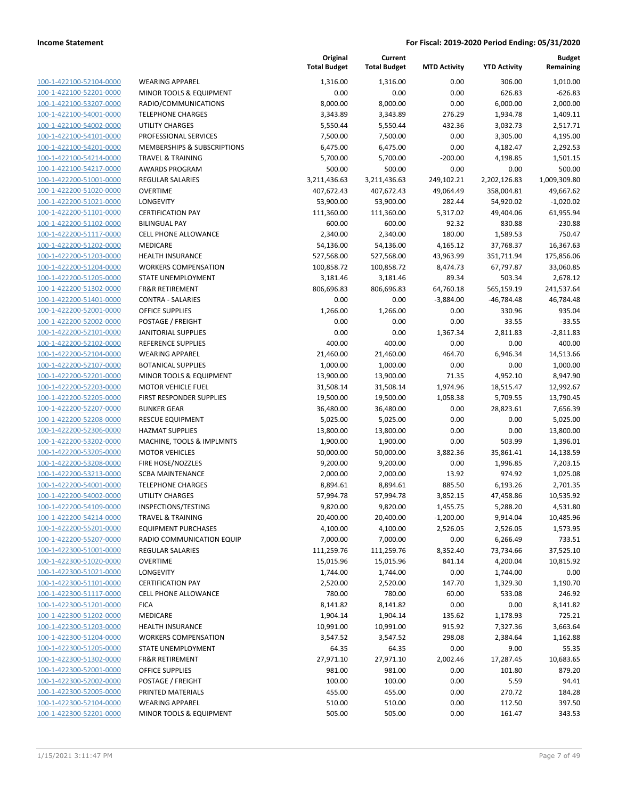| 100-1-422100-52104-0000                            | <b>WEARING APPAREL</b>              |
|----------------------------------------------------|-------------------------------------|
| 100-1-422100-52201-0000                            | MINOR TOOLS & EQUIPMENT             |
| 100-1-422100-53207-0000                            | RADIO/COMMUNICATIONS                |
| 100-1-422100-54001-0000                            | <b>TELEPHONE CHARGES</b>            |
| 100-1-422100-54002-0000                            | <b>UTILITY CHARGES</b>              |
| <u>100-1-422100-54101-0000</u>                     | PROFESSIONAL SERVICES               |
| <u>100-1-422100-54201-0000</u>                     | <b>MEMBERSHIPS &amp; SUBSCRIPTI</b> |
| 100-1-422100-54214-0000                            | <b>TRAVEL &amp; TRAINING</b>        |
| 100-1-422100-54217-0000                            | AWARDS PROGRAM                      |
| 100-1-422200-51001-0000                            | <b>REGULAR SALARIES</b>             |
| <u>100-1-422200-51020-0000</u>                     | OVERTIME                            |
| 100-1-422200-51021-0000                            | LONGEVITY                           |
| 100-1-422200-51101-0000                            | <b>CERTIFICATION PAY</b>            |
| 100-1-422200-51102-0000                            | <b>BILINGUAL PAY</b>                |
| 100-1-422200-51117-0000                            | <b>CELL PHONE ALLOWANCE</b>         |
| <u>100-1-422200-51202-0000</u>                     | <b>MEDICARE</b>                     |
| <u>100-1-422200-51203-0000</u>                     | <b>HEALTH INSURANCE</b>             |
| 100-1-422200-51204-0000                            | <b>WORKERS COMPENSATION</b>         |
| 100-1-422200-51205-0000                            | <b>STATE UNEMPLOYMENT</b>           |
| 100-1-422200-51302-0000                            | <b>FR&amp;R RETIREMENT</b>          |
| <u>100-1-422200-51401-0000</u>                     | <b>CONTRA - SALARIES</b>            |
| 100-1-422200-52001-0000                            | <b>OFFICE SUPPLIES</b>              |
| 100-1-422200-52002-0000                            | POSTAGE / FREIGHT                   |
| 100-1-422200-52101-0000                            | <b>JANITORIAL SUPPLIES</b>          |
| 100-1-422200-52102-0000                            | REFERENCE SUPPLIES                  |
| <u>100-1-422200-52104-0000</u>                     | <b>WEARING APPAREL</b>              |
| 100-1-422200-52107-0000                            | <b>BOTANICAL SUPPLIES</b>           |
| 100-1-422200-52201-0000                            | MINOR TOOLS & EQUIPMENT             |
| 100-1-422200-52203-0000                            | <b>MOTOR VEHICLE FUEL</b>           |
| 100-1-422200-52205-0000                            | <b>FIRST RESPONDER SUPPLIES</b>     |
| <u>100-1-422200-52207-0000</u>                     | <b>BUNKER GEAR</b>                  |
| 100-1-422200-52208-0000                            | <b>RESCUE EQUIPMENT</b>             |
| 100-1-422200-52306-0000                            | <b>HAZMAT SUPPLIES</b>              |
| 100-1-422200-53202-0000                            | MACHINE, TOOLS & IMPLMN             |
| 100-1-422200-53205-0000                            | <b>MOTOR VEHICLES</b>               |
| <u>100-1-422200-53208-0000</u>                     | FIRE HOSE/NOZZLES                   |
| <u>100-1-422200-53213-0000</u>                     | <b>SCBA MAINTENANCE</b>             |
| 100-1-422200-54001-0000                            | TELEPHONE CHARGES                   |
| 100-1-422200-54002-0000                            | UTILITY CHARGES                     |
| 100-1-422200-54109-0000                            | INSPECTIONS/TESTING                 |
| <u>100-1-422200-54214-0000</u>                     | TRAVEL & TRAINING                   |
| 100-1-422200-55201-0000                            | <b>EQUIPMENT PURCHASES</b>          |
| 100-1-422200-55207-0000                            | RADIO COMMUNICATION EQ              |
| 100-1-422300-51001-0000                            | <b>REGULAR SALARIES</b>             |
| 100-1-422300-51020-0000                            | OVERTIME                            |
| 100-1-422300-51021-0000                            | LONGEVITY                           |
| 100-1-422300-51101-0000                            | <b>CERTIFICATION PAY</b>            |
| 100-1-422300-51117-0000                            | <b>CELL PHONE ALLOWANCE</b>         |
| 100-1-422300-51201-0000                            | <b>FICA</b>                         |
| 100-1-422300-51202-0000                            | MEDICARE                            |
| 100-1-422300-51203-0000                            | <b>HEALTH INSURANCE</b>             |
| 100-1-422300-51204-0000                            | WORKERS COMPENSATION                |
| 100-1-422300-51205-0000                            | <b>STATE UNEMPLOYMENT</b>           |
| 100-1-422300-51302-0000                            | <b>FR&amp;R RETIREMENT</b>          |
| 100-1-422300-52001-0000                            | <b>OFFICE SUPPLIES</b>              |
|                                                    | POSTAGE / FREIGHT                   |
| 100-1-422300-52002-0000<br>100-1-422300-52005-0000 | PRINTED MATERIALS                   |
| 100-1-422300-52104-0000                            | <b>WEARING APPAREL</b>              |
| 100-1-422300-52201-0000                            | MINOR TOOLS & EQUIPMENT             |
|                                                    |                                     |

|                         |                              | Original<br><b>Total Budget</b> | Current<br><b>Total Budget</b> | <b>MTD Activity</b> | <b>YTD Activity</b> | <b>Budget</b><br>Remaining |
|-------------------------|------------------------------|---------------------------------|--------------------------------|---------------------|---------------------|----------------------------|
| 100-1-422100-52104-0000 | <b>WEARING APPAREL</b>       | 1,316.00                        | 1,316.00                       | 0.00                | 306.00              | 1,010.00                   |
| 100-1-422100-52201-0000 | MINOR TOOLS & EQUIPMENT      | 0.00                            | 0.00                           | 0.00                | 626.83              | $-626.83$                  |
| 100-1-422100-53207-0000 | RADIO/COMMUNICATIONS         | 8,000.00                        | 8,000.00                       | 0.00                | 6,000.00            | 2,000.00                   |
| 100-1-422100-54001-0000 | <b>TELEPHONE CHARGES</b>     | 3,343.89                        | 3,343.89                       | 276.29              | 1,934.78            | 1,409.11                   |
| 100-1-422100-54002-0000 | <b>UTILITY CHARGES</b>       | 5,550.44                        | 5,550.44                       | 432.36              | 3,032.73            | 2,517.71                   |
| 100-1-422100-54101-0000 | PROFESSIONAL SERVICES        | 7,500.00                        | 7,500.00                       | 0.00                | 3,305.00            | 4,195.00                   |
| 100-1-422100-54201-0000 | MEMBERSHIPS & SUBSCRIPTIONS  | 6,475.00                        | 6,475.00                       | 0.00                | 4,182.47            | 2,292.53                   |
| 100-1-422100-54214-0000 | <b>TRAVEL &amp; TRAINING</b> | 5,700.00                        | 5,700.00                       | $-200.00$           | 4,198.85            | 1,501.15                   |
| 100-1-422100-54217-0000 | <b>AWARDS PROGRAM</b>        | 500.00                          | 500.00                         | 0.00                | 0.00                | 500.00                     |
| 100-1-422200-51001-0000 | <b>REGULAR SALARIES</b>      | 3,211,436.63                    | 3,211,436.63                   | 249,102.21          | 2,202,126.83        | 1,009,309.80               |
| 100-1-422200-51020-0000 | <b>OVERTIME</b>              | 407,672.43                      | 407,672.43                     | 49,064.49           | 358,004.81          | 49,667.62                  |
| 100-1-422200-51021-0000 | <b>LONGEVITY</b>             | 53,900.00                       | 53,900.00                      | 282.44              | 54,920.02           | $-1,020.02$                |
| 100-1-422200-51101-0000 | <b>CERTIFICATION PAY</b>     | 111,360.00                      | 111,360.00                     | 5,317.02            | 49,404.06           | 61,955.94                  |
| 100-1-422200-51102-0000 | <b>BILINGUAL PAY</b>         | 600.00                          | 600.00                         | 92.32               | 830.88              | $-230.88$                  |
| 100-1-422200-51117-0000 | <b>CELL PHONE ALLOWANCE</b>  | 2,340.00                        | 2,340.00                       | 180.00              | 1,589.53            | 750.47                     |
| 100-1-422200-51202-0000 | MEDICARE                     | 54,136.00                       | 54,136.00                      | 4,165.12            | 37,768.37           | 16,367.63                  |
| 100-1-422200-51203-0000 | <b>HEALTH INSURANCE</b>      | 527,568.00                      | 527,568.00                     | 43,963.99           | 351,711.94          | 175,856.06                 |
| 100-1-422200-51204-0000 | <b>WORKERS COMPENSATION</b>  | 100,858.72                      | 100,858.72                     | 8,474.73            | 67,797.87           | 33,060.85                  |
| 100-1-422200-51205-0000 | STATE UNEMPLOYMENT           | 3,181.46                        | 3,181.46                       | 89.34               | 503.34              | 2,678.12                   |
| 100-1-422200-51302-0000 | <b>FR&amp;R RETIREMENT</b>   | 806,696.83                      | 806,696.83                     | 64,760.18           | 565,159.19          | 241,537.64                 |
| 100-1-422200-51401-0000 | <b>CONTRA - SALARIES</b>     | 0.00                            | 0.00                           | $-3,884.00$         | $-46,784.48$        | 46,784.48                  |
| 100-1-422200-52001-0000 | <b>OFFICE SUPPLIES</b>       | 1,266.00                        | 1,266.00                       | 0.00                | 330.96              | 935.04                     |
| 100-1-422200-52002-0000 | POSTAGE / FREIGHT            | 0.00                            | 0.00                           | 0.00                | 33.55               | $-33.55$                   |
| 100-1-422200-52101-0000 | <b>JANITORIAL SUPPLIES</b>   | 0.00                            | 0.00                           | 1,367.34            | 2,811.83            | $-2,811.83$                |
| 100-1-422200-52102-0000 | REFERENCE SUPPLIES           | 400.00                          | 400.00                         | 0.00                | 0.00                | 400.00                     |
| 100-1-422200-52104-0000 | <b>WEARING APPAREL</b>       | 21,460.00                       | 21,460.00                      | 464.70              | 6,946.34            | 14,513.66                  |
| 100-1-422200-52107-0000 | <b>BOTANICAL SUPPLIES</b>    | 1,000.00                        | 1,000.00                       | 0.00                | 0.00                | 1,000.00                   |
| 100-1-422200-52201-0000 | MINOR TOOLS & EQUIPMENT      | 13,900.00                       | 13,900.00                      | 71.35               | 4,952.10            | 8,947.90                   |
| 100-1-422200-52203-0000 | <b>MOTOR VEHICLE FUEL</b>    | 31,508.14                       | 31,508.14                      | 1,974.96            | 18,515.47           | 12,992.67                  |
| 100-1-422200-52205-0000 | FIRST RESPONDER SUPPLIES     | 19,500.00                       | 19,500.00                      | 1,058.38            | 5,709.55            | 13,790.45                  |
| 100-1-422200-52207-0000 | <b>BUNKER GEAR</b>           | 36,480.00                       | 36,480.00                      | 0.00                | 28,823.61           | 7,656.39                   |
| 100-1-422200-52208-0000 | <b>RESCUE EQUIPMENT</b>      | 5,025.00                        | 5,025.00                       | 0.00                | 0.00                | 5,025.00                   |
| 100-1-422200-52306-0000 | <b>HAZMAT SUPPLIES</b>       | 13,800.00                       | 13,800.00                      | 0.00                | 0.00                | 13,800.00                  |
| 100-1-422200-53202-0000 | MACHINE, TOOLS & IMPLMNTS    | 1,900.00                        | 1,900.00                       | 0.00                | 503.99              | 1,396.01                   |
| 100-1-422200-53205-0000 | <b>MOTOR VEHICLES</b>        | 50,000.00                       | 50,000.00                      | 3,882.36            | 35,861.41           | 14,138.59                  |
| 100-1-422200-53208-0000 | FIRE HOSE/NOZZLES            | 9,200.00                        | 9,200.00                       | 0.00                | 1,996.85            | 7,203.15                   |
| 100-1-422200-53213-0000 | <b>SCBA MAINTENANCE</b>      | 2,000.00                        | 2,000.00                       | 13.92               | 974.92              | 1,025.08                   |
| 100-1-422200-54001-0000 | <b>TELEPHONE CHARGES</b>     | 8,894.61                        | 8,894.61                       | 885.50              | 6,193.26            | 2,701.35                   |
| 100-1-422200-54002-0000 | UTILITY CHARGES              | 57,994.78                       | 57,994.78                      | 3,852.15            | 47,458.86           | 10,535.92                  |
| 100-1-422200-54109-0000 | INSPECTIONS/TESTING          | 9,820.00                        | 9,820.00                       | 1,455.75            | 5,288.20            | 4,531.80                   |
| 100-1-422200-54214-0000 | <b>TRAVEL &amp; TRAINING</b> | 20,400.00                       | 20,400.00                      | $-1,200.00$         | 9,914.04            | 10,485.96                  |
| 100-1-422200-55201-0000 | <b>EQUIPMENT PURCHASES</b>   | 4,100.00                        | 4,100.00                       | 2,526.05            | 2,526.05            | 1,573.95                   |
| 100-1-422200-55207-0000 | RADIO COMMUNICATION EQUIP    | 7,000.00                        | 7,000.00                       | 0.00                | 6,266.49            | 733.51                     |
| 100-1-422300-51001-0000 | <b>REGULAR SALARIES</b>      | 111,259.76                      | 111,259.76                     | 8,352.40            | 73,734.66           | 37,525.10                  |
| 100-1-422300-51020-0000 | <b>OVERTIME</b>              | 15,015.96                       | 15,015.96                      | 841.14              | 4,200.04            | 10,815.92                  |
| 100-1-422300-51021-0000 | LONGEVITY                    | 1,744.00                        | 1,744.00                       | 0.00                | 1,744.00            | 0.00                       |
| 100-1-422300-51101-0000 | <b>CERTIFICATION PAY</b>     | 2,520.00                        | 2,520.00                       | 147.70              | 1,329.30            | 1,190.70                   |
| 100-1-422300-51117-0000 | <b>CELL PHONE ALLOWANCE</b>  | 780.00                          | 780.00                         | 60.00               | 533.08              | 246.92                     |
| 100-1-422300-51201-0000 | <b>FICA</b>                  | 8,141.82                        | 8,141.82                       | 0.00                | 0.00                | 8,141.82                   |
| 100-1-422300-51202-0000 | MEDICARE                     | 1,904.14                        | 1,904.14                       | 135.62              | 1,178.93            | 725.21                     |
| 100-1-422300-51203-0000 | <b>HEALTH INSURANCE</b>      | 10,991.00                       | 10,991.00                      | 915.92              | 7,327.36            | 3,663.64                   |
| 100-1-422300-51204-0000 | <b>WORKERS COMPENSATION</b>  | 3,547.52                        | 3,547.52                       | 298.08              | 2,384.64            | 1,162.88                   |
| 100-1-422300-51205-0000 | STATE UNEMPLOYMENT           | 64.35                           | 64.35                          | 0.00                | 9.00                | 55.35                      |
| 100-1-422300-51302-0000 | <b>FR&amp;R RETIREMENT</b>   | 27,971.10                       | 27,971.10                      | 2,002.46            | 17,287.45           | 10,683.65                  |
| 100-1-422300-52001-0000 | <b>OFFICE SUPPLIES</b>       | 981.00                          | 981.00                         | 0.00                | 101.80              | 879.20                     |
| 100-1-422300-52002-0000 | POSTAGE / FREIGHT            | 100.00                          | 100.00                         | 0.00                | 5.59                | 94.41                      |
| 100-1-422300-52005-0000 | PRINTED MATERIALS            | 455.00                          | 455.00                         | 0.00                | 270.72              | 184.28                     |
| 100-1-422300-52104-0000 | <b>WEARING APPAREL</b>       | 510.00                          | 510.00                         | 0.00                | 112.50              | 397.50                     |
| 100-1-422300-52201-0000 | MINOR TOOLS & EQUIPMENT      | 505.00                          | 505.00                         | 0.00                | 161.47              | 343.53                     |
|                         |                              |                                 |                                |                     |                     |                            |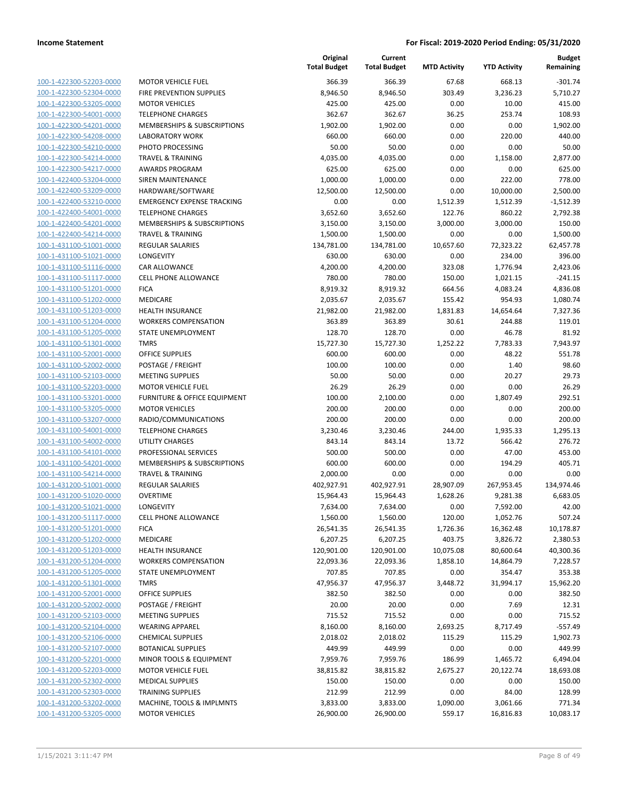| 100-1-422300-52203-0000         |
|---------------------------------|
| 100-1-422300-52304-0000         |
| 100-1-422300-53205-0000         |
| 100-1-422300-54001-0000         |
| 100-1-422300-54201-0000         |
| 100-1-422300-54208-0000         |
| 100-1-422300-54210-0000         |
| 100-1-422300-54214-0000         |
| 100-1-422300-54217-0000         |
| 100-1-422400-53204-0000         |
| 100-1-422400-53209-0000         |
| 100-1-422400-53210-0000         |
| 100-1-422400-54001-0000         |
| 100-1-422400-54201-0000         |
| 100-1-422400-54214-0000         |
| 100-1-431100-51001-0000         |
| 100-1-431100-51021-0000         |
| 100-1-431100-51116-0000         |
| 100-1-431100-51117-0000         |
| -431100-51201-0000<br>$100 - 1$ |
| 100-1-431100-51202-0000         |
| 100-1-431100-51203-0000         |
| 100-1-431100-51204-0000         |
| 100-1-431100-51205-0000         |
| 100-1-431100-51301-0000         |
| 100-1-431100-52001-0000         |
| 100-1-431100-52002-0000         |
| 100-1-431100-52103-0000         |
| 100-1-431100-52203-0000         |
| -431100-53201-0000<br>$100 - 1$ |
| 100-1-431100-53205-0000         |
| 100-1-431100-53207-0000         |
| 100-1-431100-54001-0000         |
| 100-1-431100-54002-0000         |
| 100-1-431100-54101-0000         |
| 100-1-431100-54201-0000         |
| 100-1-431100-54214-0000         |
| 100-1-431200-51001-0000         |
| 100-1-431200-51020-0000         |
| 100-1-431200-51021-0000         |
| 100-1-431200-51117-0000         |
| 100-1-431200-51201-0000         |
| <u>100-1-431200-51202-0000</u>  |
| <u>100-1-431200-51203-0000</u>  |
| 100-1-431200-51204-0000         |
| 100-1-431200-51205-0000         |
| 100-1-431200-51301-0000         |
| <u>100-1-431200-52001-0000</u>  |
| 100-1-431200-52002-0000         |
| 100-1-431200-52103-0000         |
| 100-1-431200-52104-0000         |
| 100-1-431200-52106-0000         |
| <u>100-1-431200-52107-0000</u>  |
| <u>100-1-431200-52201-0000</u>  |
| 100-1-431200-52203-0000         |
| 100-1-431200-52302-0000         |
| 100-1-431200-52303-0000         |
| <u>100-1-431200-53202-0000</u>  |
| <u>100-1-431200-53205-0000</u>  |
|                                 |

|                         |                                         | Original<br><b>Total Budget</b> | Current<br><b>Total Budget</b> | <b>MTD Activity</b> | <b>YTD Activity</b> | <b>Budget</b><br>Remaining |
|-------------------------|-----------------------------------------|---------------------------------|--------------------------------|---------------------|---------------------|----------------------------|
| 100-1-422300-52203-0000 | <b>MOTOR VEHICLE FUEL</b>               | 366.39                          | 366.39                         | 67.68               | 668.13              | $-301.74$                  |
| 100-1-422300-52304-0000 | <b>FIRE PREVENTION SUPPLIES</b>         | 8,946.50                        | 8,946.50                       | 303.49              | 3,236.23            | 5,710.27                   |
| 100-1-422300-53205-0000 | <b>MOTOR VEHICLES</b>                   | 425.00                          | 425.00                         | 0.00                | 10.00               | 415.00                     |
| 100-1-422300-54001-0000 | <b>TELEPHONE CHARGES</b>                | 362.67                          | 362.67                         | 36.25               | 253.74              | 108.93                     |
| 100-1-422300-54201-0000 | MEMBERSHIPS & SUBSCRIPTIONS             | 1,902.00                        | 1,902.00                       | 0.00                | 0.00                | 1,902.00                   |
| 100-1-422300-54208-0000 | <b>LABORATORY WORK</b>                  | 660.00                          | 660.00                         | 0.00                | 220.00              | 440.00                     |
| 100-1-422300-54210-0000 | PHOTO PROCESSING                        | 50.00                           | 50.00                          | 0.00                | 0.00                | 50.00                      |
| 100-1-422300-54214-0000 | <b>TRAVEL &amp; TRAINING</b>            | 4,035.00                        | 4,035.00                       | 0.00                | 1,158.00            | 2,877.00                   |
| 100-1-422300-54217-0000 | <b>AWARDS PROGRAM</b>                   | 625.00                          | 625.00                         | 0.00                | 0.00                | 625.00                     |
| 100-1-422400-53204-0000 | SIREN MAINTENANCE                       | 1,000.00                        | 1,000.00                       | 0.00                | 222.00              | 778.00                     |
| 100-1-422400-53209-0000 | HARDWARE/SOFTWARE                       | 12,500.00                       | 12,500.00                      | 0.00                | 10,000.00           | 2,500.00                   |
| 100-1-422400-53210-0000 | <b>EMERGENCY EXPENSE TRACKING</b>       | 0.00                            | 0.00                           | 1,512.39            | 1,512.39            | $-1,512.39$                |
| 100-1-422400-54001-0000 | <b>TELEPHONE CHARGES</b>                | 3,652.60                        | 3,652.60                       | 122.76              | 860.22              | 2,792.38                   |
| 100-1-422400-54201-0000 | MEMBERSHIPS & SUBSCRIPTIONS             | 3,150.00                        | 3,150.00                       | 3,000.00            | 3,000.00            | 150.00                     |
| 100-1-422400-54214-0000 | <b>TRAVEL &amp; TRAINING</b>            | 1,500.00                        | 1,500.00                       | 0.00                | 0.00                | 1,500.00                   |
| 100-1-431100-51001-0000 | REGULAR SALARIES                        | 134,781.00                      | 134,781.00                     | 10,657.60           | 72,323.22           | 62,457.78                  |
| 100-1-431100-51021-0000 | LONGEVITY                               | 630.00                          | 630.00                         | 0.00                | 234.00              | 396.00                     |
| 100-1-431100-51116-0000 | CAR ALLOWANCE                           | 4,200.00                        | 4,200.00                       | 323.08              | 1,776.94            | 2,423.06                   |
| 100-1-431100-51117-0000 | <b>CELL PHONE ALLOWANCE</b>             | 780.00                          | 780.00                         | 150.00              | 1,021.15            | $-241.15$                  |
| 100-1-431100-51201-0000 | <b>FICA</b>                             | 8,919.32                        | 8,919.32                       | 664.56              | 4,083.24            | 4,836.08                   |
| 100-1-431100-51202-0000 | MEDICARE                                | 2,035.67                        | 2,035.67                       | 155.42              | 954.93              | 1,080.74                   |
| 100-1-431100-51203-0000 | <b>HEALTH INSURANCE</b>                 | 21,982.00                       | 21,982.00                      | 1,831.83            | 14,654.64           | 7,327.36                   |
| 100-1-431100-51204-0000 | <b>WORKERS COMPENSATION</b>             | 363.89                          | 363.89                         | 30.61               | 244.88              | 119.01                     |
| 100-1-431100-51205-0000 | STATE UNEMPLOYMENT                      | 128.70                          | 128.70                         | 0.00                | 46.78               | 81.92                      |
| 100-1-431100-51301-0000 | <b>TMRS</b>                             | 15,727.30                       | 15,727.30                      | 1,252.22            | 7,783.33            | 7,943.97                   |
| 100-1-431100-52001-0000 | <b>OFFICE SUPPLIES</b>                  | 600.00                          | 600.00                         | 0.00                | 48.22               | 551.78                     |
| 100-1-431100-52002-0000 | POSTAGE / FREIGHT                       | 100.00                          | 100.00                         | 0.00                | 1.40                | 98.60                      |
| 100-1-431100-52103-0000 | <b>MEETING SUPPLIES</b>                 | 50.00                           | 50.00                          | 0.00                | 20.27               | 29.73                      |
| 100-1-431100-52203-0000 | <b>MOTOR VEHICLE FUEL</b>               | 26.29                           | 26.29                          | 0.00                | 0.00                | 26.29                      |
| 100-1-431100-53201-0000 | <b>FURNITURE &amp; OFFICE EQUIPMENT</b> | 100.00                          | 2,100.00                       | 0.00                | 1,807.49            | 292.51                     |
| 100-1-431100-53205-0000 | <b>MOTOR VEHICLES</b>                   | 200.00                          | 200.00                         | 0.00                | 0.00                | 200.00                     |
| 100-1-431100-53207-0000 | RADIO/COMMUNICATIONS                    | 200.00                          | 200.00                         | 0.00                | 0.00                | 200.00                     |
| 100-1-431100-54001-0000 | <b>TELEPHONE CHARGES</b>                | 3,230.46                        | 3,230.46                       | 244.00              | 1,935.33            | 1,295.13                   |
| 100-1-431100-54002-0000 | <b>UTILITY CHARGES</b>                  | 843.14                          | 843.14                         | 13.72               | 566.42              | 276.72                     |
| 100-1-431100-54101-0000 | PROFESSIONAL SERVICES                   | 500.00                          | 500.00                         | 0.00                | 47.00               | 453.00                     |
| 100-1-431100-54201-0000 | MEMBERSHIPS & SUBSCRIPTIONS             | 600.00                          | 600.00                         | 0.00                | 194.29              | 405.71                     |
| 100-1-431100-54214-0000 | <b>TRAVEL &amp; TRAINING</b>            | 2,000.00                        | 0.00                           | 0.00                | 0.00                | 0.00                       |
| 100-1-431200-51001-0000 | REGULAR SALARIES                        | 402,927.91                      | 402,927.91                     | 28,907.09           | 267,953.45          | 134,974.46                 |
| 100-1-431200-51020-0000 | <b>OVERTIME</b>                         | 15,964.43                       | 15,964.43                      | 1,628.26            | 9,281.38            | 6,683.05                   |
| 100-1-431200-51021-0000 | LONGEVITY                               | 7,634.00                        | 7,634.00                       | 0.00                | 7,592.00            | 42.00                      |
| 100-1-431200-51117-0000 | <b>CELL PHONE ALLOWANCE</b>             | 1,560.00                        | 1,560.00                       | 120.00              | 1,052.76            | 507.24                     |
| 100-1-431200-51201-0000 | <b>FICA</b>                             | 26,541.35                       | 26,541.35                      | 1,726.36            | 16,362.48           | 10,178.87                  |
| 100-1-431200-51202-0000 | MEDICARE                                | 6,207.25                        | 6,207.25                       | 403.75              | 3,826.72            | 2,380.53                   |
| 100-1-431200-51203-0000 | <b>HEALTH INSURANCE</b>                 | 120,901.00                      | 120,901.00                     | 10,075.08           | 80,600.64           | 40,300.36                  |
| 100-1-431200-51204-0000 | <b>WORKERS COMPENSATION</b>             | 22,093.36                       | 22,093.36                      | 1,858.10            | 14,864.79           | 7,228.57                   |
| 100-1-431200-51205-0000 | STATE UNEMPLOYMENT                      | 707.85                          | 707.85                         | 0.00                | 354.47              | 353.38                     |
| 100-1-431200-51301-0000 | <b>TMRS</b>                             | 47,956.37                       | 47,956.37                      | 3,448.72            | 31,994.17           | 15,962.20                  |
| 100-1-431200-52001-0000 | OFFICE SUPPLIES                         | 382.50                          | 382.50                         | 0.00                | 0.00                | 382.50                     |
| 100-1-431200-52002-0000 | POSTAGE / FREIGHT                       | 20.00                           | 20.00                          | 0.00                | 7.69                | 12.31                      |
| 100-1-431200-52103-0000 | <b>MEETING SUPPLIES</b>                 | 715.52                          | 715.52                         | 0.00                | 0.00                | 715.52                     |
| 100-1-431200-52104-0000 | <b>WEARING APPAREL</b>                  | 8,160.00                        | 8,160.00                       | 2,693.25            | 8,717.49            | $-557.49$                  |
| 100-1-431200-52106-0000 | <b>CHEMICAL SUPPLIES</b>                | 2,018.02                        | 2,018.02                       | 115.29              | 115.29              | 1,902.73                   |
| 100-1-431200-52107-0000 | <b>BOTANICAL SUPPLIES</b>               | 449.99                          | 449.99                         | 0.00                | 0.00                | 449.99                     |
| 100-1-431200-52201-0000 | MINOR TOOLS & EQUIPMENT                 | 7,959.76                        | 7,959.76                       | 186.99              | 1,465.72            | 6,494.04                   |
| 100-1-431200-52203-0000 | <b>MOTOR VEHICLE FUEL</b>               | 38,815.82                       | 38,815.82                      | 2,675.27            | 20,122.74           | 18,693.08                  |
| 100-1-431200-52302-0000 | <b>MEDICAL SUPPLIES</b>                 | 150.00                          | 150.00                         | 0.00                | 0.00                | 150.00                     |
| 100-1-431200-52303-0000 | <b>TRAINING SUPPLIES</b>                | 212.99                          | 212.99                         | 0.00                | 84.00               | 128.99                     |
| 100-1-431200-53202-0000 | MACHINE, TOOLS & IMPLMNTS               | 3,833.00                        | 3,833.00                       | 1,090.00            | 3,061.66            | 771.34                     |
| 100-1-431200-53205-0000 | <b>MOTOR VEHICLES</b>                   | 26,900.00                       | 26,900.00                      | 559.17              | 16,816.83           | 10,083.17                  |
|                         |                                         |                                 |                                |                     |                     |                            |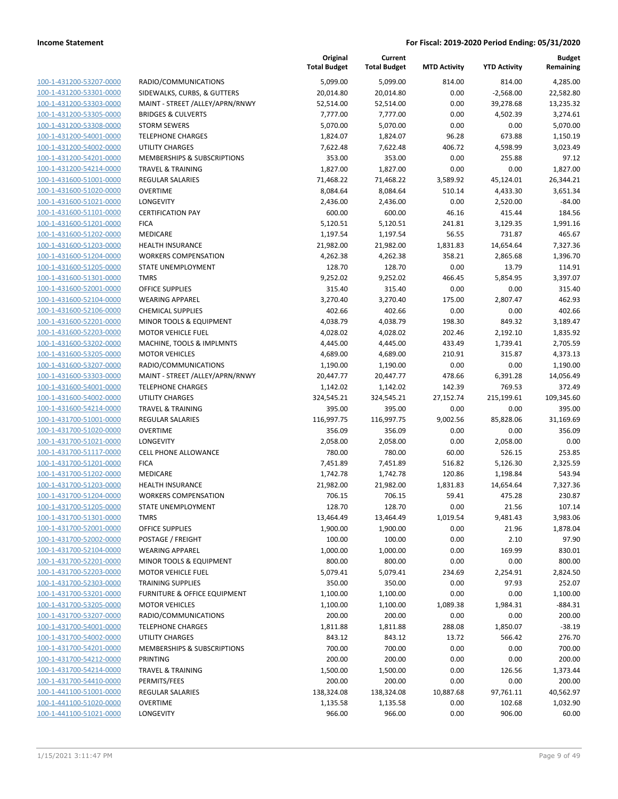| 100-1-431200-53207-0000                            | RADI               |
|----------------------------------------------------|--------------------|
| 100-1-431200-53301-0000                            | <b>SIDE</b>        |
| 100-1-431200-53303-0000                            | MAIN               |
| 100-1-431200-53305-0000                            | <b>BRID</b>        |
| 100-1-431200-53308-0000                            | STOR               |
| 100-1-431200-54001-0000                            | <b>TELEI</b>       |
| 100-1-431200-54002-0000                            | UTILI              |
| 100-1-431200-54201-0000                            | <b>MEN</b>         |
| 100-1-431200-54214-0000                            | <b>TRAV</b>        |
| 100-1-431600-51001-0000                            | REGL               |
| 100-1-431600-51020-0000                            | OVEF               |
| 100-1-431600-51021-0000                            | LONO               |
| 100-1-431600-51101-0000                            | <b>CERT</b>        |
| 100-1-431600-51201-0000                            | <b>FICA</b>        |
| 100-1-431600-51202-0000                            | MED                |
| 100-1-431600-51203-0000                            | HEAL               |
| 100-1-431600-51204-0000                            | <b>WOR</b>         |
| 100-1-431600-51205-0000                            | STAT               |
| 100-1-431600-51301-0000                            | TMR:               |
| 100-1-431600-52001-0000                            | OFFI               |
| 100-1-431600-52104-0000                            | WEA                |
| 100-1-431600-52106-0000                            | CHEN               |
| 100-1-431600-52201-0000                            | <b>MINO</b>        |
| 100-1-431600-52203-0000                            | мот                |
| 100-1-431600-53202-0000                            | MAC                |
| 100-1-431600-53205-0000                            | MOT                |
| 100-1-431600-53207-0000                            | RADI               |
|                                                    | <b>MAIN</b>        |
| 100-1-431600-53303-0000<br>100-1-431600-54001-0000 | TELEI              |
| 100-1-431600-54002-0000                            | utili              |
| 100-1-431600-54214-0000                            | TRAV               |
| 100-1-431700-51001-0000                            | REGL               |
| 100-1-431700-51020-0000                            | <b>OVEF</b>        |
| 100-1-431700-51021-0000                            | LONO               |
| 100-1-431700-51117-0000                            | <b>CELL</b>        |
| 100-1-431700-51201-0000                            | <b>FICA</b>        |
| 100-1-431700-51202-0000                            | MED                |
|                                                    | HEAL               |
| 100-1-431700-51203-0000<br>100-1-431700-51204-0000 | <b>WOR</b>         |
| 100-1-431700-51205-0000                            | <b>STAT</b>        |
| 100-1-431700-51301-0000                            | TMR:               |
| 100-1-431700-52001-0000                            |                    |
|                                                    | OFFI               |
| 100-1-431700-52002-0000                            | post<br><b>WEA</b> |
| 100-1-431700-52104-0000<br>100-1-431700-52201-0000 | MINO               |
|                                                    |                    |
| 100-1-431700-52203-0000                            | мот                |
| 100-1-431700-52303-0000                            | TRAII              |
| 100-1-431700-53201-0000                            | <b>FURN</b>        |
| <u>100-1-431700-53205-0000</u>                     | MOT                |
| 100-1-431700-53207-0000                            | radi               |
| 100-1-431700-54001-0000                            | TELEI              |
| 100-1-431700-54002-0000                            | utili              |
| 100-1-431700-54201-0000                            | MEN                |
| 100-1-431700-54212-0000                            | <b>PRIN</b>        |
| 100-1-431700-54214-0000                            | <b>TRAV</b>        |
| 100-1-431700-54410-0000                            | PERN               |
| 100-1-441100-51001-0000                            | REGL               |
| 100-1-441100-51020-0000                            | <b>OVEF</b>        |
| 100-1-441100-51021-0000                            | LONO               |
|                                                    |                    |

|                                                    |                                                   | Original<br><b>Total Budget</b> | Current<br><b>Total Budget</b> | <b>MTD Activity</b> | <b>YTD Activity</b> | <b>Budget</b><br>Remaining |
|----------------------------------------------------|---------------------------------------------------|---------------------------------|--------------------------------|---------------------|---------------------|----------------------------|
| 100-1-431200-53207-0000                            | RADIO/COMMUNICATIONS                              | 5,099.00                        | 5,099.00                       | 814.00              | 814.00              | 4,285.00                   |
| 100-1-431200-53301-0000                            | SIDEWALKS, CURBS, & GUTTERS                       | 20,014.80                       | 20,014.80                      | 0.00                | $-2,568.00$         | 22,582.80                  |
| 100-1-431200-53303-0000                            | MAINT - STREET /ALLEY/APRN/RNWY                   | 52,514.00                       | 52,514.00                      | 0.00                | 39,278.68           | 13,235.32                  |
| 100-1-431200-53305-0000                            | <b>BRIDGES &amp; CULVERTS</b>                     | 7,777.00                        | 7,777.00                       | 0.00                | 4,502.39            | 3,274.61                   |
| 100-1-431200-53308-0000                            | <b>STORM SEWERS</b>                               | 5,070.00                        | 5,070.00                       | 0.00                | 0.00                | 5,070.00                   |
| 100-1-431200-54001-0000                            | <b>TELEPHONE CHARGES</b>                          | 1,824.07                        | 1,824.07                       | 96.28               | 673.88              | 1,150.19                   |
| 100-1-431200-54002-0000                            | <b>UTILITY CHARGES</b>                            | 7,622.48                        | 7,622.48                       | 406.72              | 4,598.99            | 3,023.49                   |
| 100-1-431200-54201-0000                            | MEMBERSHIPS & SUBSCRIPTIONS                       | 353.00                          | 353.00                         | 0.00                | 255.88              | 97.12                      |
| 100-1-431200-54214-0000                            | <b>TRAVEL &amp; TRAINING</b>                      | 1,827.00                        | 1,827.00                       | 0.00                | 0.00                | 1,827.00                   |
| 100-1-431600-51001-0000                            | <b>REGULAR SALARIES</b>                           | 71,468.22                       | 71,468.22                      | 3,589.92            | 45,124.01           | 26,344.21                  |
| 100-1-431600-51020-0000                            | <b>OVERTIME</b>                                   | 8,084.64                        | 8,084.64                       | 510.14              | 4,433.30            | 3,651.34                   |
| 100-1-431600-51021-0000                            | LONGEVITY                                         | 2,436.00                        | 2,436.00                       | 0.00                | 2,520.00            | $-84.00$                   |
| 100-1-431600-51101-0000                            | <b>CERTIFICATION PAY</b>                          | 600.00                          | 600.00                         | 46.16               | 415.44              | 184.56                     |
| 100-1-431600-51201-0000                            | <b>FICA</b>                                       | 5,120.51                        | 5,120.51                       | 241.81              | 3,129.35            | 1,991.16                   |
| 100-1-431600-51202-0000                            | MEDICARE                                          | 1,197.54                        | 1,197.54                       | 56.55               | 731.87              | 465.67                     |
| 100-1-431600-51203-0000                            | <b>HEALTH INSURANCE</b>                           | 21,982.00                       | 21,982.00                      | 1,831.83            | 14,654.64           | 7,327.36                   |
| 100-1-431600-51204-0000                            | <b>WORKERS COMPENSATION</b>                       | 4,262.38                        | 4,262.38                       | 358.21              | 2,865.68            | 1,396.70                   |
| 100-1-431600-51205-0000                            | STATE UNEMPLOYMENT                                | 128.70                          | 128.70                         | 0.00                | 13.79               | 114.91                     |
| 100-1-431600-51301-0000                            | <b>TMRS</b>                                       | 9,252.02                        | 9,252.02                       | 466.45              | 5,854.95            | 3,397.07                   |
| 100-1-431600-52001-0000                            | <b>OFFICE SUPPLIES</b>                            | 315.40                          | 315.40                         | 0.00                | 0.00                | 315.40                     |
| 100-1-431600-52104-0000                            | <b>WEARING APPAREL</b>                            | 3,270.40                        | 3,270.40                       | 175.00              | 2,807.47            | 462.93                     |
| 100-1-431600-52106-0000                            | <b>CHEMICAL SUPPLIES</b>                          | 402.66                          | 402.66                         | 0.00                | 0.00                | 402.66                     |
| 100-1-431600-52201-0000                            | MINOR TOOLS & EQUIPMENT                           | 4,038.79                        | 4,038.79                       | 198.30              | 849.32              | 3,189.47                   |
| 100-1-431600-52203-0000                            | <b>MOTOR VEHICLE FUEL</b>                         | 4,028.02                        | 4,028.02                       | 202.46              | 2,192.10            | 1,835.92                   |
| 100-1-431600-53202-0000                            | MACHINE, TOOLS & IMPLMNTS                         | 4,445.00                        | 4,445.00                       | 433.49              | 1,739.41            | 2,705.59                   |
| 100-1-431600-53205-0000                            | <b>MOTOR VEHICLES</b>                             | 4,689.00                        | 4,689.00                       | 210.91              | 315.87              | 4,373.13                   |
| 100-1-431600-53207-0000                            | RADIO/COMMUNICATIONS                              | 1,190.00                        | 1,190.00                       | 0.00                | 0.00                | 1,190.00                   |
| 100-1-431600-53303-0000                            | MAINT - STREET /ALLEY/APRN/RNWY                   | 20,447.77                       | 20,447.77                      | 478.66              | 6,391.28            | 14,056.49                  |
| 100-1-431600-54001-0000                            | <b>TELEPHONE CHARGES</b>                          | 1,142.02                        | 1,142.02                       | 142.39              | 769.53              | 372.49                     |
| 100-1-431600-54002-0000                            | UTILITY CHARGES                                   | 324,545.21                      | 324,545.21                     | 27,152.74           | 215,199.61          | 109,345.60                 |
| 100-1-431600-54214-0000                            | <b>TRAVEL &amp; TRAINING</b>                      | 395.00                          | 395.00                         | 0.00                | 0.00                | 395.00                     |
| 100-1-431700-51001-0000                            | <b>REGULAR SALARIES</b>                           | 116,997.75                      | 116,997.75                     | 9,002.56            | 85,828.06           | 31,169.69                  |
| 100-1-431700-51020-0000                            | <b>OVERTIME</b>                                   | 356.09                          | 356.09                         | 0.00                | 0.00                | 356.09                     |
| 100-1-431700-51021-0000                            | LONGEVITY                                         | 2,058.00                        | 2,058.00                       | 0.00                | 2,058.00            | 0.00                       |
| 100-1-431700-51117-0000                            | CELL PHONE ALLOWANCE                              | 780.00                          | 780.00                         | 60.00               | 526.15              | 253.85                     |
| 100-1-431700-51201-0000                            | <b>FICA</b>                                       | 7,451.89                        | 7,451.89                       | 516.82              | 5,126.30            | 2,325.59                   |
| 100-1-431700-51202-0000                            | MEDICARE<br><b>HEALTH INSURANCE</b>               | 1,742.78<br>21,982.00           | 1,742.78                       | 120.86              | 1,198.84            | 543.94<br>7,327.36         |
| 100-1-431700-51203-0000<br>100-1-431700-51204-0000 |                                                   |                                 | 21,982.00                      | 1,831.83            | 14,654.64           |                            |
| 100-1-431700-51205-0000                            | <b>WORKERS COMPENSATION</b><br>STATE UNEMPLOYMENT | 706.15<br>128.70                | 706.15<br>128.70               | 59.41<br>0.00       | 475.28<br>21.56     | 230.87<br>107.14           |
| 100-1-431700-51301-0000                            | <b>TMRS</b>                                       | 13,464.49                       |                                |                     | 9,481.43            | 3,983.06                   |
| 100-1-431700-52001-0000                            | <b>OFFICE SUPPLIES</b>                            | 1,900.00                        | 13,464.49<br>1,900.00          | 1,019.54<br>0.00    | 21.96               | 1,878.04                   |
| 100-1-431700-52002-0000                            | POSTAGE / FREIGHT                                 | 100.00                          | 100.00                         | 0.00                | 2.10                | 97.90                      |
| 100-1-431700-52104-0000                            | <b>WEARING APPAREL</b>                            | 1,000.00                        | 1,000.00                       | 0.00                | 169.99              | 830.01                     |
| 100-1-431700-52201-0000                            | MINOR TOOLS & EQUIPMENT                           | 800.00                          | 800.00                         | 0.00                | 0.00                | 800.00                     |
| 100-1-431700-52203-0000                            | <b>MOTOR VEHICLE FUEL</b>                         | 5,079.41                        | 5,079.41                       | 234.69              | 2,254.91            | 2,824.50                   |
| 100-1-431700-52303-0000                            | <b>TRAINING SUPPLIES</b>                          | 350.00                          | 350.00                         | 0.00                | 97.93               | 252.07                     |
| 100-1-431700-53201-0000                            | <b>FURNITURE &amp; OFFICE EQUIPMENT</b>           | 1,100.00                        | 1,100.00                       | 0.00                | 0.00                | 1,100.00                   |
| 100-1-431700-53205-0000                            | <b>MOTOR VEHICLES</b>                             | 1,100.00                        | 1,100.00                       | 1,089.38            | 1,984.31            | $-884.31$                  |
| 100-1-431700-53207-0000                            | RADIO/COMMUNICATIONS                              | 200.00                          | 200.00                         | 0.00                | 0.00                | 200.00                     |
| 100-1-431700-54001-0000                            | <b>TELEPHONE CHARGES</b>                          | 1,811.88                        | 1,811.88                       | 288.08              | 1,850.07            | $-38.19$                   |
| 100-1-431700-54002-0000                            | <b>UTILITY CHARGES</b>                            | 843.12                          | 843.12                         | 13.72               | 566.42              | 276.70                     |
| 100-1-431700-54201-0000                            | MEMBERSHIPS & SUBSCRIPTIONS                       | 700.00                          | 700.00                         | 0.00                | 0.00                | 700.00                     |
| 100-1-431700-54212-0000                            | PRINTING                                          | 200.00                          | 200.00                         | 0.00                | 0.00                | 200.00                     |
| 100-1-431700-54214-0000                            | <b>TRAVEL &amp; TRAINING</b>                      | 1,500.00                        | 1,500.00                       | 0.00                | 126.56              | 1,373.44                   |
| 100-1-431700-54410-0000                            | PERMITS/FEES                                      | 200.00                          | 200.00                         | 0.00                | 0.00                | 200.00                     |
| 100-1-441100-51001-0000                            | <b>REGULAR SALARIES</b>                           |                                 |                                |                     |                     |                            |
| 100-1-441100-51020-0000                            |                                                   | 138,324.08                      | 138,324.08                     | 10,887.68           | 97,761.11           | 40,562.97                  |
|                                                    | <b>OVERTIME</b>                                   | 1,135.58                        | 1,135.58                       | 0.00                | 102.68              | 1,032.90                   |
| 100-1-441100-51021-0000                            | LONGEVITY                                         | 966.00                          | 966.00                         | 0.00                | 906.00              | 60.00                      |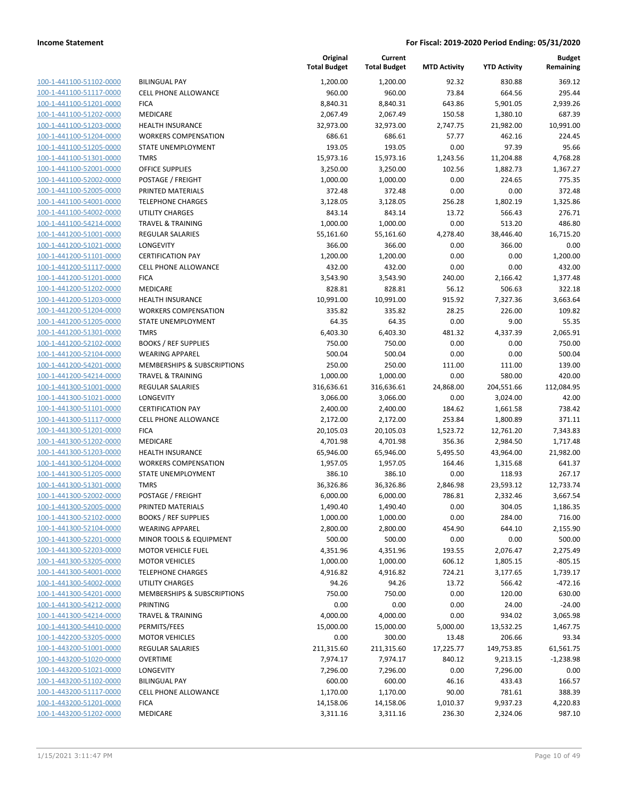| 100-1-441100-51102-0000        |
|--------------------------------|
| 100-1-441100-51117-0000        |
| 100-1-441100-51201-0000        |
| 100-1-441100-51202-0000        |
| 100-1-441100-51203-0000        |
| 100-1-441100-51204-0000        |
| 100-1-441100-51205-0000        |
| 100-1-441100-51301-0000        |
| 100-1-441100-52001-0000        |
| 100-1-441100-52002-0000        |
| 100-1-441100-52005-0000        |
| 100-1-441100-54001-0000        |
| 100-1-441100-54002-0000        |
| 100-1-441100-54214-0000        |
| 100-1-441200-51001-0000        |
| 100-1-441200-51021-0000        |
| 100-1-441200-51101-0000        |
| 100-1-441200-51117-0000        |
| 100-1-441200-51201-0000        |
| 100-1-441200-51202-0000        |
|                                |
| 100-1-441200-51203-0000        |
| 100-1-441200-51204-0000        |
| 100-1-441200-51205-0000        |
| 100-1-441200-51301-0000        |
| 100-1-441200-52102-0000        |
| 100-1-441200-52104-0000        |
| 100-1-441200-54201-0000        |
| 100-1-441200-54214-0000        |
| 100-1-441300-51001-0000        |
| 100-1-441300-51021-0000        |
| 100-1-441300-51101-0000        |
| 100-1-441300-51117-0000        |
| 100-1-441300-51201-0000        |
| 100-1-441300-51202-0000        |
| 100-1-441300-51203-0000        |
| 100-1-441300-51204-0000        |
| 100-1-441300-51205-0000        |
| 100-1-441300-51301-0000        |
| 100-1-441300-52002-0000        |
| 100-1-441300-52005-0000        |
| 100-1-441300-52102-0000        |
| <u>100-1-441300-52104-0000</u> |
| 100-1-441300-52201-0000        |
| 100-1-441300-52203-0000        |
|                                |
| 100-1-441300-53205-0000        |
| <u>100-1-441300-54001-0000</u> |
| 100-1-441300-54002-0000        |
| 100-1-441300-54201-0000        |
| 100-1-441300-54212-0000        |
| 100-1-441300-54214-0000        |
| <u>100-1-441300-54410-0000</u> |
| 100-1-442200-53205-0000        |
| 100-1-443200-51001-0000        |
| 100-1-443200-51020-0000        |
| <u>100-1-443200-51021-0000</u> |
| 100-1-443200-51102-0000        |
| <u>100-1-443200-51117-0000</u> |
| <u>100-1-443200-51201-0000</u> |
| 100-1-443200-51202-0000        |
|                                |

|                                                    |                                        | Original<br><b>Total Budget</b> | Current<br><b>Total Budget</b> | <b>MTD Activity</b> | <b>YTD Activity</b> | <b>Budget</b><br>Remaining |
|----------------------------------------------------|----------------------------------------|---------------------------------|--------------------------------|---------------------|---------------------|----------------------------|
| 100-1-441100-51102-0000                            | <b>BILINGUAL PAY</b>                   | 1,200.00                        | 1,200.00                       | 92.32               | 830.88              | 369.12                     |
| 100-1-441100-51117-0000                            | <b>CELL PHONE ALLOWANCE</b>            | 960.00                          | 960.00                         | 73.84               | 664.56              | 295.44                     |
| 100-1-441100-51201-0000                            | <b>FICA</b>                            | 8,840.31                        | 8,840.31                       | 643.86              | 5,901.05            | 2,939.26                   |
| 100-1-441100-51202-0000                            | MEDICARE                               | 2,067.49                        | 2,067.49                       | 150.58              | 1,380.10            | 687.39                     |
| 100-1-441100-51203-0000                            | <b>HEALTH INSURANCE</b>                | 32,973.00                       | 32,973.00                      | 2,747.75            | 21,982.00           | 10,991.00                  |
| 100-1-441100-51204-0000                            | <b>WORKERS COMPENSATION</b>            | 686.61                          | 686.61                         | 57.77               | 462.16              | 224.45                     |
| 100-1-441100-51205-0000                            | STATE UNEMPLOYMENT                     | 193.05                          | 193.05                         | 0.00                | 97.39               | 95.66                      |
| 100-1-441100-51301-0000                            | <b>TMRS</b>                            | 15,973.16                       | 15,973.16                      | 1,243.56            | 11,204.88           | 4,768.28                   |
| 100-1-441100-52001-0000                            | <b>OFFICE SUPPLIES</b>                 | 3,250.00                        | 3,250.00                       | 102.56              | 1,882.73            | 1,367.27                   |
| 100-1-441100-52002-0000                            | POSTAGE / FREIGHT                      | 1,000.00                        | 1,000.00                       | 0.00                | 224.65              | 775.35                     |
| 100-1-441100-52005-0000                            | PRINTED MATERIALS                      | 372.48                          | 372.48                         | 0.00                | 0.00                | 372.48                     |
| 100-1-441100-54001-0000                            | <b>TELEPHONE CHARGES</b>               | 3,128.05                        | 3,128.05                       | 256.28              | 1,802.19            | 1,325.86                   |
| 100-1-441100-54002-0000                            | <b>UTILITY CHARGES</b>                 | 843.14                          | 843.14                         | 13.72               | 566.43              | 276.71                     |
| 100-1-441100-54214-0000                            | <b>TRAVEL &amp; TRAINING</b>           | 1,000.00                        | 1,000.00                       | 0.00                | 513.20              | 486.80                     |
| 100-1-441200-51001-0000                            | <b>REGULAR SALARIES</b>                | 55,161.60                       | 55,161.60                      | 4,278.40            | 38,446.40           | 16,715.20                  |
| 100-1-441200-51021-0000                            | LONGEVITY                              | 366.00                          | 366.00                         | 0.00                | 366.00              | 0.00                       |
| 100-1-441200-51101-0000                            | <b>CERTIFICATION PAY</b>               | 1,200.00                        | 1,200.00                       | 0.00                | 0.00                | 1,200.00                   |
| 100-1-441200-51117-0000                            | <b>CELL PHONE ALLOWANCE</b>            | 432.00                          | 432.00                         | 0.00                | 0.00                | 432.00                     |
| 100-1-441200-51201-0000                            | <b>FICA</b>                            | 3,543.90                        | 3,543.90                       | 240.00              | 2,166.42            | 1,377.48                   |
| 100-1-441200-51202-0000                            | MEDICARE                               | 828.81                          | 828.81                         | 56.12               | 506.63              | 322.18                     |
| 100-1-441200-51203-0000                            | <b>HEALTH INSURANCE</b>                | 10,991.00                       | 10,991.00                      | 915.92              | 7,327.36            | 3,663.64                   |
| 100-1-441200-51204-0000                            | <b>WORKERS COMPENSATION</b>            | 335.82                          | 335.82                         | 28.25               | 226.00              | 109.82                     |
| 100-1-441200-51205-0000                            | STATE UNEMPLOYMENT                     | 64.35                           | 64.35                          | 0.00                | 9.00                | 55.35                      |
| 100-1-441200-51301-0000                            | <b>TMRS</b>                            | 6,403.30                        | 6,403.30                       | 481.32              | 4,337.39            | 2,065.91                   |
| 100-1-441200-52102-0000                            | <b>BOOKS / REF SUPPLIES</b>            | 750.00                          | 750.00                         | 0.00                | 0.00                | 750.00                     |
| 100-1-441200-52104-0000                            | <b>WEARING APPAREL</b>                 | 500.04                          | 500.04                         | 0.00                | 0.00                | 500.04                     |
| 100-1-441200-54201-0000                            | MEMBERSHIPS & SUBSCRIPTIONS            | 250.00                          | 250.00                         | 111.00              | 111.00              | 139.00                     |
| 100-1-441200-54214-0000                            | <b>TRAVEL &amp; TRAINING</b>           | 1,000.00                        | 1,000.00                       | 0.00                | 580.00              | 420.00                     |
| 100-1-441300-51001-0000                            | <b>REGULAR SALARIES</b>                | 316,636.61                      | 316,636.61                     | 24,868.00           | 204,551.66          | 112,084.95                 |
| 100-1-441300-51021-0000                            | LONGEVITY                              | 3,066.00                        | 3,066.00                       | 0.00                | 3,024.00            | 42.00                      |
| 100-1-441300-51101-0000                            | <b>CERTIFICATION PAY</b>               | 2,400.00                        | 2,400.00                       | 184.62              | 1,661.58            | 738.42                     |
| 100-1-441300-51117-0000                            | CELL PHONE ALLOWANCE                   | 2,172.00                        | 2,172.00                       | 253.84              | 1,800.89            | 371.11                     |
| 100-1-441300-51201-0000                            | <b>FICA</b>                            | 20,105.03                       | 20,105.03                      | 1,523.72            | 12,761.20           | 7,343.83                   |
| 100-1-441300-51202-0000                            | MEDICARE                               | 4,701.98                        | 4,701.98                       | 356.36              | 2,984.50            | 1,717.48                   |
| 100-1-441300-51203-0000                            | <b>HEALTH INSURANCE</b>                | 65,946.00                       | 65,946.00                      | 5,495.50            | 43,964.00           | 21,982.00                  |
| 100-1-441300-51204-0000                            | <b>WORKERS COMPENSATION</b>            | 1,957.05                        | 1,957.05                       | 164.46              | 1,315.68            | 641.37                     |
| 100-1-441300-51205-0000                            | STATE UNEMPLOYMENT                     | 386.10                          | 386.10<br>36,326.86            | 0.00<br>2,846.98    | 118.93              | 267.17                     |
| 100-1-441300-51301-0000<br>100-1-441300-52002-0000 | <b>TMRS</b>                            | 36,326.86                       |                                |                     | 23,593.12           | 12,733.74                  |
| 100-1-441300-52005-0000                            | POSTAGE / FREIGHT<br>PRINTED MATERIALS | 6,000.00<br>1,490.40            | 6,000.00<br>1,490.40           | 786.81<br>0.00      | 2,332.46<br>304.05  | 3,667.54<br>1,186.35       |
| 100-1-441300-52102-0000                            | <b>BOOKS / REF SUPPLIES</b>            | 1,000.00                        | 1,000.00                       | 0.00                | 284.00              | 716.00                     |
| 100-1-441300-52104-0000                            | <b>WEARING APPAREL</b>                 | 2,800.00                        | 2,800.00                       | 454.90              | 644.10              | 2,155.90                   |
| 100-1-441300-52201-0000                            | MINOR TOOLS & EQUIPMENT                | 500.00                          | 500.00                         | 0.00                | 0.00                | 500.00                     |
| 100-1-441300-52203-0000                            | <b>MOTOR VEHICLE FUEL</b>              | 4,351.96                        | 4,351.96                       | 193.55              | 2,076.47            | 2,275.49                   |
| 100-1-441300-53205-0000                            | <b>MOTOR VEHICLES</b>                  | 1,000.00                        | 1,000.00                       | 606.12              | 1,805.15            | $-805.15$                  |
| 100-1-441300-54001-0000                            | <b>TELEPHONE CHARGES</b>               | 4,916.82                        | 4,916.82                       | 724.21              | 3,177.65            | 1,739.17                   |
| 100-1-441300-54002-0000                            | <b>UTILITY CHARGES</b>                 | 94.26                           | 94.26                          | 13.72               | 566.42              | $-472.16$                  |
| 100-1-441300-54201-0000                            | MEMBERSHIPS & SUBSCRIPTIONS            | 750.00                          | 750.00                         | 0.00                | 120.00              | 630.00                     |
| 100-1-441300-54212-0000                            | PRINTING                               | 0.00                            | 0.00                           | 0.00                | 24.00               | $-24.00$                   |
| 100-1-441300-54214-0000                            | <b>TRAVEL &amp; TRAINING</b>           | 4,000.00                        | 4,000.00                       | 0.00                | 934.02              | 3,065.98                   |
| 100-1-441300-54410-0000                            | PERMITS/FEES                           | 15,000.00                       | 15,000.00                      | 5,000.00            | 13,532.25           | 1,467.75                   |
| 100-1-442200-53205-0000                            | <b>MOTOR VEHICLES</b>                  | 0.00                            | 300.00                         | 13.48               | 206.66              | 93.34                      |
| 100-1-443200-51001-0000                            | REGULAR SALARIES                       | 211,315.60                      | 211,315.60                     | 17,225.77           | 149,753.85          | 61,561.75                  |
| 100-1-443200-51020-0000                            | <b>OVERTIME</b>                        | 7,974.17                        | 7,974.17                       | 840.12              | 9,213.15            | $-1,238.98$                |
| 100-1-443200-51021-0000                            | LONGEVITY                              | 7,296.00                        | 7,296.00                       | 0.00                | 7,296.00            | 0.00                       |
| 100-1-443200-51102-0000                            | <b>BILINGUAL PAY</b>                   | 600.00                          | 600.00                         | 46.16               | 433.43              | 166.57                     |
| 100-1-443200-51117-0000                            | CELL PHONE ALLOWANCE                   | 1,170.00                        | 1,170.00                       | 90.00               | 781.61              | 388.39                     |
| 100-1-443200-51201-0000                            | <b>FICA</b>                            | 14,158.06                       | 14,158.06                      | 1,010.37            | 9,937.23            | 4,220.83                   |
| 100-1-443200-51202-0000                            | MEDICARE                               | 3,311.16                        | 3,311.16                       | 236.30              | 2,324.06            | 987.10                     |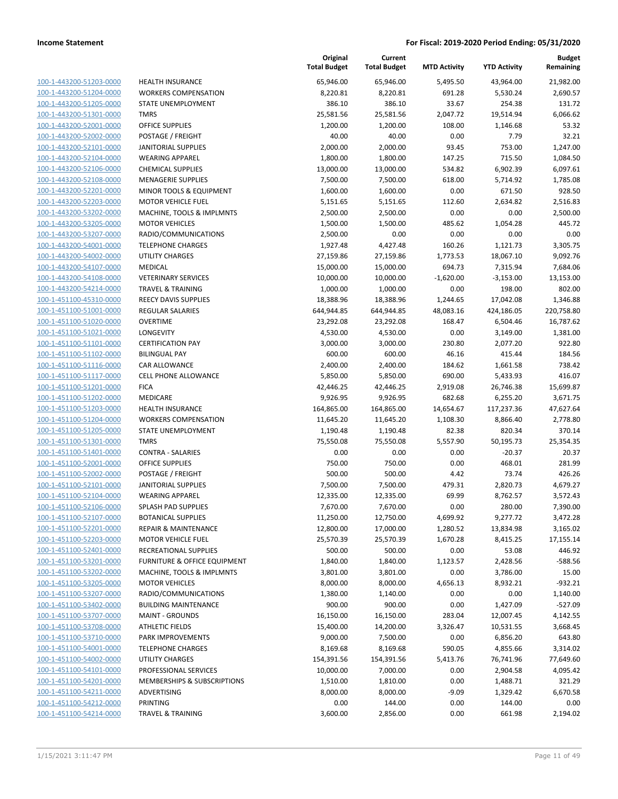| 100-1-443200-51203-0000        |
|--------------------------------|
| 100-1-443200-51204-0000        |
| 100-1-443200-51205-0000        |
| 100-1-443200-51301-0000        |
| 100-1-443200-52001-0000        |
| 100-1-443200-52002-0000        |
| 100-1-443200-52101-0000        |
| 100-1-443200-52104-0000        |
| 100-1-443200-52106-0000        |
| 100-1-443200-52108-0000        |
| 100-1-443200-52201-0000        |
| 100-1-443200-52203-0000        |
| 100-1-443200-53202-0000        |
| 100-1-443200-53205-0000        |
| 100-1-443200-53207-0000        |
| 100-1-443200-54001-0000        |
| 100-1-443200-54002-0000        |
| 100-1-443200-54107-0000        |
| 100-1-443200-54108-0000        |
| 100-1-443200-54214-0000        |
| 100-1-451100-45310-0000        |
| 100-1-451100-51001-0000        |
| 100-1-451100-51020-0000        |
| 100-1-451100-51021-0000        |
| 100-1-451100-51101-0000        |
|                                |
| 100-1-451100-51102-0000        |
| 100-1-451100-51116-0000        |
| 100-1-451100-51117-0000        |
| 100-1-451100-51201-0000        |
| 100-1-451100-51202-0000        |
| 100-1-451100-51203-0000        |
| 100-1-451100-51204-0000        |
| 100-1-451100-51205-0000        |
| 100-1-451100-51301-0000        |
| 100-1-451100-51401-0000        |
| 100-1-451100-52001-0000        |
| 100-1-451100-52002-0000        |
| 100-1-451100-52101-0000        |
| 100-1-451100-52104-0000        |
| 100-1-451100-52106-0000        |
| 100-1-451100-52107-0000        |
| 100-1-451100-52201-0000        |
| <u>100-1-451100-52203-0000</u> |
| 100-1-451100-52401-0000        |
| <u>100-1-451100-53201-0000</u> |
| <u>100-1-451100-53202-0000</u> |
| 100-1-451100-53205-0000        |
| <u>100-1-451100-53207-0000</u> |
| 100-1-451100-53402-0000        |
| <u>100-1-451100-53707-0000</u> |
| 100-1-451100-53708-0000        |
| 100-1-451100-53710-0000        |
| <u>100-1-451100-54001-0000</u> |
| <u>100-1-451100-54002-0000</u> |
| 100-1-451100-54101-0000        |
| <u>100-1-451100-54201-0000</u> |
| 100-1-451100-54211-0000        |
| <u>100-1-451100-54212-0000</u> |
| <u>100-1-451100-54214-0000</u> |
|                                |

| <b>HEALTH INSURANCE</b>                         |
|-------------------------------------------------|
| <b>WORKERS COMPENSATION</b>                     |
| STATE UNEMPLOYMENT                              |
| <b>TMRS</b>                                     |
| <b>OFFICE SUPPLIES</b>                          |
| POSTAGE / FREIGHT                               |
| <b>JANITORIAL SUPPLIES</b>                      |
| <b>WEARING APPAREL</b>                          |
| <b>CHEMICAL SUPPLIES</b>                        |
| <b>MENAGERIE SUPPLIES</b>                       |
|                                                 |
| <b>MINOR TOOLS &amp; EQUIPMENT</b>              |
| <b>MOTOR VEHICLE FUEL</b>                       |
| MACHINE, TOOLS & IMPLMNTS                       |
| <b>MOTOR VEHICLES</b>                           |
| RADIO/COMMUNICATIONS                            |
| <b>TELEPHONE CHARGES</b>                        |
| <b>UTILITY CHARGES</b>                          |
| <b>MEDICAL</b>                                  |
| <b>VETERINARY SERVICES</b>                      |
| <b>TRAVEL &amp; TRAINING</b>                    |
| <b>REECY DAVIS SUPPLIES</b>                     |
| <b>REGULAR SALARIES</b>                         |
| <b>OVERTIME</b>                                 |
| LONGEVITY                                       |
| <b>CERTIFICATION PAY</b>                        |
| <b>BILINGUAL PAY</b>                            |
| <b>CAR ALLOWANCE</b>                            |
| <b>CELL PHONE ALLOWANCE</b>                     |
| <b>FICA</b>                                     |
| MEDICARE                                        |
|                                                 |
| <b>HEALTH INSURANCE</b>                         |
| <b>WORKERS COMPENSATION</b>                     |
| STATE UNEMPLOYMENT                              |
| <b>TMRS</b>                                     |
| <b>CONTRA - SALARIES</b>                        |
|                                                 |
| <b>OFFICE SUPPLIES</b>                          |
| POSTAGE / FREIGHT                               |
| <b>JANITORIAL SUPPLIES</b>                      |
| <b>WEARING APPAREL</b>                          |
| SPLASH PAD SUPPLIES                             |
| <b>BOTANICAL SUPPLIES</b>                       |
| <b>REPAIR &amp; MAINTENANCE</b>                 |
| MOTOR VEHICLE FUEL                              |
| RECREATIONAL SUPPLIES                           |
| <b>FURNITURE &amp; OFFICE EQUIPMENT</b>         |
| MACHINE, TOOLS & IMPLMNTS                       |
| <b>MOTOR VEHICLES</b>                           |
|                                                 |
| RADIO/COMMUNICATIONS                            |
| <b>BUILDING MAINTENANCE</b>                     |
| <b>MAINT - GROUNDS</b>                          |
| <b>ATHLETIC FIELDS</b>                          |
| PARK IMPROVEMENTS                               |
| <b>TELEPHONE CHARGES</b>                        |
| <b>UTILITY CHARGES</b>                          |
| PROFESSIONAL SERVICES                           |
| MEMBERSHIPS & SUBSCRIPTIONS                     |
| <b>ADVERTISING</b>                              |
| <b>PRINTING</b><br><b>TRAVEL &amp; TRAINING</b> |

|                                                    |                                                       | Original<br><b>Total Budget</b> | Current<br><b>Total Budget</b> | <b>MTD Activity</b> | <b>YTD Activity</b> | <b>Budget</b><br>Remaining |
|----------------------------------------------------|-------------------------------------------------------|---------------------------------|--------------------------------|---------------------|---------------------|----------------------------|
| 100-1-443200-51203-0000                            | <b>HEALTH INSURANCE</b>                               | 65,946.00                       | 65,946.00                      | 5,495.50            | 43,964.00           | 21,982.00                  |
| 100-1-443200-51204-0000                            | <b>WORKERS COMPENSATION</b>                           | 8,220.81                        | 8,220.81                       | 691.28              | 5,530.24            | 2,690.57                   |
| 100-1-443200-51205-0000                            | STATE UNEMPLOYMENT                                    | 386.10                          | 386.10                         | 33.67               | 254.38              | 131.72                     |
| 100-1-443200-51301-0000                            | <b>TMRS</b>                                           | 25,581.56                       | 25,581.56                      | 2,047.72            | 19,514.94           | 6,066.62                   |
| 100-1-443200-52001-0000                            | <b>OFFICE SUPPLIES</b>                                | 1,200.00                        | 1,200.00                       | 108.00              | 1,146.68            | 53.32                      |
| 100-1-443200-52002-0000                            | POSTAGE / FREIGHT                                     | 40.00                           | 40.00                          | 0.00                | 7.79                | 32.21                      |
| 100-1-443200-52101-0000                            | <b>JANITORIAL SUPPLIES</b>                            | 2,000.00                        | 2,000.00                       | 93.45               | 753.00              | 1,247.00                   |
| 100-1-443200-52104-0000                            | <b>WEARING APPAREL</b>                                | 1,800.00                        | 1,800.00                       | 147.25              | 715.50              | 1,084.50                   |
| 100-1-443200-52106-0000                            | <b>CHEMICAL SUPPLIES</b>                              | 13,000.00                       | 13,000.00                      | 534.82              | 6,902.39            | 6,097.61                   |
| 100-1-443200-52108-0000                            | <b>MENAGERIE SUPPLIES</b>                             | 7,500.00                        | 7,500.00                       | 618.00              | 5,714.92            | 1,785.08                   |
| 100-1-443200-52201-0000                            | MINOR TOOLS & EQUIPMENT                               | 1,600.00                        | 1,600.00                       | 0.00                | 671.50              | 928.50                     |
| 100-1-443200-52203-0000                            | <b>MOTOR VEHICLE FUEL</b>                             | 5,151.65                        | 5,151.65                       | 112.60              | 2,634.82            | 2,516.83                   |
| 100-1-443200-53202-0000                            | MACHINE, TOOLS & IMPLMNTS                             | 2,500.00                        | 2,500.00                       | 0.00                | 0.00                | 2,500.00                   |
| 100-1-443200-53205-0000                            | <b>MOTOR VEHICLES</b>                                 | 1,500.00                        | 1,500.00                       | 485.62              | 1,054.28            | 445.72                     |
| 100-1-443200-53207-0000                            | RADIO/COMMUNICATIONS                                  | 2,500.00                        | 0.00                           | 0.00                | 0.00                | 0.00                       |
| 100-1-443200-54001-0000                            | <b>TELEPHONE CHARGES</b>                              | 1,927.48                        | 4,427.48                       | 160.26              | 1,121.73            | 3,305.75                   |
| 100-1-443200-54002-0000                            | UTILITY CHARGES                                       | 27,159.86                       | 27,159.86                      | 1,773.53            | 18,067.10           | 9,092.76                   |
| 100-1-443200-54107-0000                            | MEDICAL                                               | 15,000.00                       | 15,000.00                      | 694.73              | 7,315.94            | 7,684.06                   |
| 100-1-443200-54108-0000                            | <b>VETERINARY SERVICES</b>                            | 10,000.00                       | 10,000.00                      | $-1,620.00$         | $-3,153.00$         | 13,153.00                  |
| 100-1-443200-54214-0000                            | <b>TRAVEL &amp; TRAINING</b>                          | 1,000.00                        | 1,000.00                       | 0.00                | 198.00              | 802.00                     |
| 100-1-451100-45310-0000                            | REECY DAVIS SUPPLIES                                  | 18,388.96                       | 18,388.96                      | 1,244.65            | 17,042.08           | 1,346.88                   |
| 100-1-451100-51001-0000                            | <b>REGULAR SALARIES</b>                               | 644,944.85                      | 644,944.85                     | 48,083.16           | 424,186.05          | 220,758.80                 |
| 100-1-451100-51020-0000                            | <b>OVERTIME</b>                                       | 23,292.08                       | 23,292.08                      | 168.47              | 6,504.46            | 16,787.62                  |
| 100-1-451100-51021-0000                            | LONGEVITY                                             | 4,530.00                        | 4,530.00                       | 0.00                | 3,149.00            | 1,381.00                   |
| 100-1-451100-51101-0000                            | <b>CERTIFICATION PAY</b>                              | 3,000.00                        | 3,000.00                       | 230.80              | 2,077.20            | 922.80                     |
| 100-1-451100-51102-0000                            | <b>BILINGUAL PAY</b>                                  | 600.00                          | 600.00                         | 46.16               | 415.44              | 184.56                     |
| 100-1-451100-51116-0000                            | CAR ALLOWANCE                                         | 2,400.00                        | 2,400.00                       | 184.62              | 1,661.58            | 738.42                     |
| 100-1-451100-51117-0000                            | CELL PHONE ALLOWANCE                                  | 5,850.00                        | 5,850.00                       | 690.00              | 5,433.93            | 416.07                     |
| 100-1-451100-51201-0000                            | <b>FICA</b>                                           | 42,446.25                       | 42,446.25                      | 2,919.08            | 26,746.38           | 15,699.87                  |
| 100-1-451100-51202-0000                            | MEDICARE                                              | 9,926.95                        | 9,926.95                       | 682.68              | 6,255.20            | 3,671.75                   |
| 100-1-451100-51203-0000                            | <b>HEALTH INSURANCE</b>                               | 164,865.00                      | 164,865.00                     | 14,654.67           | 117,237.36          | 47,627.64                  |
| 100-1-451100-51204-0000                            | <b>WORKERS COMPENSATION</b>                           | 11,645.20                       | 11,645.20                      | 1,108.30            | 8,866.40            | 2,778.80                   |
| 100-1-451100-51205-0000                            | STATE UNEMPLOYMENT                                    | 1,190.48                        | 1,190.48                       | 82.38               | 820.34              | 370.14                     |
| 100-1-451100-51301-0000                            | <b>TMRS</b>                                           | 75,550.08                       | 75,550.08                      | 5,557.90            | 50,195.73           | 25,354.35                  |
| 100-1-451100-51401-0000                            | <b>CONTRA - SALARIES</b>                              | 0.00                            | 0.00                           | 0.00                | $-20.37$            | 20.37                      |
| 100-1-451100-52001-0000                            | <b>OFFICE SUPPLIES</b>                                | 750.00                          | 750.00                         | 0.00                | 468.01              | 281.99                     |
| 100-1-451100-52002-0000                            | POSTAGE / FREIGHT                                     | 500.00                          | 500.00                         | 4.42                | 73.74               | 426.26                     |
| 100-1-451100-52101-0000                            | <b>JANITORIAL SUPPLIES</b>                            | 7,500.00                        | 7,500.00                       | 479.31              | 2,820.73            | 4,679.27                   |
| 100-1-451100-52104-0000                            | <b>WEARING APPAREL</b>                                | 12,335.00                       | 12,335.00                      | 69.99               | 8,762.57            | 3,572.43                   |
| 100-1-451100-52106-0000                            | SPLASH PAD SUPPLIES                                   | 7,670.00                        | 7,670.00                       | 0.00                | 280.00              | 7,390.00                   |
| 100-1-451100-52107-0000                            | <b>BOTANICAL SUPPLIES</b>                             | 11,250.00                       | 12,750.00                      | 4,699.92            | 9,277.72            | 3,472.28                   |
| 100-1-451100-52201-0000                            | <b>REPAIR &amp; MAINTENANCE</b>                       | 12,800.00                       | 17,000.00                      | 1,280.52            | 13,834.98           | 3,165.02                   |
| 100-1-451100-52203-0000                            | <b>MOTOR VEHICLE FUEL</b>                             | 25,570.39                       | 25,570.39                      | 1,670.28            | 8,415.25            | 17,155.14                  |
| 100-1-451100-52401-0000                            | RECREATIONAL SUPPLIES                                 | 500.00                          | 500.00                         | 0.00                | 53.08               | 446.92                     |
| 100-1-451100-53201-0000                            | <b>FURNITURE &amp; OFFICE EQUIPMENT</b>               | 1,840.00                        | 1,840.00                       | 1,123.57            | 2,428.56            | $-588.56$                  |
| 100-1-451100-53202-0000                            | MACHINE, TOOLS & IMPLMNTS                             | 3,801.00                        | 3,801.00                       | 0.00                | 3,786.00            | 15.00                      |
| 100-1-451100-53205-0000                            | <b>MOTOR VEHICLES</b>                                 | 8,000.00                        | 8,000.00                       | 4,656.13            | 8,932.21            | $-932.21$                  |
| 100-1-451100-53207-0000                            | RADIO/COMMUNICATIONS                                  | 1,380.00                        | 1,140.00                       | 0.00                | 0.00                | 1,140.00                   |
| 100-1-451100-53402-0000<br>100-1-451100-53707-0000 | <b>BUILDING MAINTENANCE</b><br><b>MAINT - GROUNDS</b> | 900.00                          | 900.00                         | 0.00                | 1,427.09            | $-527.09$                  |
| 100-1-451100-53708-0000                            |                                                       | 16,150.00                       | 16,150.00                      | 283.04              | 12,007.45           | 4,142.55                   |
|                                                    | <b>ATHLETIC FIELDS</b>                                | 15,400.00                       | 14,200.00                      | 3,326.47            | 10,531.55           | 3,668.45                   |
| 100-1-451100-53710-0000                            | PARK IMPROVEMENTS                                     | 9,000.00                        | 7,500.00                       | 0.00                | 6,856.20            | 643.80                     |
| 100-1-451100-54001-0000<br>100-1-451100-54002-0000 | <b>TELEPHONE CHARGES</b>                              | 8,169.68                        | 8,169.68                       | 590.05              | 4,855.66            | 3,314.02                   |
|                                                    | UTILITY CHARGES<br>PROFESSIONAL SERVICES              | 154,391.56                      | 154,391.56                     | 5,413.76<br>0.00    | 76,741.96           | 77,649.60                  |
| 100-1-451100-54101-0000                            |                                                       | 10,000.00                       | 7,000.00                       |                     | 2,904.58            | 4,095.42                   |
| 100-1-451100-54201-0000                            | MEMBERSHIPS & SUBSCRIPTIONS<br>ADVERTISING            | 1,510.00                        | 1,810.00                       | 0.00                | 1,488.71            | 321.29                     |
| 100-1-451100-54211-0000<br>100-1-451100-54212-0000 | PRINTING                                              | 8,000.00<br>0.00                | 8,000.00<br>144.00             | $-9.09$<br>0.00     | 1,329.42<br>144.00  | 6,670.58<br>0.00           |
| 100-1-451100-54214-0000                            | <b>TRAVEL &amp; TRAINING</b>                          |                                 |                                | 0.00                | 661.98              | 2,194.02                   |
|                                                    |                                                       | 3,600.00                        | 2,856.00                       |                     |                     |                            |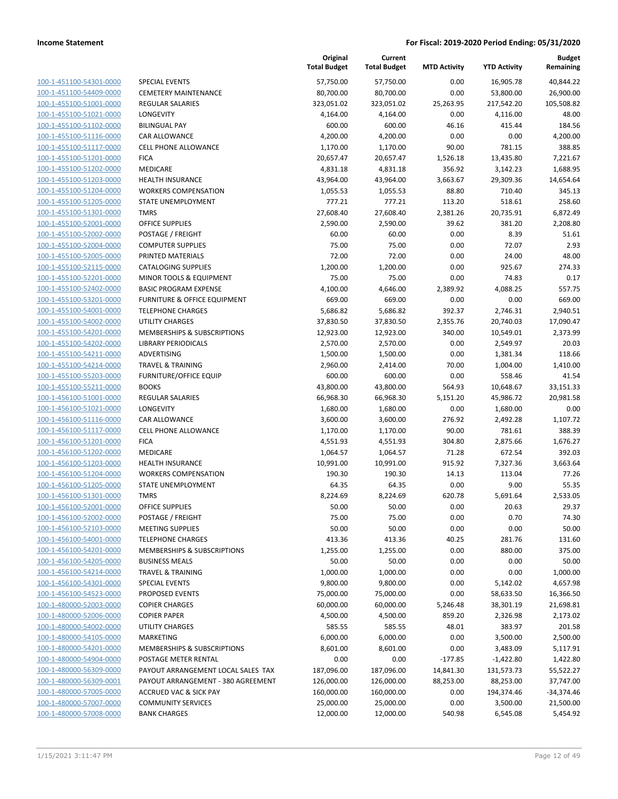| 100-1-451100-54301-0000                                   |
|-----------------------------------------------------------|
| 100-1-451100-54409-0000                                   |
| <u>100-1-455100-51001-0000</u>                            |
| <u>100-1-455100-51021-0000</u>                            |
| <u>100-1-455100-51102-0000</u>                            |
| 100-1-455100-51116-0000                                   |
| 100-1-455100-51117-0000                                   |
| <u>100-1-455100-51201-0000</u>                            |
| <u>100-1-455100-51202-0000</u>                            |
| 100-1-455100-51203-0000                                   |
| 100-1-455100-51204-0000                                   |
| 100-1-455100-51205-0000                                   |
| <u>100-1-455100-51301-0000</u>                            |
| <u>100-1-455100-52001-0000</u>                            |
| <u>100-1-455100-52002-0000</u>                            |
| 100-1-455100-52004-0000                                   |
| 100-1-455100-52005-0000                                   |
| <u>100-1-455100-52115-0000</u>                            |
| <u>100-1-455100-52201-0000</u>                            |
| 100-1-455100-52402-0000                                   |
| 100-1-455100-53201-0000                                   |
| 100-1-455100-54001-0000                                   |
| <u>100-1-455100-54002-0000</u>                            |
| <u>100-1-455100-54201-0000</u>                            |
| 100-1-455100-54202-0000                                   |
| 100-1-455100-54211-0000                                   |
| 100-1-455100-54214-0000                                   |
| <u>100-1-455100-55203-0000</u>                            |
| 100-1-455100-55211-0000                                   |
| 100-1-456100-51001-0000                                   |
| 100-1-456100-51021-0000                                   |
| 100-1-456100-51116-0000                                   |
| <u>100-1-456100-51117-0000</u>                            |
| <u>100-1-456100-51201-0000</u>                            |
| <u>100-1-456100-51202-0000</u>                            |
| 100-1-456100-51203-0000                                   |
| 100-1-456100-51204-0000                                   |
| 100-1-456100-51205-0000                                   |
| 100-1-456100-51301-0000                                   |
| <u>100-1-456100-52001-0000</u>                            |
| 100-1-456100-52002-0000                                   |
| 100-1-456100-52103-0000                                   |
| 100-1-456100-54001-0000                                   |
| 100-1-456100-54201-0000                                   |
| 100-1-456100-54205-0000                                   |
| 100-1-456100-54214-0000                                   |
| 100-1-456100-54301-0000                                   |
| 100-1-456100-54523-0000                                   |
| <u>100-1-480000-52003-0000</u><br>100-1-480000-52006-0000 |
| 100-1-480000-54002-0000                                   |
| 100-1-480000-54105-0000                                   |
| 100-1-480000-54201-0000                                   |
| <u>100-1-480000-54904-0000</u>                            |
| 100-1-480000-56309-0000                                   |
| 100-1-480000-56309-0001                                   |
| 100-1-480000-57005-0000                                   |
| 100-1-480000-57007-0000                                   |
| <u>100-1-480000-57008-0000</u>                            |
|                                                           |

|                         |                                        | Original<br><b>Total Budget</b> | Current<br><b>Total Budget</b> | <b>MTD Activity</b> | <b>YTD Activity</b> | <b>Budget</b><br>Remaining |
|-------------------------|----------------------------------------|---------------------------------|--------------------------------|---------------------|---------------------|----------------------------|
| 100-1-451100-54301-0000 | <b>SPECIAL EVENTS</b>                  | 57,750.00                       | 57,750.00                      | 0.00                | 16,905.78           | 40,844.22                  |
| 100-1-451100-54409-0000 | <b>CEMETERY MAINTENANCE</b>            | 80,700.00                       | 80,700.00                      | 0.00                | 53,800.00           | 26,900.00                  |
| 100-1-455100-51001-0000 | <b>REGULAR SALARIES</b>                | 323,051.02                      | 323,051.02                     | 25,263.95           | 217,542.20          | 105,508.82                 |
| 100-1-455100-51021-0000 | <b>LONGEVITY</b>                       | 4,164.00                        | 4,164.00                       | 0.00                | 4,116.00            | 48.00                      |
| 100-1-455100-51102-0000 | <b>BILINGUAL PAY</b>                   | 600.00                          | 600.00                         | 46.16               | 415.44              | 184.56                     |
| 100-1-455100-51116-0000 | CAR ALLOWANCE                          | 4,200.00                        | 4,200.00                       | 0.00                | 0.00                | 4,200.00                   |
| 100-1-455100-51117-0000 | <b>CELL PHONE ALLOWANCE</b>            | 1,170.00                        | 1,170.00                       | 90.00               | 781.15              | 388.85                     |
| 100-1-455100-51201-0000 | <b>FICA</b>                            | 20,657.47                       | 20,657.47                      | 1,526.18            | 13,435.80           | 7,221.67                   |
| 100-1-455100-51202-0000 | MEDICARE                               | 4,831.18                        | 4,831.18                       | 356.92              | 3,142.23            | 1,688.95                   |
| 100-1-455100-51203-0000 | <b>HEALTH INSURANCE</b>                | 43,964.00                       | 43,964.00                      | 3,663.67            | 29,309.36           | 14,654.64                  |
| 100-1-455100-51204-0000 | <b>WORKERS COMPENSATION</b>            | 1,055.53                        | 1,055.53                       | 88.80               | 710.40              | 345.13                     |
| 100-1-455100-51205-0000 | STATE UNEMPLOYMENT                     | 777.21                          | 777.21                         | 113.20              | 518.61              | 258.60                     |
| 100-1-455100-51301-0000 | <b>TMRS</b>                            | 27,608.40                       | 27,608.40                      | 2,381.26            | 20,735.91           | 6,872.49                   |
| 100-1-455100-52001-0000 | <b>OFFICE SUPPLIES</b>                 | 2,590.00                        | 2,590.00                       | 39.62               | 381.20              | 2,208.80                   |
| 100-1-455100-52002-0000 | POSTAGE / FREIGHT                      | 60.00                           | 60.00                          | 0.00                | 8.39                | 51.61                      |
| 100-1-455100-52004-0000 | <b>COMPUTER SUPPLIES</b>               | 75.00                           | 75.00                          | 0.00                | 72.07               | 2.93                       |
| 100-1-455100-52005-0000 | PRINTED MATERIALS                      | 72.00                           | 72.00                          | 0.00                | 24.00               | 48.00                      |
| 100-1-455100-52115-0000 | <b>CATALOGING SUPPLIES</b>             | 1,200.00                        | 1,200.00                       | 0.00                | 925.67              | 274.33                     |
| 100-1-455100-52201-0000 | MINOR TOOLS & EQUIPMENT                | 75.00                           | 75.00                          | 0.00                | 74.83               | 0.17                       |
| 100-1-455100-52402-0000 | <b>BASIC PROGRAM EXPENSE</b>           | 4,100.00                        | 4,646.00                       | 2,389.92            | 4,088.25            | 557.75                     |
| 100-1-455100-53201-0000 | FURNITURE & OFFICE EQUIPMENT           | 669.00                          | 669.00                         | 0.00                | 0.00                | 669.00                     |
| 100-1-455100-54001-0000 | <b>TELEPHONE CHARGES</b>               | 5,686.82                        | 5,686.82                       | 392.37              | 2,746.31            | 2,940.51                   |
| 100-1-455100-54002-0000 | <b>UTILITY CHARGES</b>                 | 37,830.50                       | 37,830.50                      | 2,355.76            | 20,740.03           | 17,090.47                  |
| 100-1-455100-54201-0000 | <b>MEMBERSHIPS &amp; SUBSCRIPTIONS</b> | 12,923.00                       | 12,923.00                      | 340.00              | 10,549.01           | 2,373.99                   |
| 100-1-455100-54202-0000 | <b>LIBRARY PERIODICALS</b>             | 2,570.00                        | 2,570.00                       | 0.00                | 2,549.97            | 20.03                      |
| 100-1-455100-54211-0000 | ADVERTISING                            | 1,500.00                        | 1,500.00                       | 0.00                | 1,381.34            | 118.66                     |
| 100-1-455100-54214-0000 | <b>TRAVEL &amp; TRAINING</b>           | 2,960.00                        | 2,414.00                       | 70.00               | 1,004.00            | 1,410.00                   |
| 100-1-455100-55203-0000 | <b>FURNITURE/OFFICE EQUIP</b>          | 600.00                          | 600.00                         | 0.00                | 558.46              | 41.54                      |
| 100-1-455100-55211-0000 | <b>BOOKS</b>                           | 43,800.00                       | 43,800.00                      | 564.93              | 10,648.67           | 33,151.33                  |
| 100-1-456100-51001-0000 | <b>REGULAR SALARIES</b>                | 66,968.30                       | 66,968.30                      | 5,151.20            | 45,986.72           | 20,981.58                  |
| 100-1-456100-51021-0000 | LONGEVITY                              | 1,680.00                        | 1,680.00                       | 0.00                | 1,680.00            | 0.00                       |
| 100-1-456100-51116-0000 | CAR ALLOWANCE                          | 3,600.00                        | 3,600.00                       | 276.92              | 2,492.28            | 1,107.72                   |
| 100-1-456100-51117-0000 | <b>CELL PHONE ALLOWANCE</b>            | 1,170.00                        | 1,170.00                       | 90.00               | 781.61              | 388.39                     |
| 100-1-456100-51201-0000 | <b>FICA</b>                            | 4,551.93                        | 4,551.93                       | 304.80              | 2,875.66            | 1,676.27                   |
| 100-1-456100-51202-0000 | MEDICARE                               | 1,064.57                        | 1,064.57                       | 71.28               | 672.54              | 392.03                     |
| 100-1-456100-51203-0000 | <b>HEALTH INSURANCE</b>                | 10,991.00                       | 10,991.00                      | 915.92              | 7,327.36            | 3,663.64                   |
| 100-1-456100-51204-0000 | <b>WORKERS COMPENSATION</b>            | 190.30                          | 190.30                         | 14.13               | 113.04              | 77.26                      |
| 100-1-456100-51205-0000 | STATE UNEMPLOYMENT                     | 64.35                           | 64.35                          | 0.00                | 9.00                | 55.35                      |
| 100-1-456100-51301-0000 | <b>TMRS</b>                            | 8,224.69                        | 8,224.69                       | 620.78              | 5,691.64            | 2,533.05                   |
| 100-1-456100-52001-0000 | OFFICE SUPPLIES                        | 50.00                           | 50.00                          | 0.00                | 20.63               | 29.37                      |
| 100-1-456100-52002-0000 | POSTAGE / FREIGHT                      | 75.00                           | 75.00                          | 0.00                | 0.70                | 74.30                      |
| 100-1-456100-52103-0000 | <b>MEETING SUPPLIES</b>                | 50.00                           | 50.00                          | 0.00                | 0.00                | 50.00                      |
| 100-1-456100-54001-0000 | <b>TELEPHONE CHARGES</b>               | 413.36                          | 413.36                         | 40.25               | 281.76              | 131.60                     |
| 100-1-456100-54201-0000 | <b>MEMBERSHIPS &amp; SUBSCRIPTIONS</b> | 1,255.00                        | 1,255.00                       | 0.00                | 880.00              | 375.00                     |
| 100-1-456100-54205-0000 | <b>BUSINESS MEALS</b>                  | 50.00                           | 50.00                          | 0.00                | 0.00                | 50.00                      |
| 100-1-456100-54214-0000 | <b>TRAVEL &amp; TRAINING</b>           | 1,000.00                        | 1,000.00                       | 0.00                | 0.00                | 1,000.00                   |
| 100-1-456100-54301-0000 | <b>SPECIAL EVENTS</b>                  | 9,800.00                        | 9,800.00                       | 0.00                | 5,142.02            | 4,657.98                   |
| 100-1-456100-54523-0000 | PROPOSED EVENTS                        | 75,000.00                       | 75,000.00                      | 0.00                | 58,633.50           | 16,366.50                  |
| 100-1-480000-52003-0000 | <b>COPIER CHARGES</b>                  | 60,000.00                       | 60,000.00                      | 5,246.48            | 38,301.19           | 21,698.81                  |
| 100-1-480000-52006-0000 | <b>COPIER PAPER</b>                    | 4,500.00                        | 4,500.00                       | 859.20              | 2,326.98            | 2,173.02                   |
| 100-1-480000-54002-0000 | <b>UTILITY CHARGES</b>                 | 585.55                          | 585.55                         | 48.01               | 383.97              | 201.58                     |
| 100-1-480000-54105-0000 | <b>MARKETING</b>                       | 6,000.00                        | 6,000.00                       | 0.00                | 3,500.00            | 2,500.00                   |
| 100-1-480000-54201-0000 | <b>MEMBERSHIPS &amp; SUBSCRIPTIONS</b> | 8,601.00                        | 8,601.00                       | 0.00                | 3,483.09            | 5,117.91                   |
| 100-1-480000-54904-0000 | POSTAGE METER RENTAL                   | 0.00                            | 0.00                           | $-177.85$           | $-1,422.80$         | 1,422.80                   |
| 100-1-480000-56309-0000 | PAYOUT ARRANGEMENT LOCAL SALES TAX     | 187,096.00                      | 187,096.00                     | 14,841.30           | 131,573.73          | 55,522.27                  |
| 100-1-480000-56309-0001 | PAYOUT ARRANGEMENT - 380 AGREEMENT     | 126,000.00                      | 126,000.00                     | 88,253.00           | 88,253.00           | 37,747.00                  |
| 100-1-480000-57005-0000 | <b>ACCRUED VAC &amp; SICK PAY</b>      | 160,000.00                      | 160,000.00                     | 0.00                | 194,374.46          | $-34,374.46$               |
| 100-1-480000-57007-0000 | <b>COMMUNITY SERVICES</b>              | 25,000.00                       | 25,000.00                      | 0.00                | 3,500.00            | 21,500.00                  |
| 100-1-480000-57008-0000 | <b>BANK CHARGES</b>                    | 12,000.00                       | 12,000.00                      | 540.98              | 6,545.08            | 5,454.92                   |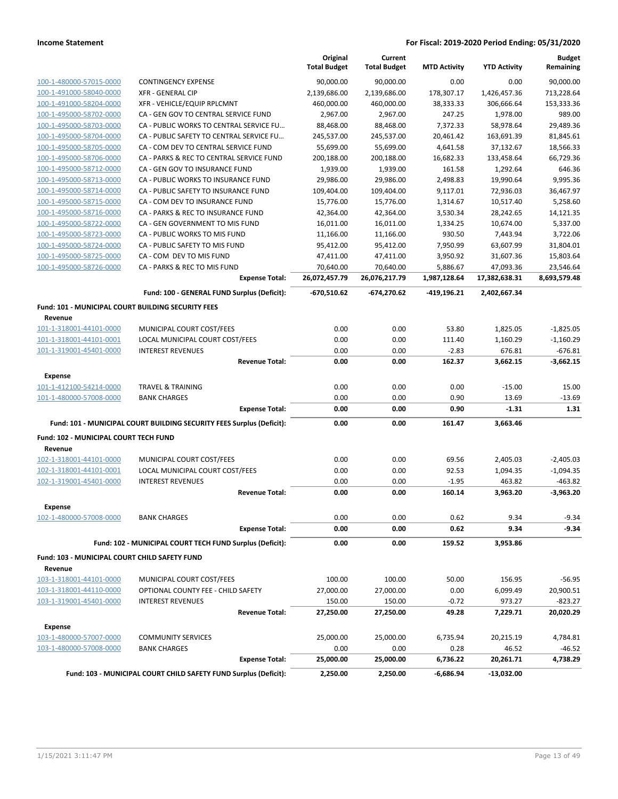|                                                                      |                                                                       | Original<br><b>Total Budget</b> | Current<br><b>Total Budget</b> | <b>MTD Activity</b> | <b>YTD Activity</b> | <b>Budget</b><br>Remaining |
|----------------------------------------------------------------------|-----------------------------------------------------------------------|---------------------------------|--------------------------------|---------------------|---------------------|----------------------------|
| 100-1-480000-57015-0000                                              | <b>CONTINGENCY EXPENSE</b>                                            | 90,000.00                       | 90,000.00                      | 0.00                | 0.00                | 90,000.00                  |
| 100-1-491000-58040-0000                                              | <b>XFR - GENERAL CIP</b>                                              | 2,139,686.00                    | 2,139,686.00                   | 178,307.17          | 1,426,457.36        | 713,228.64                 |
| 100-1-491000-58204-0000                                              | XFR - VEHICLE/EQUIP RPLCMNT                                           | 460,000.00                      | 460,000.00                     | 38,333.33           | 306,666.64          | 153,333.36                 |
| 100-1-495000-58702-0000                                              | CA - GEN GOV TO CENTRAL SERVICE FUND                                  | 2,967.00                        | 2,967.00                       | 247.25              | 1,978.00            | 989.00                     |
| 100-1-495000-58703-0000                                              | CA - PUBLIC WORKS TO CENTRAL SERVICE FU                               | 88,468.00                       | 88,468.00                      | 7,372.33            | 58,978.64           | 29,489.36                  |
| 100-1-495000-58704-0000                                              | CA - PUBLIC SAFETY TO CENTRAL SERVICE FU                              | 245,537.00                      | 245,537.00                     | 20,461.42           | 163,691.39          | 81,845.61                  |
| 100-1-495000-58705-0000                                              | CA - COM DEV TO CENTRAL SERVICE FUND                                  | 55,699.00                       | 55,699.00                      | 4,641.58            | 37,132.67           | 18,566.33                  |
| 100-1-495000-58706-0000                                              | CA - PARKS & REC TO CENTRAL SERVICE FUND                              | 200,188.00                      | 200,188.00                     | 16,682.33           | 133,458.64          | 66,729.36                  |
| 100-1-495000-58712-0000                                              | CA - GEN GOV TO INSURANCE FUND                                        | 1,939.00                        | 1,939.00                       | 161.58              | 1,292.64            | 646.36                     |
| 100-1-495000-58713-0000                                              | CA - PUBLIC WORKS TO INSURANCE FUND                                   | 29,986.00                       | 29,986.00                      | 2,498.83            | 19,990.64           | 9,995.36                   |
| 100-1-495000-58714-0000                                              | CA - PUBLIC SAFETY TO INSURANCE FUND                                  | 109,404.00                      | 109,404.00                     | 9,117.01            | 72,936.03           | 36,467.97                  |
| 100-1-495000-58715-0000                                              | CA - COM DEV TO INSURANCE FUND                                        | 15,776.00                       | 15,776.00                      | 1,314.67            | 10,517.40           | 5,258.60                   |
| 100-1-495000-58716-0000                                              | CA - PARKS & REC TO INSURANCE FUND                                    | 42,364.00                       | 42,364.00                      | 3,530.34            | 28,242.65           | 14,121.35                  |
| 100-1-495000-58722-0000                                              | CA - GEN GOVERNMENT TO MIS FUND                                       | 16,011.00                       | 16,011.00                      | 1,334.25            | 10,674.00           | 5,337.00                   |
| 100-1-495000-58723-0000                                              | CA - PUBLIC WORKS TO MIS FUND                                         | 11,166.00                       | 11,166.00                      | 930.50              | 7,443.94            | 3,722.06                   |
| 100-1-495000-58724-0000                                              | CA - PUBLIC SAFETY TO MIS FUND                                        | 95,412.00                       | 95,412.00                      | 7,950.99            | 63,607.99           | 31,804.01                  |
| 100-1-495000-58725-0000                                              | CA - COM DEV TO MIS FUND                                              | 47,411.00                       | 47,411.00                      | 3,950.92            | 31,607.36           | 15,803.64                  |
| 100-1-495000-58726-0000                                              | CA - PARKS & REC TO MIS FUND                                          | 70,640.00                       | 70,640.00                      | 5,886.67            | 47,093.36           | 23,546.64                  |
|                                                                      | <b>Expense Total:</b>                                                 | 26,072,457.79                   | 26,076,217.79                  | 1,987,128.64        | 17,382,638.31       | 8,693,579.48               |
|                                                                      | Fund: 100 - GENERAL FUND Surplus (Deficit):                           | $-670,510.62$                   | $-674,270.62$                  | -419,196.21         | 2,402,667.34        |                            |
| <b>Fund: 101 - MUNICIPAL COURT BUILDING SECURITY FEES</b><br>Revenue |                                                                       |                                 |                                |                     |                     |                            |
| 101-1-318001-44101-0000                                              | MUNICIPAL COURT COST/FEES                                             | 0.00                            | 0.00                           | 53.80               | 1,825.05            | $-1,825.05$                |
| 101-1-318001-44101-0001                                              | LOCAL MUNICIPAL COURT COST/FEES                                       | 0.00                            | 0.00                           | 111.40              | 1,160.29            | $-1,160.29$                |
| 101-1-319001-45401-0000                                              | <b>INTEREST REVENUES</b>                                              | 0.00                            | 0.00                           | $-2.83$             | 676.81              | $-676.81$                  |
|                                                                      | <b>Revenue Total:</b>                                                 | 0.00                            | 0.00                           | 162.37              | 3,662.15            | $-3,662.15$                |
| <b>Expense</b>                                                       |                                                                       |                                 |                                |                     |                     |                            |
| 101-1-412100-54214-0000                                              | <b>TRAVEL &amp; TRAINING</b>                                          | 0.00                            | 0.00                           | 0.00                | $-15.00$            | 15.00                      |
| 101-1-480000-57008-0000                                              | <b>BANK CHARGES</b>                                                   | 0.00                            | 0.00                           | 0.90                | 13.69               | $-13.69$                   |
|                                                                      | <b>Expense Total:</b>                                                 | 0.00                            | 0.00                           | 0.90                | $-1.31$             | 1.31                       |
|                                                                      | Fund: 101 - MUNICIPAL COURT BUILDING SECURITY FEES Surplus (Deficit): | 0.00                            | 0.00                           | 161.47              | 3,663.46            |                            |
| Fund: 102 - MUNICIPAL COURT TECH FUND<br>Revenue                     |                                                                       |                                 |                                |                     |                     |                            |
| 102-1-318001-44101-0000                                              | MUNICIPAL COURT COST/FEES                                             | 0.00                            | 0.00                           | 69.56               | 2,405.03            | $-2,405.03$                |
| 102-1-318001-44101-0001                                              | LOCAL MUNICIPAL COURT COST/FEES                                       | 0.00                            | 0.00                           | 92.53               | 1,094.35            | $-1,094.35$                |
| 102-1-319001-45401-0000                                              | <b>INTEREST REVENUES</b>                                              | 0.00                            | 0.00                           | $-1.95$             | 463.82              | $-463.82$                  |
|                                                                      | <b>Revenue Total:</b>                                                 | 0.00                            | 0.00                           | 160.14              | 3,963.20            | $-3,963.20$                |
| Expense                                                              |                                                                       |                                 |                                |                     |                     |                            |
| 102-1-480000-57008-0000                                              | <b>BANK CHARGES</b>                                                   | 0.00                            | 0.00                           | 0.62                | 9.34                | $-9.34$                    |
|                                                                      | <b>Expense Total:</b>                                                 | 0.00                            | 0.00                           | 0.62                | 9.34                | -9.34                      |
|                                                                      | Fund: 102 - MUNICIPAL COURT TECH FUND Surplus (Deficit):              | 0.00                            | 0.00                           | 159.52              | 3,953.86            |                            |
| <b>Fund: 103 - MUNICIPAL COURT CHILD SAFETY FUND</b><br>Revenue      |                                                                       |                                 |                                |                     |                     |                            |
| 103-1-318001-44101-0000                                              | MUNICIPAL COURT COST/FEES                                             | 100.00                          | 100.00                         | 50.00               | 156.95              | $-56.95$                   |
| 103-1-318001-44110-0000                                              | OPTIONAL COUNTY FEE - CHILD SAFETY                                    | 27,000.00                       | 27,000.00                      | 0.00                | 6,099.49            | 20,900.51                  |
| 103-1-319001-45401-0000                                              | <b>INTEREST REVENUES</b>                                              | 150.00                          | 150.00                         | $-0.72$             | 973.27              | $-823.27$                  |
|                                                                      | <b>Revenue Total:</b>                                                 | 27,250.00                       | 27,250.00                      | 49.28               | 7,229.71            | 20,020.29                  |
| <b>Expense</b>                                                       |                                                                       |                                 |                                |                     |                     |                            |
| 103-1-480000-57007-0000                                              | <b>COMMUNITY SERVICES</b>                                             | 25,000.00                       | 25,000.00                      | 6,735.94            | 20,215.19           | 4,784.81                   |
| 103-1-480000-57008-0000                                              | <b>BANK CHARGES</b>                                                   | 0.00                            | 0.00                           | 0.28                | 46.52               | $-46.52$                   |
|                                                                      | <b>Expense Total:</b>                                                 | 25,000.00                       | 25,000.00                      | 6,736.22            | 20,261.71           | 4,738.29                   |
|                                                                      | Fund: 103 - MUNICIPAL COURT CHILD SAFETY FUND Surplus (Deficit):      | 2,250.00                        | 2,250.00                       | -6,686.94           | $-13,032.00$        |                            |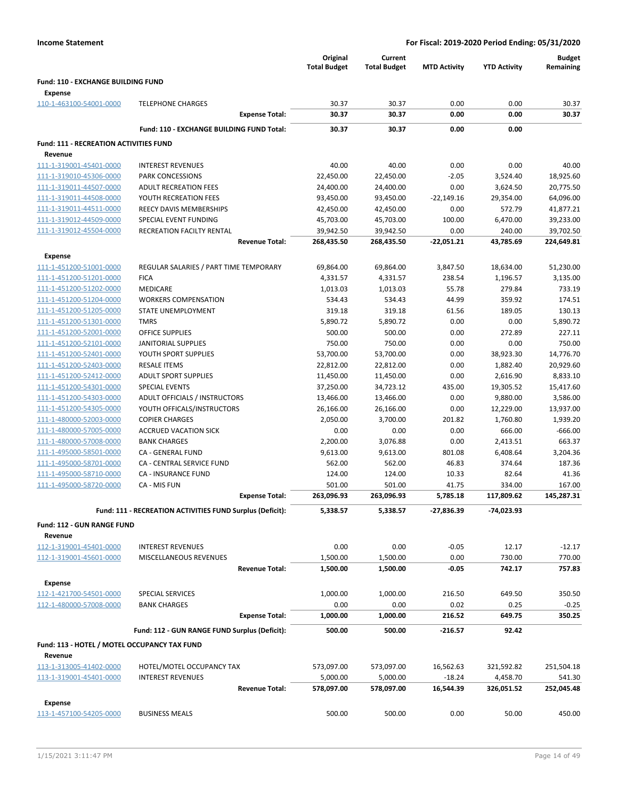|                                                             |                                                           | Original            | Current             |                     |                       | <b>Budget</b>         |
|-------------------------------------------------------------|-----------------------------------------------------------|---------------------|---------------------|---------------------|-----------------------|-----------------------|
|                                                             |                                                           | <b>Total Budget</b> | <b>Total Budget</b> | <b>MTD Activity</b> | <b>YTD Activity</b>   | Remaining             |
| <b>Fund: 110 - EXCHANGE BUILDING FUND</b><br><b>Expense</b> |                                                           |                     |                     |                     |                       |                       |
| 110-1-463100-54001-0000                                     | <b>TELEPHONE CHARGES</b>                                  | 30.37               | 30.37               | 0.00                | 0.00                  | 30.37                 |
|                                                             | <b>Expense Total:</b>                                     | 30.37               | 30.37               | 0.00                | 0.00                  | 30.37                 |
|                                                             | Fund: 110 - EXCHANGE BUILDING FUND Total:                 | 30.37               | 30.37               | 0.00                | 0.00                  |                       |
| <b>Fund: 111 - RECREATION ACTIVITIES FUND</b><br>Revenue    |                                                           |                     |                     |                     |                       |                       |
| 111-1-319001-45401-0000                                     | <b>INTEREST REVENUES</b>                                  | 40.00               | 40.00               | 0.00                | 0.00                  | 40.00                 |
| 111-1-319010-45306-0000                                     | PARK CONCESSIONS                                          | 22,450.00           | 22,450.00           | $-2.05$             | 3,524.40              | 18,925.60             |
| 111-1-319011-44507-0000                                     | <b>ADULT RECREATION FEES</b>                              | 24,400.00           | 24,400.00           | 0.00                | 3,624.50              | 20,775.50             |
| 111-1-319011-44508-0000                                     | YOUTH RECREATION FEES                                     | 93,450.00           | 93,450.00           | $-22,149.16$        | 29,354.00             | 64,096.00             |
| 111-1-319011-44511-0000                                     | REECY DAVIS MEMBERSHIPS                                   | 42,450.00           | 42,450.00           | 0.00                | 572.79                | 41,877.21             |
| 111-1-319012-44509-0000                                     | SPECIAL EVENT FUNDING                                     | 45,703.00           | 45,703.00           | 100.00              | 6,470.00              | 39,233.00             |
| 111-1-319012-45504-0000                                     | RECREATION FACILTY RENTAL                                 | 39,942.50           | 39,942.50           | 0.00                | 240.00                | 39,702.50             |
|                                                             | <b>Revenue Total:</b>                                     | 268,435.50          | 268,435.50          | -22,051.21          | 43,785.69             | 224,649.81            |
| <b>Expense</b>                                              |                                                           |                     |                     |                     |                       |                       |
| 111-1-451200-51001-0000                                     | REGULAR SALARIES / PART TIME TEMPORARY                    | 69,864.00           | 69,864.00           | 3,847.50            | 18,634.00             | 51,230.00             |
| 111-1-451200-51201-0000                                     | <b>FICA</b>                                               | 4,331.57            | 4,331.57            | 238.54              | 1,196.57              | 3,135.00              |
| 111-1-451200-51202-0000                                     | <b>MEDICARE</b>                                           | 1,013.03            | 1,013.03            | 55.78               | 279.84                | 733.19                |
| 111-1-451200-51204-0000                                     | <b>WORKERS COMPENSATION</b>                               | 534.43              | 534.43              | 44.99               | 359.92                | 174.51                |
| 111-1-451200-51205-0000                                     | STATE UNEMPLOYMENT                                        | 319.18              | 319.18              | 61.56               | 189.05                | 130.13                |
| 111-1-451200-51301-0000                                     | <b>TMRS</b>                                               | 5,890.72            | 5,890.72            | 0.00                | 0.00                  | 5,890.72              |
| 111-1-451200-52001-0000                                     | <b>OFFICE SUPPLIES</b>                                    | 500.00              | 500.00              | 0.00                | 272.89                | 227.11                |
| 111-1-451200-52101-0000                                     | <b>JANITORIAL SUPPLIES</b>                                | 750.00              | 750.00              | 0.00                | 0.00                  | 750.00                |
| 111-1-451200-52401-0000                                     | YOUTH SPORT SUPPLIES                                      | 53,700.00           | 53,700.00           | 0.00                | 38,923.30             | 14,776.70             |
| 111-1-451200-52403-0000                                     | <b>RESALE ITEMS</b>                                       | 22,812.00           | 22,812.00           | 0.00                | 1,882.40              | 20,929.60             |
| 111-1-451200-52412-0000                                     | <b>ADULT SPORT SUPPLIES</b>                               | 11,450.00           | 11,450.00           | 0.00                | 2,616.90              | 8,833.10              |
| 111-1-451200-54301-0000                                     | <b>SPECIAL EVENTS</b>                                     | 37,250.00           | 34,723.12           | 435.00              | 19,305.52             | 15,417.60             |
| 111-1-451200-54303-0000                                     | ADULT OFFICIALS / INSTRUCTORS                             | 13,466.00           | 13,466.00           | 0.00                | 9,880.00              | 3,586.00              |
| 111-1-451200-54305-0000<br>111-1-480000-52003-0000          | YOUTH OFFICALS/INSTRUCTORS<br><b>COPIER CHARGES</b>       | 26,166.00           | 26,166.00           | 0.00<br>201.82      | 12,229.00<br>1,760.80 | 13,937.00<br>1,939.20 |
| 111-1-480000-57005-0000                                     | <b>ACCRUED VACATION SICK</b>                              | 2,050.00<br>0.00    | 3,700.00<br>0.00    | 0.00                | 666.00                | $-666.00$             |
| 111-1-480000-57008-0000                                     | <b>BANK CHARGES</b>                                       | 2,200.00            | 3,076.88            | 0.00                | 2,413.51              | 663.37                |
| 111-1-495000-58501-0000                                     | CA - GENERAL FUND                                         | 9,613.00            | 9,613.00            | 801.08              | 6,408.64              | 3,204.36              |
| 111-1-495000-58701-0000                                     | <b>CA - CENTRAL SERVICE FUND</b>                          | 562.00              | 562.00              | 46.83               | 374.64                | 187.36                |
| 111-1-495000-58710-0000                                     | <b>CA - INSURANCE FUND</b>                                | 124.00              | 124.00              | 10.33               | 82.64                 | 41.36                 |
| 111-1-495000-58720-0000                                     | CA - MIS FUN                                              | 501.00              | 501.00              | 41.75               | 334.00                | 167.00                |
|                                                             | <b>Expense Total:</b>                                     | 263,096.93          | 263,096.93          | 5,785.18            | 117,809.62            | 145,287.31            |
|                                                             | Fund: 111 - RECREATION ACTIVITIES FUND Surplus (Deficit): | 5,338.57            | 5,338.57            | $-27,836.39$        | -74,023.93            |                       |
| Fund: 112 - GUN RANGE FUND                                  |                                                           |                     |                     |                     |                       |                       |
| Revenue                                                     |                                                           |                     |                     |                     |                       |                       |
| 112-1-319001-45401-0000                                     | <b>INTEREST REVENUES</b>                                  | 0.00                | 0.00                | $-0.05$             | 12.17                 | $-12.17$              |
| 112-1-319001-45601-0000                                     | MISCELLANEOUS REVENUES                                    | 1,500.00            | 1,500.00            | 0.00                | 730.00                | 770.00                |
|                                                             | <b>Revenue Total:</b>                                     | 1,500.00            | 1,500.00            | $-0.05$             | 742.17                | 757.83                |
| <b>Expense</b><br>112-1-421700-54501-0000                   |                                                           |                     |                     |                     |                       |                       |
| 112-1-480000-57008-0000                                     | SPECIAL SERVICES                                          | 1,000.00            | 1,000.00<br>0.00    | 216.50<br>0.02      | 649.50                | 350.50<br>$-0.25$     |
|                                                             | <b>BANK CHARGES</b><br><b>Expense Total:</b>              | 0.00<br>1,000.00    | 1,000.00            | 216.52              | 0.25<br>649.75        | 350.25                |
|                                                             | Fund: 112 - GUN RANGE FUND Surplus (Deficit):             | 500.00              | 500.00              | $-216.57$           | 92.42                 |                       |
|                                                             |                                                           |                     |                     |                     |                       |                       |
| Fund: 113 - HOTEL / MOTEL OCCUPANCY TAX FUND<br>Revenue     |                                                           |                     |                     |                     |                       |                       |
| 113-1-313005-41402-0000                                     | HOTEL/MOTEL OCCUPANCY TAX                                 | 573,097.00          | 573,097.00          | 16,562.63           | 321,592.82            | 251,504.18            |
| 113-1-319001-45401-0000                                     | <b>INTEREST REVENUES</b>                                  | 5,000.00            | 5,000.00            | $-18.24$            | 4,458.70              | 541.30                |
|                                                             | <b>Revenue Total:</b>                                     | 578,097.00          | 578,097.00          | 16,544.39           | 326,051.52            | 252,045.48            |
| Expense                                                     |                                                           |                     |                     |                     |                       |                       |
| 113-1-457100-54205-0000                                     | <b>BUSINESS MEALS</b>                                     | 500.00              | 500.00              | 0.00                | 50.00                 | 450.00                |
|                                                             |                                                           |                     |                     |                     |                       |                       |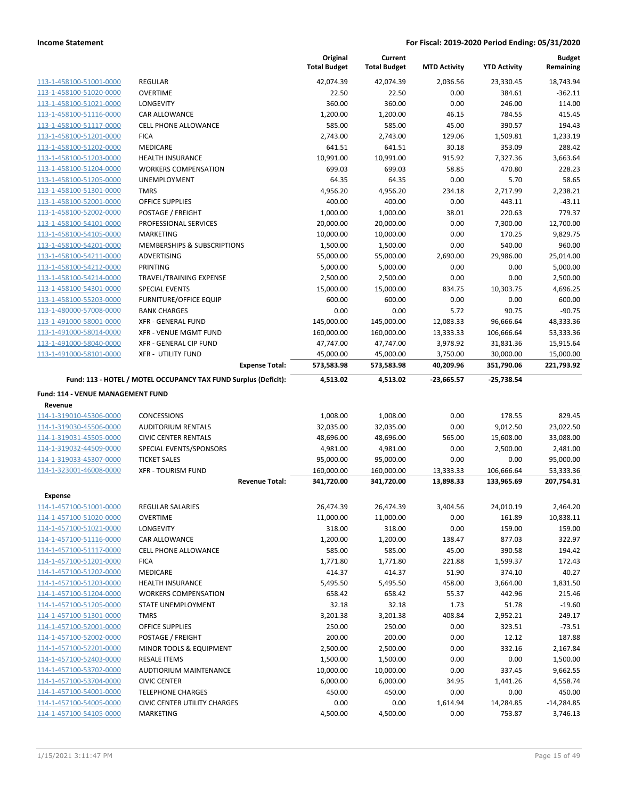|                                   |                                                                 | Original<br><b>Total Budget</b> | Current<br><b>Total Budget</b> | <b>MTD Activity</b> | <b>YTD Activity</b> | <b>Budget</b><br>Remaining |
|-----------------------------------|-----------------------------------------------------------------|---------------------------------|--------------------------------|---------------------|---------------------|----------------------------|
| 113-1-458100-51001-0000           | <b>REGULAR</b>                                                  | 42,074.39                       | 42,074.39                      | 2,036.56            | 23,330.45           | 18,743.94                  |
| 113-1-458100-51020-0000           | <b>OVERTIME</b>                                                 | 22.50                           | 22.50                          | 0.00                | 384.61              | $-362.11$                  |
| 113-1-458100-51021-0000           | LONGEVITY                                                       | 360.00                          | 360.00                         | 0.00                | 246.00              | 114.00                     |
| 113-1-458100-51116-0000           | <b>CAR ALLOWANCE</b>                                            | 1,200.00                        | 1,200.00                       | 46.15               | 784.55              | 415.45                     |
| 113-1-458100-51117-0000           | <b>CELL PHONE ALLOWANCE</b>                                     | 585.00                          | 585.00                         | 45.00               | 390.57              | 194.43                     |
| 113-1-458100-51201-0000           | <b>FICA</b>                                                     | 2,743.00                        | 2,743.00                       | 129.06              | 1,509.81            | 1,233.19                   |
| 113-1-458100-51202-0000           | MEDICARE                                                        | 641.51                          | 641.51                         | 30.18               | 353.09              | 288.42                     |
| 113-1-458100-51203-0000           | <b>HEALTH INSURANCE</b>                                         | 10,991.00                       | 10,991.00                      | 915.92              | 7,327.36            | 3,663.64                   |
| 113-1-458100-51204-0000           | <b>WORKERS COMPENSATION</b>                                     | 699.03                          | 699.03                         | 58.85               | 470.80              | 228.23                     |
| 113-1-458100-51205-0000           | UNEMPLOYMENT                                                    | 64.35                           | 64.35                          | 0.00                | 5.70                | 58.65                      |
| 113-1-458100-51301-0000           | <b>TMRS</b>                                                     | 4,956.20                        | 4,956.20                       | 234.18              | 2,717.99            | 2,238.21                   |
| 113-1-458100-52001-0000           | <b>OFFICE SUPPLIES</b>                                          | 400.00                          | 400.00                         | 0.00                | 443.11              | $-43.11$                   |
| 113-1-458100-52002-0000           | POSTAGE / FREIGHT                                               | 1,000.00                        | 1,000.00                       | 38.01               | 220.63              | 779.37                     |
| 113-1-458100-54101-0000           | PROFESSIONAL SERVICES                                           | 20,000.00                       | 20,000.00                      | 0.00                | 7,300.00            | 12,700.00                  |
| 113-1-458100-54105-0000           | MARKETING                                                       | 10,000.00                       | 10,000.00                      | 0.00                | 170.25              | 9,829.75                   |
| 113-1-458100-54201-0000           | MEMBERSHIPS & SUBSCRIPTIONS                                     | 1,500.00                        | 1,500.00                       | 0.00                | 540.00              | 960.00                     |
| 113-1-458100-54211-0000           | ADVERTISING                                                     | 55,000.00                       | 55,000.00                      | 2,690.00            | 29,986.00           | 25,014.00                  |
| 113-1-458100-54212-0000           | PRINTING                                                        | 5,000.00                        | 5,000.00                       | 0.00                | 0.00                | 5,000.00                   |
| 113-1-458100-54214-0000           | TRAVEL/TRAINING EXPENSE                                         | 2,500.00                        | 2,500.00                       | 0.00                | 0.00                | 2,500.00                   |
| 113-1-458100-54301-0000           | <b>SPECIAL EVENTS</b>                                           | 15,000.00                       | 15,000.00                      | 834.75              | 10,303.75           | 4,696.25                   |
| 113-1-458100-55203-0000           | <b>FURNITURE/OFFICE EQUIP</b>                                   | 600.00                          | 600.00                         | 0.00                | 0.00                | 600.00                     |
| 113-1-480000-57008-0000           | <b>BANK CHARGES</b>                                             | 0.00                            | 0.00                           | 5.72                | 90.75               | $-90.75$                   |
| 113-1-491000-58001-0000           | <b>XFR - GENERAL FUND</b>                                       | 145,000.00                      | 145,000.00                     | 12,083.33           | 96,666.64           | 48,333.36                  |
| 113-1-491000-58014-0000           | <b>XFR - VENUE MGMT FUND</b>                                    | 160,000.00                      | 160,000.00                     | 13,333.33           | 106,666.64          | 53,333.36                  |
| 113-1-491000-58040-0000           | XFR - GENERAL CIP FUND                                          | 47,747.00                       | 47,747.00                      | 3,978.92            | 31,831.36           | 15,915.64                  |
| 113-1-491000-58101-0000           | <b>XFR - UTILITY FUND</b>                                       | 45,000.00                       | 45,000.00                      | 3,750.00            | 30,000.00           | 15,000.00                  |
|                                   | <b>Expense Total:</b>                                           | 573,583.98                      | 573,583.98                     | 40,209.96           | 351,790.06          | 221,793.92                 |
|                                   | Fund: 113 - HOTEL / MOTEL OCCUPANCY TAX FUND Surplus (Deficit): | 4,513.02                        | 4,513.02                       | $-23,665.57$        | -25,738.54          |                            |
| Fund: 114 - VENUE MANAGEMENT FUND |                                                                 |                                 |                                |                     |                     |                            |
| Revenue                           |                                                                 |                                 |                                |                     |                     |                            |
| 114-1-319010-45306-0000           | <b>CONCESSIONS</b>                                              | 1,008.00                        | 1,008.00                       | 0.00                | 178.55              | 829.45                     |
| 114-1-319030-45506-0000           | <b>AUDITORIUM RENTALS</b>                                       | 32,035.00                       | 32,035.00                      | 0.00                | 9,012.50            | 23,022.50                  |
| 114-1-319031-45505-0000           | <b>CIVIC CENTER RENTALS</b>                                     | 48,696.00                       | 48,696.00                      | 565.00              | 15,608.00           | 33,088.00                  |
| 114-1-319032-44509-0000           | SPECIAL EVENTS/SPONSORS                                         | 4,981.00                        | 4,981.00                       | 0.00                | 2,500.00            | 2,481.00                   |
| 114-1-319033-45307-0000           | <b>TICKET SALES</b>                                             | 95,000.00                       | 95,000.00                      | 0.00                | 0.00                | 95,000.00                  |
| 114-1-323001-46008-0000           | <b>XFR - TOURISM FUND</b>                                       | 160,000.00                      | 160,000.00                     | 13,333.33           | 106,666.64          | 53,333.36                  |
|                                   | <b>Revenue Total:</b>                                           | 341,720.00                      | 341,720.00                     | 13,898.33           | 133,965.69          | 207,754.31                 |
| Expense                           |                                                                 |                                 |                                |                     |                     |                            |
| 114-1-457100-51001-0000           | <b>REGULAR SALARIES</b>                                         | 26,474.39                       | 26,474.39                      | 3,404.56            | 24,010.19           | 2,464.20                   |
| 114-1-457100-51020-0000           | <b>OVERTIME</b>                                                 | 11,000.00                       | 11,000.00                      | 0.00                | 161.89              | 10,838.11                  |
| 114-1-457100-51021-0000           | LONGEVITY                                                       | 318.00                          | 318.00                         | 0.00                | 159.00              | 159.00                     |
| 114-1-457100-51116-0000           | <b>CAR ALLOWANCE</b>                                            | 1,200.00                        | 1,200.00                       | 138.47              | 877.03              | 322.97                     |
| 114-1-457100-51117-0000           | CELL PHONE ALLOWANCE                                            | 585.00                          | 585.00                         | 45.00               | 390.58              | 194.42                     |
| 114-1-457100-51201-0000           | <b>FICA</b>                                                     | 1,771.80                        | 1,771.80                       | 221.88              | 1,599.37            | 172.43                     |
| 114-1-457100-51202-0000           | MEDICARE                                                        | 414.37                          | 414.37                         | 51.90               | 374.10              | 40.27                      |
| 114-1-457100-51203-0000           | HEALTH INSURANCE                                                | 5,495.50                        | 5,495.50                       | 458.00              | 3,664.00            | 1,831.50                   |
| 114-1-457100-51204-0000           | <b>WORKERS COMPENSATION</b>                                     | 658.42                          | 658.42                         | 55.37               | 442.96              | 215.46                     |
| 114-1-457100-51205-0000           | STATE UNEMPLOYMENT                                              | 32.18                           | 32.18                          | 1.73                | 51.78               | $-19.60$                   |
| 114-1-457100-51301-0000           | <b>TMRS</b>                                                     | 3,201.38                        | 3,201.38                       | 408.84              | 2,952.21            | 249.17                     |
| 114-1-457100-52001-0000           | OFFICE SUPPLIES                                                 | 250.00                          | 250.00                         | 0.00                | 323.51              | $-73.51$                   |
| 114-1-457100-52002-0000           | POSTAGE / FREIGHT                                               | 200.00                          | 200.00                         | 0.00                | 12.12               | 187.88                     |
| 114-1-457100-52201-0000           | MINOR TOOLS & EQUIPMENT                                         | 2,500.00                        | 2,500.00                       | 0.00                | 332.16              | 2,167.84                   |
| 114-1-457100-52403-0000           | <b>RESALE ITEMS</b>                                             | 1,500.00                        | 1,500.00                       | 0.00                | 0.00                | 1,500.00                   |
| 114-1-457100-53702-0000           | AUDTIORIUM MAINTENANCE                                          | 10,000.00                       | 10,000.00                      | 0.00                | 337.45              | 9,662.55                   |
| 114-1-457100-53704-0000           | <b>CIVIC CENTER</b>                                             | 6,000.00                        | 6,000.00                       | 34.95               | 1,441.26            | 4,558.74                   |
| 114-1-457100-54001-0000           | <b>TELEPHONE CHARGES</b>                                        | 450.00                          | 450.00                         | 0.00                | 0.00                | 450.00                     |
| 114-1-457100-54005-0000           | <b>CIVIC CENTER UTILITY CHARGES</b>                             | 0.00                            | 0.00                           | 1,614.94            | 14,284.85           | $-14,284.85$               |
| 114-1-457100-54105-0000           | MARKETING                                                       | 4,500.00                        | 4,500.00                       | 0.00                | 753.87              | 3,746.13                   |
|                                   |                                                                 |                                 |                                |                     |                     |                            |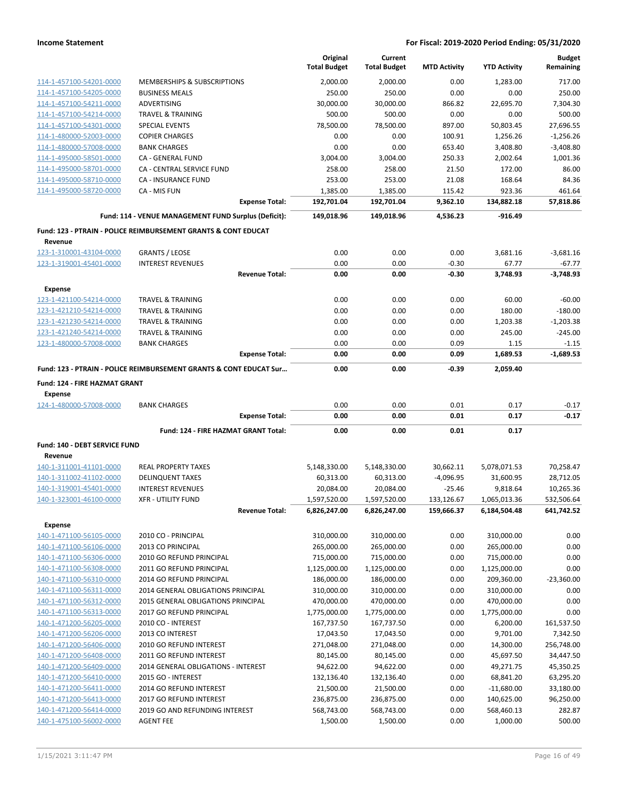|                                          |                                                                               | Original<br><b>Total Budget</b> | Current<br><b>Total Budget</b> | <b>MTD Activity</b> | <b>YTD Activity</b>      | <b>Budget</b><br>Remaining |
|------------------------------------------|-------------------------------------------------------------------------------|---------------------------------|--------------------------------|---------------------|--------------------------|----------------------------|
| 114-1-457100-54201-0000                  | MEMBERSHIPS & SUBSCRIPTIONS                                                   | 2,000.00                        | 2,000.00                       | 0.00                | 1,283.00                 | 717.00                     |
| 114-1-457100-54205-0000                  | <b>BUSINESS MEALS</b>                                                         | 250.00                          | 250.00                         | 0.00                | 0.00                     | 250.00                     |
| 114-1-457100-54211-0000                  | ADVERTISING                                                                   | 30,000.00                       | 30,000.00                      | 866.82              | 22,695.70                | 7,304.30                   |
| 114-1-457100-54214-0000                  | <b>TRAVEL &amp; TRAINING</b>                                                  | 500.00                          | 500.00                         | 0.00                | 0.00                     | 500.00                     |
| 114-1-457100-54301-0000                  | <b>SPECIAL EVENTS</b>                                                         | 78,500.00                       | 78,500.00                      | 897.00              | 50,803.45                | 27,696.55                  |
| 114-1-480000-52003-0000                  | <b>COPIER CHARGES</b>                                                         | 0.00                            | 0.00                           | 100.91              | 1,256.26                 | $-1,256.26$                |
| 114-1-480000-57008-0000                  | <b>BANK CHARGES</b>                                                           | 0.00                            | 0.00                           | 653.40              | 3,408.80                 | $-3,408.80$                |
| 114-1-495000-58501-0000                  | CA - GENERAL FUND                                                             | 3,004.00                        | 3,004.00                       | 250.33              | 2,002.64                 | 1,001.36                   |
| 114-1-495000-58701-0000                  | <b>CA - CENTRAL SERVICE FUND</b>                                              | 258.00                          | 258.00                         | 21.50               | 172.00                   | 86.00                      |
| 114-1-495000-58710-0000                  | <b>CA - INSURANCE FUND</b>                                                    | 253.00                          | 253.00                         | 21.08               | 168.64                   | 84.36                      |
| 114-1-495000-58720-0000                  | CA - MIS FUN                                                                  | 1,385.00                        | 1,385.00                       | 115.42              | 923.36                   | 461.64                     |
|                                          | <b>Expense Total:</b>                                                         | 192,701.04                      | 192,701.04                     | 9,362.10            | 134,882.18               | 57,818.86                  |
|                                          | Fund: 114 - VENUE MANAGEMENT FUND Surplus (Deficit):                          | 149,018.96                      | 149,018.96                     | 4,536.23            | $-916.49$                |                            |
|                                          | Fund: 123 - PTRAIN - POLICE REIMBURSEMENT GRANTS & CONT EDUCAT                |                                 |                                |                     |                          |                            |
| Revenue<br>123-1-310001-43104-0000       | <b>GRANTS / LEOSE</b>                                                         | 0.00                            | 0.00                           | 0.00                | 3,681.16                 | $-3,681.16$                |
| 123-1-319001-45401-0000                  | <b>INTEREST REVENUES</b>                                                      | 0.00                            | 0.00                           | $-0.30$             | 67.77                    | $-67.77$                   |
|                                          | <b>Revenue Total:</b>                                                         | 0.00                            | 0.00                           | $-0.30$             | 3,748.93                 | $-3,748.93$                |
|                                          |                                                                               |                                 |                                |                     |                          |                            |
| <b>Expense</b>                           |                                                                               |                                 |                                |                     |                          |                            |
| 123-1-421100-54214-0000                  | <b>TRAVEL &amp; TRAINING</b>                                                  | 0.00                            | 0.00                           | 0.00                | 60.00                    | $-60.00$                   |
| 123-1-421210-54214-0000                  | <b>TRAVEL &amp; TRAINING</b>                                                  | 0.00                            | 0.00                           | 0.00                | 180.00                   | $-180.00$                  |
| 123-1-421230-54214-0000                  | <b>TRAVEL &amp; TRAINING</b>                                                  | 0.00                            | 0.00                           | 0.00                | 1,203.38                 | $-1,203.38$                |
| 123-1-421240-54214-0000                  | <b>TRAVEL &amp; TRAINING</b>                                                  | 0.00                            | 0.00                           | 0.00                | 245.00                   | $-245.00$                  |
| 123-1-480000-57008-0000                  | <b>BANK CHARGES</b>                                                           | 0.00                            | 0.00                           | 0.09                | 1.15                     | $-1.15$                    |
|                                          | <b>Expense Total:</b>                                                         | 0.00                            | 0.00                           | 0.09                | 1,689.53                 | $-1,689.53$                |
|                                          | <b>Fund: 123 - PTRAIN - POLICE REIMBURSEMENT GRANTS &amp; CONT EDUCAT Sur</b> | 0.00                            | 0.00                           | $-0.39$             | 2,059.40                 |                            |
| Fund: 124 - FIRE HAZMAT GRANT<br>Expense |                                                                               |                                 |                                |                     |                          |                            |
|                                          |                                                                               |                                 |                                |                     |                          |                            |
| 124-1-480000-57008-0000                  | <b>BANK CHARGES</b>                                                           | 0.00                            | 0.00                           | 0.01                | 0.17                     | $-0.17$                    |
|                                          | <b>Expense Total:</b>                                                         | 0.00                            | 0.00                           | 0.01                | 0.17                     | $-0.17$                    |
|                                          | <b>Fund: 124 - FIRE HAZMAT GRANT Total:</b>                                   | 0.00                            | 0.00                           | 0.01                | 0.17                     |                            |
| Fund: 140 - DEBT SERVICE FUND            |                                                                               |                                 |                                |                     |                          |                            |
| Revenue                                  |                                                                               |                                 |                                |                     |                          |                            |
| 140-1-311001-41101-0000                  | <b>REAL PROPERTY TAXES</b>                                                    | 5,148,330.00                    | 5,148,330.00                   | 30,662.11           | 5,078,071.53             | 70,258.47                  |
| 140-1-311002-41102-0000                  | <b>DELINQUENT TAXES</b>                                                       | 60,313.00                       | 60,313.00                      | $-4,096.95$         | 31,600.95                | 28,712.05                  |
| 140-1-319001-45401-0000                  | <b>INTEREST REVENUES</b>                                                      | 20,084.00                       | 20,084.00                      | $-25.46$            | 9,818.64                 | 10,265.36                  |
| 140-1-323001-46100-0000                  | <b>XFR - UTILITY FUND</b>                                                     | 1,597,520.00                    | 1,597,520.00                   | 133,126.67          | 1,065,013.36             | 532,506.64                 |
|                                          | <b>Revenue Total:</b>                                                         | 6,826,247.00                    | 6,826,247.00                   | 159,666.37          | 6,184,504.48             | 641,742.52                 |
| <b>Expense</b>                           |                                                                               |                                 |                                |                     |                          |                            |
| 140-1-471100-56105-0000                  | 2010 CO - PRINCIPAL                                                           | 310,000.00                      | 310,000.00                     | 0.00                | 310,000.00               | 0.00                       |
| 140-1-471100-56106-0000                  | 2013 CO PRINCIPAL                                                             | 265,000.00                      | 265,000.00                     | 0.00                | 265,000.00               | 0.00                       |
| 140-1-471100-56306-0000                  | 2010 GO REFUND PRINCIPAL                                                      | 715,000.00                      | 715,000.00                     | 0.00                | 715,000.00               | 0.00                       |
| 140-1-471100-56308-0000                  | 2011 GO REFUND PRINCIPAL                                                      | 1,125,000.00                    | 1,125,000.00                   | 0.00                | 1,125,000.00             | 0.00                       |
| 140-1-471100-56310-0000                  | 2014 GO REFUND PRINCIPAL                                                      | 186,000.00                      | 186,000.00                     | 0.00                | 209,360.00               | $-23,360.00$               |
| 140-1-471100-56311-0000                  | 2014 GENERAL OBLIGATIONS PRINCIPAL                                            | 310,000.00                      | 310,000.00                     | 0.00                | 310,000.00               | 0.00                       |
| 140-1-471100-56312-0000                  | 2015 GENERAL OBLIGATIONS PRINCIPAL                                            | 470,000.00                      | 470,000.00                     | 0.00                | 470,000.00               | 0.00                       |
| 140-1-471100-56313-0000                  | 2017 GO REFUND PRINCIPAL                                                      | 1,775,000.00                    | 1,775,000.00                   | 0.00                | 1,775,000.00             | 0.00                       |
| 140-1-471200-56205-0000                  | 2010 CO - INTEREST                                                            | 167,737.50                      | 167,737.50                     | 0.00                | 6,200.00                 | 161,537.50                 |
| 140-1-471200-56206-0000                  | 2013 CO INTEREST                                                              | 17,043.50                       | 17,043.50                      | 0.00                | 9,701.00                 | 7,342.50                   |
| 140-1-471200-56406-0000                  | 2010 GO REFUND INTEREST                                                       | 271,048.00                      | 271,048.00                     | 0.00                | 14,300.00                | 256,748.00                 |
| 140-1-471200-56408-0000                  | 2011 GO REFUND INTEREST                                                       | 80,145.00                       | 80,145.00                      | 0.00                | 45,697.50                | 34,447.50                  |
| 140-1-471200-56409-0000                  | 2014 GENERAL OBLIGATIONS - INTEREST                                           | 94,622.00                       | 94,622.00                      | 0.00                | 49,271.75                | 45,350.25                  |
| 140-1-471200-56410-0000                  | 2015 GO - INTEREST                                                            | 132,136.40                      | 132,136.40                     | 0.00                | 68,841.20                | 63,295.20                  |
| 140-1-471200-56411-0000                  | 2014 GO REFUND INTEREST                                                       | 21,500.00                       | 21,500.00                      | 0.00                | $-11,680.00$             | 33,180.00                  |
| 140-1-471200-56413-0000                  | 2017 GO REFUND INTEREST                                                       |                                 | 236,875.00                     | 0.00                |                          | 96,250.00                  |
| 140-1-471200-56414-0000                  | 2019 GO AND REFUNDING INTEREST                                                | 236,875.00<br>568,743.00        | 568,743.00                     | 0.00                | 140,625.00<br>568,460.13 | 282.87                     |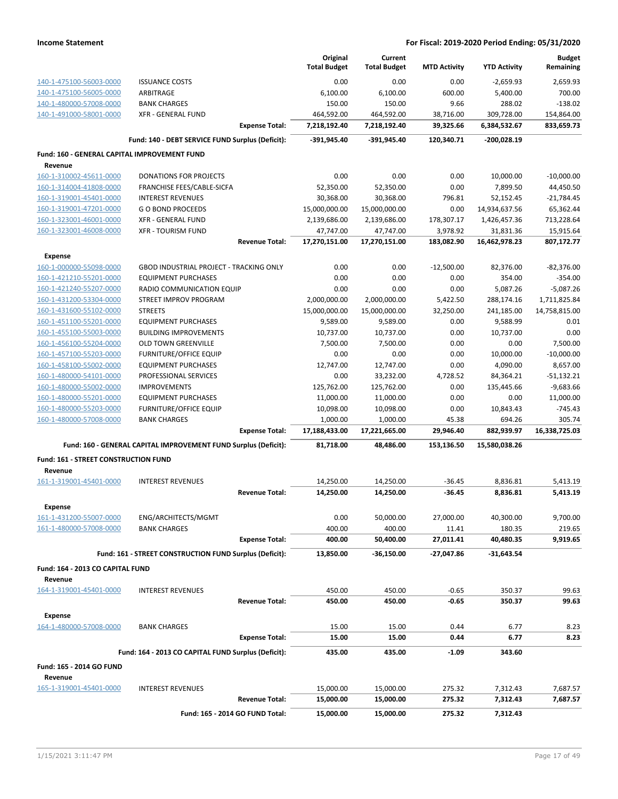|                                              |                                                                 | Original                  | Current                   |                     |                      | <b>Budget</b>           |
|----------------------------------------------|-----------------------------------------------------------------|---------------------------|---------------------------|---------------------|----------------------|-------------------------|
|                                              |                                                                 | <b>Total Budget</b>       | <b>Total Budget</b>       | <b>MTD Activity</b> | <b>YTD Activity</b>  | Remaining               |
| 140-1-475100-56003-0000                      | <b>ISSUANCE COSTS</b>                                           | 0.00                      | 0.00                      | 0.00                | $-2,659.93$          | 2,659.93                |
| 140-1-475100-56005-0000                      | ARBITRAGE                                                       | 6,100.00                  | 6,100.00                  | 600.00              | 5,400.00             | 700.00                  |
| 140-1-480000-57008-0000                      | <b>BANK CHARGES</b>                                             | 150.00                    | 150.00                    | 9.66                | 288.02               | $-138.02$               |
| 140-1-491000-58001-0000                      | <b>XFR - GENERAL FUND</b>                                       | 464,592.00                | 464,592.00                | 38,716.00           | 309,728.00           | 154,864.00              |
|                                              | <b>Expense Total:</b>                                           | 7,218,192.40              | 7,218,192.40              | 39,325.66           | 6,384,532.67         | 833,659.73              |
|                                              | Fund: 140 - DEBT SERVICE FUND Surplus (Deficit):                | -391,945.40               | -391,945.40               | 120,340.71          | -200,028.19          |                         |
| Fund: 160 - GENERAL CAPITAL IMPROVEMENT FUND |                                                                 |                           |                           |                     |                      |                         |
| Revenue                                      |                                                                 |                           |                           |                     |                      |                         |
| 160-1-310002-45611-0000                      | <b>DONATIONS FOR PROJECTS</b>                                   | 0.00                      | 0.00                      | 0.00                | 10,000.00            | $-10,000.00$            |
| 160-1-314004-41808-0000                      | FRANCHISE FEES/CABLE-SICFA                                      | 52,350.00                 | 52,350.00                 | 0.00                | 7,899.50             | 44,450.50               |
| 160-1-319001-45401-0000                      | <b>INTEREST REVENUES</b>                                        | 30,368.00                 | 30,368.00                 | 796.81              | 52,152.45            | $-21,784.45$            |
| 160-1-319001-47201-0000                      | <b>GO BOND PROCEEDS</b>                                         | 15,000,000.00             | 15,000,000.00             | 0.00                | 14,934,637.56        | 65,362.44               |
| 160-1-323001-46001-0000                      | <b>XFR - GENERAL FUND</b>                                       | 2,139,686.00              | 2,139,686.00              | 178,307.17          | 1,426,457.36         | 713,228.64              |
| 160-1-323001-46008-0000                      | <b>XFR - TOURISM FUND</b>                                       | 47,747.00                 | 47,747.00                 | 3,978.92            | 31,831.36            | 15,915.64               |
|                                              | <b>Revenue Total:</b>                                           | 17,270,151.00             | 17,270,151.00             | 183,082.90          | 16,462,978.23        | 807,172.77              |
| Expense                                      |                                                                 |                           |                           |                     |                      |                         |
| 160-1-000000-55098-0000                      | <b>GBOD INDUSTRIAL PROJECT - TRACKING ONLY</b>                  | 0.00                      | 0.00                      | $-12,500.00$        | 82,376.00            | $-82,376.00$            |
| 160-1-421210-55201-0000                      | <b>EQUIPMENT PURCHASES</b>                                      | 0.00                      | 0.00                      | 0.00                | 354.00               | $-354.00$               |
| 160-1-421240-55207-0000                      | RADIO COMMUNICATION EQUIP                                       | 0.00                      | 0.00                      | 0.00                | 5,087.26             | $-5,087.26$             |
| 160-1-431200-53304-0000                      | STREET IMPROV PROGRAM                                           | 2,000,000.00              | 2,000,000.00              | 5,422.50            | 288,174.16           | 1,711,825.84            |
| 160-1-431600-55102-0000                      | <b>STREETS</b>                                                  | 15,000,000.00             | 15,000,000.00             | 32,250.00           | 241,185.00           | 14,758,815.00           |
| 160-1-451100-55201-0000                      | <b>EQUIPMENT PURCHASES</b>                                      | 9,589.00                  | 9,589.00                  | 0.00                | 9,588.99             | 0.01                    |
| 160-1-455100-55003-0000                      | <b>BUILDING IMPROVEMENTS</b>                                    | 10,737.00                 | 10,737.00                 | 0.00                | 10,737.00            | 0.00                    |
| 160-1-456100-55204-0000                      | <b>OLD TOWN GREENVILLE</b>                                      | 7,500.00                  | 7,500.00                  | 0.00                | 0.00                 | 7,500.00                |
| 160-1-457100-55203-0000                      | <b>FURNITURE/OFFICE EQUIP</b>                                   | 0.00                      | 0.00                      | 0.00                | 10,000.00            | $-10,000.00$            |
| 160-1-458100-55002-0000                      | <b>EQUIPMENT PURCHASES</b>                                      | 12,747.00                 | 12,747.00                 | 0.00                | 4,090.00             | 8,657.00                |
| 160-1-480000-54101-0000                      | PROFESSIONAL SERVICES                                           | 0.00                      | 33,232.00                 | 4,728.52            | 84,364.21            | $-51,132.21$            |
| 160-1-480000-55002-0000                      | <b>IMPROVEMENTS</b>                                             | 125,762.00                | 125,762.00                | 0.00                | 135,445.66           | $-9,683.66$             |
| 160-1-480000-55201-0000                      | <b>EQUIPMENT PURCHASES</b>                                      | 11,000.00                 | 11,000.00                 | 0.00                | 0.00                 | 11,000.00               |
| 160-1-480000-55203-0000                      | <b>FURNITURE/OFFICE EQUIP</b>                                   | 10,098.00                 | 10,098.00                 | 0.00                | 10,843.43            | $-745.43$               |
| 160-1-480000-57008-0000                      | <b>BANK CHARGES</b><br><b>Expense Total:</b>                    | 1,000.00<br>17,188,433.00 | 1,000.00<br>17,221,665.00 | 45.38<br>29,946.40  | 694.26<br>882,939.97 | 305.74<br>16,338,725.03 |
|                                              |                                                                 |                           |                           |                     |                      |                         |
|                                              | Fund: 160 - GENERAL CAPITAL IMPROVEMENT FUND Surplus (Deficit): | 81,718.00                 | 48,486.00                 | 153,136.50          | 15,580,038.26        |                         |
| Fund: 161 - STREET CONSTRUCTION FUND         |                                                                 |                           |                           |                     |                      |                         |
| Revenue                                      |                                                                 |                           |                           |                     |                      |                         |
| 161-1-319001-45401-0000                      | <b>INTEREST REVENUES</b><br><b>Revenue Total:</b>               | 14,250.00                 | 14,250.00                 | $-36.45$            | 8,836.81             | 5,413.19                |
|                                              |                                                                 | 14,250.00                 | 14,250.00                 | $-36.45$            | 8,836.81             | 5,413.19                |
| Expense                                      |                                                                 |                           |                           |                     |                      |                         |
| 161-1-431200-55007-0000                      | ENG/ARCHITECTS/MGMT                                             | 0.00                      | 50,000.00                 | 27,000.00           | 40,300.00            | 9,700.00                |
| 161-1-480000-57008-0000                      | <b>BANK CHARGES</b>                                             | 400.00                    | 400.00                    | 11.41               | 180.35               | 219.65                  |
|                                              | <b>Expense Total:</b>                                           | 400.00                    | 50,400.00                 | 27,011.41           | 40,480.35            | 9,919.65                |
|                                              | Fund: 161 - STREET CONSTRUCTION FUND Surplus (Deficit):         | 13,850.00                 | $-36,150.00$              | -27,047.86          | $-31,643.54$         |                         |
| Fund: 164 - 2013 CO CAPITAL FUND             |                                                                 |                           |                           |                     |                      |                         |
| Revenue                                      |                                                                 |                           |                           |                     |                      |                         |
| 164-1-319001-45401-0000                      | <b>INTEREST REVENUES</b>                                        | 450.00                    | 450.00                    | $-0.65$             | 350.37               | 99.63                   |
|                                              | <b>Revenue Total:</b>                                           | 450.00                    | 450.00                    | -0.65               | 350.37               | 99.63                   |
| <b>Expense</b>                               |                                                                 |                           |                           |                     |                      |                         |
| 164-1-480000-57008-0000                      | <b>BANK CHARGES</b>                                             | 15.00                     | 15.00                     | 0.44                | 6.77                 | 8.23                    |
|                                              | <b>Expense Total:</b>                                           | 15.00                     | 15.00                     | 0.44                | 6.77                 | 8.23                    |
|                                              | Fund: 164 - 2013 CO CAPITAL FUND Surplus (Deficit):             | 435.00                    | 435.00                    | -1.09               | 343.60               |                         |
| <b>Fund: 165 - 2014 GO FUND</b>              |                                                                 |                           |                           |                     |                      |                         |
| Revenue                                      |                                                                 |                           |                           |                     |                      |                         |
| 165-1-319001-45401-0000                      | <b>INTEREST REVENUES</b>                                        | 15,000.00                 | 15,000.00                 | 275.32              | 7,312.43             | 7,687.57                |
|                                              | <b>Revenue Total:</b>                                           | 15,000.00                 | 15,000.00                 | 275.32              | 7,312.43             | 7,687.57                |
|                                              |                                                                 |                           |                           |                     |                      |                         |
|                                              | Fund: 165 - 2014 GO FUND Total:                                 | 15,000.00                 | 15,000.00                 | 275.32              | 7,312.43             |                         |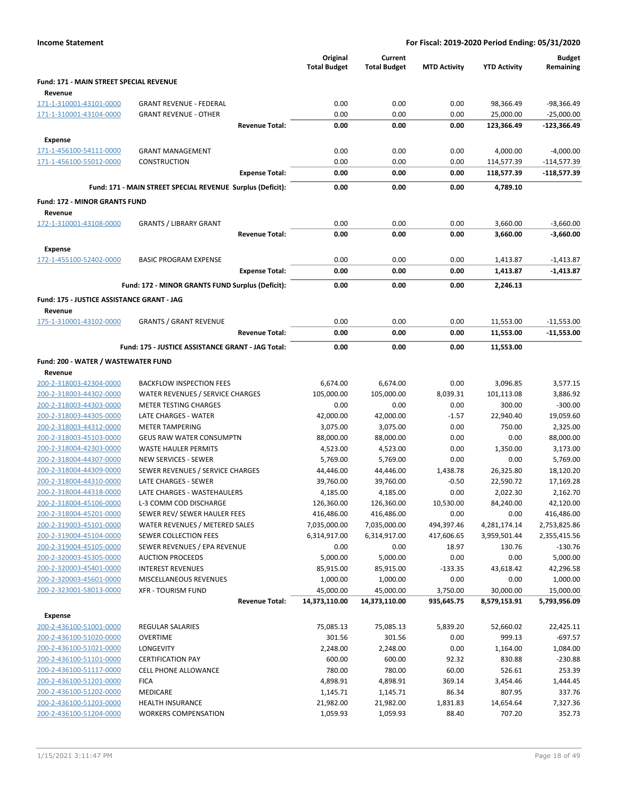|                                                    |                                                            | Original<br><b>Total Budget</b> | Current<br><b>Total Budget</b> | <b>MTD Activity</b> | <b>YTD Activity</b> | <b>Budget</b><br>Remaining |
|----------------------------------------------------|------------------------------------------------------------|---------------------------------|--------------------------------|---------------------|---------------------|----------------------------|
| Fund: 171 - MAIN STREET SPECIAL REVENUE            |                                                            |                                 |                                |                     |                     |                            |
| Revenue                                            |                                                            |                                 |                                |                     |                     |                            |
| 171-1-310001-43101-0000                            | <b>GRANT REVENUE - FEDERAL</b>                             | 0.00                            | 0.00                           | 0.00                | 98,366.49           | -98,366.49                 |
| 171-1-310001-43104-0000                            | <b>GRANT REVENUE - OTHER</b>                               | 0.00                            | 0.00                           | 0.00                | 25,000.00           | $-25,000.00$               |
|                                                    | <b>Revenue Total:</b>                                      | 0.00                            | 0.00                           | 0.00                | 123,366.49          | -123,366.49                |
| Expense                                            |                                                            |                                 |                                |                     |                     |                            |
| 171-1-456100-54111-0000                            | <b>GRANT MANAGEMENT</b>                                    | 0.00                            | 0.00                           | 0.00                | 4,000.00            | $-4,000.00$                |
| 171-1-456100-55012-0000                            | CONSTRUCTION                                               | 0.00                            | 0.00                           | 0.00                | 114,577.39          | -114,577.39                |
|                                                    | <b>Expense Total:</b>                                      | 0.00                            | 0.00                           | 0.00                | 118,577.39          | $-118,577.39$              |
|                                                    | Fund: 171 - MAIN STREET SPECIAL REVENUE Surplus (Deficit): | 0.00                            | 0.00                           | 0.00                | 4,789.10            |                            |
| <b>Fund: 172 - MINOR GRANTS FUND</b>               |                                                            |                                 |                                |                     |                     |                            |
| Revenue                                            |                                                            |                                 |                                |                     |                     |                            |
| 172-1-310001-43108-0000                            | <b>GRANTS / LIBRARY GRANT</b>                              | 0.00                            | 0.00                           | 0.00                | 3,660.00            | $-3,660.00$                |
|                                                    | <b>Revenue Total:</b>                                      | 0.00                            | 0.00                           | 0.00                | 3,660.00            | $-3,660.00$                |
| Expense                                            |                                                            |                                 |                                |                     |                     |                            |
| 172-1-455100-52402-0000                            | <b>BASIC PROGRAM EXPENSE</b>                               | 0.00                            | 0.00                           | 0.00                | 1,413.87            | $-1,413.87$                |
|                                                    | <b>Expense Total:</b>                                      | 0.00                            | 0.00                           | 0.00                | 1,413.87            | $-1,413.87$                |
|                                                    | Fund: 172 - MINOR GRANTS FUND Surplus (Deficit):           | 0.00                            | 0.00                           | 0.00                | 2,246.13            |                            |
| Fund: 175 - JUSTICE ASSISTANCE GRANT - JAG         |                                                            |                                 |                                |                     |                     |                            |
| Revenue                                            |                                                            |                                 |                                |                     |                     |                            |
| 175-1-310001-43102-0000                            | <b>GRANTS / GRANT REVENUE</b>                              | 0.00                            | 0.00                           | 0.00                | 11,553.00           | $-11,553.00$               |
|                                                    | <b>Revenue Total:</b>                                      | 0.00                            | 0.00                           | 0.00                | 11,553.00           | $-11,553.00$               |
|                                                    | Fund: 175 - JUSTICE ASSISTANCE GRANT - JAG Total:          | 0.00                            | 0.00                           | 0.00                | 11,553.00           |                            |
| Fund: 200 - WATER / WASTEWATER FUND                |                                                            |                                 |                                |                     |                     |                            |
| Revenue                                            |                                                            |                                 |                                |                     |                     |                            |
| 200-2-318003-42304-0000                            | <b>BACKFLOW INSPECTION FEES</b>                            | 6,674.00                        | 6,674.00                       | 0.00                | 3,096.85            | 3,577.15                   |
| 200-2-318003-44302-0000                            | WATER REVENUES / SERVICE CHARGES                           | 105,000.00                      | 105,000.00                     | 8,039.31            | 101,113.08          | 3,886.92                   |
| 200-2-318003-44303-0000                            | <b>METER TESTING CHARGES</b>                               | 0.00                            | 0.00                           | 0.00                | 300.00              | $-300.00$                  |
| 200-2-318003-44305-0000                            | LATE CHARGES - WATER                                       | 42,000.00                       | 42,000.00                      | $-1.57$             | 22,940.40           | 19,059.60                  |
| 200-2-318003-44312-0000                            | <b>METER TAMPERING</b>                                     | 3,075.00                        | 3,075.00                       | 0.00                | 750.00              | 2,325.00                   |
| 200-2-318003-45103-0000                            | GEUS RAW WATER CONSUMPTN                                   | 88,000.00                       | 88,000.00                      | 0.00                | 0.00                | 88,000.00                  |
| 200-2-318004-42303-0000                            | <b>WASTE HAULER PERMITS</b>                                | 4,523.00                        | 4,523.00                       | 0.00                | 1,350.00            | 3,173.00                   |
| 200-2-318004-44307-0000                            | NEW SERVICES - SEWER                                       | 5,769.00                        | 5,769.00                       | 0.00                | 0.00                | 5,769.00                   |
| 200-2-318004-44309-0000                            | SEWER REVENUES / SERVICE CHARGES                           | 44,446.00                       | 44,446.00                      | 1,438.78            | 26,325.80           | 18,120.20                  |
| 200-2-318004-44310-0000                            | LATE CHARGES - SEWER                                       | 39,760.00                       | 39,760.00                      | $-0.50$             | 22,590.72           | 17,169.28                  |
| 200-2-318004-44318-0000                            | LATE CHARGES - WASTEHAULERS                                | 4,185.00                        | 4,185.00                       | 0.00                | 2,022.30            | 2,162.70                   |
| 200-2-318004-45106-0000                            | L-3 COMM COD DISCHARGE                                     | 126,360.00                      | 126,360.00                     | 10,530.00           | 84,240.00           | 42,120.00                  |
| 200-2-318004-45201-0000                            | SEWER REV/ SEWER HAULER FEES                               | 416,486.00                      | 416,486.00                     | 0.00                | 0.00                | 416,486.00                 |
| 200-2-319003-45101-0000                            | WATER REVENUES / METERED SALES                             | 7,035,000.00                    | 7,035,000.00                   | 494,397.46          | 4,281,174.14        | 2,753,825.86               |
| 200-2-319004-45104-0000                            | SEWER COLLECTION FEES                                      | 6,314,917.00                    | 6,314,917.00                   | 417,606.65          | 3,959,501.44        | 2,355,415.56               |
| 200-2-319004-45105-0000                            | SEWER REVENUES / EPA REVENUE                               | 0.00                            | 0.00                           | 18.97               | 130.76              | $-130.76$                  |
| 200-2-320003-45305-0000                            | <b>AUCTION PROCEEDS</b>                                    | 5,000.00                        | 5,000.00                       | 0.00                | 0.00                | 5,000.00                   |
| 200-2-320003-45401-0000                            | <b>INTEREST REVENUES</b>                                   | 85,915.00                       | 85,915.00                      | $-133.35$           | 43,618.42           | 42,296.58                  |
| 200-2-320003-45601-0000                            | MISCELLANEOUS REVENUES                                     | 1,000.00                        | 1,000.00                       | 0.00                | 0.00                | 1,000.00                   |
| 200-2-323001-58013-0000                            | <b>XFR - TOURISM FUND</b><br><b>Revenue Total:</b>         | 45,000.00                       | 45,000.00                      | 3,750.00            | 30,000.00           | 15,000.00                  |
|                                                    |                                                            | 14,373,110.00                   | 14,373,110.00                  | 935,645.75          | 8,579,153.91        | 5,793,956.09               |
| <b>Expense</b>                                     |                                                            |                                 |                                |                     |                     |                            |
| 200-2-436100-51001-0000                            | REGULAR SALARIES                                           | 75,085.13                       | 75,085.13                      | 5,839.20            | 52,660.02           | 22,425.11                  |
| 200-2-436100-51020-0000                            | <b>OVERTIME</b>                                            | 301.56                          | 301.56                         | 0.00                | 999.13              | $-697.57$                  |
| 200-2-436100-51021-0000                            | <b>LONGEVITY</b>                                           | 2,248.00                        | 2,248.00                       | 0.00                | 1,164.00            | 1,084.00                   |
| 200-2-436100-51101-0000                            | <b>CERTIFICATION PAY</b>                                   | 600.00                          | 600.00                         | 92.32               | 830.88              | $-230.88$                  |
| 200-2-436100-51117-0000                            | <b>CELL PHONE ALLOWANCE</b>                                | 780.00                          | 780.00                         | 60.00               | 526.61              | 253.39                     |
| 200-2-436100-51201-0000<br>200-2-436100-51202-0000 | <b>FICA</b><br><b>MEDICARE</b>                             | 4,898.91<br>1,145.71            | 4,898.91                       | 369.14<br>86.34     | 3,454.46<br>807.95  | 1,444.45<br>337.76         |
| 200-2-436100-51203-0000                            | <b>HEALTH INSURANCE</b>                                    | 21,982.00                       | 1,145.71<br>21,982.00          | 1,831.83            | 14,654.64           | 7,327.36                   |
| 200-2-436100-51204-0000                            | <b>WORKERS COMPENSATION</b>                                | 1,059.93                        | 1,059.93                       | 88.40               | 707.20              | 352.73                     |
|                                                    |                                                            |                                 |                                |                     |                     |                            |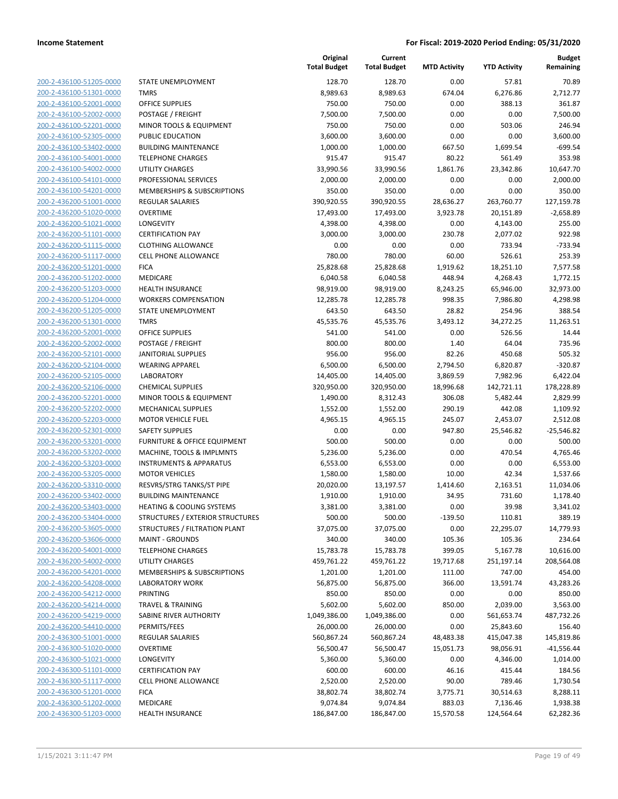| 200-2-436100-51205-0000          |
|----------------------------------|
| 200-2-436100-51301-0000          |
| 200-2-436100-52001-0000          |
| 200-2-436100-52002-0000          |
| 200-2-436100-52201-0000          |
|                                  |
| 200-2-436100-52305-0000          |
| 200-2-436100-53402-0000          |
| 200-2-436100-54001-0000          |
| 200-2-436100-54002-0000          |
| 2-436100-54101-<br>200-<br>0000- |
| 200-2-436100-54201-0000          |
| 200-2-436200-51001-0000          |
| 200-2-436200-51020-0000          |
| 200-2-436200-51021-0000          |
| 2-436200-51101-0000              |
| 200-                             |
| 200-2-436200-51115-0000          |
| 200-2-436200-51117-0000          |
| 200-2-436200-51201-0000          |
| 200-2-436200-51202-0000          |
| 2-436200-51203-0000<br>200-      |
| 200-2-436200-51204-0000          |
| 200-2-436200-51205-0000          |
| 200-2-436200-51301-0000          |
| 200-2-436200-52001-0000          |
|                                  |
| 2-436200-52002-0000<br>200-      |
| 200-2-436200-52101-0000          |
| 200-2-436200-52104-0000          |
| 200-2-436200-52105-0000          |
| 200-2-436200-52106-0000          |
| 2-436200-52201-<br>200-<br>0000- |
| 200-2-436200-52202-0000          |
| 200-2-436200-52203-0000          |
| 200-2-436200-52301-0000          |
| 200-2-436200-53201-0000          |
| 200-2-436200-53202-0000          |
|                                  |
| 200-2-436200-53203-0000          |
| 200-2-436200-53205-0000          |
| 200-2-436200-53310-0000          |
| 200-2-436200-53402-0000          |
| 200-2-436200-53403-0000          |
| 200-2-436200-53404-0000          |
| 200-2-436200-53605-0000          |
| 200-2-436200-53606-0000          |
|                                  |
|                                  |
| 200-2-436200-54001-0000          |
| 200-2-436200-54002-0000          |
| 200-2-436200-54201-0000          |
| 200-2-436200-54208-0000          |
| 200-2-436200-54212-0000          |
| 200-2-436200-54214-0000          |
| 200-2-436200-54219-0000          |
| 200-2-436200-54410-0000          |
|                                  |
| 200-2-436300-51001-0000          |
| 200-2-436300-51020-0000          |
| 200-2-436300-51021-0000          |
| 200-2-436300-51101-0000          |
| 200-2-436300-51117-0000          |
| 200-2-436300-51201-0000          |
| <u>200-2-436300-51202-0000</u>   |
| 200-2-436300-51203-0000          |

|                                                    |                                                 | Original<br><b>Total Budget</b> | Current<br><b>Total Budget</b> | <b>MTD Activity</b> | <b>YTD Activity</b>     | <b>Budget</b><br>Remaining |
|----------------------------------------------------|-------------------------------------------------|---------------------------------|--------------------------------|---------------------|-------------------------|----------------------------|
| 200-2-436100-51205-0000                            | STATE UNEMPLOYMENT                              | 128.70                          | 128.70                         | 0.00                | 57.81                   | 70.89                      |
| 200-2-436100-51301-0000                            | <b>TMRS</b>                                     | 8,989.63                        | 8,989.63                       | 674.04              | 6,276.86                | 2,712.77                   |
| 200-2-436100-52001-0000                            | <b>OFFICE SUPPLIES</b>                          | 750.00                          | 750.00                         | 0.00                | 388.13                  | 361.87                     |
| 200-2-436100-52002-0000                            | POSTAGE / FREIGHT                               | 7,500.00                        | 7,500.00                       | 0.00                | 0.00                    | 7,500.00                   |
| 200-2-436100-52201-0000                            | MINOR TOOLS & EQUIPMENT                         | 750.00                          | 750.00                         | 0.00                | 503.06                  | 246.94                     |
| 200-2-436100-52305-0000                            | PUBLIC EDUCATION                                | 3,600.00                        | 3,600.00                       | 0.00                | 0.00                    | 3,600.00                   |
| 200-2-436100-53402-0000                            | <b>BUILDING MAINTENANCE</b>                     | 1,000.00                        | 1,000.00                       | 667.50              | 1,699.54                | $-699.54$                  |
| 200-2-436100-54001-0000                            | <b>TELEPHONE CHARGES</b>                        | 915.47                          | 915.47                         | 80.22               | 561.49                  | 353.98                     |
| 200-2-436100-54002-0000                            | <b>UTILITY CHARGES</b>                          | 33,990.56                       | 33,990.56                      | 1,861.76            | 23,342.86               | 10,647.70                  |
| 200-2-436100-54101-0000                            | PROFESSIONAL SERVICES                           | 2,000.00                        | 2,000.00                       | 0.00                | 0.00                    | 2,000.00                   |
| 200-2-436100-54201-0000                            | MEMBERSHIPS & SUBSCRIPTIONS                     | 350.00                          | 350.00                         | 0.00                | 0.00                    | 350.00                     |
| 200-2-436200-51001-0000                            | <b>REGULAR SALARIES</b>                         | 390,920.55                      | 390,920.55                     | 28,636.27           | 263,760.77              | 127,159.78                 |
| 200-2-436200-51020-0000                            | <b>OVERTIME</b>                                 | 17,493.00                       | 17,493.00                      | 3,923.78            | 20,151.89               | $-2,658.89$                |
| 200-2-436200-51021-0000                            | <b>LONGEVITY</b>                                | 4,398.00                        | 4,398.00                       | 0.00                | 4,143.00                | 255.00                     |
| 200-2-436200-51101-0000                            | <b>CERTIFICATION PAY</b>                        | 3,000.00                        | 3,000.00                       | 230.78              | 2,077.02                | 922.98                     |
| 200-2-436200-51115-0000                            | <b>CLOTHING ALLOWANCE</b>                       | 0.00                            | 0.00                           | 0.00                | 733.94                  | $-733.94$                  |
| 200-2-436200-51117-0000                            | <b>CELL PHONE ALLOWANCE</b>                     | 780.00                          | 780.00                         | 60.00               | 526.61                  | 253.39                     |
| 200-2-436200-51201-0000                            | <b>FICA</b>                                     | 25,828.68                       | 25,828.68                      | 1,919.62            | 18,251.10               | 7,577.58                   |
| 200-2-436200-51202-0000                            | <b>MEDICARE</b>                                 | 6,040.58                        | 6,040.58                       | 448.94              | 4,268.43                | 1,772.15                   |
| 200-2-436200-51203-0000                            | <b>HEALTH INSURANCE</b>                         | 98,919.00                       | 98,919.00                      | 8,243.25            | 65,946.00               | 32,973.00                  |
| 200-2-436200-51204-0000                            | <b>WORKERS COMPENSATION</b>                     | 12,285.78                       | 12,285.78                      | 998.35              | 7,986.80                | 4,298.98                   |
| 200-2-436200-51205-0000                            | STATE UNEMPLOYMENT                              | 643.50                          | 643.50                         | 28.82               | 254.96                  | 388.54                     |
| 200-2-436200-51301-0000                            | <b>TMRS</b>                                     | 45,535.76                       | 45,535.76                      | 3,493.12            | 34,272.25               | 11,263.51                  |
| 200-2-436200-52001-0000                            | <b>OFFICE SUPPLIES</b>                          | 541.00                          | 541.00                         | 0.00                | 526.56                  | 14.44                      |
| 200-2-436200-52002-0000<br>200-2-436200-52101-0000 | POSTAGE / FREIGHT<br><b>JANITORIAL SUPPLIES</b> | 800.00<br>956.00                | 800.00<br>956.00               | 1.40<br>82.26       | 64.04<br>450.68         | 735.96<br>505.32           |
| 200-2-436200-52104-0000                            | <b>WEARING APPAREL</b>                          | 6,500.00                        | 6,500.00                       | 2,794.50            | 6,820.87                | $-320.87$                  |
| 200-2-436200-52105-0000                            | <b>LABORATORY</b>                               | 14,405.00                       | 14,405.00                      | 3,869.59            | 7,982.96                | 6,422.04                   |
| 200-2-436200-52106-0000                            | <b>CHEMICAL SUPPLIES</b>                        | 320,950.00                      | 320,950.00                     | 18,996.68           | 142,721.11              | 178,228.89                 |
| 200-2-436200-52201-0000                            | MINOR TOOLS & EQUIPMENT                         | 1,490.00                        | 8,312.43                       | 306.08              | 5,482.44                | 2,829.99                   |
| 200-2-436200-52202-0000                            | MECHANICAL SUPPLIES                             | 1,552.00                        | 1,552.00                       | 290.19              | 442.08                  | 1,109.92                   |
| 200-2-436200-52203-0000                            | <b>MOTOR VEHICLE FUEL</b>                       | 4,965.15                        | 4,965.15                       | 245.07              | 2,453.07                | 2,512.08                   |
| 200-2-436200-52301-0000                            | <b>SAFETY SUPPLIES</b>                          | 0.00                            | 0.00                           | 947.80              | 25,546.82               | $-25,546.82$               |
| 200-2-436200-53201-0000                            | <b>FURNITURE &amp; OFFICE EQUIPMENT</b>         | 500.00                          | 500.00                         | 0.00                | 0.00                    | 500.00                     |
| 200-2-436200-53202-0000                            | MACHINE, TOOLS & IMPLMNTS                       | 5,236.00                        | 5,236.00                       | 0.00                | 470.54                  | 4,765.46                   |
| 200-2-436200-53203-0000                            | <b>INSTRUMENTS &amp; APPARATUS</b>              | 6,553.00                        | 6,553.00                       | 0.00                | 0.00                    | 6,553.00                   |
| 200-2-436200-53205-0000                            | <b>MOTOR VEHICLES</b>                           | 1,580.00                        | 1,580.00                       | 10.00               | 42.34                   | 1,537.66                   |
| 200-2-436200-53310-0000                            | RESVRS/STRG TANKS/ST PIPE                       | 20,020.00                       | 13,197.57                      | 1,414.60            | 2,163.51                | 11,034.06                  |
| 200-2-436200-53402-0000                            | <b>BUILDING MAINTENANCE</b>                     | 1,910.00                        | 1,910.00                       | 34.95               | 731.60                  | 1,178.40                   |
| 200-2-436200-53403-0000                            | <b>HEATING &amp; COOLING SYSTEMS</b>            | 3,381.00                        | 3,381.00                       | 0.00                | 39.98                   | 3,341.02                   |
| 200-2-436200-53404-0000                            | STRUCTURES / EXTERIOR STRUCTURES                | 500.00                          | 500.00                         | $-139.50$           | 110.81                  | 389.19                     |
| 200-2-436200-53605-0000                            | STRUCTURES / FILTRATION PLANT                   | 37,075.00                       | 37,075.00                      | 0.00                | 22,295.07               | 14,779.93                  |
| 200-2-436200-53606-0000                            | <b>MAINT - GROUNDS</b>                          | 340.00                          | 340.00                         | 105.36              | 105.36                  | 234.64                     |
| 200-2-436200-54001-0000                            | <b>TELEPHONE CHARGES</b>                        | 15,783.78                       | 15,783.78                      | 399.05              | 5,167.78                | 10,616.00                  |
| 200-2-436200-54002-0000                            | UTILITY CHARGES                                 | 459,761.22                      | 459,761.22                     | 19,717.68           | 251,197.14              | 208,564.08                 |
| 200-2-436200-54201-0000                            | MEMBERSHIPS & SUBSCRIPTIONS                     | 1,201.00                        | 1,201.00                       | 111.00              | 747.00                  | 454.00                     |
| 200-2-436200-54208-0000                            | <b>LABORATORY WORK</b>                          | 56,875.00                       | 56,875.00                      | 366.00              | 13,591.74               | 43,283.26                  |
| 200-2-436200-54212-0000                            | PRINTING                                        | 850.00                          | 850.00                         | 0.00                | 0.00                    | 850.00                     |
| 200-2-436200-54214-0000<br>200-2-436200-54219-0000 | <b>TRAVEL &amp; TRAINING</b>                    | 5,602.00                        | 5,602.00                       | 850.00              | 2,039.00                | 3,563.00                   |
| 200-2-436200-54410-0000                            | SABINE RIVER AUTHORITY<br>PERMITS/FEES          | 1,049,386.00<br>26,000.00       | 1,049,386.00<br>26,000.00      | 0.00<br>0.00        | 561,653.74<br>25,843.60 | 487,732.26<br>156.40       |
| 200-2-436300-51001-0000                            | <b>REGULAR SALARIES</b>                         | 560,867.24                      | 560,867.24                     | 48,483.38           | 415,047.38              | 145,819.86                 |
| 200-2-436300-51020-0000                            | <b>OVERTIME</b>                                 | 56,500.47                       | 56,500.47                      | 15,051.73           | 98,056.91               | $-41,556.44$               |
| 200-2-436300-51021-0000                            | LONGEVITY                                       | 5,360.00                        | 5,360.00                       | 0.00                | 4,346.00                | 1,014.00                   |
| 200-2-436300-51101-0000                            | <b>CERTIFICATION PAY</b>                        | 600.00                          | 600.00                         | 46.16               | 415.44                  | 184.56                     |
| 200-2-436300-51117-0000                            | <b>CELL PHONE ALLOWANCE</b>                     | 2,520.00                        | 2,520.00                       | 90.00               | 789.46                  | 1,730.54                   |
| 200-2-436300-51201-0000                            | <b>FICA</b>                                     | 38,802.74                       | 38,802.74                      | 3,775.71            | 30,514.63               | 8,288.11                   |
| 200-2-436300-51202-0000                            | MEDICARE                                        | 9,074.84                        | 9,074.84                       | 883.03              | 7,136.46                | 1,938.38                   |
| 200-2-436300-51203-0000                            | HEALTH INSURANCE                                | 186,847.00                      | 186,847.00                     | 15,570.58           | 124,564.64              | 62,282.36                  |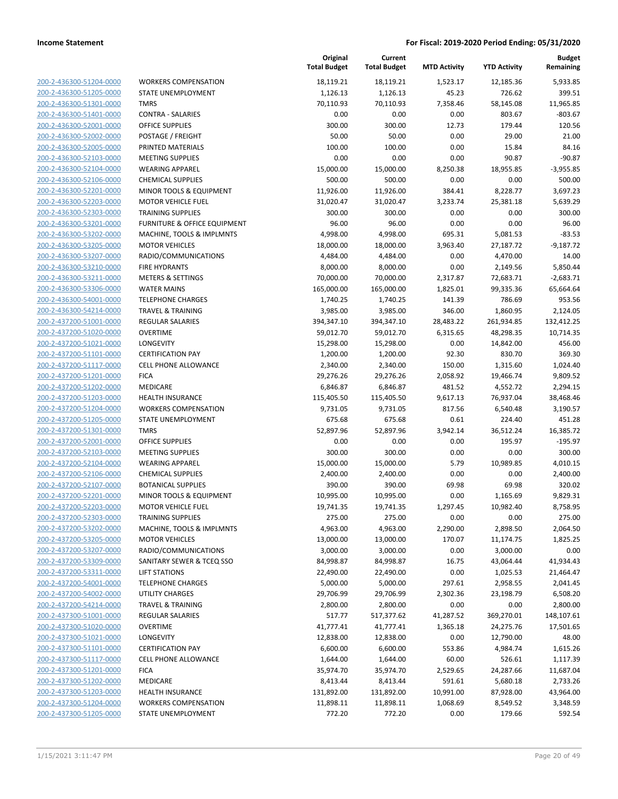| 200-2-436300-51204-0000                            |
|----------------------------------------------------|
|                                                    |
| 200-2-436300-51205-0000                            |
| 200-2-436300-51301-0000                            |
| 200-2-436300-51401-0000                            |
| 200-2-436300-52001-0000                            |
| 200-2-436300-52002-0000                            |
| 200-2-436300-52005-0000                            |
| 200-2-436300-52103-0000                            |
| 200-2-436300-52104-0000                            |
|                                                    |
| 200-2-436300-52106-0000                            |
| 200-2-436300-52201-0000                            |
| 200-2-436300-52203-0000                            |
| 200-2-436300-52303-0000                            |
| 200-2-436300-53201-0000                            |
| 200-2-436300-53202-0000                            |
| 200-2-436300-53205-0000                            |
| 200-2-436300-53207-0000                            |
| 200-2-436300-53210-0000                            |
| 200-2-436300-53211-0000                            |
| 200-2-436300-53306-0000                            |
| 200-2-436300-54001-0000                            |
| 200-2-436300-54214-0000                            |
| 200-2-437200-51001-0000                            |
| 200-2-437200-51020-0000                            |
|                                                    |
| 200-2-437200-51021-0000                            |
| 200-2-437200-51101-0000                            |
| 200-2-437200-51117-0000                            |
| 200-2-437200-51201-0000                            |
| 200-2-437200-51202-0000                            |
| 200-2-437200-51203-0000                            |
| 200-2-437200-51204-0000                            |
| 200-2-437200-51205-0000                            |
|                                                    |
| 200-2-437200-51301-0000                            |
| 200-2-437200-52001-0000                            |
| 200-2-437200-52103-0000                            |
|                                                    |
| 200-2-437200-52104-0000                            |
| 200-2-437200-52106-0000                            |
| 200-2-437200-52107-0000                            |
| 200-2-437200-52201-0000                            |
| 200-2-437200-52203-0000                            |
| 200-2-437200-52303-0000                            |
| <u>200-2-437200-53202-0000</u>                     |
| 200-2-437200-53205-0000                            |
| 200-2-437200-53207-0000                            |
| 200-2-437200-53309-0000                            |
| 200-2-437200-53311-0000                            |
| <u>200-2-437200-54001-0000</u>                     |
| 200-2-437200-54002-0000                            |
| 200-2-437200-54214-0000                            |
| 200-2-437300-51001-0000                            |
| 200-2-437300-51020-0000                            |
| 200-2-437300-51021-0000                            |
| 200-2-437300-51101-0000                            |
|                                                    |
| 200-2-437300-51117-0000                            |
| 200-2-437300-51201-0000                            |
| 200-2-437300-51202-0000                            |
| <u>200-2-437300-51203-0000</u>                     |
| 200-2-437300-51204-0000<br>200-2-437300-51205-0000 |

| <i>NORKERS COMPENSATION</i>          |
|--------------------------------------|
| STATE UNEMPLOYMENT                   |
| <b>TMRS</b>                          |
| CONTRA - SALARIES                    |
| DFFICE SUPPLIES                      |
| POSTAGE / FREIGHT                    |
| PRINTED MATERIALS                    |
| <b>MEETING SUPPLIES</b>              |
| NEARING APPAREL                      |
| CHEMICAL SUPPLIES                    |
| MINOR TOOLS & EQUIPMENT              |
| MOTOR VEHICLE FUEL                   |
| <b>FRAINING SUPPLIES</b>             |
| URNITURE & OFFICE EQUIPMENT          |
| MACHINE, TOOLS & IMPLMNTS            |
| <b>MOTOR VEHICLES</b>                |
| RADIO/COMMUNICATIONS                 |
| <b>IRE HYDRANTS</b>                  |
| METERS & SETTINGS                    |
| NATER MAINS                          |
| TELEPHONE CHARGES                    |
| FRAVEL & TRAINING                    |
| REGULAR SALARIES                     |
| OVERTIME                             |
| <b>ONGEVITY</b>                      |
| CERTIFICATION PAY                    |
| CELL PHONE ALLOWANCE                 |
| <b>ICA</b>                           |
| <b>MEDICARE</b>                      |
| HEALTH INSURANCE                     |
| <i>NORKERS COMPENSATION</i>          |
| STATE UNEMPLOYMENT                   |
| <b>TMRS</b>                          |
| DFFICE SUPPLIES                      |
| <b>MEETING SUPPLIES</b>              |
| NEARING APPAREL                      |
| CHEMICAL SUPPLIES                    |
| <b>BOTANICAL SUPPLIES</b>            |
| MINOR TOOLS & EQUIPMENT              |
| MOTOR VEHICLE FUEL                   |
| <b>FRAINING SUPPLIES</b>             |
| MACHINE, TOOLS & IMPLMNTS            |
| <b>MOTOR VEHICLES</b>                |
| RADIO/COMMUNICATIONS                 |
| <b>SANITARY SEWER &amp; TCEQ SSO</b> |
| <b>IFT STATIONS</b>                  |
| <b>FELEPHONE CHARGES</b>             |
| JTILITY CHARGES                      |
| <b>FRAVEL &amp; TRAINING</b>         |
| REGULAR SALARIES                     |
| <b>OVERTIME</b>                      |
| ONGEVITY.                            |
| CERTIFICATION PAY                    |
| CELL PHONE ALLOWANCE                 |
| <b>ICA</b>                           |
| <b>MEDICARE</b>                      |
| HEALTH INSURANCE                     |
| <b><i>NORKERS COMPENSATION</i></b>   |
|                                      |

|                         |                              | Original<br><b>Total Budget</b> | Current<br><b>Total Budget</b> | <b>MTD Activity</b> | <b>YTD Activity</b> | <b>Budget</b><br>Remaining |
|-------------------------|------------------------------|---------------------------------|--------------------------------|---------------------|---------------------|----------------------------|
| 200-2-436300-51204-0000 | <b>WORKERS COMPENSATION</b>  | 18,119.21                       | 18,119.21                      | 1,523.17            | 12,185.36           | 5,933.85                   |
| 200-2-436300-51205-0000 | STATE UNEMPLOYMENT           | 1,126.13                        | 1,126.13                       | 45.23               | 726.62              | 399.51                     |
| 200-2-436300-51301-0000 | <b>TMRS</b>                  | 70,110.93                       | 70,110.93                      | 7,358.46            | 58,145.08           | 11,965.85                  |
| 200-2-436300-51401-0000 | <b>CONTRA - SALARIES</b>     | 0.00                            | 0.00                           | 0.00                | 803.67              | $-803.67$                  |
| 200-2-436300-52001-0000 | <b>OFFICE SUPPLIES</b>       | 300.00                          | 300.00                         | 12.73               | 179.44              | 120.56                     |
| 200-2-436300-52002-0000 | POSTAGE / FREIGHT            | 50.00                           | 50.00                          | 0.00                | 29.00               | 21.00                      |
| 200-2-436300-52005-0000 | PRINTED MATERIALS            | 100.00                          | 100.00                         | 0.00                | 15.84               | 84.16                      |
| 200-2-436300-52103-0000 | <b>MEETING SUPPLIES</b>      | 0.00                            | 0.00                           | 0.00                | 90.87               | $-90.87$                   |
| 200-2-436300-52104-0000 | <b>WEARING APPAREL</b>       | 15,000.00                       | 15,000.00                      | 8,250.38            | 18,955.85           | $-3,955.85$                |
| 200-2-436300-52106-0000 | <b>CHEMICAL SUPPLIES</b>     | 500.00                          | 500.00                         | 0.00                | 0.00                | 500.00                     |
| 200-2-436300-52201-0000 | MINOR TOOLS & EQUIPMENT      | 11,926.00                       | 11,926.00                      | 384.41              | 8,228.77            | 3,697.23                   |
| 200-2-436300-52203-0000 | <b>MOTOR VEHICLE FUEL</b>    | 31,020.47                       | 31,020.47                      | 3,233.74            | 25,381.18           | 5,639.29                   |
| 200-2-436300-52303-0000 | <b>TRAINING SUPPLIES</b>     | 300.00                          | 300.00                         | 0.00                | 0.00                | 300.00                     |
| 200-2-436300-53201-0000 | FURNITURE & OFFICE EQUIPMENT | 96.00                           | 96.00                          | 0.00                | 0.00                | 96.00                      |
| 200-2-436300-53202-0000 | MACHINE, TOOLS & IMPLMNTS    | 4,998.00                        | 4,998.00                       | 695.31              | 5,081.53            | $-83.53$                   |
| 200-2-436300-53205-0000 | <b>MOTOR VEHICLES</b>        | 18,000.00                       | 18,000.00                      | 3,963.40            | 27,187.72           | $-9,187.72$                |
| 200-2-436300-53207-0000 | RADIO/COMMUNICATIONS         | 4,484.00                        | 4,484.00                       | 0.00                | 4,470.00            | 14.00                      |
| 200-2-436300-53210-0000 | <b>FIRE HYDRANTS</b>         | 8,000.00                        | 8,000.00                       | 0.00                | 2,149.56            | 5,850.44                   |
| 200-2-436300-53211-0000 | <b>METERS &amp; SETTINGS</b> | 70,000.00                       | 70,000.00                      | 2,317.87            | 72,683.71           | $-2,683.71$                |
| 200-2-436300-53306-0000 | <b>WATER MAINS</b>           | 165,000.00                      | 165,000.00                     | 1,825.01            | 99,335.36           | 65,664.64                  |
| 200-2-436300-54001-0000 | <b>TELEPHONE CHARGES</b>     | 1,740.25                        | 1,740.25                       | 141.39              | 786.69              | 953.56                     |
| 200-2-436300-54214-0000 | <b>TRAVEL &amp; TRAINING</b> | 3,985.00                        | 3,985.00                       | 346.00              | 1,860.95            | 2,124.05                   |
| 200-2-437200-51001-0000 | <b>REGULAR SALARIES</b>      | 394,347.10                      | 394,347.10                     | 28,483.22           | 261,934.85          | 132,412.25                 |
| 200-2-437200-51020-0000 | <b>OVERTIME</b>              | 59,012.70                       | 59,012.70                      | 6,315.65            | 48,298.35           | 10,714.35                  |
| 200-2-437200-51021-0000 | LONGEVITY                    | 15,298.00                       | 15,298.00                      | 0.00                | 14,842.00           | 456.00                     |
| 200-2-437200-51101-0000 | <b>CERTIFICATION PAY</b>     | 1,200.00                        | 1,200.00                       | 92.30               | 830.70              | 369.30                     |
| 200-2-437200-51117-0000 | <b>CELL PHONE ALLOWANCE</b>  | 2,340.00                        | 2,340.00                       | 150.00              | 1,315.60            | 1,024.40                   |
| 200-2-437200-51201-0000 | <b>FICA</b>                  | 29,276.26                       | 29,276.26                      | 2,058.92            | 19,466.74           | 9,809.52                   |
| 200-2-437200-51202-0000 | MEDICARE                     | 6,846.87                        | 6,846.87                       | 481.52              | 4,552.72            | 2,294.15                   |
| 200-2-437200-51203-0000 | HEALTH INSURANCE             | 115,405.50                      | 115,405.50                     | 9,617.13            | 76,937.04           | 38,468.46                  |
| 200-2-437200-51204-0000 | <b>WORKERS COMPENSATION</b>  | 9,731.05                        | 9,731.05                       | 817.56              | 6,540.48            | 3,190.57                   |
| 200-2-437200-51205-0000 | STATE UNEMPLOYMENT           | 675.68                          | 675.68                         | 0.61                | 224.40              | 451.28                     |
| 200-2-437200-51301-0000 | <b>TMRS</b>                  | 52,897.96                       | 52,897.96                      | 3,942.14            | 36,512.24           | 16,385.72                  |
| 200-2-437200-52001-0000 | <b>OFFICE SUPPLIES</b>       | 0.00                            | 0.00                           | 0.00                | 195.97              | $-195.97$                  |
| 200-2-437200-52103-0000 | MEETING SUPPLIES             | 300.00                          | 300.00                         | 0.00                | 0.00                | 300.00                     |
| 200-2-437200-52104-0000 | <b>WEARING APPAREL</b>       | 15,000.00                       | 15,000.00                      | 5.79                | 10,989.85           | 4,010.15                   |
| 200-2-437200-52106-0000 | <b>CHEMICAL SUPPLIES</b>     | 2,400.00                        | 2,400.00                       | 0.00                | 0.00                | 2,400.00                   |
| 200-2-437200-52107-0000 | <b>BOTANICAL SUPPLIES</b>    | 390.00                          | 390.00                         | 69.98               | 69.98               | 320.02                     |
| 200-2-437200-52201-0000 | MINOR TOOLS & EQUIPMENT      | 10,995.00                       | 10,995.00                      | 0.00                | 1,165.69            | 9,829.31                   |
| 200-2-437200-52203-0000 | <b>MOTOR VEHICLE FUEL</b>    | 19,741.35                       | 19,741.35                      | 1,297.45            | 10,982.40           | 8,758.95                   |
| 200-2-437200-52303-0000 | <b>TRAINING SUPPLIES</b>     | 275.00                          | 275.00                         | 0.00                | 0.00                | 275.00                     |
| 200-2-437200-53202-0000 | MACHINE, TOOLS & IMPLMNTS    | 4,963.00                        | 4,963.00                       | 2,290.00            | 2,898.50            | 2,064.50                   |
| 200-2-437200-53205-0000 | <b>MOTOR VEHICLES</b>        | 13,000.00                       | 13,000.00                      | 170.07              | 11,174.75           | 1,825.25                   |
| 200-2-437200-53207-0000 | RADIO/COMMUNICATIONS         | 3,000.00                        | 3,000.00                       | 0.00                | 3,000.00            | 0.00                       |
| 200-2-437200-53309-0000 | SANITARY SEWER & TCEQ SSO    | 84,998.87                       | 84,998.87                      | 16.75               | 43,064.44           | 41,934.43                  |
| 200-2-437200-53311-0000 | <b>LIFT STATIONS</b>         | 22,490.00                       | 22,490.00                      | 0.00                | 1,025.53            | 21,464.47                  |
| 200-2-437200-54001-0000 | <b>TELEPHONE CHARGES</b>     | 5,000.00                        | 5,000.00                       | 297.61              | 2,958.55            | 2,041.45                   |
| 200-2-437200-54002-0000 | UTILITY CHARGES              | 29,706.99                       | 29,706.99                      | 2,302.36            | 23,198.79           | 6,508.20                   |
| 200-2-437200-54214-0000 | <b>TRAVEL &amp; TRAINING</b> | 2,800.00                        | 2,800.00                       | 0.00                | 0.00                | 2,800.00                   |
| 200-2-437300-51001-0000 | REGULAR SALARIES             | 517.77                          | 517,377.62                     | 41,287.52           | 369,270.01          | 148,107.61                 |
| 200-2-437300-51020-0000 | <b>OVERTIME</b>              | 41,777.41                       | 41,777.41                      | 1,365.18            | 24,275.76           | 17,501.65                  |
| 200-2-437300-51021-0000 | LONGEVITY                    | 12,838.00                       | 12,838.00                      | 0.00                | 12,790.00           | 48.00                      |
| 200-2-437300-51101-0000 | <b>CERTIFICATION PAY</b>     | 6,600.00                        | 6,600.00                       | 553.86              | 4,984.74            | 1,615.26                   |
| 200-2-437300-51117-0000 | CELL PHONE ALLOWANCE         | 1,644.00                        | 1,644.00                       | 60.00               | 526.61              | 1,117.39                   |
| 200-2-437300-51201-0000 | <b>FICA</b>                  | 35,974.70                       | 35,974.70                      | 2,529.65            | 24,287.66           | 11,687.04                  |
| 200-2-437300-51202-0000 | MEDICARE                     | 8,413.44                        | 8,413.44                       | 591.61              | 5,680.18            | 2,733.26                   |
| 200-2-437300-51203-0000 | HEALTH INSURANCE             | 131,892.00                      | 131,892.00                     | 10,991.00           | 87,928.00           | 43,964.00                  |
| 200-2-437300-51204-0000 | <b>WORKERS COMPENSATION</b>  | 11,898.11                       | 11,898.11                      | 1,068.69            | 8,549.52            | 3,348.59                   |
| 200-2-437300-51205-0000 | STATE UNEMPLOYMENT           | 772.20                          | 772.20                         | 0.00                | 179.66              | 592.54                     |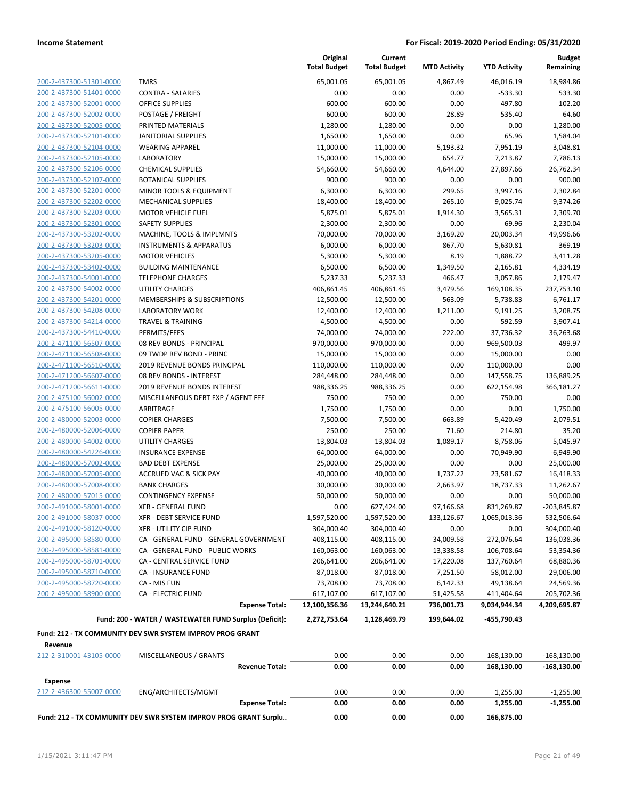| 200-2-437300-51301-0000        |
|--------------------------------|
| 200-2-437300-51401-0000        |
| 200-2-437300-52001-0000        |
| 200-2-437300-52002-0000        |
| 200-2-437300-52005-0000        |
| 200-2-437300-52101-0000        |
| 200-2-437300-52104-0000        |
| 200-2-437300-52105-0000        |
| 200-2-437300-52106-0000        |
| 200-2-437300-52107-0000        |
| 200-2-437300-52201-0000        |
| 200-2-437300-52202-0000        |
| 200-2-437300-52203-0000        |
| 200-2-437300-52301-0000        |
| 200-2-437300-53202-0000        |
| 200-2-437300-53203-0000        |
| 200-2-437300-53205-0000        |
| 200-2-437300-53402-0000        |
| 200-2-437300-54001-0000        |
| 200-2-437300-54002-0000        |
| 200-2-437300-54201-0000        |
| 200-2-437300-54208-0000        |
| 200-2-437300-54214-0000        |
| 200-2-437300-54410-0000        |
| 200-2-471100-56507-0000        |
| 200-2-471100-56508-0000        |
| 200-2-471100-56510-0000        |
| 200-2-471200-56607-0000        |
| 200-2-471200-56611-0000        |
|                                |
| 200-2-475100-56002-0000        |
| 200-2-475100-56005-0000        |
| 200-2-480000-52003-0000        |
| 200-2-480000-52006-0000        |
| 200-2-480000-54002-0000        |
| 200-2-480000-54226-0000        |
| 200-2-480000-57002-0000        |
| 200-2-480000-57005-0000        |
| 200-2-480000-57008-0000        |
| 200-2-480000-57015-0000        |
| 200-2-491000-58001-0000        |
| 200-2-491000-58037-0000        |
| <u>200-2-491000-58120-0000</u> |
| 200-2-495000-58580-0000        |
| 200-2-495000-58581-0000        |
| 200-2-495000-58701-0000        |
| 200-2-495000-58710-0000        |
| 200-2-495000-58720-0000        |
| 200-2-495000-58900-0000        |
|                                |

|                         |                                                           | Original<br><b>Total Budget</b> | Current<br><b>Total Budget</b> | <b>MTD Activity</b> | <b>YTD Activity</b>      | <b>Budget</b><br>Remaining   |
|-------------------------|-----------------------------------------------------------|---------------------------------|--------------------------------|---------------------|--------------------------|------------------------------|
| 200-2-437300-51301-0000 | <b>TMRS</b>                                               | 65,001.05                       | 65,001.05                      | 4,867.49            | 46,016.19                | 18,984.86                    |
| 200-2-437300-51401-0000 | <b>CONTRA - SALARIES</b>                                  | 0.00                            | 0.00                           | 0.00                | $-533.30$                | 533.30                       |
| 200-2-437300-52001-0000 | <b>OFFICE SUPPLIES</b>                                    | 600.00                          | 600.00                         | 0.00                | 497.80                   | 102.20                       |
| 200-2-437300-52002-0000 | POSTAGE / FREIGHT                                         | 600.00                          | 600.00                         | 28.89               | 535.40                   | 64.60                        |
| 200-2-437300-52005-0000 | PRINTED MATERIALS                                         | 1,280.00                        | 1,280.00                       | 0.00                | 0.00                     | 1,280.00                     |
| 200-2-437300-52101-0000 | <b>JANITORIAL SUPPLIES</b>                                | 1,650.00                        | 1,650.00                       | 0.00                | 65.96                    | 1,584.04                     |
| 200-2-437300-52104-0000 | <b>WEARING APPAREL</b>                                    | 11,000.00                       | 11,000.00                      | 5,193.32            | 7,951.19                 | 3,048.81                     |
| 200-2-437300-52105-0000 | <b>LABORATORY</b>                                         | 15,000.00                       | 15,000.00                      | 654.77              | 7,213.87                 | 7,786.13                     |
| 200-2-437300-52106-0000 | <b>CHEMICAL SUPPLIES</b>                                  | 54,660.00                       | 54,660.00                      | 4,644.00            | 27,897.66                | 26,762.34                    |
| 200-2-437300-52107-0000 | <b>BOTANICAL SUPPLIES</b>                                 | 900.00                          | 900.00                         | 0.00                | 0.00                     | 900.00                       |
| 200-2-437300-52201-0000 | MINOR TOOLS & EQUIPMENT                                   | 6,300.00                        | 6,300.00                       | 299.65              | 3,997.16                 | 2,302.84                     |
| 200-2-437300-52202-0000 | <b>MECHANICAL SUPPLIES</b>                                | 18,400.00                       | 18,400.00                      | 265.10              | 9,025.74                 | 9,374.26                     |
| 200-2-437300-52203-0000 | <b>MOTOR VEHICLE FUEL</b>                                 | 5,875.01                        | 5,875.01                       | 1,914.30            | 3,565.31                 | 2,309.70                     |
| 200-2-437300-52301-0000 | <b>SAFETY SUPPLIES</b>                                    | 2,300.00                        | 2,300.00                       | 0.00                | 69.96                    | 2,230.04                     |
| 200-2-437300-53202-0000 | MACHINE, TOOLS & IMPLMNTS                                 | 70,000.00                       | 70,000.00                      | 3,169.20            | 20,003.34                | 49,996.66                    |
| 200-2-437300-53203-0000 | <b>INSTRUMENTS &amp; APPARATUS</b>                        | 6,000.00                        | 6,000.00                       | 867.70              | 5,630.81                 | 369.19                       |
| 200-2-437300-53205-0000 | <b>MOTOR VEHICLES</b>                                     | 5,300.00                        | 5,300.00                       | 8.19                | 1,888.72                 | 3,411.28                     |
| 200-2-437300-53402-0000 | <b>BUILDING MAINTENANCE</b>                               | 6,500.00                        | 6,500.00                       | 1,349.50            | 2,165.81                 | 4,334.19                     |
| 200-2-437300-54001-0000 | <b>TELEPHONE CHARGES</b>                                  | 5,237.33                        | 5,237.33                       | 466.47              | 3,057.86                 | 2,179.47                     |
| 200-2-437300-54002-0000 | <b>UTILITY CHARGES</b>                                    | 406,861.45                      | 406,861.45                     | 3,479.56            | 169,108.35               | 237,753.10                   |
| 200-2-437300-54201-0000 | MEMBERSHIPS & SUBSCRIPTIONS                               | 12,500.00                       | 12,500.00                      | 563.09              | 5,738.83                 | 6,761.17                     |
| 200-2-437300-54208-0000 | <b>LABORATORY WORK</b>                                    | 12,400.00                       | 12,400.00                      | 1,211.00            | 9,191.25                 | 3,208.75                     |
| 200-2-437300-54214-0000 | <b>TRAVEL &amp; TRAINING</b>                              | 4,500.00                        | 4,500.00                       | 0.00                | 592.59                   | 3,907.41                     |
| 200-2-437300-54410-0000 | PERMITS/FEES                                              | 74,000.00                       | 74,000.00                      | 222.00              | 37,736.32                | 36,263.68                    |
| 200-2-471100-56507-0000 | 08 REV BONDS - PRINCIPAL                                  | 970,000.00                      | 970,000.00                     | 0.00                | 969,500.03               | 499.97                       |
| 200-2-471100-56508-0000 | 09 TWDP REV BOND - PRINC                                  | 15,000.00                       | 15,000.00                      | 0.00                | 15,000.00                | 0.00                         |
| 200-2-471100-56510-0000 | 2019 REVENUE BONDS PRINCIPAL                              | 110,000.00                      | 110,000.00                     | 0.00                | 110,000.00               | 0.00                         |
| 200-2-471200-56607-0000 | 08 REV BONDS - INTEREST                                   | 284,448.00                      | 284,448.00                     | 0.00                | 147,558.75               | 136,889.25                   |
| 200-2-471200-56611-0000 | 2019 REVENUE BONDS INTEREST                               | 988,336.25                      | 988,336.25                     | 0.00                | 622,154.98               | 366,181.27                   |
| 200-2-475100-56002-0000 | MISCELLANEOUS DEBT EXP / AGENT FEE                        | 750.00                          | 750.00                         | 0.00                | 750.00                   | 0.00                         |
| 200-2-475100-56005-0000 | ARBITRAGE                                                 | 1,750.00                        | 1,750.00                       | 0.00                | 0.00                     | 1,750.00                     |
| 200-2-480000-52003-0000 | <b>COPIER CHARGES</b>                                     | 7,500.00                        | 7,500.00                       | 663.89              | 5,420.49                 | 2,079.51                     |
| 200-2-480000-52006-0000 | <b>COPIER PAPER</b>                                       | 250.00                          | 250.00                         | 71.60               | 214.80                   | 35.20                        |
| 200-2-480000-54002-0000 | <b>UTILITY CHARGES</b>                                    | 13,804.03                       | 13,804.03                      | 1,089.17            | 8,758.06                 | 5,045.97                     |
| 200-2-480000-54226-0000 | <b>INSURANCE EXPENSE</b>                                  | 64,000.00                       | 64,000.00                      | 0.00                | 70,949.90                | $-6,949.90$                  |
| 200-2-480000-57002-0000 | <b>BAD DEBT EXPENSE</b>                                   | 25,000.00                       | 25,000.00                      | 0.00                | 0.00                     | 25,000.00                    |
| 200-2-480000-57005-0000 | <b>ACCRUED VAC &amp; SICK PAY</b>                         | 40,000.00                       | 40,000.00                      | 1,737.22            | 23,581.67                | 16,418.33                    |
| 200-2-480000-57008-0000 | <b>BANK CHARGES</b>                                       | 30,000.00                       | 30,000.00                      | 2,663.97            | 18,737.33                | 11,262.67                    |
| 200-2-480000-57015-0000 | <b>CONTINGENCY EXPENSE</b>                                | 50,000.00                       | 50,000.00                      | 0.00                | 0.00                     | 50,000.00                    |
| 200-2-491000-58001-0000 | XFR - GENERAL FUND                                        | 0.00                            | 627,424.00                     | 97,166.68           | 831,269.87               | -203,845.87                  |
| 200-2-491000-58037-0000 | XFR - DEBT SERVICE FUND                                   | 1,597,520.00                    | 1,597,520.00                   | 133,126.67          | 1,065,013.36             | 532,506.64                   |
| 200-2-491000-58120-0000 | XFR - UTILITY CIP FUND                                    | 304,000.40                      | 304,000.40                     | 0.00                | 0.00                     | 304,000.40                   |
| 200-2-495000-58580-0000 | CA - GENERAL FUND - GENERAL GOVERNMENT                    | 408,115.00                      | 408,115.00                     | 34,009.58           | 272,076.64               | 136,038.36                   |
| 200-2-495000-58581-0000 | CA - GENERAL FUND - PUBLIC WORKS                          | 160,063.00                      | 160,063.00                     | 13,338.58           | 106,708.64               | 53,354.36                    |
| 200-2-495000-58701-0000 | CA - CENTRAL SERVICE FUND                                 | 206,641.00                      | 206,641.00                     | 17,220.08           | 137,760.64               | 68,880.36                    |
| 200-2-495000-58710-0000 | CA - INSURANCE FUND                                       | 87,018.00                       | 87,018.00                      | 7,251.50            | 58,012.00                | 29,006.00                    |
| 200-2-495000-58720-0000 | CA - MIS FUN                                              | 73,708.00                       | 73,708.00                      | 6,142.33            | 49,138.64                | 24,569.36                    |
| 200-2-495000-58900-0000 | <b>CA - ELECTRIC FUND</b>                                 | 617,107.00                      | 617,107.00                     | 51,425.58           | 411,404.64               | 205,702.36                   |
|                         | <b>Expense Total:</b>                                     | 12,100,356.36                   | 13,244,640.21                  | 736,001.73          | 9,034,944.34             | 4,209,695.87                 |
|                         | Fund: 200 - WATER / WASTEWATER FUND Surplus (Deficit):    | 2,272,753.64                    | 1,128,469.79                   | 199,644.02          | -455,790.43              |                              |
|                         | Fund: 212 - TX COMMUNITY DEV SWR SYSTEM IMPROV PROG GRANT |                                 |                                |                     |                          |                              |
| Revenue                 |                                                           |                                 |                                |                     |                          |                              |
| 212-2-310001-43105-0000 | MISCELLANEOUS / GRANTS<br><b>Revenue Total:</b>           | 0.00<br>0.00                    | 0.00<br>0.00                   | 0.00<br>0.00        | 168,130.00<br>168,130.00 | $-168,130.00$<br>-168,130.00 |
| <b>Expense</b>          |                                                           |                                 |                                |                     |                          |                              |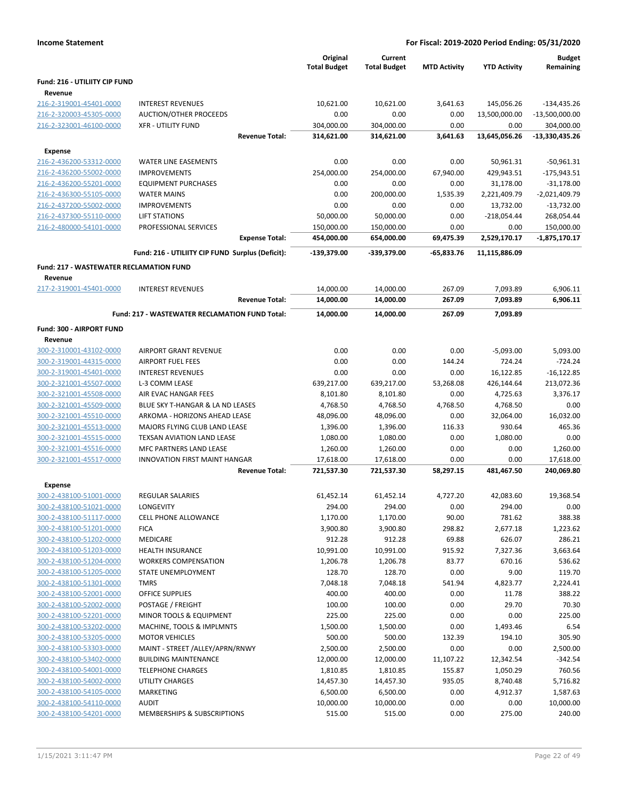| <b>Income Statement</b>                            |                                                       |                                 | For Fiscal: 2019-2020 Period Ending: 05/31/2020 |                     |                     |                            |
|----------------------------------------------------|-------------------------------------------------------|---------------------------------|-------------------------------------------------|---------------------|---------------------|----------------------------|
|                                                    |                                                       | Original<br><b>Total Budget</b> | Current<br><b>Total Budget</b>                  | <b>MTD Activity</b> | <b>YTD Activity</b> | <b>Budget</b><br>Remaining |
| Fund: 216 - UTILIITY CIP FUND                      |                                                       |                                 |                                                 |                     |                     |                            |
| Revenue                                            |                                                       |                                 |                                                 |                     |                     |                            |
| 216-2-319001-45401-0000                            | <b>INTEREST REVENUES</b>                              | 10,621.00                       | 10,621.00                                       | 3,641.63            | 145,056.26          | -134,435.26                |
| 216-2-320003-45305-0000                            | AUCTION/OTHER PROCEEDS                                | 0.00                            | 0.00                                            | 0.00                | 13,500,000.00       | $-13,500,000.00$           |
| 216-2-323001-46100-0000                            | <b>XFR - UTILITY FUND</b>                             | 304,000.00                      | 304,000.00                                      | 0.00                | 0.00                | 304,000.00                 |
|                                                    | <b>Revenue Total:</b>                                 | 314,621.00                      | 314,621.00                                      | 3,641.63            | 13,645,056.26       | -13,330,435.26             |
| <b>Expense</b>                                     |                                                       |                                 |                                                 |                     |                     |                            |
| 216-2-436200-53312-0000                            | <b>WATER LINE EASEMENTS</b>                           | 0.00                            | 0.00                                            | 0.00                | 50,961.31           | $-50,961.31$               |
| 216-2-436200-55002-0000                            | <b>IMPROVEMENTS</b>                                   | 254,000.00                      | 254,000.00                                      | 67,940.00           | 429,943.51          | $-175,943.51$              |
| 216-2-436200-55201-0000                            | <b>EQUIPMENT PURCHASES</b>                            | 0.00                            | 0.00                                            | 0.00                | 31,178.00           | $-31,178.00$               |
| 216-2-436300-55105-0000                            | <b>WATER MAINS</b>                                    | 0.00                            | 200,000.00                                      | 1,535.39            | 2,221,409.79        | $-2,021,409.79$            |
| 216-2-437200-55002-0000                            | <b>IMPROVEMENTS</b>                                   | 0.00                            | 0.00                                            | 0.00                | 13,732.00           | $-13,732.00$               |
| 216-2-437300-55110-0000                            | <b>LIFT STATIONS</b>                                  | 50,000.00                       | 50,000.00                                       | 0.00                | $-218,054.44$       | 268,054.44                 |
| 216-2-480000-54101-0000                            | PROFESSIONAL SERVICES                                 | 150,000.00                      | 150,000.00                                      | 0.00                | 0.00                | 150,000.00                 |
|                                                    | <b>Expense Total:</b>                                 | 454,000.00                      | 654,000.00                                      | 69,475.39           | 2,529,170.17        | $-1,875,170.17$            |
|                                                    | Fund: 216 - UTILIITY CIP FUND Surplus (Deficit):      | -139,379.00                     | -339,379.00                                     | $-65,833.76$        | 11,115,886.09       |                            |
| <b>Fund: 217 - WASTEWATER RECLAMATION FUND</b>     |                                                       |                                 |                                                 |                     |                     |                            |
| Revenue                                            |                                                       |                                 |                                                 |                     |                     |                            |
| 217-2-319001-45401-0000                            | <b>INTEREST REVENUES</b>                              | 14,000.00                       | 14,000.00                                       | 267.09              | 7,093.89            | 6,906.11                   |
|                                                    | <b>Revenue Total:</b>                                 | 14,000.00                       | 14,000.00                                       | 267.09              | 7,093.89            | 6,906.11                   |
|                                                    | <b>Fund: 217 - WASTEWATER RECLAMATION FUND Total:</b> | 14,000.00                       | 14,000.00                                       | 267.09              | 7,093.89            |                            |
| Fund: 300 - AIRPORT FUND<br>Revenue                |                                                       |                                 |                                                 |                     |                     |                            |
| 300-2-310001-43102-0000                            | <b>AIRPORT GRANT REVENUE</b>                          | 0.00                            | 0.00                                            | 0.00                | $-5,093.00$         | 5,093.00                   |
| 300-2-319001-44315-0000                            | <b>AIRPORT FUEL FEES</b>                              | 0.00                            | 0.00                                            | 144.24              | 724.24              | $-724.24$                  |
| 300-2-319001-45401-0000                            | <b>INTEREST REVENUES</b>                              | 0.00                            | 0.00                                            | 0.00                | 16,122.85           | $-16,122.85$               |
| 300-2-321001-45507-0000                            | L-3 COMM LEASE                                        | 639,217.00                      | 639,217.00                                      | 53,268.08           | 426,144.64          | 213,072.36                 |
| 300-2-321001-45508-0000                            | AIR EVAC HANGAR FEES                                  | 8,101.80                        | 8,101.80                                        | 0.00                | 4,725.63            | 3,376.17                   |
| 300-2-321001-45509-0000                            | BLUE SKY T-HANGAR & LA ND LEASES                      | 4,768.50                        | 4,768.50                                        | 4,768.50            | 4,768.50            | 0.00                       |
| 300-2-321001-45510-0000                            | ARKOMA - HORIZONS AHEAD LEASE                         | 48,096.00                       | 48,096.00                                       | 0.00                | 32,064.00           | 16,032.00                  |
| 300-2-321001-45513-0000                            | MAJORS FLYING CLUB LAND LEASE                         | 1,396.00                        | 1,396.00                                        | 116.33              | 930.64              | 465.36                     |
| 300-2-321001-45515-0000                            | TEXSAN AVIATION LAND LEASE                            | 1,080.00                        | 1,080.00                                        | 0.00                | 1,080.00            | 0.00                       |
| 300-2-321001-45516-0000                            | MFC PARTNERS LAND LEASE                               | 1,260.00                        | 1,260.00                                        | 0.00                | 0.00                | 1,260.00                   |
| 300-2-321001-45517-0000                            | <b>INNOVATION FIRST MAINT HANGAR</b>                  | 17,618.00                       | 17,618.00                                       | 0.00                | 0.00                | 17,618.00                  |
|                                                    | <b>Revenue Total:</b>                                 | 721,537.30                      | 721,537.30                                      | 58,297.15           | 481,467.50          | 240,069.80                 |
| Expense                                            |                                                       |                                 |                                                 |                     |                     |                            |
| 300-2-438100-51001-0000                            | <b>REGULAR SALARIES</b>                               | 61,452.14                       | 61,452.14                                       | 4,727.20            | 42,083.60           | 19,368.54                  |
| 300-2-438100-51021-0000                            | LONGEVITY                                             | 294.00                          | 294.00                                          | 0.00                | 294.00              | 0.00                       |
| 300-2-438100-51117-0000                            | CELL PHONE ALLOWANCE                                  | 1,170.00                        | 1,170.00                                        | 90.00               | 781.62              | 388.38                     |
| 300-2-438100-51201-0000                            | <b>FICA</b>                                           | 3,900.80                        | 3,900.80                                        | 298.82              | 2,677.18            | 1,223.62                   |
| 300-2-438100-51202-0000                            | <b>MEDICARE</b>                                       | 912.28                          | 912.28                                          | 69.88               | 626.07              | 286.21                     |
| 300-2-438100-51203-0000                            | <b>HEALTH INSURANCE</b>                               | 10,991.00<br>1,206.78           | 10,991.00<br>1,206.78                           | 915.92<br>83.77     | 7,327.36<br>670.16  | 3,663.64<br>536.62         |
| 300-2-438100-51204-0000<br>300-2-438100-51205-0000 | <b>WORKERS COMPENSATION</b><br>STATE UNEMPLOYMENT     | 128.70                          | 128.70                                          | 0.00                | 9.00                | 119.70                     |
| 300-2-438100-51301-0000                            | <b>TMRS</b>                                           | 7,048.18                        | 7,048.18                                        | 541.94              | 4,823.77            | 2,224.41                   |
| 300-2-438100-52001-0000                            | OFFICE SUPPLIES                                       | 400.00                          | 400.00                                          | 0.00                | 11.78               | 388.22                     |
| 300-2-438100-52002-0000                            | POSTAGE / FREIGHT                                     | 100.00                          | 100.00                                          | 0.00                | 29.70               | 70.30                      |
| 300-2-438100-52201-0000                            | MINOR TOOLS & EQUIPMENT                               | 225.00                          | 225.00                                          | 0.00                | 0.00                | 225.00                     |
| 300-2-438100-53202-0000                            | MACHINE, TOOLS & IMPLMNTS                             | 1,500.00                        | 1,500.00                                        | 0.00                | 1,493.46            | 6.54                       |
| 300-2-438100-53205-0000                            | <b>MOTOR VEHICLES</b>                                 | 500.00                          | 500.00                                          | 132.39              | 194.10              | 305.90                     |
| 300-2-438100-53303-0000                            | MAINT - STREET /ALLEY/APRN/RNWY                       | 2,500.00                        | 2,500.00                                        | 0.00                | 0.00                | 2,500.00                   |
| 300-2-438100-53402-0000                            | <b>BUILDING MAINTENANCE</b>                           | 12,000.00                       | 12,000.00                                       | 11,107.22           | 12,342.54           | $-342.54$                  |
| 300-2-438100-54001-0000                            | <b>TELEPHONE CHARGES</b>                              | 1,810.85                        | 1,810.85                                        | 155.87              | 1,050.29            | 760.56                     |
| 300-2-438100-54002-0000                            | UTILITY CHARGES                                       | 14,457.30                       | 14,457.30                                       | 935.05              | 8,740.48            | 5,716.82                   |
| 300-2-438100-54105-0000                            | MARKETING                                             | 6,500.00                        | 6,500.00                                        | 0.00                | 4,912.37            | 1,587.63                   |
| 300-2-438100-54110-0000                            | <b>AUDIT</b>                                          | 10,000.00                       | 10,000.00                                       | 0.00                | 0.00                | 10,000.00                  |
| 300-2-438100-54201-0000                            | MEMBERSHIPS & SUBSCRIPTIONS                           | 515.00                          | 515.00                                          | 0.00                | 275.00              | 240.00                     |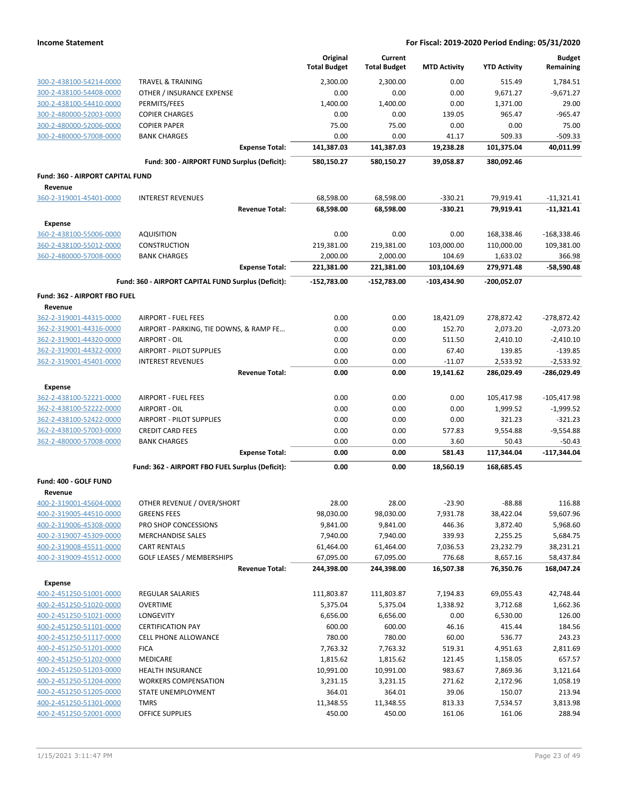|                                                    |                                                     | Original<br><b>Total Budget</b> | Current<br><b>Total Budget</b> | <b>MTD Activity</b> | <b>YTD Activity</b> | <b>Budget</b><br>Remaining |
|----------------------------------------------------|-----------------------------------------------------|---------------------------------|--------------------------------|---------------------|---------------------|----------------------------|
| 300-2-438100-54214-0000                            | <b>TRAVEL &amp; TRAINING</b>                        | 2.300.00                        | 2,300.00                       | 0.00                | 515.49              | 1,784.51                   |
| 300-2-438100-54408-0000                            | OTHER / INSURANCE EXPENSE                           | 0.00                            | 0.00                           | 0.00                | 9,671.27            | $-9,671.27$                |
| 300-2-438100-54410-0000                            | PERMITS/FEES                                        | 1,400.00                        | 1,400.00                       | 0.00                | 1,371.00            | 29.00                      |
| 300-2-480000-52003-0000                            | <b>COPIER CHARGES</b>                               | 0.00                            | 0.00                           | 139.05              | 965.47              | $-965.47$                  |
| 300-2-480000-52006-0000                            | <b>COPIER PAPER</b>                                 | 75.00                           | 75.00                          | 0.00                | 0.00                | 75.00                      |
| 300-2-480000-57008-0000                            | <b>BANK CHARGES</b>                                 | 0.00                            | 0.00                           | 41.17               | 509.33              | $-509.33$                  |
|                                                    | <b>Expense Total:</b>                               | 141,387.03                      | 141,387.03                     | 19,238.28           | 101,375.04          | 40,011.99                  |
|                                                    | Fund: 300 - AIRPORT FUND Surplus (Deficit):         | 580,150.27                      | 580,150.27                     | 39,058.87           | 380,092.46          |                            |
| Fund: 360 - AIRPORT CAPITAL FUND                   |                                                     |                                 |                                |                     |                     |                            |
| Revenue<br>360-2-319001-45401-0000                 | <b>INTEREST REVENUES</b>                            | 68,598.00                       | 68,598.00                      | $-330.21$           | 79,919.41           | $-11,321.41$               |
|                                                    | <b>Revenue Total:</b>                               | 68,598.00                       | 68,598.00                      | $-330.21$           | 79,919.41           | $-11,321.41$               |
| <b>Expense</b>                                     |                                                     |                                 |                                |                     |                     |                            |
| 360-2-438100-55006-0000                            | <b>AQUISITION</b>                                   | 0.00                            | 0.00                           | 0.00                | 168,338.46          | $-168,338.46$              |
| 360-2-438100-55012-0000                            | CONSTRUCTION                                        | 219,381.00                      | 219,381.00                     | 103,000.00          | 110,000.00          | 109,381.00                 |
| 360-2-480000-57008-0000                            | <b>BANK CHARGES</b>                                 | 2,000.00                        | 2,000.00                       | 104.69              | 1,633.02            | 366.98                     |
|                                                    | <b>Expense Total:</b>                               | 221,381.00                      | 221,381.00                     | 103,104.69          | 279,971.48          | $-58,590.48$               |
|                                                    | Fund: 360 - AIRPORT CAPITAL FUND Surplus (Deficit): | $-152,783.00$                   | $-152,783.00$                  | $-103.434.90$       | $-200,052.07$       |                            |
| Fund: 362 - AIRPORT FBO FUEL<br>Revenue            |                                                     |                                 |                                |                     |                     |                            |
| 362-2-319001-44315-0000                            | <b>AIRPORT - FUEL FEES</b>                          | 0.00                            | 0.00                           | 18,421.09           | 278,872.42          | $-278,872.42$              |
| 362-2-319001-44316-0000                            | AIRPORT - PARKING, TIE DOWNS, & RAMP FE             | 0.00                            | 0.00                           | 152.70              | 2,073.20            | $-2,073.20$                |
| 362-2-319001-44320-0000                            | AIRPORT - OIL                                       | 0.00                            | 0.00                           | 511.50              | 2,410.10            | $-2,410.10$                |
| 362-2-319001-44322-0000                            | AIRPORT - PILOT SUPPLIES                            | 0.00                            | 0.00                           | 67.40               | 139.85              | $-139.85$                  |
| 362-2-319001-45401-0000                            | <b>INTEREST REVENUES</b>                            | 0.00                            | 0.00                           | $-11.07$            | 2,533.92            | $-2,533.92$                |
|                                                    | <b>Revenue Total:</b>                               | 0.00                            | 0.00                           | 19,141.62           | 286,029.49          | -286,029.49                |
| <b>Expense</b>                                     |                                                     |                                 |                                |                     |                     |                            |
| 362-2-438100-52221-0000                            | <b>AIRPORT - FUEL FEES</b>                          | 0.00                            | 0.00                           | 0.00                | 105,417.98          | $-105,417.98$              |
| 362-2-438100-52222-0000                            | AIRPORT - OIL                                       | 0.00                            | 0.00                           | 0.00                | 1,999.52            | $-1,999.52$                |
| 362-2-438100-52422-0000                            | AIRPORT - PILOT SUPPLIES                            | 0.00                            | 0.00                           | 0.00                | 321.23              | $-321.23$                  |
| 362-2-438100-57003-0000                            | <b>CREDIT CARD FEES</b>                             | 0.00                            | 0.00                           | 577.83              | 9,554.88            | $-9,554.88$                |
| 362-2-480000-57008-0000                            | <b>BANK CHARGES</b><br><b>Expense Total:</b>        | 0.00<br>0.00                    | 0.00<br>0.00                   | 3.60<br>581.43      | 50.43<br>117,344.04 | -50.43<br>$-117,344.04$    |
|                                                    | Fund: 362 - AIRPORT FBO FUEL Surplus (Deficit):     | 0.00                            | 0.00                           |                     |                     |                            |
| Fund: 400 - GOLF FUND                              |                                                     |                                 |                                | 18,560.19           | 168,685.45          |                            |
| Revenue                                            |                                                     |                                 |                                |                     |                     |                            |
| 400-2-319001-45604-0000                            | OTHER REVENUE / OVER/SHORT                          | 28.00                           | 28.00                          | $-23.90$            | $-88.88$            | 116.88                     |
| 400-2-319005-44510-0000                            | <b>GREENS FEES</b>                                  | 98,030.00                       | 98,030.00                      | 7,931.78            | 38,422.04           | 59,607.96                  |
| 400-2-319006-45308-0000                            | PRO SHOP CONCESSIONS                                | 9,841.00                        | 9,841.00                       | 446.36              | 3,872.40            | 5,968.60                   |
| 400-2-319007-45309-0000                            | <b>MERCHANDISE SALES</b>                            | 7,940.00                        | 7,940.00                       | 339.93              | 2,255.25            | 5,684.75                   |
| 400-2-319008-45511-0000                            | <b>CART RENTALS</b>                                 | 61,464.00                       | 61,464.00                      | 7,036.53            | 23,232.79           | 38,231.21                  |
| 400-2-319009-45512-0000                            | <b>GOLF LEASES / MEMBERSHIPS</b>                    | 67,095.00                       | 67,095.00                      | 776.68              | 8,657.16            | 58,437.84                  |
|                                                    | <b>Revenue Total:</b>                               | 244,398.00                      | 244,398.00                     | 16,507.38           | 76,350.76           | 168,047.24                 |
| <b>Expense</b>                                     |                                                     |                                 |                                |                     |                     |                            |
| 400-2-451250-51001-0000                            | <b>REGULAR SALARIES</b>                             | 111,803.87                      | 111,803.87                     | 7,194.83            | 69,055.43           | 42,748.44                  |
| 400-2-451250-51020-0000                            | <b>OVERTIME</b>                                     | 5,375.04                        | 5,375.04                       | 1,338.92            | 3,712.68            | 1,662.36                   |
| 400-2-451250-51021-0000                            | LONGEVITY<br><b>CERTIFICATION PAY</b>               | 6,656.00                        | 6,656.00                       | 0.00                | 6,530.00            | 126.00                     |
| 400-2-451250-51101-0000                            |                                                     | 600.00<br>780.00                | 600.00<br>780.00               | 46.16<br>60.00      | 415.44              | 184.56                     |
| 400-2-451250-51117-0000<br>400-2-451250-51201-0000 | CELL PHONE ALLOWANCE<br><b>FICA</b>                 | 7,763.32                        | 7,763.32                       | 519.31              | 536.77<br>4,951.63  | 243.23<br>2,811.69         |
| 400-2-451250-51202-0000                            | MEDICARE                                            | 1,815.62                        | 1,815.62                       | 121.45              | 1,158.05            | 657.57                     |
| 400-2-451250-51203-0000                            | <b>HEALTH INSURANCE</b>                             | 10,991.00                       | 10,991.00                      | 983.67              | 7,869.36            | 3,121.64                   |
| 400-2-451250-51204-0000                            | <b>WORKERS COMPENSATION</b>                         | 3,231.15                        | 3,231.15                       | 271.62              | 2,172.96            | 1,058.19                   |
| 400-2-451250-51205-0000                            | STATE UNEMPLOYMENT                                  | 364.01                          | 364.01                         | 39.06               | 150.07              | 213.94                     |
| 400-2-451250-51301-0000                            | <b>TMRS</b>                                         | 11,348.55                       | 11,348.55                      | 813.33              | 7,534.57            | 3,813.98                   |
| 400-2-451250-52001-0000                            | OFFICE SUPPLIES                                     | 450.00                          | 450.00                         | 161.06              | 161.06              | 288.94                     |
|                                                    |                                                     |                                 |                                |                     |                     |                            |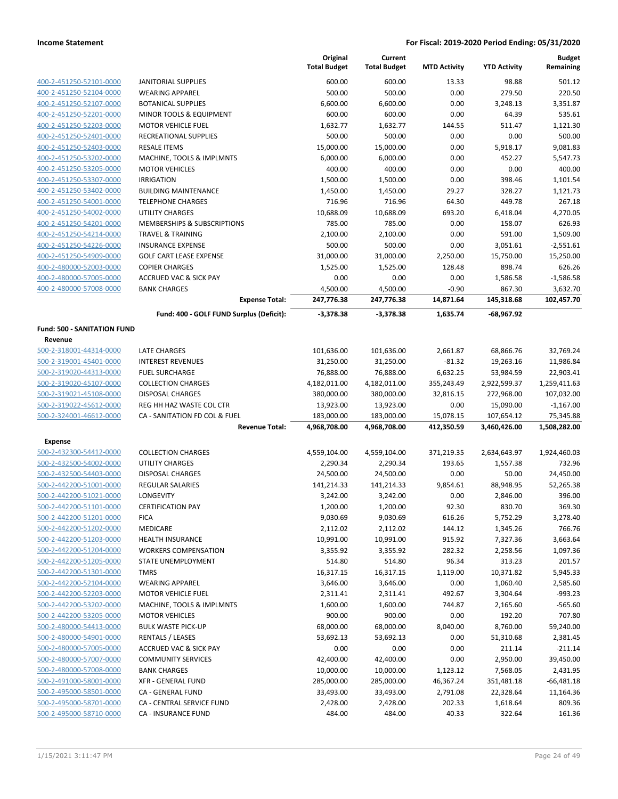|                                    |                                                        | Original<br><b>Total Budget</b> | Current<br><b>Total Budget</b> | <b>MTD Activity</b>     | <b>YTD Activity</b>        | <b>Budget</b><br>Remaining |
|------------------------------------|--------------------------------------------------------|---------------------------------|--------------------------------|-------------------------|----------------------------|----------------------------|
| 400-2-451250-52101-0000            | <b>JANITORIAL SUPPLIES</b>                             | 600.00                          | 600.00                         | 13.33                   | 98.88                      | 501.12                     |
| 400-2-451250-52104-0000            | <b>WEARING APPAREL</b>                                 | 500.00                          | 500.00                         | 0.00                    | 279.50                     | 220.50                     |
| 400-2-451250-52107-0000            | BOTANICAL SUPPLIES                                     | 6,600.00                        | 6,600.00                       | 0.00                    | 3,248.13                   | 3,351.87                   |
| 400-2-451250-52201-0000            | MINOR TOOLS & EQUIPMENT                                | 600.00                          | 600.00                         | 0.00                    | 64.39                      | 535.61                     |
| 400-2-451250-52203-0000            | <b>MOTOR VEHICLE FUEL</b>                              | 1,632.77                        | 1,632.77                       | 144.55                  | 511.47                     | 1,121.30                   |
| 400-2-451250-52401-0000            | RECREATIONAL SUPPLIES                                  | 500.00                          | 500.00                         | 0.00                    | 0.00                       | 500.00                     |
| 400-2-451250-52403-0000            | <b>RESALE ITEMS</b>                                    | 15,000.00                       | 15,000.00                      | 0.00                    | 5,918.17                   | 9,081.83                   |
| 400-2-451250-53202-0000            | MACHINE, TOOLS & IMPLMNTS                              | 6,000.00                        | 6,000.00                       | 0.00                    | 452.27                     | 5,547.73                   |
| 400-2-451250-53205-0000            | <b>MOTOR VEHICLES</b>                                  | 400.00                          | 400.00                         | 0.00                    | 0.00                       | 400.00                     |
| 400-2-451250-53307-0000            | <b>IRRIGATION</b>                                      | 1,500.00                        | 1,500.00                       | 0.00                    | 398.46                     | 1,101.54                   |
| 400-2-451250-53402-0000            | <b>BUILDING MAINTENANCE</b>                            | 1,450.00                        | 1,450.00                       | 29.27                   | 328.27                     | 1,121.73                   |
| 400-2-451250-54001-0000            | <b>TELEPHONE CHARGES</b>                               | 716.96                          | 716.96                         | 64.30                   | 449.78                     | 267.18                     |
| 400-2-451250-54002-0000            | <b>UTILITY CHARGES</b>                                 | 10,688.09                       | 10,688.09                      | 693.20                  | 6,418.04                   | 4,270.05                   |
| 400-2-451250-54201-0000            | MEMBERSHIPS & SUBSCRIPTIONS                            | 785.00                          | 785.00                         | 0.00                    | 158.07                     | 626.93                     |
| 400-2-451250-54214-0000            | <b>TRAVEL &amp; TRAINING</b>                           | 2,100.00                        | 2,100.00                       | 0.00                    | 591.00                     | 1,509.00                   |
| 400-2-451250-54226-0000            | <b>INSURANCE EXPENSE</b>                               | 500.00                          | 500.00                         | 0.00                    | 3,051.61                   | $-2,551.61$                |
| 400-2-451250-54909-0000            | <b>GOLF CART LEASE EXPENSE</b>                         | 31,000.00                       | 31,000.00                      | 2,250.00                | 15,750.00                  | 15,250.00                  |
| 400-2-480000-52003-0000            | <b>COPIER CHARGES</b>                                  | 1,525.00                        | 1,525.00                       | 128.48                  | 898.74                     | 626.26                     |
| 400-2-480000-57005-0000            | <b>ACCRUED VAC &amp; SICK PAY</b>                      | 0.00                            | 0.00                           | 0.00                    | 1,586.58                   | $-1,586.58$                |
| 400-2-480000-57008-0000            | <b>BANK CHARGES</b>                                    | 4,500.00                        | 4,500.00                       | $-0.90$                 | 867.30                     | 3,632.70                   |
|                                    | <b>Expense Total:</b>                                  | 247,776.38                      | 247,776.38                     | 14,871.64               | 145,318.68                 | 102,457.70                 |
|                                    | Fund: 400 - GOLF FUND Surplus (Deficit):               | $-3,378.38$                     | $-3,378.38$                    | 1,635.74                | -68,967.92                 |                            |
| <b>Fund: 500 - SANITATION FUND</b> |                                                        |                                 |                                |                         |                            |                            |
| Revenue                            |                                                        |                                 |                                |                         |                            |                            |
| 500-2-318001-44314-0000            | LATE CHARGES                                           | 101,636.00                      | 101,636.00                     | 2,661.87                | 68,866.76                  | 32,769.24                  |
| 500-2-319001-45401-0000            | <b>INTEREST REVENUES</b>                               | 31,250.00                       | 31,250.00                      | $-81.32$                | 19,263.16                  | 11,986.84                  |
| 500-2-319020-44313-0000            | <b>FUEL SURCHARGE</b>                                  | 76,888.00                       | 76,888.00                      | 6,632.25                | 53,984.59                  | 22,903.41                  |
| 500-2-319020-45107-0000            | <b>COLLECTION CHARGES</b>                              | 4,182,011.00                    | 4,182,011.00                   | 355,243.49              | 2,922,599.37               | 1,259,411.63               |
| 500-2-319021-45108-0000            | <b>DISPOSAL CHARGES</b>                                | 380,000.00                      | 380,000.00                     | 32,816.15               | 272,968.00                 | 107,032.00                 |
| 500-2-319022-45612-0000            | REG HH HAZ WASTE COL CTR                               | 13,923.00                       | 13,923.00                      | 0.00                    | 15,090.00                  | $-1,167.00$                |
| 500-2-324001-46612-0000            | CA - SANITATION FD COL & FUEL<br><b>Revenue Total:</b> | 183,000.00<br>4,968,708.00      | 183,000.00<br>4,968,708.00     | 15,078.15<br>412,350.59 | 107,654.12<br>3,460,426.00 | 75,345.88<br>1,508,282.00  |
| <b>Expense</b>                     |                                                        |                                 |                                |                         |                            |                            |
| 500-2-432300-54412-0000            | <b>COLLECTION CHARGES</b>                              | 4,559,104.00                    | 4,559,104.00                   | 371,219.35              | 2,634,643.97               | 1,924,460.03               |
| 500-2-432500-54002-0000            | UTILITY CHARGES                                        | 2,290.34                        | 2,290.34                       | 193.65                  | 1,557.38                   | 732.96                     |
| 500-2-432500-54403-0000            | <b>DISPOSAL CHARGES</b>                                | 24,500.00                       | 24,500.00                      | 0.00                    | 50.00                      | 24,450.00                  |
| 500-2-442200-51001-0000            | <b>REGULAR SALARIES</b>                                | 141,214.33                      | 141,214.33                     | 9,854.61                | 88,948.95                  | 52,265.38                  |
| 500-2-442200-51021-0000            | LONGEVITY                                              | 3,242.00                        | 3,242.00                       | 0.00                    | 2,846.00                   | 396.00                     |
| 500-2-442200-51101-0000            | <b>CERTIFICATION PAY</b>                               | 1,200.00                        | 1,200.00                       | 92.30                   | 830.70                     | 369.30                     |
| 500-2-442200-51201-0000            | <b>FICA</b>                                            | 9,030.69                        | 9,030.69                       | 616.26                  | 5,752.29                   | 3,278.40                   |
| 500-2-442200-51202-0000            | <b>MEDICARE</b>                                        | 2,112.02                        | 2,112.02                       | 144.12                  | 1,345.26                   | 766.76                     |
| 500-2-442200-51203-0000            | <b>HEALTH INSURANCE</b>                                | 10,991.00                       | 10,991.00                      | 915.92                  | 7,327.36                   | 3,663.64                   |
| 500-2-442200-51204-0000            | <b>WORKERS COMPENSATION</b>                            | 3,355.92                        | 3,355.92                       | 282.32                  | 2,258.56                   | 1,097.36                   |
| 500-2-442200-51205-0000            | STATE UNEMPLOYMENT                                     | 514.80                          | 514.80                         | 96.34                   | 313.23                     | 201.57                     |
| 500-2-442200-51301-0000            | <b>TMRS</b>                                            | 16,317.15                       | 16,317.15                      | 1,119.00                | 10,371.82                  | 5,945.33                   |
| 500-2-442200-52104-0000            | <b>WEARING APPAREL</b>                                 | 3,646.00                        | 3,646.00                       | 0.00                    | 1,060.40                   | 2,585.60                   |
| 500-2-442200-52203-0000            | <b>MOTOR VEHICLE FUEL</b>                              | 2,311.41                        | 2,311.41                       | 492.67                  | 3,304.64                   | $-993.23$                  |
| 500-2-442200-53202-0000            | MACHINE, TOOLS & IMPLMNTS                              | 1,600.00                        | 1,600.00                       | 744.87                  | 2,165.60                   | $-565.60$                  |
| 500-2-442200-53205-0000            | <b>MOTOR VEHICLES</b>                                  | 900.00                          | 900.00                         | 0.00                    | 192.20                     | 707.80                     |
| 500-2-480000-54413-0000            | <b>BULK WASTE PICK-UP</b>                              | 68,000.00                       | 68,000.00                      | 8,040.00                | 8,760.00                   | 59,240.00                  |
| 500-2-480000-54901-0000            | <b>RENTALS / LEASES</b>                                | 53,692.13                       | 53,692.13                      | 0.00                    | 51,310.68                  | 2,381.45                   |
| 500-2-480000-57005-0000            | <b>ACCRUED VAC &amp; SICK PAY</b>                      | 0.00                            | 0.00                           | 0.00                    | 211.14                     | $-211.14$                  |
| 500-2-480000-57007-0000            | <b>COMMUNITY SERVICES</b>                              | 42,400.00                       | 42,400.00                      | 0.00                    | 2,950.00                   | 39,450.00                  |
| 500-2-480000-57008-0000            | <b>BANK CHARGES</b>                                    | 10,000.00                       | 10,000.00                      | 1,123.12                | 7,568.05                   | 2,431.95                   |
| 500-2-491000-58001-0000            | <b>XFR - GENERAL FUND</b>                              | 285,000.00                      | 285,000.00                     | 46,367.24               | 351,481.18                 | $-66,481.18$               |
| 500-2-495000-58501-0000            | CA - GENERAL FUND                                      | 33,493.00                       | 33,493.00                      | 2,791.08                | 22,328.64                  | 11,164.36                  |
| 500-2-495000-58701-0000            | CA - CENTRAL SERVICE FUND                              | 2,428.00                        | 2,428.00                       | 202.33                  | 1,618.64                   | 809.36                     |
| 500-2-495000-58710-0000            | CA - INSURANCE FUND                                    | 484.00                          | 484.00                         | 40.33                   | 322.64                     | 161.36                     |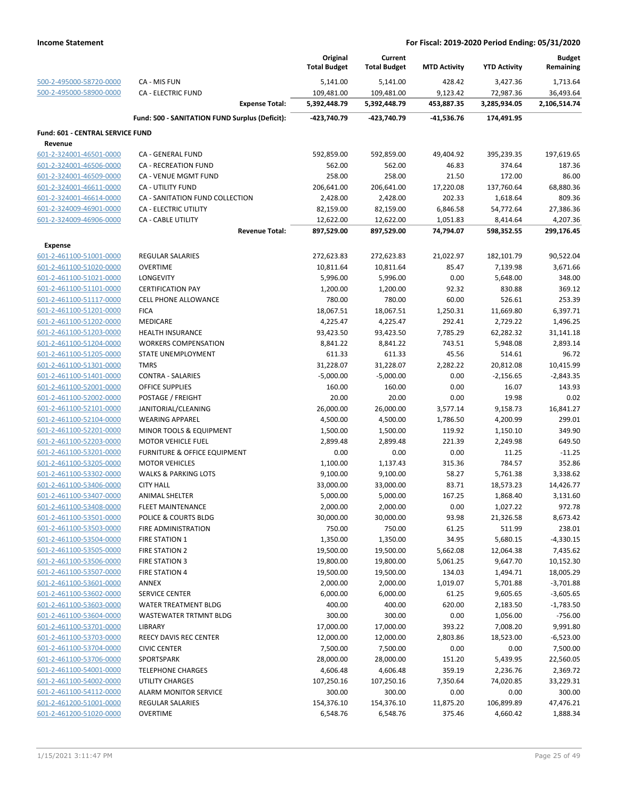|                                  |                                                | Original<br><b>Total Budget</b> | Current<br><b>Total Budget</b> | <b>MTD Activity</b> | <b>YTD Activity</b> | <b>Budget</b><br>Remaining |
|----------------------------------|------------------------------------------------|---------------------------------|--------------------------------|---------------------|---------------------|----------------------------|
| 500-2-495000-58720-0000          | CA - MIS FUN                                   | 5,141.00                        | 5,141.00                       | 428.42              | 3,427.36            | 1,713.64                   |
| 500-2-495000-58900-0000          | <b>CA - ELECTRIC FUND</b>                      | 109,481.00                      | 109,481.00                     | 9,123.42            | 72,987.36           | 36,493.64                  |
|                                  | <b>Expense Total:</b>                          | 5,392,448.79                    | 5,392,448.79                   | 453,887.35          | 3,285,934.05        | 2,106,514.74               |
|                                  | Fund: 500 - SANITATION FUND Surplus (Deficit): | -423,740.79                     | -423,740.79                    | -41,536.76          | 174,491.95          |                            |
| Fund: 601 - CENTRAL SERVICE FUND |                                                |                                 |                                |                     |                     |                            |
| Revenue                          |                                                |                                 |                                |                     |                     |                            |
| 601-2-324001-46501-0000          | CA - GENERAL FUND                              | 592,859.00                      | 592,859.00                     | 49,404.92           | 395,239.35          | 197,619.65                 |
| 601-2-324001-46506-0000          | <b>CA - RECREATION FUND</b>                    | 562.00                          | 562.00                         | 46.83               | 374.64              | 187.36                     |
| 601-2-324001-46509-0000          | CA - VENUE MGMT FUND                           | 258.00                          | 258.00                         | 21.50               | 172.00              | 86.00                      |
| 601-2-324001-46611-0000          | <b>CA - UTILITY FUND</b>                       | 206,641.00                      | 206,641.00                     | 17,220.08           | 137,760.64          | 68,880.36                  |
| 601-2-324001-46614-0000          | CA - SANITATION FUND COLLECTION                | 2,428.00                        | 2,428.00                       | 202.33              | 1,618.64            | 809.36                     |
| 601-2-324009-46901-0000          | CA - ELECTRIC UTILITY                          | 82,159.00                       | 82,159.00                      | 6,846.58            | 54,772.64           | 27,386.36                  |
| 601-2-324009-46906-0000          | <b>CA - CABLE UTILITY</b>                      | 12,622.00                       | 12,622.00                      | 1,051.83            | 8,414.64            | 4,207.36                   |
|                                  | <b>Revenue Total:</b>                          | 897,529.00                      | 897,529.00                     | 74,794.07           | 598,352.55          | 299,176.45                 |
| <b>Expense</b>                   |                                                |                                 |                                |                     |                     |                            |
| 601-2-461100-51001-0000          | <b>REGULAR SALARIES</b>                        | 272,623.83                      | 272,623.83                     | 21,022.97           | 182,101.79          | 90,522.04                  |
| 601-2-461100-51020-0000          | <b>OVERTIME</b>                                | 10,811.64                       | 10,811.64                      | 85.47               | 7,139.98            | 3,671.66                   |
| 601-2-461100-51021-0000          | <b>LONGEVITY</b>                               | 5,996.00                        | 5,996.00                       | 0.00                | 5,648.00            | 348.00                     |
| 601-2-461100-51101-0000          | <b>CERTIFICATION PAY</b>                       | 1,200.00                        | 1,200.00                       | 92.32               | 830.88              | 369.12                     |
| 601-2-461100-51117-0000          | CELL PHONE ALLOWANCE                           | 780.00                          | 780.00                         | 60.00               | 526.61              | 253.39                     |
| 601-2-461100-51201-0000          | <b>FICA</b>                                    | 18,067.51                       | 18,067.51                      | 1,250.31            | 11,669.80           | 6,397.71                   |
| 601-2-461100-51202-0000          | <b>MEDICARE</b>                                | 4,225.47                        | 4,225.47                       | 292.41              | 2,729.22            | 1,496.25                   |
| 601-2-461100-51203-0000          | <b>HEALTH INSURANCE</b>                        | 93,423.50                       | 93,423.50                      | 7,785.29            | 62,282.32           | 31,141.18                  |
| 601-2-461100-51204-0000          | <b>WORKERS COMPENSATION</b>                    | 8,841.22                        | 8,841.22                       | 743.51              | 5,948.08            | 2,893.14                   |
| 601-2-461100-51205-0000          | STATE UNEMPLOYMENT                             | 611.33                          | 611.33                         | 45.56               | 514.61              | 96.72                      |
| 601-2-461100-51301-0000          | <b>TMRS</b>                                    | 31,228.07                       | 31,228.07                      | 2,282.22            | 20,812.08           | 10,415.99                  |
| 601-2-461100-51401-0000          | <b>CONTRA - SALARIES</b>                       | $-5,000.00$                     | $-5,000.00$                    | 0.00                | $-2,156.65$         | $-2,843.35$                |
| 601-2-461100-52001-0000          | OFFICE SUPPLIES                                | 160.00                          | 160.00                         | 0.00                | 16.07               | 143.93                     |
| 601-2-461100-52002-0000          | POSTAGE / FREIGHT                              | 20.00                           | 20.00                          | 0.00                | 19.98               | 0.02                       |
| 601-2-461100-52101-0000          | JANITORIAL/CLEANING                            | 26,000.00                       | 26,000.00                      | 3,577.14            | 9,158.73            | 16,841.27                  |
| 601-2-461100-52104-0000          | <b>WEARING APPAREL</b>                         | 4,500.00                        | 4,500.00                       | 1,786.50            | 4,200.99            | 299.01                     |
| 601-2-461100-52201-0000          | MINOR TOOLS & EQUIPMENT                        | 1,500.00                        | 1,500.00                       | 119.92              | 1,150.10            | 349.90                     |
| 601-2-461100-52203-0000          | MOTOR VEHICLE FUEL                             | 2,899.48                        | 2,899.48                       | 221.39              | 2,249.98            | 649.50                     |
| 601-2-461100-53201-0000          | FURNITURE & OFFICE EQUIPMENT                   | 0.00                            | 0.00                           | 0.00                | 11.25               | $-11.25$                   |
| 601-2-461100-53205-0000          | <b>MOTOR VEHICLES</b>                          | 1,100.00                        | 1,137.43                       | 315.36              | 784.57              | 352.86                     |
| 601-2-461100-53302-0000          | <b>WALKS &amp; PARKING LOTS</b>                | 9,100.00                        | 9,100.00                       | 58.27               | 5,761.38            | 3,338.62                   |
| 601-2-461100-53406-0000          | <b>CITY HALL</b>                               | 33,000.00                       | 33,000.00                      | 83.71               | 18,573.23           | 14,426.77                  |
| 601-2-461100-53407-0000          | ANIMAL SHELTER                                 | 5,000.00                        | 5,000.00                       | 167.25              | 1,868.40            | 3,131.60                   |
| 601-2-461100-53408-0000          | FLEET MAINTENANCE                              | 2,000.00                        | 2,000.00                       | $0.00\,$            | 1,027.22            | 972.78                     |
| 601-2-461100-53501-0000          | POLICE & COURTS BLDG                           | 30,000.00                       | 30,000.00                      | 93.98               | 21,326.58           | 8,673.42                   |
| 601-2-461100-53503-0000          | FIRE ADMINISTRATION                            | 750.00                          | 750.00                         | 61.25               | 511.99              | 238.01                     |
| 601-2-461100-53504-0000          | <b>FIRE STATION 1</b>                          | 1,350.00                        | 1,350.00                       | 34.95               | 5,680.15            | $-4,330.15$                |
| 601-2-461100-53505-0000          | FIRE STATION 2                                 | 19,500.00                       | 19,500.00                      | 5,662.08            | 12,064.38           | 7,435.62                   |
| 601-2-461100-53506-0000          | <b>FIRE STATION 3</b>                          | 19,800.00                       | 19,800.00                      | 5,061.25            | 9,647.70            | 10,152.30                  |
| 601-2-461100-53507-0000          | <b>FIRE STATION 4</b>                          | 19,500.00                       | 19,500.00                      | 134.03              | 1,494.71            | 18,005.29                  |
| 601-2-461100-53601-0000          | ANNEX                                          | 2,000.00                        | 2,000.00                       | 1,019.07            | 5,701.88            | $-3,701.88$                |
| 601-2-461100-53602-0000          | <b>SERVICE CENTER</b>                          | 6,000.00                        | 6,000.00                       | 61.25               | 9,605.65            | $-3,605.65$                |
| 601-2-461100-53603-0000          | <b>WATER TREATMENT BLDG</b>                    | 400.00                          | 400.00                         | 620.00              | 2,183.50            | $-1,783.50$                |
| 601-2-461100-53604-0000          | WASTEWATER TRTMNT BLDG                         | 300.00                          | 300.00                         | 0.00                | 1,056.00            | $-756.00$                  |
| 601-2-461100-53701-0000          | <b>LIBRARY</b>                                 | 17,000.00                       | 17,000.00                      | 393.22              | 7,008.20            | 9,991.80                   |
| 601-2-461100-53703-0000          | REECY DAVIS REC CENTER                         | 12,000.00                       | 12,000.00                      | 2,803.86            | 18,523.00           | $-6,523.00$                |
| 601-2-461100-53704-0000          | <b>CIVIC CENTER</b>                            | 7,500.00                        | 7,500.00                       | 0.00                | 0.00                | 7,500.00                   |
| 601-2-461100-53706-0000          | SPORTSPARK                                     | 28,000.00                       | 28,000.00                      | 151.20              | 5,439.95            | 22,560.05                  |
| 601-2-461100-54001-0000          | <b>TELEPHONE CHARGES</b>                       | 4,606.48                        | 4,606.48                       | 359.19              | 2,236.76            | 2,369.72                   |
| 601-2-461100-54002-0000          | UTILITY CHARGES                                | 107,250.16                      | 107,250.16                     | 7,350.64            | 74,020.85           | 33,229.31                  |
| 601-2-461100-54112-0000          | ALARM MONITOR SERVICE                          | 300.00                          | 300.00                         | 0.00                | 0.00                | 300.00                     |
| 601-2-461200-51001-0000          | <b>REGULAR SALARIES</b>                        | 154,376.10                      | 154,376.10                     | 11,875.20           | 106,899.89          | 47,476.21                  |
| 601-2-461200-51020-0000          | <b>OVERTIME</b>                                | 6,548.76                        | 6,548.76                       | 375.46              | 4,660.42            | 1,888.34                   |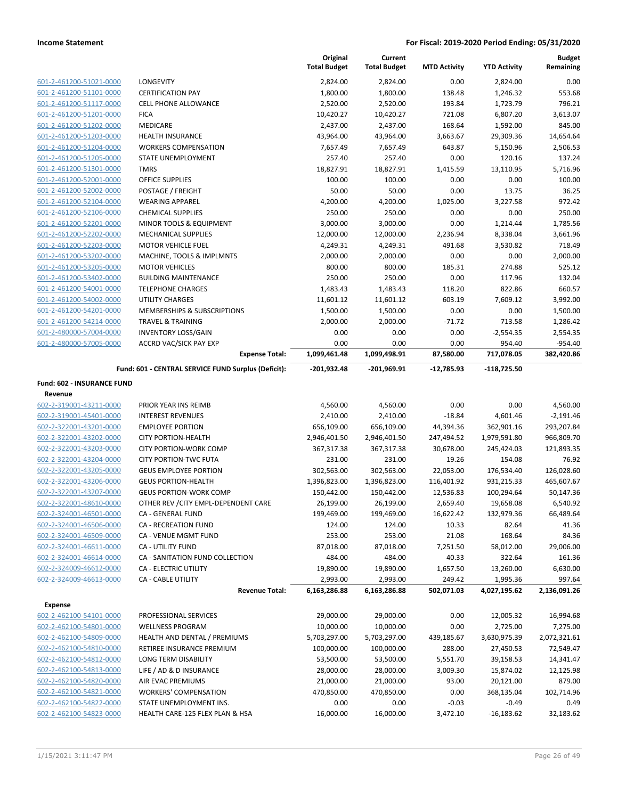|                                                    |                                                             | Original<br><b>Total Budget</b> | Current<br><b>Total Budget</b> | <b>MTD Activity</b> | <b>YTD Activity</b>   | <b>Budget</b><br>Remaining |
|----------------------------------------------------|-------------------------------------------------------------|---------------------------------|--------------------------------|---------------------|-----------------------|----------------------------|
| 601-2-461200-51021-0000                            | LONGEVITY                                                   | 2,824.00                        | 2,824.00                       | 0.00                | 2,824.00              | 0.00                       |
| 601-2-461200-51101-0000                            | <b>CERTIFICATION PAY</b>                                    | 1,800.00                        | 1,800.00                       | 138.48              | 1,246.32              | 553.68                     |
| 601-2-461200-51117-0000                            | CELL PHONE ALLOWANCE                                        | 2,520.00                        | 2,520.00                       | 193.84              | 1,723.79              | 796.21                     |
| 601-2-461200-51201-0000                            | <b>FICA</b>                                                 | 10,420.27                       | 10,420.27                      | 721.08              | 6,807.20              | 3,613.07                   |
| 601-2-461200-51202-0000                            | MEDICARE                                                    | 2,437.00                        | 2,437.00                       | 168.64              | 1,592.00              | 845.00                     |
| 601-2-461200-51203-0000                            | <b>HEALTH INSURANCE</b>                                     | 43,964.00                       | 43,964.00                      | 3,663.67            | 29,309.36             | 14,654.64                  |
| 601-2-461200-51204-0000                            | <b>WORKERS COMPENSATION</b>                                 | 7,657.49                        | 7,657.49                       | 643.87              | 5,150.96              | 2,506.53                   |
| 601-2-461200-51205-0000                            | STATE UNEMPLOYMENT                                          | 257.40                          | 257.40                         | 0.00                | 120.16                | 137.24                     |
| 601-2-461200-51301-0000                            | <b>TMRS</b>                                                 | 18,827.91                       | 18,827.91                      | 1,415.59            | 13,110.95             | 5,716.96                   |
| 601-2-461200-52001-0000                            | <b>OFFICE SUPPLIES</b>                                      | 100.00                          | 100.00                         | 0.00                | 0.00                  | 100.00                     |
| 601-2-461200-52002-0000                            | POSTAGE / FREIGHT                                           | 50.00                           | 50.00                          | 0.00                | 13.75                 | 36.25                      |
| 601-2-461200-52104-0000                            | <b>WEARING APPAREL</b>                                      | 4,200.00                        | 4,200.00                       | 1,025.00            | 3,227.58              | 972.42                     |
| 601-2-461200-52106-0000                            | <b>CHEMICAL SUPPLIES</b>                                    | 250.00                          | 250.00                         | 0.00                | 0.00                  | 250.00                     |
| 601-2-461200-52201-0000                            | MINOR TOOLS & EQUIPMENT                                     | 3,000.00                        | 3,000.00                       | 0.00                | 1,214.44              | 1,785.56                   |
| 601-2-461200-52202-0000                            | MECHANICAL SUPPLIES                                         | 12,000.00                       | 12,000.00                      | 2,236.94            | 8,338.04              | 3,661.96                   |
| 601-2-461200-52203-0000                            | <b>MOTOR VEHICLE FUEL</b>                                   | 4,249.31                        | 4,249.31                       | 491.68              | 3,530.82              | 718.49                     |
| 601-2-461200-53202-0000                            | MACHINE, TOOLS & IMPLMNTS                                   | 2,000.00                        | 2,000.00                       | 0.00                | 0.00                  | 2,000.00                   |
| 601-2-461200-53205-0000                            | <b>MOTOR VEHICLES</b>                                       | 800.00                          | 800.00                         | 185.31              | 274.88                | 525.12                     |
| 601-2-461200-53402-0000                            | <b>BUILDING MAINTENANCE</b>                                 | 250.00                          | 250.00                         | 0.00                | 117.96                | 132.04                     |
| 601-2-461200-54001-0000                            | <b>TELEPHONE CHARGES</b>                                    | 1,483.43                        | 1,483.43                       | 118.20              | 822.86                | 660.57                     |
| 601-2-461200-54002-0000                            | <b>UTILITY CHARGES</b>                                      | 11,601.12                       | 11,601.12<br>1,500.00          | 603.19              | 7,609.12              | 3,992.00<br>1,500.00       |
| 601-2-461200-54201-0000                            | MEMBERSHIPS & SUBSCRIPTIONS<br><b>TRAVEL &amp; TRAINING</b> | 1,500.00                        |                                | 0.00<br>$-71.72$    | 0.00<br>713.58        |                            |
| 601-2-461200-54214-0000<br>601-2-480000-57004-0000 | <b>INVENTORY LOSS/GAIN</b>                                  | 2,000.00<br>0.00                | 2,000.00<br>0.00               | 0.00                | $-2,554.35$           | 1,286.42<br>2,554.35       |
| 601-2-480000-57005-0000                            | <b>ACCRD VAC/SICK PAY EXP</b>                               | 0.00                            | 0.00                           | 0.00                | 954.40                | $-954.40$                  |
|                                                    | <b>Expense Total:</b>                                       | 1,099,461.48                    | 1,099,498.91                   | 87,580.00           | 717,078.05            | 382,420.86                 |
|                                                    | Fund: 601 - CENTRAL SERVICE FUND Surplus (Deficit):         | -201,932.48                     | -201,969.91                    | -12,785.93          | -118,725.50           |                            |
| Fund: 602 - INSURANCE FUND                         |                                                             |                                 |                                |                     |                       |                            |
| Revenue                                            |                                                             |                                 |                                |                     |                       |                            |
| 602-2-319001-43211-0000                            | PRIOR YEAR INS REIMB                                        | 4,560.00                        | 4,560.00                       | 0.00                | 0.00                  | 4,560.00                   |
| 602-2-319001-45401-0000                            | <b>INTEREST REVENUES</b>                                    | 2,410.00                        | 2,410.00                       | $-18.84$            | 4,601.46              | $-2,191.46$                |
| 602-2-322001-43201-0000                            | <b>EMPLOYEE PORTION</b>                                     | 656,109.00                      | 656,109.00                     | 44,394.36           | 362,901.16            | 293,207.84                 |
| 602-2-322001-43202-0000                            | <b>CITY PORTION-HEALTH</b>                                  | 2,946,401.50                    | 2,946,401.50                   | 247,494.52          | 1,979,591.80          | 966,809.70                 |
| 602-2-322001-43203-0000                            | <b>CITY PORTION-WORK COMP</b>                               | 367,317.38                      | 367,317.38                     | 30,678.00           | 245,424.03            | 121,893.35                 |
| 602-2-322001-43204-0000                            | <b>CITY PORTION-TWC FUTA</b>                                | 231.00                          | 231.00                         | 19.26               | 154.08                | 76.92                      |
| 602-2-322001-43205-0000                            | <b>GEUS EMPLOYEE PORTION</b>                                | 302,563.00                      | 302,563.00                     | 22,053.00           | 176,534.40            | 126,028.60                 |
| 602-2-322001-43206-0000                            | <b>GEUS PORTION-HEALTH</b>                                  | 1,396,823.00                    | 1,396,823.00                   | 116,401.92          | 931,215.33            | 465,607.67                 |
| 602-2-322001-43207-0000                            | <b>GEUS PORTION-WORK COMP</b>                               | 150,442.00                      | 150,442.00                     | 12,536.83           | 100,294.64            | 50,147.36                  |
| 602-2-322001-48610-0000                            | OTHER REV / CITY EMPL-DEPENDENT CARE                        | 26,199.00                       | 26,199.00                      | 2,659.40            | 19,658.08             | 6,540.92                   |
| 602-2-324001-46501-0000                            | CA - GENERAL FUND                                           | 199,469.00                      | 199,469.00                     | 16,622.42           | 132,979.36            | 66,489.64                  |
| 602-2-324001-46506-0000                            | CA - RECREATION FUND                                        | 124.00                          | 124.00                         | 10.33               | 82.64                 | 41.36                      |
| 602-2-324001-46509-0000                            | CA - VENUE MGMT FUND                                        | 253.00                          | 253.00                         | 21.08               | 168.64                | 84.36                      |
| 602-2-324001-46611-0000                            | CA - UTILITY FUND                                           | 87,018.00                       | 87,018.00                      | 7,251.50            | 58,012.00             | 29,006.00<br>161.36        |
| 602-2-324001-46614-0000<br>602-2-324009-46612-0000 | CA - SANITATION FUND COLLECTION                             | 484.00                          | 484.00<br>19,890.00            | 40.33<br>1,657.50   | 322.64                |                            |
| 602-2-324009-46613-0000                            | CA - ELECTRIC UTILITY<br><b>CA - CABLE UTILITY</b>          | 19,890.00<br>2,993.00           | 2,993.00                       | 249.42              | 13,260.00<br>1,995.36 | 6,630.00<br>997.64         |
|                                                    | <b>Revenue Total:</b>                                       | 6,163,286.88                    | 6,163,286.88                   | 502,071.03          | 4,027,195.62          | 2,136,091.26               |
|                                                    |                                                             |                                 |                                |                     |                       |                            |
| <b>Expense</b><br>602-2-462100-54101-0000          | PROFESSIONAL SERVICES                                       | 29,000.00                       | 29,000.00                      | 0.00                | 12,005.32             | 16,994.68                  |
| 602-2-462100-54801-0000                            | <b>WELLNESS PROGRAM</b>                                     | 10,000.00                       | 10,000.00                      | 0.00                | 2,725.00              | 7,275.00                   |
| 602-2-462100-54809-0000                            | HEALTH AND DENTAL / PREMIUMS                                | 5,703,297.00                    | 5,703,297.00                   | 439,185.67          | 3,630,975.39          | 2,072,321.61               |
| 602-2-462100-54810-0000                            | RETIREE INSURANCE PREMIUM                                   | 100,000.00                      | 100,000.00                     | 288.00              | 27,450.53             | 72,549.47                  |
| 602-2-462100-54812-0000                            | LONG TERM DISABILITY                                        | 53,500.00                       | 53,500.00                      | 5,551.70            | 39,158.53             | 14,341.47                  |
| 602-2-462100-54813-0000                            | LIFE / AD & D INSURANCE                                     | 28,000.00                       | 28,000.00                      | 3,009.30            | 15,874.02             | 12,125.98                  |
| 602-2-462100-54820-0000                            | AIR EVAC PREMIUMS                                           | 21,000.00                       | 21,000.00                      | 93.00               | 20,121.00             | 879.00                     |
| 602-2-462100-54821-0000                            | <b>WORKERS' COMPENSATION</b>                                | 470,850.00                      | 470,850.00                     | 0.00                | 368,135.04            | 102,714.96                 |
| 602-2-462100-54822-0000                            | STATE UNEMPLOYMENT INS.                                     | 0.00                            | 0.00                           | $-0.03$             | $-0.49$               | 0.49                       |
| 602-2-462100-54823-0000                            | HEALTH CARE-125 FLEX PLAN & HSA                             | 16,000.00                       | 16,000.00                      | 3,472.10            | $-16,183.62$          | 32,183.62                  |
|                                                    |                                                             |                                 |                                |                     |                       |                            |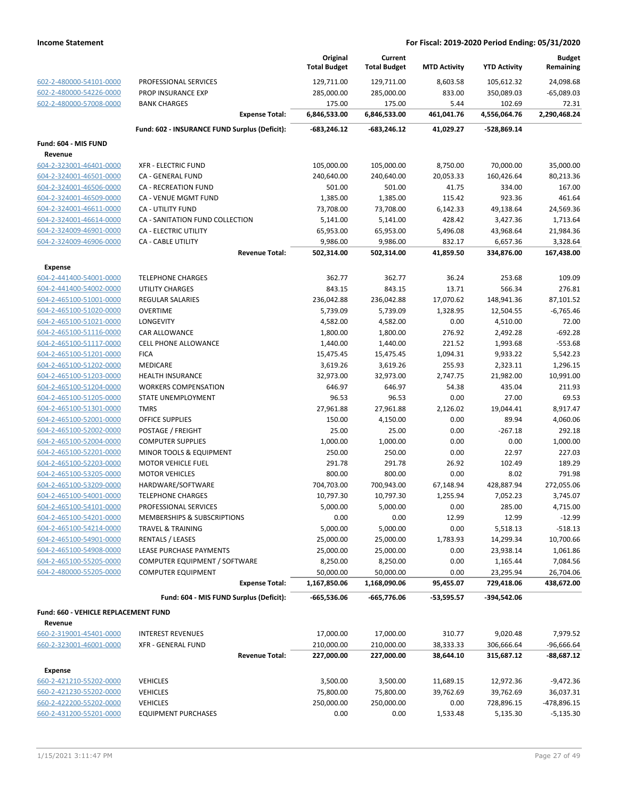|                                      |                                               | Original                 | Current                  |                        |                          | <b>Budget</b>                |
|--------------------------------------|-----------------------------------------------|--------------------------|--------------------------|------------------------|--------------------------|------------------------------|
|                                      |                                               | <b>Total Budget</b>      | <b>Total Budget</b>      | <b>MTD Activity</b>    | <b>YTD Activity</b>      | Remaining                    |
| 602-2-480000-54101-0000              | PROFESSIONAL SERVICES                         | 129,711.00               | 129,711.00               | 8,603.58               | 105,612.32               | 24,098.68                    |
| 602-2-480000-54226-0000              | <b>PROP INSURANCE EXP</b>                     | 285,000.00               | 285,000.00               | 833.00                 | 350,089.03               | $-65,089.03$                 |
| 602-2-480000-57008-0000              | <b>BANK CHARGES</b>                           | 175.00                   | 175.00                   | 5.44                   | 102.69                   | 72.31                        |
|                                      | <b>Expense Total:</b>                         | 6,846,533.00             | 6,846,533.00             | 461,041.76             | 4,556,064.76             | 2,290,468.24                 |
|                                      | Fund: 602 - INSURANCE FUND Surplus (Deficit): | $-683,246.12$            | $-683,246.12$            | 41,029.27              | -528,869.14              |                              |
| Fund: 604 - MIS FUND                 |                                               |                          |                          |                        |                          |                              |
| Revenue                              |                                               |                          |                          |                        |                          |                              |
| 604-2-323001-46401-0000              | <b>XFR - ELECTRIC FUND</b>                    | 105,000.00               | 105,000.00               | 8,750.00               | 70,000.00                | 35,000.00                    |
| 604-2-324001-46501-0000              | CA - GENERAL FUND                             | 240,640.00               | 240,640.00               | 20,053.33              | 160,426.64               | 80,213.36                    |
| 604-2-324001-46506-0000              | <b>CA - RECREATION FUND</b>                   | 501.00                   | 501.00                   | 41.75                  | 334.00                   | 167.00                       |
| 604-2-324001-46509-0000              | CA - VENUE MGMT FUND                          | 1,385.00                 | 1,385.00                 | 115.42                 | 923.36                   | 461.64                       |
| 604-2-324001-46611-0000              | CA - UTILITY FUND                             | 73,708.00                | 73,708.00                | 6,142.33               | 49,138.64                | 24,569.36                    |
| 604-2-324001-46614-0000              | CA - SANITATION FUND COLLECTION               | 5,141.00                 | 5,141.00                 | 428.42                 | 3,427.36                 | 1,713.64                     |
| 604-2-324009-46901-0000              | CA - ELECTRIC UTILITY                         | 65,953.00                | 65,953.00                | 5,496.08               | 43,968.64                | 21,984.36                    |
| 604-2-324009-46906-0000              | CA - CABLE UTILITY                            | 9,986.00                 | 9,986.00                 | 832.17                 | 6,657.36                 | 3,328.64                     |
|                                      | <b>Revenue Total:</b>                         | 502,314.00               | 502,314.00               | 41,859.50              | 334,876.00               | 167,438.00                   |
| <b>Expense</b>                       |                                               |                          |                          |                        |                          |                              |
| 604-2-441400-54001-0000              | <b>TELEPHONE CHARGES</b>                      | 362.77                   | 362.77                   | 36.24                  | 253.68                   | 109.09                       |
| 604-2-441400-54002-0000              | <b>UTILITY CHARGES</b>                        | 843.15                   | 843.15                   | 13.71                  | 566.34                   | 276.81                       |
| 604-2-465100-51001-0000              | <b>REGULAR SALARIES</b>                       | 236,042.88               | 236,042.88               | 17,070.62              | 148,941.36               | 87,101.52                    |
| 604-2-465100-51020-0000              | <b>OVERTIME</b>                               | 5,739.09                 | 5,739.09                 | 1,328.95               | 12,504.55                | $-6,765.46$                  |
| 604-2-465100-51021-0000              | LONGEVITY                                     | 4,582.00                 | 4,582.00                 | 0.00                   | 4,510.00                 | 72.00                        |
| 604-2-465100-51116-0000              | <b>CAR ALLOWANCE</b>                          | 1,800.00                 | 1,800.00                 | 276.92                 | 2,492.28                 | $-692.28$                    |
| 604-2-465100-51117-0000              | CELL PHONE ALLOWANCE                          | 1,440.00                 | 1,440.00                 | 221.52                 | 1,993.68                 | $-553.68$                    |
| 604-2-465100-51201-0000              | <b>FICA</b>                                   | 15,475.45                | 15,475.45                | 1,094.31               | 9,933.22                 | 5,542.23                     |
| 604-2-465100-51202-0000              | MEDICARE                                      | 3,619.26                 | 3,619.26                 | 255.93                 | 2,323.11                 | 1,296.15                     |
| 604-2-465100-51203-0000              | <b>HEALTH INSURANCE</b>                       | 32,973.00                | 32,973.00                | 2,747.75               | 21,982.00                | 10,991.00                    |
| 604-2-465100-51204-0000              | <b>WORKERS COMPENSATION</b>                   | 646.97                   | 646.97                   | 54.38                  | 435.04                   | 211.93                       |
| 604-2-465100-51205-0000              | STATE UNEMPLOYMENT                            | 96.53                    | 96.53                    | 0.00                   | 27.00                    | 69.53                        |
| 604-2-465100-51301-0000              | <b>TMRS</b>                                   | 27,961.88                | 27,961.88                | 2,126.02               | 19,044.41                | 8,917.47                     |
| 604-2-465100-52001-0000              | <b>OFFICE SUPPLIES</b>                        | 150.00                   | 4,150.00                 | 0.00                   | 89.94                    | 4,060.06                     |
| 604-2-465100-52002-0000              | POSTAGE / FREIGHT                             | 25.00                    | 25.00                    | 0.00                   | $-267.18$                | 292.18                       |
| 604-2-465100-52004-0000              | <b>COMPUTER SUPPLIES</b>                      | 1,000.00                 | 1,000.00                 | 0.00                   | 0.00                     | 1,000.00                     |
| 604-2-465100-52201-0000              | MINOR TOOLS & EQUIPMENT                       | 250.00                   | 250.00                   | 0.00                   | 22.97                    | 227.03                       |
| 604-2-465100-52203-0000              | <b>MOTOR VEHICLE FUEL</b>                     | 291.78                   | 291.78                   | 26.92                  | 102.49                   | 189.29                       |
| 604-2-465100-53205-0000              | <b>MOTOR VEHICLES</b>                         | 800.00                   | 800.00                   | 0.00                   | 8.02                     | 791.98                       |
| 604-2-465100-53209-0000              | HARDWARE/SOFTWARE                             | 704,703.00               | 700,943.00               | 67,148.94              | 428,887.94               | 272,055.06                   |
| 604-2-465100-54001-0000              | <b>TELEPHONE CHARGES</b>                      | 10,797.30                | 10,797.30                | 1,255.94               | 7,052.23                 | 3,745.07                     |
| 604-2-465100-54101-0000              | PROFESSIONAL SERVICES                         | 5,000.00                 | 5,000.00                 | 0.00                   | 285.00                   | 4,715.00                     |
| 604-2-465100-54201-0000              | MEMBERSHIPS & SUBSCRIPTIONS                   | 0.00                     | 0.00                     | 12.99                  | 12.99                    | $-12.99$                     |
| 604-2-465100-54214-0000              | <b>TRAVEL &amp; TRAINING</b>                  | 5,000.00                 | 5,000.00                 | 0.00                   | 5,518.13                 | $-518.13$                    |
| 604-2-465100-54901-0000              | <b>RENTALS / LEASES</b>                       | 25,000.00                | 25,000.00                | 1,783.93               | 14,299.34                | 10,700.66                    |
| 604-2-465100-54908-0000              | LEASE PURCHASE PAYMENTS                       | 25,000.00                | 25,000.00                | 0.00                   | 23,938.14                | 1,061.86                     |
| 604-2-465100-55205-0000              | COMPUTER EQUIPMENT / SOFTWARE                 | 8,250.00                 | 8,250.00                 | 0.00                   | 1,165.44                 | 7,084.56                     |
| 604-2-480000-55205-0000              | <b>COMPUTER EQUIPMENT</b>                     | 50,000.00                | 50,000.00                | 0.00                   | 23,295.94                | 26,704.06                    |
|                                      | <b>Expense Total:</b>                         | 1,167,850.06             | 1,168,090.06             | 95,455.07              | 729,418.06               | 438,672.00                   |
|                                      | Fund: 604 - MIS FUND Surplus (Deficit):       | $-665,536.06$            | -665,776.06              | -53,595.57             | -394,542.06              |                              |
| Fund: 660 - VEHICLE REPLACEMENT FUND |                                               |                          |                          |                        |                          |                              |
| Revenue                              |                                               |                          |                          |                        |                          |                              |
| 660-2-319001-45401-0000              | <b>INTEREST REVENUES</b>                      | 17,000.00                | 17,000.00                | 310.77                 | 9,020.48                 | 7,979.52                     |
| 660-2-323001-46001-0000              | <b>XFR - GENERAL FUND</b>                     | 210,000.00<br>227,000.00 | 210,000.00<br>227,000.00 | 38,333.33<br>38,644.10 | 306,666.64<br>315,687.12 | $-96,666.64$<br>$-88,687.12$ |
|                                      | <b>Revenue Total:</b>                         |                          |                          |                        |                          |                              |
| <b>Expense</b>                       |                                               |                          |                          |                        |                          |                              |
| 660-2-421210-55202-0000              | <b>VEHICLES</b>                               | 3,500.00                 | 3,500.00                 | 11,689.15              | 12,972.36                | $-9,472.36$                  |
| 660-2-421230-55202-0000              | <b>VEHICLES</b>                               | 75,800.00                | 75,800.00                | 39,762.69              | 39,762.69                | 36,037.31                    |
| 660-2-422200-55202-0000              | <b>VEHICLES</b>                               | 250,000.00               | 250,000.00               | 0.00                   | 728,896.15               | -478,896.15                  |
| 660-2-431200-55201-0000              | <b>EQUIPMENT PURCHASES</b>                    | 0.00                     | 0.00                     | 1,533.48               | 5,135.30                 | $-5,135.30$                  |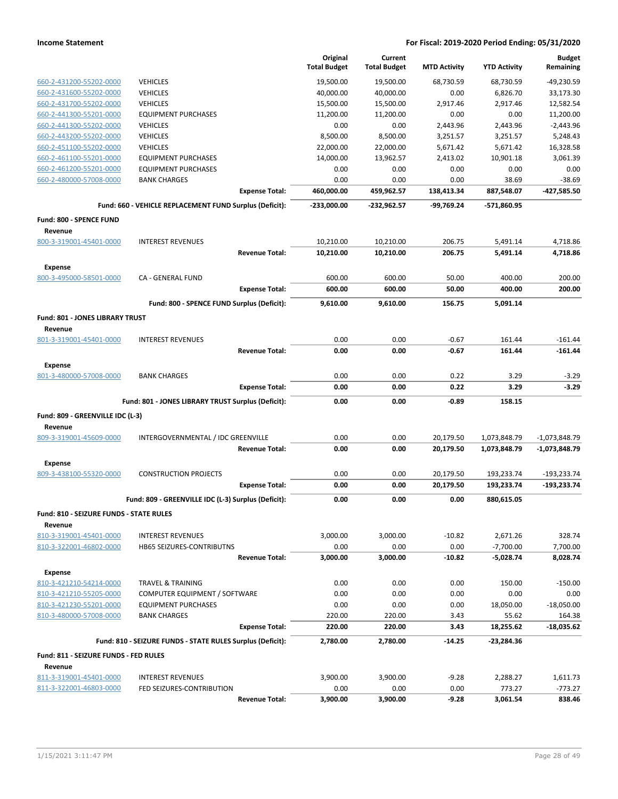|                                                    |                                                            | Original            | Current             |                     |                     | <b>Budget</b>   |
|----------------------------------------------------|------------------------------------------------------------|---------------------|---------------------|---------------------|---------------------|-----------------|
|                                                    |                                                            | <b>Total Budget</b> | <b>Total Budget</b> | <b>MTD Activity</b> | <b>YTD Activity</b> | Remaining       |
| 660-2-431200-55202-0000                            | <b>VEHICLES</b>                                            | 19,500.00           | 19,500.00           | 68,730.59           | 68,730.59           | -49,230.59      |
| 660-2-431600-55202-0000                            | <b>VEHICLES</b>                                            | 40,000.00           | 40,000.00           | 0.00                | 6,826.70            | 33,173.30       |
| 660-2-431700-55202-0000                            | <b>VEHICLES</b>                                            | 15,500.00           | 15,500.00           | 2,917.46            | 2,917.46            | 12,582.54       |
| 660-2-441300-55201-0000                            | <b>EQUIPMENT PURCHASES</b>                                 | 11,200.00           | 11,200.00           | 0.00                | 0.00                | 11,200.00       |
| 660-2-441300-55202-0000                            | <b>VEHICLES</b>                                            | 0.00                | 0.00                | 2,443.96            | 2,443.96            | $-2,443.96$     |
| 660-2-443200-55202-0000                            | <b>VEHICLES</b>                                            | 8,500.00            | 8,500.00            | 3,251.57            | 3,251.57            | 5,248.43        |
| 660-2-451100-55202-0000                            | <b>VEHICLES</b>                                            | 22,000.00           | 22,000.00           | 5,671.42            | 5,671.42            | 16,328.58       |
| 660-2-461100-55201-0000                            | <b>EQUIPMENT PURCHASES</b>                                 | 14,000.00           | 13,962.57           | 2,413.02            | 10,901.18           | 3,061.39        |
| 660-2-461200-55201-0000                            | <b>EQUIPMENT PURCHASES</b>                                 | 0.00                | 0.00                | 0.00                | 0.00                | 0.00            |
| 660-2-480000-57008-0000                            | <b>BANK CHARGES</b>                                        | 0.00                | 0.00                | 0.00                | 38.69               | $-38.69$        |
|                                                    | <b>Expense Total:</b>                                      | 460,000.00          | 459,962.57          | 138,413.34          | 887,548.07          | -427,585.50     |
|                                                    | Fund: 660 - VEHICLE REPLACEMENT FUND Surplus (Deficit):    | -233,000.00         | -232,962.57         | -99,769.24          | -571,860.95         |                 |
| Fund: 800 - SPENCE FUND                            |                                                            |                     |                     |                     |                     |                 |
| Revenue                                            |                                                            |                     |                     |                     |                     |                 |
| 800-3-319001-45401-0000                            | <b>INTEREST REVENUES</b>                                   | 10,210.00           | 10,210.00           | 206.75              | 5,491.14            | 4,718.86        |
|                                                    | <b>Revenue Total:</b>                                      | 10,210.00           | 10,210.00           | 206.75              | 5,491.14            | 4,718.86        |
| Expense                                            |                                                            |                     |                     |                     |                     |                 |
| 800-3-495000-58501-0000                            | CA - GENERAL FUND                                          | 600.00              | 600.00              | 50.00               | 400.00              | 200.00          |
|                                                    | <b>Expense Total:</b>                                      | 600.00              | 600.00              | 50.00               | 400.00              | 200.00          |
|                                                    | Fund: 800 - SPENCE FUND Surplus (Deficit):                 | 9,610.00            | 9,610.00            | 156.75              | 5,091.14            |                 |
| Fund: 801 - JONES LIBRARY TRUST                    |                                                            |                     |                     |                     |                     |                 |
| Revenue                                            |                                                            |                     |                     |                     |                     |                 |
| 801-3-319001-45401-0000                            | <b>INTEREST REVENUES</b>                                   | 0.00                | 0.00                | $-0.67$             | 161.44              | $-161.44$       |
|                                                    | <b>Revenue Total:</b>                                      | 0.00                | 0.00                | -0.67               | 161.44              | $-161.44$       |
| Expense                                            |                                                            |                     |                     |                     |                     |                 |
| 801-3-480000-57008-0000                            | <b>BANK CHARGES</b>                                        | 0.00                | 0.00                | 0.22                | 3.29                | $-3.29$         |
|                                                    | <b>Expense Total:</b>                                      | 0.00                | 0.00                | 0.22                | 3.29                | $-3.29$         |
|                                                    |                                                            |                     |                     |                     |                     |                 |
|                                                    | Fund: 801 - JONES LIBRARY TRUST Surplus (Deficit):         | 0.00                | 0.00                | -0.89               | 158.15              |                 |
| Fund: 809 - GREENVILLE IDC (L-3)                   |                                                            |                     |                     |                     |                     |                 |
| Revenue                                            |                                                            |                     |                     |                     |                     |                 |
| 809-3-319001-45609-0000                            | INTERGOVERNMENTAL / IDC GREENVILLE                         | 0.00                | 0.00                | 20,179.50           | 1,073,848.79        | $-1,073,848.79$ |
|                                                    | <b>Revenue Total:</b>                                      | 0.00                | 0.00                | 20,179.50           | 1,073,848.79        | $-1,073,848.79$ |
| Expense                                            |                                                            |                     |                     |                     |                     |                 |
| 809-3-438100-55320-0000                            | <b>CONSTRUCTION PROJECTS</b>                               | 0.00                | 0.00                | 20,179.50           | 193,233.74          | $-193,233.74$   |
|                                                    | <b>Expense Total:</b>                                      | 0.00                | 0.00                | 20,179.50           | 193,233.74          | $-193,233.74$   |
|                                                    | Fund: 809 - GREENVILLE IDC (L-3) Surplus (Deficit):        | 0.00                | 0.00                | 0.00                | 880,615.05          |                 |
|                                                    |                                                            |                     |                     |                     |                     |                 |
| Fund: 810 - SEIZURE FUNDS - STATE RULES            |                                                            |                     |                     |                     |                     |                 |
| Revenue                                            |                                                            |                     |                     |                     |                     |                 |
| 810-3-319001-45401-0000<br>810-3-322001-46802-0000 | <b>INTEREST REVENUES</b><br>HB65 SEIZURES-CONTRIBUTNS      | 3,000.00            | 3,000.00            | $-10.82$            | 2,671.26            | 328.74          |
|                                                    |                                                            | 0.00                | 0.00                | 0.00                | $-7,700.00$         | 7,700.00        |
|                                                    | <b>Revenue Total:</b>                                      | 3,000.00            | 3,000.00            | $-10.82$            | -5,028.74           | 8,028.74        |
| Expense                                            |                                                            |                     |                     |                     |                     |                 |
| 810-3-421210-54214-0000                            | <b>TRAVEL &amp; TRAINING</b>                               | 0.00                | 0.00                | 0.00                | 150.00              | $-150.00$       |
| 810-3-421210-55205-0000                            | COMPUTER EQUIPMENT / SOFTWARE                              | 0.00                | 0.00                | 0.00                | 0.00                | 0.00            |
| 810-3-421230-55201-0000                            | <b>EQUIPMENT PURCHASES</b>                                 | 0.00                | 0.00                | 0.00                | 18,050.00           | $-18,050.00$    |
| 810-3-480000-57008-0000                            | <b>BANK CHARGES</b>                                        | 220.00              | 220.00              | 3.43                | 55.62               | 164.38          |
|                                                    | <b>Expense Total:</b>                                      | 220.00              | 220.00              | 3.43                | 18,255.62           | $-18,035.62$    |
|                                                    | Fund: 810 - SEIZURE FUNDS - STATE RULES Surplus (Deficit): | 2,780.00            | 2,780.00            | $-14.25$            | -23,284.36          |                 |
| Fund: 811 - SEIZURE FUNDS - FED RULES              |                                                            |                     |                     |                     |                     |                 |
| Revenue                                            |                                                            |                     |                     |                     |                     |                 |
| 811-3-319001-45401-0000                            | <b>INTEREST REVENUES</b>                                   | 3,900.00            | 3,900.00            | $-9.28$             | 2,288.27            | 1,611.73        |
| 811-3-322001-46803-0000                            | FED SEIZURES-CONTRIBUTION                                  | 0.00                | 0.00                | 0.00                | 773.27              | -773.27         |
|                                                    | <b>Revenue Total:</b>                                      | 3,900.00            | 3,900.00            | $-9.28$             | 3,061.54            | 838.46          |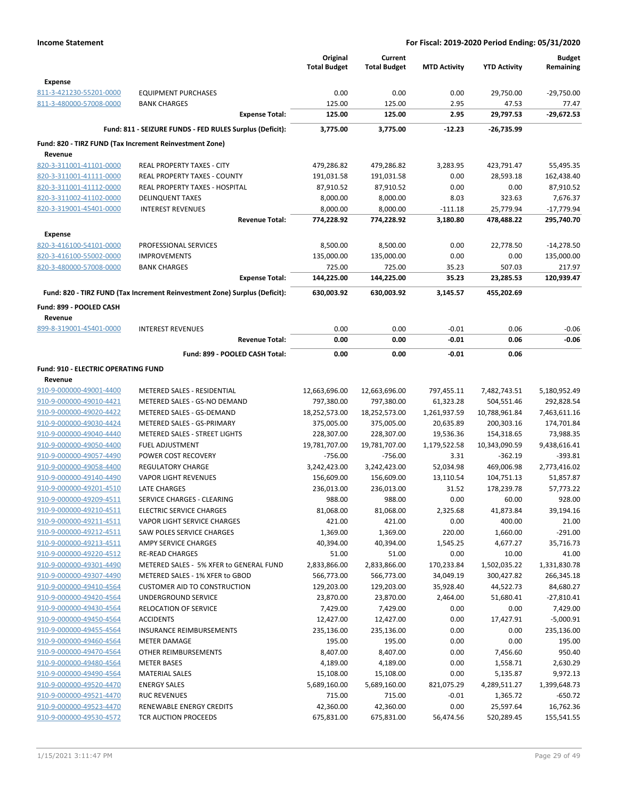|                                                |                                                                            | Original<br><b>Total Budget</b> | Current<br><b>Total Budget</b> | <b>MTD Activity</b> | <b>YTD Activity</b> | <b>Budget</b><br>Remaining |
|------------------------------------------------|----------------------------------------------------------------------------|---------------------------------|--------------------------------|---------------------|---------------------|----------------------------|
| <b>Expense</b>                                 |                                                                            |                                 |                                |                     |                     |                            |
| 811-3-421230-55201-0000                        | <b>EQUIPMENT PURCHASES</b>                                                 | 0.00                            | 0.00                           | 0.00                | 29,750.00           | $-29,750.00$               |
| 811-3-480000-57008-0000                        | <b>BANK CHARGES</b>                                                        | 125.00                          | 125.00                         | 2.95                | 47.53               | 77.47                      |
|                                                | <b>Expense Total:</b>                                                      | 125.00                          | 125.00                         | 2.95                | 29,797.53           | -29,672.53                 |
|                                                | Fund: 811 - SEIZURE FUNDS - FED RULES Surplus (Deficit):                   | 3,775.00                        | 3,775.00                       | $-12.23$            | -26,735.99          |                            |
|                                                | Fund: 820 - TIRZ FUND (Tax Increment Reinvestment Zone)                    |                                 |                                |                     |                     |                            |
| Revenue                                        |                                                                            |                                 |                                |                     |                     |                            |
| 820-3-311001-41101-0000                        | REAL PROPERTY TAXES - CITY                                                 | 479,286.82                      | 479,286.82                     | 3,283.95            | 423,791.47          | 55,495.35                  |
| 820-3-311001-41111-0000                        | REAL PROPERTY TAXES - COUNTY                                               | 191,031.58                      | 191,031.58                     | 0.00                | 28,593.18           | 162,438.40                 |
| 820-3-311001-41112-0000                        | <b>REAL PROPERTY TAXES - HOSPITAL</b>                                      | 87,910.52                       | 87,910.52                      | 0.00                | 0.00                | 87,910.52                  |
| 820-3-311002-41102-0000                        | <b>DELINQUENT TAXES</b>                                                    | 8,000.00                        | 8,000.00                       | 8.03                | 323.63              | 7,676.37                   |
| 820-3-319001-45401-0000                        | <b>INTEREST REVENUES</b>                                                   | 8,000.00                        | 8,000.00                       | $-111.18$           | 25,779.94           | $-17,779.94$               |
|                                                | <b>Revenue Total:</b>                                                      | 774,228.92                      | 774,228.92                     | 3,180.80            | 478,488.22          | 295,740.70                 |
| <b>Expense</b>                                 |                                                                            |                                 |                                |                     |                     |                            |
| 820-3-416100-54101-0000                        | PROFESSIONAL SERVICES                                                      | 8,500.00                        | 8,500.00                       | 0.00                | 22,778.50           | $-14,278.50$               |
| 820-3-416100-55002-0000                        | <b>IMPROVEMENTS</b>                                                        | 135,000.00                      | 135,000.00                     | 0.00                | 0.00                | 135,000.00                 |
| 820-3-480000-57008-0000                        | <b>BANK CHARGES</b>                                                        | 725.00                          | 725.00                         | 35.23               | 507.03              | 217.97                     |
|                                                | <b>Expense Total:</b>                                                      | 144,225.00                      | 144,225.00                     | 35.23               | 23,285.53           | 120,939.47                 |
|                                                | Fund: 820 - TIRZ FUND (Tax Increment Reinvestment Zone) Surplus (Deficit): | 630,003.92                      | 630,003.92                     | 3,145.57            | 455,202.69          |                            |
| Fund: 899 - POOLED CASH                        |                                                                            |                                 |                                |                     |                     |                            |
| Revenue                                        |                                                                            |                                 |                                |                     |                     |                            |
| 899-8-319001-45401-0000                        | <b>INTEREST REVENUES</b><br><b>Revenue Total:</b>                          | 0.00<br>0.00                    | 0.00<br>0.00                   | $-0.01$<br>$-0.01$  | 0.06<br>0.06        | $-0.06$<br>$-0.06$         |
|                                                |                                                                            |                                 |                                |                     |                     |                            |
|                                                | Fund: 899 - POOLED CASH Total:                                             | 0.00                            | 0.00                           | $-0.01$             | 0.06                |                            |
| Fund: 910 - ELECTRIC OPERATING FUND<br>Revenue |                                                                            |                                 |                                |                     |                     |                            |
| 910-9-000000-49001-4400                        | METERED SALES - RESIDENTIAL                                                | 12,663,696.00                   | 12,663,696.00                  | 797,455.11          | 7,482,743.51        | 5,180,952.49               |
| 910-9-000000-49010-4421                        | METERED SALES - GS-NO DEMAND                                               | 797,380.00                      | 797,380.00                     | 61,323.28           | 504,551.46          | 292,828.54                 |
| 910-9-000000-49020-4422                        | METERED SALES - GS-DEMAND                                                  | 18,252,573.00                   | 18,252,573.00                  | 1,261,937.59        | 10,788,961.84       | 7,463,611.16               |
| 910-9-000000-49030-4424                        | METERED SALES - GS-PRIMARY                                                 | 375,005.00                      | 375,005.00                     | 20,635.89           | 200,303.16          | 174,701.84                 |
| 910-9-000000-49040-4440                        | <b>METERED SALES - STREET LIGHTS</b>                                       | 228,307.00                      | 228,307.00                     | 19,536.36           | 154,318.65          | 73,988.35                  |
| 910-9-000000-49050-4400                        | <b>FUEL ADJUSTMENT</b>                                                     | 19,781,707.00                   | 19,781,707.00                  | 1,179,522.58        | 10,343,090.59       | 9,438,616.41               |
| 910-9-000000-49057-4490                        | POWER COST RECOVERY                                                        | $-756.00$                       | $-756.00$                      | 3.31                | $-362.19$           | $-393.81$                  |
| 910-9-000000-49058-4400                        | <b>REGULATORY CHARGE</b>                                                   | 3,242,423.00                    | 3,242,423.00                   | 52,034.98           | 469,006.98          | 2,773,416.02               |
| 910-9-000000-49140-4490                        | <b>VAPOR LIGHT REVENUES</b>                                                | 156,609.00                      | 156,609.00                     | 13,110.54           | 104,751.13          | 51,857.87                  |
| 910-9-000000-49201-4510                        | <b>LATE CHARGES</b>                                                        | 236,013.00                      | 236,013.00                     | 31.52               | 178,239.78          | 57,773.22                  |
| 910-9-000000-49209-4511                        | SERVICE CHARGES - CLEARING                                                 | 988.00                          | 988.00                         | 0.00                | 60.00               | 928.00                     |
| 910-9-000000-49210-4511                        | <b>ELECTRIC SERVICE CHARGES</b>                                            | 81,068.00                       | 81,068.00                      | 2,325.68            | 41,873.84           | 39,194.16                  |
| 910-9-000000-49211-4511                        | <b>VAPOR LIGHT SERVICE CHARGES</b>                                         | 421.00                          | 421.00                         | 0.00                | 400.00              | 21.00                      |
| 910-9-000000-49212-4511                        | <b>SAW POLES SERVICE CHARGES</b>                                           | 1,369.00                        | 1,369.00                       | 220.00              | 1,660.00            | $-291.00$                  |
| 910-9-000000-49213-4511                        | AMPY SERVICE CHARGES                                                       | 40,394.00                       | 40,394.00                      | 1,545.25            | 4,677.27            | 35,716.73                  |
| 910-9-000000-49220-4512                        | <b>RE-READ CHARGES</b>                                                     | 51.00                           | 51.00                          | 0.00                | 10.00               | 41.00                      |
| 910-9-000000-49301-4490                        | METERED SALES - 5% XFER to GENERAL FUND                                    | 2,833,866.00                    | 2,833,866.00                   | 170,233.84          | 1,502,035.22        | 1,331,830.78               |
| 910-9-000000-49307-4490                        | METERED SALES - 1% XFER to GBOD                                            | 566,773.00                      | 566,773.00                     | 34,049.19           | 300,427.82          | 266,345.18                 |
| 910-9-000000-49410-4564                        | <b>CUSTOMER AID TO CONSTRUCTION</b>                                        | 129,203.00                      | 129,203.00                     | 35,928.40           | 44,522.73           | 84,680.27                  |
| 910-9-000000-49420-4564                        | UNDERGROUND SERVICE                                                        | 23,870.00                       | 23,870.00                      | 2,464.00            | 51,680.41           | $-27,810.41$               |
| 910-9-000000-49430-4564                        | RELOCATION OF SERVICE                                                      | 7,429.00                        | 7,429.00                       | 0.00                | 0.00                | 7,429.00                   |
| 910-9-000000-49450-4564                        | <b>ACCIDENTS</b>                                                           | 12,427.00                       | 12,427.00                      | 0.00                | 17,427.91           | $-5,000.91$                |
| 910-9-000000-49455-4564                        | <b>INSURANCE REIMBURSEMENTS</b>                                            | 235,136.00                      | 235,136.00                     | 0.00                | 0.00                | 235,136.00                 |
| 910-9-000000-49460-4564                        | METER DAMAGE                                                               | 195.00                          | 195.00                         | 0.00                | 0.00                | 195.00                     |
| 910-9-000000-49470-4564                        | OTHER REIMBURSEMENTS                                                       | 8,407.00                        | 8,407.00                       | 0.00                | 7,456.60            | 950.40                     |
| 910-9-000000-49480-4564                        | <b>METER BASES</b>                                                         | 4,189.00                        | 4,189.00                       | 0.00                | 1,558.71            | 2,630.29                   |
| 910-9-000000-49490-4564                        | <b>MATERIAL SALES</b>                                                      | 15,108.00                       | 15,108.00                      | 0.00                | 5,135.87            | 9,972.13                   |
| 910-9-000000-49520-4470                        | <b>ENERGY SALES</b>                                                        | 5,689,160.00                    | 5,689,160.00                   | 821,075.29          | 4,289,511.27        | 1,399,648.73               |
| 910-9-000000-49521-4470                        | <b>RUC REVENUES</b>                                                        | 715.00                          | 715.00                         | $-0.01$             | 1,365.72            | $-650.72$                  |
| 910-9-000000-49523-4470                        | RENEWABLE ENERGY CREDITS                                                   | 42,360.00                       | 42,360.00                      | 0.00                | 25,597.64           | 16,762.36                  |
| 910-9-000000-49530-4572                        | TCR AUCTION PROCEEDS                                                       | 675,831.00                      | 675,831.00                     | 56,474.56           | 520,289.45          | 155,541.55                 |
|                                                |                                                                            |                                 |                                |                     |                     |                            |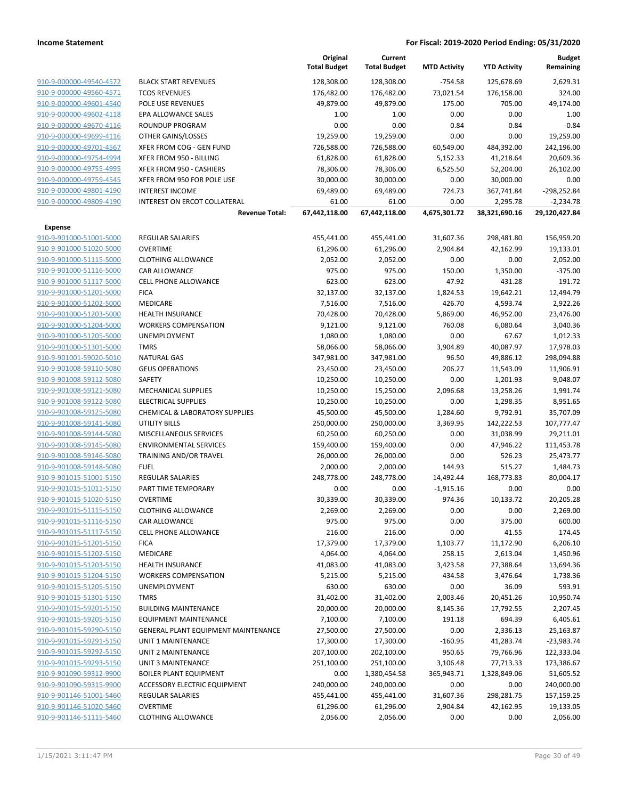|                                                    |                                     | Original<br><b>Total Budget</b> | Current<br><b>Total Budget</b> | <b>MTD Activity</b>   | <b>YTD Activity</b>     | <b>Budget</b><br>Remaining |
|----------------------------------------------------|-------------------------------------|---------------------------------|--------------------------------|-----------------------|-------------------------|----------------------------|
| 910-9-000000-49540-4572                            | <b>BLACK START REVENUES</b>         | 128,308.00                      | 128,308.00                     | $-754.58$             | 125,678.69              | 2,629.31                   |
| 910-9-000000-49560-4571                            | <b>TCOS REVENUES</b>                | 176,482.00                      | 176,482.00                     | 73,021.54             | 176,158.00              | 324.00                     |
| 910-9-000000-49601-4540                            | POLE USE REVENUES                   | 49,879.00                       | 49,879.00                      | 175.00                | 705.00                  | 49,174.00                  |
| 910-9-000000-49602-4118                            | <b>EPA ALLOWANCE SALES</b>          | 1.00                            | 1.00                           | 0.00                  | 0.00                    | 1.00                       |
| 910-9-000000-49670-4116                            | <b>ROUNDUP PROGRAM</b>              | 0.00                            | 0.00                           | 0.84                  | 0.84                    | $-0.84$                    |
| 910-9-000000-49699-4116                            | OTHER GAINS/LOSSES                  | 19,259.00                       | 19,259.00                      | 0.00                  | 0.00                    | 19,259.00                  |
| 910-9-000000-49701-4567                            | XFER FROM COG - GEN FUND            | 726,588.00                      | 726,588.00                     | 60,549.00             | 484,392.00              | 242,196.00                 |
| 910-9-000000-49754-4994                            | XFER FROM 950 - BILLING             | 61,828.00                       | 61,828.00                      | 5,152.33              | 41,218.64               | 20,609.36                  |
| 910-9-000000-49755-4995                            | XFER FROM 950 - CASHIERS            | 78,306.00                       | 78,306.00                      | 6,525.50              | 52,204.00               | 26,102.00                  |
| 910-9-000000-49759-4545                            | XFER FROM 950 FOR POLE USE          | 30,000.00                       | 30,000.00                      | 0.00                  | 30,000.00               | 0.00                       |
| 910-9-000000-49801-4190                            | <b>INTEREST INCOME</b>              | 69,489.00                       | 69,489.00                      | 724.73                | 367,741.84              | $-298,252.84$              |
| 910-9-000000-49809-4190                            | INTEREST ON ERCOT COLLATERAL        | 61.00                           | 61.00                          | 0.00                  | 2,295.78                | $-2,234.78$                |
|                                                    | <b>Revenue Total:</b>               | 67,442,118.00                   | 67,442,118.00                  | 4,675,301.72          | 38,321,690.16           | 29,120,427.84              |
| <b>Expense</b>                                     |                                     |                                 |                                |                       |                         |                            |
| 910-9-901000-51001-5000                            | <b>REGULAR SALARIES</b>             | 455,441.00                      | 455,441.00                     | 31,607.36             | 298,481.80              | 156,959.20                 |
| 910-9-901000-51020-5000                            | <b>OVERTIME</b>                     | 61,296.00                       | 61,296.00                      | 2,904.84              | 42,162.99               | 19,133.01                  |
| 910-9-901000-51115-5000                            | <b>CLOTHING ALLOWANCE</b>           | 2,052.00                        | 2,052.00                       | 0.00                  | 0.00                    | 2,052.00                   |
| 910-9-901000-51116-5000                            | CAR ALLOWANCE                       | 975.00                          | 975.00                         | 150.00                | 1,350.00                | $-375.00$                  |
| 910-9-901000-51117-5000                            | <b>CELL PHONE ALLOWANCE</b>         | 623.00                          | 623.00                         | 47.92                 | 431.28                  | 191.72                     |
| 910-9-901000-51201-5000                            | <b>FICA</b>                         | 32,137.00                       | 32,137.00                      | 1,824.53              | 19,642.21               | 12,494.79                  |
| 910-9-901000-51202-5000                            | MEDICARE                            | 7,516.00                        | 7,516.00                       | 426.70                | 4,593.74                | 2,922.26                   |
| 910-9-901000-51203-5000                            | <b>HEALTH INSURANCE</b>             | 70,428.00                       | 70,428.00                      | 5,869.00              | 46,952.00               | 23,476.00                  |
| 910-9-901000-51204-5000                            | <b>WORKERS COMPENSATION</b>         | 9,121.00                        | 9,121.00                       | 760.08                | 6,080.64                | 3,040.36                   |
| 910-9-901000-51205-5000                            | <b>UNEMPLOYMENT</b>                 | 1,080.00                        | 1,080.00                       | 0.00                  | 67.67                   | 1,012.33                   |
| 910-9-901000-51301-5000                            | <b>TMRS</b>                         | 58,066.00                       | 58,066.00                      | 3,904.89              | 40,087.97               | 17,978.03                  |
| 910-9-901001-59020-5010                            | <b>NATURAL GAS</b>                  | 347,981.00                      | 347,981.00                     | 96.50                 | 49,886.12               | 298,094.88                 |
| 910-9-901008-59110-5080                            | <b>GEUS OPERATIONS</b>              | 23,450.00                       | 23,450.00                      | 206.27                | 11,543.09               | 11,906.91                  |
| 910-9-901008-59112-5080                            | SAFETY                              | 10,250.00                       | 10,250.00                      | 0.00                  | 1,201.93                | 9,048.07                   |
| 910-9-901008-59121-5080                            | <b>MECHANICAL SUPPLIES</b>          | 10,250.00                       | 15,250.00                      | 2,096.68              | 13,258.26               | 1,991.74                   |
| 910-9-901008-59122-5080                            | <b>ELECTRICAL SUPPLIES</b>          | 10,250.00                       | 10,250.00                      | 0.00                  | 1,298.35                | 8,951.65                   |
| 910-9-901008-59125-5080                            | CHEMICAL & LABORATORY SUPPLIES      | 45,500.00                       | 45,500.00                      | 1,284.60              | 9,792.91                | 35,707.09                  |
| 910-9-901008-59141-5080                            | UTILITY BILLS                       | 250,000.00                      | 250,000.00                     | 3,369.95              | 142,222.53              | 107,777.47                 |
| 910-9-901008-59144-5080                            | MISCELLANEOUS SERVICES              | 60,250.00                       | 60,250.00                      | 0.00                  | 31,038.99               | 29,211.01                  |
| 910-9-901008-59145-5080                            | <b>ENVIRONMENTAL SERVICES</b>       | 159,400.00                      | 159,400.00                     | 0.00                  | 47,946.22               | 111,453.78                 |
| 910-9-901008-59146-5080                            | TRAINING AND/OR TRAVEL              | 26,000.00                       | 26,000.00                      | 0.00                  | 526.23                  | 25,473.77                  |
| 910-9-901008-59148-5080                            | <b>FUEL</b>                         | 2,000.00                        | 2,000.00                       | 144.93                | 515.27                  | 1,484.73                   |
| 910-9-901015-51001-5150                            | REGULAR SALARIES                    | 248,778.00                      | 248,778.00                     | 14,492.44             | 168,773.83              | 80,004.17                  |
| 910-9-901015-51011-5150                            | PART TIME TEMPORARY                 | 0.00                            | 0.00                           | $-1,915.16$           | 0.00                    | 0.00                       |
| 910-9-901015-51020-5150                            | <b>OVERTIME</b>                     | 30,339.00                       | 30,339.00                      | 974.36                | 10,133.72               | 20,205.28                  |
| 910-9-901015-51115-5150                            | <b>CLOTHING ALLOWANCE</b>           | 2,269.00                        | 2,269.00                       | 0.00                  | 0.00                    | 2,269.00                   |
| 910-9-901015-51116-5150                            | CAR ALLOWANCE                       | 975.00                          | 975.00                         | 0.00                  | 375.00                  | 600.00                     |
| 910-9-901015-51117-5150                            | <b>CELL PHONE ALLOWANCE</b>         | 216.00                          | 216.00                         | 0.00                  | 41.55                   | 174.45                     |
| 910-9-901015-51201-5150                            | <b>FICA</b>                         | 17,379.00                       | 17,379.00                      | 1,103.77              | 11,172.90               | 6,206.10                   |
| 910-9-901015-51202-5150                            | MEDICARE                            | 4,064.00                        | 4,064.00                       | 258.15                | 2,613.04                | 1,450.96                   |
| 910-9-901015-51203-5150                            | <b>HEALTH INSURANCE</b>             | 41,083.00                       | 41,083.00                      | 3,423.58              | 27,388.64               | 13,694.36                  |
| 910-9-901015-51204-5150                            | <b>WORKERS COMPENSATION</b>         | 5,215.00                        | 5,215.00                       | 434.58                | 3,476.64                | 1,738.36                   |
| 910-9-901015-51205-5150                            | UNEMPLOYMENT                        | 630.00                          | 630.00                         | 0.00                  | 36.09                   | 593.91                     |
| 910-9-901015-51301-5150                            | <b>TMRS</b>                         | 31,402.00                       | 31,402.00                      | 2,003.46              | 20,451.26               | 10,950.74                  |
| 910-9-901015-59201-5150                            | <b>BUILDING MAINTENANCE</b>         | 20,000.00                       | 20,000.00                      | 8,145.36              | 17,792.55               | 2,207.45                   |
| 910-9-901015-59205-5150                            | <b>EQUIPMENT MAINTENANCE</b>        | 7,100.00                        | 7,100.00                       | 191.18                | 694.39                  | 6,405.61                   |
| 910-9-901015-59290-5150                            | GENERAL PLANT EQUIPMENT MAINTENANCE | 27,500.00                       | 27,500.00                      | 0.00                  | 2,336.13                | 25,163.87                  |
| 910-9-901015-59291-5150                            | UNIT 1 MAINTENANCE                  | 17,300.00                       | 17,300.00                      | $-160.95$             | 41,283.74               | $-23,983.74$               |
| 910-9-901015-59292-5150<br>910-9-901015-59293-5150 | UNIT 2 MAINTENANCE                  | 207,100.00                      | 202,100.00                     | 950.65                | 79,766.96               | 122,333.04                 |
|                                                    | UNIT 3 MAINTENANCE                  | 251,100.00                      | 251,100.00                     | 3,106.48              | 77,713.33               | 173,386.67                 |
| 910-9-901090-59312-9900                            | <b>BOILER PLANT EQUIPMENT</b>       | 0.00                            | 1,380,454.58                   | 365,943.71            | 1,328,849.06            | 51,605.52                  |
| 910-9-901090-59315-9900                            | ACCESSORY ELECTRIC EQUIPMENT        | 240,000.00                      | 240,000.00                     | 0.00                  | 0.00                    | 240,000.00                 |
| 910-9-901146-51001-5460<br>910-9-901146-51020-5460 | REGULAR SALARIES<br><b>OVERTIME</b> | 455,441.00<br>61,296.00         | 455,441.00<br>61,296.00        | 31,607.36<br>2,904.84 | 298,281.75<br>42,162.95 | 157,159.25<br>19,133.05    |
| 910-9-901146-51115-5460                            | <b>CLOTHING ALLOWANCE</b>           |                                 | 2,056.00                       |                       | 0.00                    | 2,056.00                   |
|                                                    |                                     | 2,056.00                        |                                | 0.00                  |                         |                            |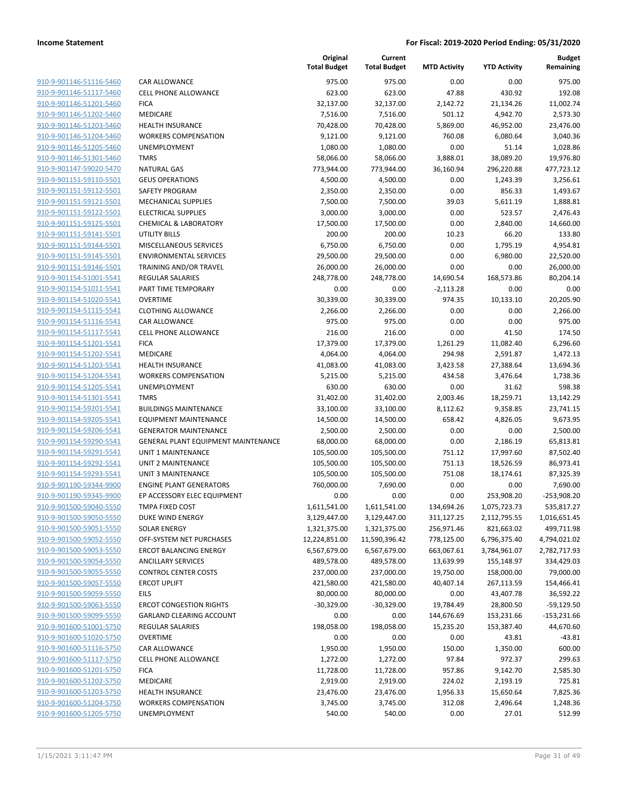| 910-9-901146-51116-5460        |
|--------------------------------|
| 910-9-901146-51117-5460        |
| 910-9-901146-51201-5460        |
| 910-9-901146-51202-5460        |
| 910-9-901146-51203-5460        |
| 910-9-901146-51204-5460        |
| 910-9-901146-51205-5460        |
| 910-9-901146-51301-5460        |
| 910-9-901147-59020-5470        |
| <u>910-9-901151-59110-5501</u> |
| 910-9-901151-59112-5501        |
| 910-9-901151-59121-5501        |
| 910-9-901151-59122-5501        |
| 910-9-901151-59125-5501        |
| <u>910-9-901151-59141-5501</u> |
| 910-9-901151-59144-5501        |
| 910-9-901151-59145-5501        |
| 910-9-901151-59146-5501        |
| 910-9-901154-51001-5541        |
| <u>910-9-901154-51011-5541</u> |
| 910-9-901154-51020-5541        |
| 910-9-901154-51115-5541        |
| 910-9-901154-51116-5541        |
| 910-9-901154-51117-5541        |
| <u>910-9-901154-51201-5541</u> |
| 910-9-901154-51202-5541        |
| 910-9-901154-51203-5541        |
| 910-9-901154-51204-5541        |
| 910-9-901154-51205-5541        |
| <u>910-9-901154-51301-5541</u> |
| 910-9-901154-59201-5541        |
| 910-9-901154-59205-5541        |
| 910-9-901154-59206-5541        |
| 910-9-901154-59290-5541        |
| <u>910-9-901154-59291-5541</u> |
| 910-9-901154-59292-5541        |
| 910-9-901154-59293-5541        |
| 910-9-901190-59344-9900        |
| 910-9-901190-59345-9900        |
| 910-9-901500-59040-5550        |
| 910-9-901500-59050-5550        |
| 910-9-901500-59051-5550        |
| 910-9-901500-59052-5550        |
|                                |
| 910-9-901500-59053-5550        |
| <u>910-9-901500-59054-5550</u> |
| <u>910-9-901500-59055-5550</u> |
| 910-9-901500-59057-5550        |
| 910-9-901500-59059-5550        |
| <u>910-9-901500-59063-5550</u> |
| <u>910-9-901500-59099-5550</u> |
| <u>910-9-901600-51001-5750</u> |
| 910-9-901600-51020-5750        |
| 910-9-901600-51116-5750        |
| 910-9-901600-51117-5750        |
| <u>910-9-901600-51201-5750</u> |
| 910-9-901600-51202-5750        |
| 910-9-901600-51203-5750        |
| 910-9-901600-51204-5750        |
| 910-9-901600-51205-5750        |
|                                |

|                                                    |                                                     | Original<br><b>Total Budget</b> | Current<br><b>Total Budget</b> | <b>MTD Activity</b>      | <b>YTD Activity</b>      | <b>Budget</b><br>Remaining |
|----------------------------------------------------|-----------------------------------------------------|---------------------------------|--------------------------------|--------------------------|--------------------------|----------------------------|
| 910-9-901146-51116-5460                            | <b>CAR ALLOWANCE</b>                                | 975.00                          | 975.00                         | 0.00                     | 0.00                     | 975.00                     |
| 910-9-901146-51117-5460                            | <b>CELL PHONE ALLOWANCE</b>                         | 623.00                          | 623.00                         | 47.88                    | 430.92                   | 192.08                     |
| 910-9-901146-51201-5460                            | <b>FICA</b>                                         | 32,137.00                       | 32,137.00                      | 2,142.72                 | 21,134.26                | 11,002.74                  |
| 910-9-901146-51202-5460                            | <b>MEDICARE</b>                                     | 7,516.00                        | 7,516.00                       | 501.12                   | 4,942.70                 | 2,573.30                   |
| 910-9-901146-51203-5460                            | <b>HEALTH INSURANCE</b>                             | 70,428.00                       | 70,428.00                      | 5,869.00                 | 46,952.00                | 23,476.00                  |
| 910-9-901146-51204-5460                            | <b>WORKERS COMPENSATION</b>                         | 9,121.00                        | 9,121.00                       | 760.08                   | 6,080.64                 | 3,040.36                   |
| 910-9-901146-51205-5460                            | UNEMPLOYMENT                                        | 1,080.00                        | 1,080.00                       | 0.00                     | 51.14                    | 1,028.86                   |
| 910-9-901146-51301-5460                            | <b>TMRS</b>                                         | 58,066.00                       | 58,066.00                      | 3,888.01                 | 38,089.20                | 19,976.80                  |
| 910-9-901147-59020-5470                            | <b>NATURAL GAS</b>                                  | 773,944.00                      | 773,944.00                     | 36,160.94                | 296,220.88               | 477,723.12                 |
| 910-9-901151-59110-5501                            | <b>GEUS OPERATIONS</b>                              | 4,500.00                        | 4,500.00                       | 0.00                     | 1,243.39                 | 3,256.61                   |
| 910-9-901151-59112-5501                            | SAFETY PROGRAM                                      | 2,350.00                        | 2,350.00                       | 0.00                     | 856.33                   | 1,493.67                   |
| 910-9-901151-59121-5501                            | <b>MECHANICAL SUPPLIES</b>                          | 7,500.00                        | 7,500.00                       | 39.03                    | 5,611.19                 | 1,888.81                   |
| 910-9-901151-59122-5501                            | <b>ELECTRICAL SUPPLIES</b>                          | 3,000.00                        | 3,000.00                       | 0.00                     | 523.57                   | 2,476.43                   |
| 910-9-901151-59125-5501                            | <b>CHEMICAL &amp; LABORATORY</b>                    | 17,500.00                       | 17,500.00                      | 0.00                     | 2,840.00                 | 14,660.00                  |
| 910-9-901151-59141-5501                            | <b>UTILITY BILLS</b>                                | 200.00                          | 200.00                         | 10.23                    | 66.20                    | 133.80                     |
| 910-9-901151-59144-5501                            | MISCELLANEOUS SERVICES                              | 6,750.00                        | 6,750.00                       | 0.00                     | 1,795.19                 | 4,954.81                   |
| 910-9-901151-59145-5501                            | <b>ENVIRONMENTAL SERVICES</b>                       | 29,500.00                       | 29,500.00                      | 0.00                     | 6,980.00                 | 22,520.00                  |
| 910-9-901151-59146-5501                            | <b>TRAINING AND/OR TRAVEL</b>                       | 26,000.00                       | 26,000.00                      | 0.00                     | 0.00                     | 26,000.00                  |
| 910-9-901154-51001-5541                            | <b>REGULAR SALARIES</b>                             | 248,778.00                      | 248,778.00                     | 14,690.54                | 168,573.86               | 80,204.14                  |
| 910-9-901154-51011-5541                            | PART TIME TEMPORARY                                 | 0.00                            | 0.00                           | $-2,113.28$              | 0.00                     | 0.00                       |
| 910-9-901154-51020-5541                            | <b>OVERTIME</b>                                     | 30,339.00                       | 30,339.00                      | 974.35                   | 10,133.10                | 20,205.90                  |
| 910-9-901154-51115-5541                            | <b>CLOTHING ALLOWANCE</b>                           | 2,266.00                        | 2,266.00                       | 0.00                     | 0.00                     | 2,266.00                   |
| 910-9-901154-51116-5541                            | <b>CAR ALLOWANCE</b>                                | 975.00                          | 975.00                         | 0.00                     | 0.00                     | 975.00                     |
| 910-9-901154-51117-5541                            | <b>CELL PHONE ALLOWANCE</b>                         | 216.00                          | 216.00                         | 0.00                     | 41.50                    | 174.50                     |
| 910-9-901154-51201-5541                            | <b>FICA</b>                                         | 17,379.00                       | 17,379.00                      | 1,261.29                 | 11,082.40                | 6,296.60                   |
| 910-9-901154-51202-5541                            | <b>MEDICARE</b>                                     | 4,064.00                        | 4,064.00                       | 294.98                   | 2,591.87                 | 1,472.13                   |
| 910-9-901154-51203-5541                            | <b>HEALTH INSURANCE</b>                             | 41,083.00                       | 41,083.00                      | 3,423.58                 | 27,388.64                | 13,694.36                  |
| 910-9-901154-51204-5541                            | <b>WORKERS COMPENSATION</b>                         | 5,215.00                        | 5,215.00                       | 434.58                   | 3,476.64                 | 1,738.36                   |
| 910-9-901154-51205-5541                            | UNEMPLOYMENT                                        | 630.00                          | 630.00                         | 0.00                     | 31.62                    | 598.38                     |
| 910-9-901154-51301-5541                            | <b>TMRS</b>                                         | 31,402.00                       | 31,402.00                      | 2,003.46                 | 18,259.71                | 13,142.29                  |
| 910-9-901154-59201-5541                            | <b>BUILDINGS MAINTENANCE</b>                        | 33,100.00                       | 33,100.00                      | 8,112.62                 | 9,358.85                 | 23,741.15                  |
| 910-9-901154-59205-5541                            | <b>EQUIPMENT MAINTENANCE</b>                        | 14,500.00                       | 14,500.00                      | 658.42                   | 4,826.05                 | 9,673.95                   |
| 910-9-901154-59206-5541                            | <b>GENERATOR MAINTENANCE</b>                        | 2,500.00                        | 2,500.00                       | 0.00                     | 0.00                     | 2,500.00                   |
| 910-9-901154-59290-5541                            | GENERAL PLANT EQUIPMENT MAINTENANCE                 | 68,000.00                       | 68,000.00                      | 0.00                     | 2,186.19                 | 65,813.81                  |
| 910-9-901154-59291-5541                            | UNIT 1 MAINTENANCE                                  | 105,500.00                      | 105,500.00                     | 751.12                   | 17,997.60                | 87,502.40                  |
| 910-9-901154-59292-5541                            | <b>UNIT 2 MAINTENANCE</b>                           | 105,500.00                      | 105,500.00                     | 751.13                   | 18,526.59                | 86,973.41                  |
| 910-9-901154-59293-5541                            | UNIT 3 MAINTENANCE                                  | 105,500.00                      | 105,500.00                     | 751.08                   | 18,174.61                | 87,325.39                  |
| 910-9-901190-59344-9900                            | <b>ENGINE PLANT GENERATORS</b>                      | 760,000.00                      | 7,690.00                       | 0.00                     | 0.00                     | 7,690.00                   |
| 910-9-901190-59345-9900                            | EP ACCESSORY ELEC EQUIPMENT                         | 0.00                            | 0.00                           | 0.00                     | 253,908.20               | $-253,908.20$              |
| 910-9-901500-59040-5550                            | <b>TMPA FIXED COST</b>                              | 1,611,541.00                    | 1,611,541.00                   | 134,694.26               | 1,075,723.73             | 535,817.27                 |
| 910-9-901500-59050-5550                            | DUKE WIND ENERGY                                    | 3,129,447.00                    | 3,129,447.00                   | 311,127.25               | 2,112,795.55             | 1,016,651.45               |
| 910-9-901500-59051-5550                            | <b>SOLAR ENERGY</b>                                 | 1,321,375.00                    | 1,321,375.00                   | 256,971.46               | 821,663.02               | 499,711.98                 |
| 910-9-901500-59052-5550                            | OFF-SYSTEM NET PURCHASES                            | 12,224,851.00                   | 11,590,396.42                  | 778,125.00<br>663,067.61 | 6,796,375.40             | 4,794,021.02               |
| 910-9-901500-59053-5550<br>910-9-901500-59054-5550 | <b>ERCOT BALANCING ENERGY</b><br>ANCILLARY SERVICES | 6,567,679.00<br>489,578.00      | 6,567,679.00                   | 13,639.99                | 3,784,961.07             | 2,782,717.93               |
| 910-9-901500-59055-5550                            | <b>CONTROL CENTER COSTS</b>                         | 237,000.00                      | 489,578.00<br>237,000.00       | 19,750.00                | 155,148.97<br>158,000.00 | 334,429.03                 |
| 910-9-901500-59057-5550                            | <b>ERCOT UPLIFT</b>                                 | 421,580.00                      | 421,580.00                     | 40,407.14                | 267,113.59               | 79,000.00<br>154,466.41    |
| 910-9-901500-59059-5550                            | EILS                                                | 80,000.00                       | 80,000.00                      | 0.00                     | 43,407.78                | 36,592.22                  |
| 910-9-901500-59063-5550                            | <b>ERCOT CONGESTION RIGHTS</b>                      | $-30,329.00$                    | $-30,329.00$                   | 19,784.49                | 28,800.50                | $-59,129.50$               |
| 910-9-901500-59099-5550                            | GARLAND CLEARING ACCOUNT                            | 0.00                            | 0.00                           | 144,676.69               | 153,231.66               | $-153,231.66$              |
| 910-9-901600-51001-5750                            | <b>REGULAR SALARIES</b>                             | 198,058.00                      | 198,058.00                     | 15,235.20                | 153,387.40               | 44,670.60                  |
| 910-9-901600-51020-5750                            | <b>OVERTIME</b>                                     | 0.00                            | 0.00                           | 0.00                     | 43.81                    | $-43.81$                   |
| 910-9-901600-51116-5750                            | CAR ALLOWANCE                                       | 1,950.00                        | 1,950.00                       | 150.00                   | 1,350.00                 | 600.00                     |
| 910-9-901600-51117-5750                            | CELL PHONE ALLOWANCE                                | 1,272.00                        | 1,272.00                       | 97.84                    | 972.37                   | 299.63                     |
| 910-9-901600-51201-5750                            | <b>FICA</b>                                         | 11,728.00                       | 11,728.00                      | 957.86                   | 9,142.70                 | 2,585.30                   |
| 910-9-901600-51202-5750                            | <b>MEDICARE</b>                                     | 2,919.00                        | 2,919.00                       | 224.02                   | 2,193.19                 | 725.81                     |
| 910-9-901600-51203-5750                            | HEALTH INSURANCE                                    | 23,476.00                       | 23,476.00                      | 1,956.33                 | 15,650.64                | 7,825.36                   |
| 910-9-901600-51204-5750                            | <b>WORKERS COMPENSATION</b>                         | 3,745.00                        | 3,745.00                       | 312.08                   | 2,496.64                 | 1,248.36                   |
| 910-9-901600-51205-5750                            | UNEMPLOYMENT                                        | 540.00                          | 540.00                         | 0.00                     | 27.01                    | 512.99                     |
|                                                    |                                                     |                                 |                                |                          |                          |                            |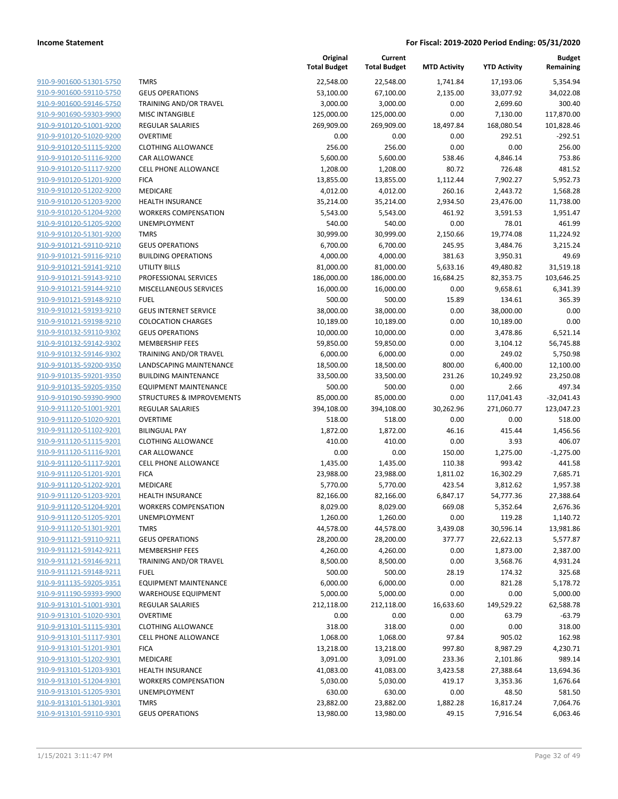|                                                    |                                                  | Original<br><b>Total Budget</b> | Current<br><b>Total Budget</b> | <b>MTD Activity</b> | <b>YTD Activity</b> | <b>Budget</b><br>Remaining |
|----------------------------------------------------|--------------------------------------------------|---------------------------------|--------------------------------|---------------------|---------------------|----------------------------|
| 910-9-901600-51301-5750                            | <b>TMRS</b>                                      | 22,548.00                       | 22,548.00                      | 1,741.84            | 17,193.06           | 5,354.94                   |
| 910-9-901600-59110-5750                            | <b>GEUS OPERATIONS</b>                           | 53,100.00                       | 67,100.00                      | 2,135.00            | 33,077.92           | 34,022.08                  |
| 910-9-901600-59146-5750                            | TRAINING AND/OR TRAVEL                           | 3,000.00                        | 3,000.00                       | 0.00                | 2,699.60            | 300.40                     |
| 910-9-901690-59303-9900                            | <b>MISC INTANGIBLE</b>                           | 125,000.00                      | 125,000.00                     | 0.00                | 7,130.00            | 117,870.00                 |
| 910-9-910120-51001-9200                            | <b>REGULAR SALARIES</b>                          | 269,909.00                      | 269,909.00                     | 18,497.84           | 168,080.54          | 101,828.46                 |
| 910-9-910120-51020-9200                            | <b>OVERTIME</b>                                  | 0.00                            | 0.00                           | 0.00                | 292.51              | $-292.51$                  |
| 910-9-910120-51115-9200                            | <b>CLOTHING ALLOWANCE</b>                        | 256.00                          | 256.00                         | 0.00                | 0.00                | 256.00                     |
| 910-9-910120-51116-9200                            | CAR ALLOWANCE                                    | 5,600.00                        | 5,600.00                       | 538.46              | 4,846.14            | 753.86                     |
| 910-9-910120-51117-9200                            | <b>CELL PHONE ALLOWANCE</b>                      | 1,208.00                        | 1,208.00                       | 80.72               | 726.48              | 481.52                     |
| 910-9-910120-51201-9200                            | <b>FICA</b>                                      | 13,855.00                       | 13,855.00                      | 1,112.44            | 7,902.27            | 5,952.73                   |
| 910-9-910120-51202-9200                            | <b>MEDICARE</b>                                  | 4,012.00                        | 4,012.00                       | 260.16              | 2,443.72            | 1,568.28                   |
| 910-9-910120-51203-9200                            | <b>HEALTH INSURANCE</b>                          | 35,214.00                       | 35,214.00                      | 2,934.50            | 23,476.00           | 11,738.00                  |
| 910-9-910120-51204-9200                            | <b>WORKERS COMPENSATION</b>                      | 5,543.00                        | 5,543.00                       | 461.92              | 3,591.53            | 1,951.47                   |
| 910-9-910120-51205-9200                            | UNEMPLOYMENT                                     | 540.00                          | 540.00                         | 0.00                | 78.01               | 461.99                     |
| 910-9-910120-51301-9200                            | <b>TMRS</b>                                      | 30,999.00                       | 30,999.00                      | 2,150.66            | 19,774.08           | 11,224.92                  |
| 910-9-910121-59110-9210                            | <b>GEUS OPERATIONS</b>                           | 6,700.00                        | 6,700.00                       | 245.95              | 3,484.76            | 3,215.24                   |
| 910-9-910121-59116-9210                            | <b>BUILDING OPERATIONS</b>                       | 4,000.00                        | 4,000.00                       | 381.63              | 3,950.31            | 49.69                      |
| 910-9-910121-59141-9210                            | <b>UTILITY BILLS</b>                             | 81,000.00                       | 81,000.00                      | 5,633.16            | 49,480.82           | 31,519.18                  |
| 910-9-910121-59143-9210                            | PROFESSIONAL SERVICES                            | 186,000.00                      | 186,000.00                     | 16,684.25           | 82,353.75           | 103,646.25                 |
| 910-9-910121-59144-9210                            | MISCELLANEOUS SERVICES                           | 16,000.00                       | 16,000.00                      | 0.00                | 9,658.61            | 6,341.39                   |
| 910-9-910121-59148-9210                            | <b>FUEL</b>                                      | 500.00                          | 500.00                         | 15.89               | 134.61              | 365.39                     |
| 910-9-910121-59193-9210                            | <b>GEUS INTERNET SERVICE</b>                     | 38,000.00                       | 38,000.00                      | 0.00                | 38,000.00           | 0.00                       |
| 910-9-910121-59198-9210                            | <b>COLOCATION CHARGES</b>                        | 10,189.00                       | 10,189.00                      | 0.00                | 10,189.00           | 0.00                       |
| 910-9-910132-59110-9302                            | <b>GEUS OPERATIONS</b>                           | 10,000.00                       | 10,000.00                      | 0.00                | 3,478.86            | 6,521.14                   |
| 910-9-910132-59142-9302                            | <b>MEMBERSHIP FEES</b>                           | 59,850.00                       | 59,850.00                      | 0.00                | 3,104.12            | 56,745.88                  |
| 910-9-910132-59146-9302                            | TRAINING AND/OR TRAVEL                           | 6,000.00                        | 6,000.00                       | 0.00                | 249.02              | 5,750.98                   |
| 910-9-910135-59200-9350                            | LANDSCAPING MAINTENANCE                          | 18,500.00                       | 18,500.00                      | 800.00              | 6,400.00            | 12,100.00                  |
| 910-9-910135-59201-9350                            | <b>BUILDING MAINTENANCE</b>                      | 33,500.00                       | 33,500.00                      | 231.26              | 10,249.92           | 23,250.08                  |
| 910-9-910135-59205-9350                            | <b>EQUIPMENT MAINTENANCE</b>                     | 500.00                          | 500.00                         | 0.00                | 2.66                | 497.34                     |
| 910-9-910190-59390-9900                            | STRUCTURES & IMPROVEMENTS                        | 85,000.00                       | 85,000.00                      | 0.00                | 117,041.43          | $-32,041.43$               |
| 910-9-911120-51001-9201                            | <b>REGULAR SALARIES</b>                          | 394,108.00                      | 394,108.00                     | 30,262.96           | 271,060.77          | 123,047.23                 |
| 910-9-911120-51020-9201                            | <b>OVERTIME</b>                                  | 518.00                          | 518.00                         | 0.00                | 0.00                | 518.00                     |
| 910-9-911120-51102-9201                            | <b>BILINGUAL PAY</b>                             | 1,872.00                        | 1,872.00                       | 46.16               | 415.44              | 1,456.56                   |
| 910-9-911120-51115-9201                            | <b>CLOTHING ALLOWANCE</b>                        | 410.00                          | 410.00                         | 0.00                | 3.93                | 406.07                     |
| 910-9-911120-51116-9201                            | CAR ALLOWANCE                                    | 0.00                            | 0.00                           | 150.00              | 1,275.00            | $-1,275.00$                |
| 910-9-911120-51117-9201                            | <b>CELL PHONE ALLOWANCE</b>                      | 1,435.00                        | 1,435.00                       | 110.38              | 993.42              | 441.58                     |
| 910-9-911120-51201-9201                            | <b>FICA</b>                                      | 23,988.00                       | 23,988.00                      | 1,811.02            | 16,302.29           | 7,685.71                   |
| 910-9-911120-51202-9201                            | MEDICARE                                         | 5,770.00                        | 5,770.00                       | 423.54              | 3,812.62            | 1,957.38                   |
| 910-9-911120-51203-9201                            | <b>HEALTH INSURANCE</b>                          | 82,166.00                       | 82,166.00                      | 6,847.17            | 54,777.36           | 27,388.64                  |
| 910-9-911120-51204-9201                            | <b>WORKERS COMPENSATION</b>                      | 8,029.00                        | 8,029.00                       | 669.08              | 5,352.64            | 2,676.36                   |
| 910-9-911120-51205-9201                            | <b>UNEMPLOYMENT</b>                              | 1,260.00                        | 1,260.00                       | 0.00                | 119.28              | 1,140.72                   |
| 910-9-911120-51301-9201                            | <b>TMRS</b>                                      | 44,578.00                       | 44,578.00                      | 3,439.08            | 30,596.14           | 13,981.86                  |
| 910-9-911121-59110-9211<br>910-9-911121-59142-9211 | <b>GEUS OPERATIONS</b>                           | 28,200.00                       | 28,200.00                      | 377.77              | 22,622.13           | 5,577.87                   |
| 910-9-911121-59146-9211                            | <b>MEMBERSHIP FEES</b><br>TRAINING AND/OR TRAVEL | 4,260.00                        | 4,260.00                       | 0.00<br>0.00        | 1,873.00            | 2,387.00                   |
| 910-9-911121-59148-9211                            | <b>FUEL</b>                                      | 8,500.00<br>500.00              | 8,500.00<br>500.00             | 28.19               | 3,568.76<br>174.32  | 4,931.24<br>325.68         |
| 910-9-911135-59205-9351                            | <b>EQUIPMENT MAINTENANCE</b>                     | 6,000.00                        | 6,000.00                       | 0.00                | 821.28              | 5,178.72                   |
| 910-9-911190-59393-9900                            | <b>WAREHOUSE EQUIPMENT</b>                       | 5,000.00                        | 5,000.00                       | 0.00                | 0.00                | 5,000.00                   |
| 910-9-913101-51001-9301                            | <b>REGULAR SALARIES</b>                          | 212,118.00                      | 212,118.00                     | 16,633.60           | 149,529.22          | 62,588.78                  |
| 910-9-913101-51020-9301                            | <b>OVERTIME</b>                                  | 0.00                            | 0.00                           | 0.00                | 63.79               | $-63.79$                   |
| 910-9-913101-51115-9301                            | <b>CLOTHING ALLOWANCE</b>                        | 318.00                          | 318.00                         | 0.00                | 0.00                | 318.00                     |
| 910-9-913101-51117-9301                            | <b>CELL PHONE ALLOWANCE</b>                      | 1,068.00                        | 1,068.00                       | 97.84               | 905.02              | 162.98                     |
| 910-9-913101-51201-9301                            | <b>FICA</b>                                      | 13,218.00                       | 13,218.00                      | 997.80              | 8,987.29            | 4,230.71                   |
| 910-9-913101-51202-9301                            | MEDICARE                                         | 3,091.00                        | 3,091.00                       | 233.36              | 2,101.86            | 989.14                     |
| 910-9-913101-51203-9301                            | <b>HEALTH INSURANCE</b>                          | 41,083.00                       | 41,083.00                      | 3,423.58            | 27,388.64           | 13,694.36                  |
| 910-9-913101-51204-9301                            | <b>WORKERS COMPENSATION</b>                      | 5,030.00                        | 5,030.00                       | 419.17              | 3,353.36            | 1,676.64                   |
| 910-9-913101-51205-9301                            | UNEMPLOYMENT                                     | 630.00                          | 630.00                         | 0.00                | 48.50               | 581.50                     |
| 910-9-913101-51301-9301                            | <b>TMRS</b>                                      | 23,882.00                       | 23,882.00                      | 1,882.28            | 16,817.24           | 7,064.76                   |
| 910-9-913101-59110-9301                            | <b>GEUS OPERATIONS</b>                           | 13,980.00                       | 13,980.00                      | 49.15               | 7,916.54            | 6,063.46                   |
|                                                    |                                                  |                                 |                                |                     |                     |                            |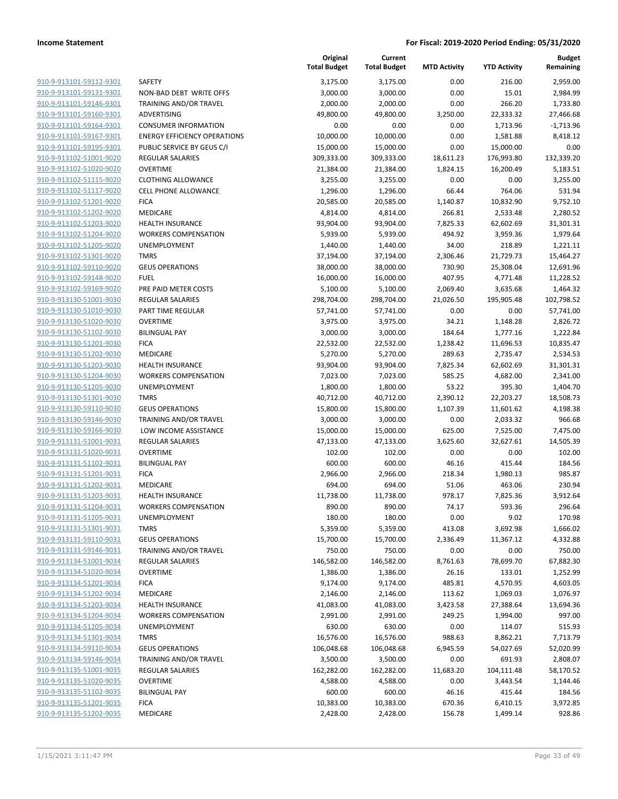|                                                    |                                                        | Original<br><b>Total Budget</b> | Current<br><b>Total Budget</b> | <b>MTD Activity</b> | <b>YTD Activity</b> | Budget<br>Remaining |
|----------------------------------------------------|--------------------------------------------------------|---------------------------------|--------------------------------|---------------------|---------------------|---------------------|
| 910-9-913101-59112-9301                            | SAFETY                                                 | 3,175.00                        | 3,175.00                       | 0.00                | 216.00              | 2,959.00            |
| 910-9-913101-59131-9301                            | NON-BAD DEBT WRITE OFFS                                | 3,000.00                        | 3,000.00                       | 0.00                | 15.01               | 2,984.99            |
| 910-9-913101-59146-9301                            | TRAINING AND/OR TRAVEL                                 | 2,000.00                        | 2,000.00                       | 0.00                | 266.20              | 1,733.80            |
| 910-9-913101-59160-9301                            | ADVERTISING                                            | 49,800.00                       | 49,800.00                      | 3,250.00            | 22,333.32           | 27,466.68           |
| 910-9-913101-59164-9301                            | <b>CONSUMER INFORMATION</b>                            | 0.00                            | 0.00                           | 0.00                | 1,713.96            | $-1,713.96$         |
| 910-9-913101-59167-9301                            | <b>ENERGY EFFICIENCY OPERATIONS</b>                    | 10,000.00                       | 10,000.00                      | 0.00                | 1,581.88            | 8,418.12            |
| 910-9-913101-59195-9301                            | PUBLIC SERVICE BY GEUS C/I                             | 15,000.00                       | 15,000.00                      | 0.00                | 15,000.00           | 0.00                |
| 910-9-913102-51001-9020                            | <b>REGULAR SALARIES</b>                                | 309,333.00                      | 309,333.00                     | 18,611.23           | 176,993.80          | 132,339.20          |
| 910-9-913102-51020-9020                            | <b>OVERTIME</b>                                        | 21,384.00                       | 21,384.00                      | 1,824.15            | 16,200.49           | 5,183.51            |
| 910-9-913102-51115-9020                            | <b>CLOTHING ALLOWANCE</b>                              | 3,255.00                        | 3,255.00                       | 0.00                | 0.00                | 3,255.00            |
| 910-9-913102-51117-9020                            | <b>CELL PHONE ALLOWANCE</b>                            | 1,296.00                        | 1,296.00                       | 66.44               | 764.06              | 531.94              |
| 910-9-913102-51201-9020                            | <b>FICA</b>                                            | 20,585.00                       | 20,585.00                      | 1,140.87            | 10,832.90           | 9,752.10            |
| 910-9-913102-51202-9020                            | MEDICARE                                               | 4,814.00                        | 4,814.00                       | 266.81              | 2,533.48            | 2,280.52            |
| 910-9-913102-51203-9020                            | <b>HEALTH INSURANCE</b>                                | 93,904.00                       | 93,904.00                      | 7,825.33            | 62,602.69           | 31,301.31           |
| 910-9-913102-51204-9020                            | <b>WORKERS COMPENSATION</b>                            | 5,939.00                        | 5,939.00                       | 494.92              | 3,959.36            | 1,979.64            |
| 910-9-913102-51205-9020                            | UNEMPLOYMENT                                           | 1,440.00                        | 1,440.00                       | 34.00               | 218.89              | 1,221.11            |
| 910-9-913102-51301-9020                            | <b>TMRS</b>                                            | 37,194.00                       | 37,194.00                      | 2,306.46            | 21,729.73           | 15,464.27           |
| 910-9-913102-59110-9020                            | <b>GEUS OPERATIONS</b>                                 | 38,000.00                       | 38,000.00                      | 730.90              | 25,308.04           | 12,691.96           |
| 910-9-913102-59148-9020                            | <b>FUEL</b>                                            | 16,000.00                       | 16,000.00                      | 407.95              | 4,771.48            | 11,228.52           |
| 910-9-913102-59169-9020                            | PRE PAID METER COSTS                                   | 5,100.00                        | 5,100.00                       | 2,069.40            | 3,635.68            | 1,464.32            |
| 910-9-913130-51001-9030                            | <b>REGULAR SALARIES</b>                                | 298,704.00                      | 298,704.00                     | 21,026.50           | 195,905.48          | 102,798.52          |
| 910-9-913130-51010-9030                            | PART TIME REGULAR                                      | 57,741.00                       | 57,741.00                      | 0.00                | 0.00                | 57,741.00           |
| 910-9-913130-51020-9030                            | <b>OVERTIME</b>                                        | 3,975.00                        | 3,975.00                       | 34.21               | 1,148.28            | 2,826.72            |
| 910-9-913130-51102-9030                            | <b>BILINGUAL PAY</b>                                   | 3,000.00                        | 3,000.00                       | 184.64              | 1,777.16            | 1,222.84            |
| 910-9-913130-51201-9030                            | <b>FICA</b>                                            | 22,532.00                       | 22,532.00                      | 1,238.42            | 11,696.53           | 10,835.47           |
| 910-9-913130-51202-9030                            | MEDICARE                                               | 5,270.00                        | 5,270.00                       | 289.63              | 2,735.47            | 2,534.53            |
| 910-9-913130-51203-9030                            | <b>HEALTH INSURANCE</b>                                | 93,904.00                       | 93,904.00                      | 7,825.34            | 62,602.69           | 31,301.31           |
| 910-9-913130-51204-9030                            | <b>WORKERS COMPENSATION</b>                            | 7,023.00                        | 7,023.00                       | 585.25              | 4,682.00            | 2,341.00            |
| 910-9-913130-51205-9030                            | UNEMPLOYMENT                                           | 1,800.00                        | 1,800.00                       | 53.22               | 395.30              | 1,404.70            |
| 910-9-913130-51301-9030                            | <b>TMRS</b>                                            | 40,712.00                       | 40,712.00                      | 2,390.12            | 22,203.27           | 18,508.73           |
| 910-9-913130-59110-9030                            | <b>GEUS OPERATIONS</b>                                 | 15,800.00                       | 15,800.00                      | 1,107.39            | 11,601.62           | 4,198.38            |
| 910-9-913130-59146-9030                            | TRAINING AND/OR TRAVEL                                 | 3,000.00                        | 3,000.00                       | 0.00                | 2,033.32            | 966.68              |
| 910-9-913130-59166-9030                            | LOW INCOME ASSISTANCE                                  | 15,000.00                       | 15,000.00                      | 625.00              | 7,525.00            | 7,475.00            |
| 910-9-913131-51001-9031                            | <b>REGULAR SALARIES</b>                                | 47,133.00                       | 47,133.00                      | 3,625.60            | 32,627.61           | 14,505.39           |
| 910-9-913131-51020-9031                            | <b>OVERTIME</b>                                        | 102.00                          | 102.00                         | 0.00                | 0.00                | 102.00              |
| 910-9-913131-51102-9031                            | <b>BILINGUAL PAY</b>                                   | 600.00                          | 600.00                         | 46.16               | 415.44              | 184.56              |
| 910-9-913131-51201-9031                            | <b>FICA</b>                                            | 2,966.00                        | 2,966.00                       | 218.34              | 1,980.13            | 985.87              |
| 910-9-913131-51202-9031                            | MEDICARE                                               | 694.00                          | 694.00                         | 51.06               | 463.06              | 230.94              |
| 910-9-913131-51203-9031<br>910-9-913131-51204-9031 | <b>HEALTH INSURANCE</b><br><b>WORKERS COMPENSATION</b> | 11,738.00<br>890.00             | 11,738.00<br>890.00            | 978.17<br>74.17     | 7,825.36<br>593.36  | 3,912.64<br>296.64  |
| 910-9-913131-51205-9031                            | <b>UNEMPLOYMENT</b>                                    | 180.00                          | 180.00                         | 0.00                | 9.02                | 170.98              |
| 910-9-913131-51301-9031                            | <b>TMRS</b>                                            | 5,359.00                        | 5,359.00                       | 413.08              | 3,692.98            | 1,666.02            |
| 910-9-913131-59110-9031                            | <b>GEUS OPERATIONS</b>                                 | 15,700.00                       | 15,700.00                      | 2,336.49            | 11,367.12           | 4,332.88            |
| 910-9-913131-59146-9031                            | TRAINING AND/OR TRAVEL                                 | 750.00                          | 750.00                         | 0.00                | 0.00                | 750.00              |
| 910-9-913134-51001-9034                            | REGULAR SALARIES                                       | 146,582.00                      | 146,582.00                     | 8,761.63            | 78,699.70           | 67,882.30           |
| 910-9-913134-51020-9034                            | <b>OVERTIME</b>                                        | 1,386.00                        | 1,386.00                       | 26.16               | 133.01              | 1,252.99            |
| 910-9-913134-51201-9034                            | <b>FICA</b>                                            | 9,174.00                        | 9,174.00                       | 485.81              | 4,570.95            | 4,603.05            |
| 910-9-913134-51202-9034                            | MEDICARE                                               | 2,146.00                        | 2,146.00                       | 113.62              | 1,069.03            | 1,076.97            |
| 910-9-913134-51203-9034                            | <b>HEALTH INSURANCE</b>                                | 41,083.00                       | 41,083.00                      | 3,423.58            | 27,388.64           | 13,694.36           |
| 910-9-913134-51204-9034                            | <b>WORKERS COMPENSATION</b>                            | 2,991.00                        | 2,991.00                       | 249.25              | 1,994.00            | 997.00              |
| 910-9-913134-51205-9034                            | UNEMPLOYMENT                                           | 630.00                          | 630.00                         | 0.00                | 114.07              | 515.93              |
| 910-9-913134-51301-9034                            | <b>TMRS</b>                                            | 16,576.00                       | 16,576.00                      | 988.63              | 8,862.21            | 7,713.79            |
| 910-9-913134-59110-9034                            | <b>GEUS OPERATIONS</b>                                 | 106,048.68                      | 106,048.68                     | 6,945.59            | 54,027.69           | 52,020.99           |
| 910-9-913134-59146-9034                            | TRAINING AND/OR TRAVEL                                 | 3,500.00                        | 3,500.00                       | 0.00                | 691.93              | 2,808.07            |
| 910-9-913135-51001-9035                            | REGULAR SALARIES                                       | 162,282.00                      | 162,282.00                     | 11,683.20           | 104,111.48          | 58,170.52           |
| 910-9-913135-51020-9035                            | <b>OVERTIME</b>                                        | 4,588.00                        | 4,588.00                       | 0.00                | 3,443.54            | 1,144.46            |
| 910-9-913135-51102-9035                            | <b>BILINGUAL PAY</b>                                   | 600.00                          | 600.00                         | 46.16               | 415.44              | 184.56              |
| 910-9-913135-51201-9035                            | <b>FICA</b>                                            | 10,383.00                       | 10,383.00                      | 670.36              | 6,410.15            | 3,972.85            |
| 910-9-913135-51202-9035                            | MEDICARE                                               | 2,428.00                        | 2,428.00                       | 156.78              | 1,499.14            | 928.86              |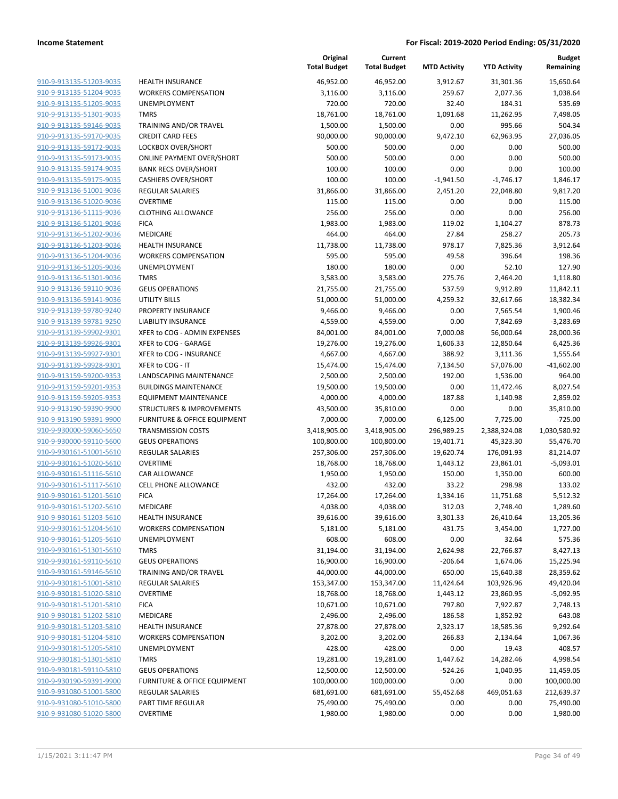|                                                    |                                                        | Original<br><b>Total Budget</b> | Current<br><b>Total Budget</b> | <b>MTD Activity</b> | <b>YTD Activity</b>  | <b>Budget</b><br>Remaining |
|----------------------------------------------------|--------------------------------------------------------|---------------------------------|--------------------------------|---------------------|----------------------|----------------------------|
| 910-9-913135-51203-9035                            | <b>HEALTH INSURANCE</b>                                | 46,952.00                       | 46,952.00                      | 3,912.67            | 31,301.36            | 15,650.64                  |
| 910-9-913135-51204-9035                            | <b>WORKERS COMPENSATION</b>                            | 3,116.00                        | 3,116.00                       | 259.67              | 2,077.36             | 1,038.64                   |
| 910-9-913135-51205-9035                            | UNEMPLOYMENT                                           | 720.00                          | 720.00                         | 32.40               | 184.31               | 535.69                     |
| 910-9-913135-51301-9035                            | <b>TMRS</b>                                            | 18,761.00                       | 18,761.00                      | 1,091.68            | 11,262.95            | 7,498.05                   |
| 910-9-913135-59146-9035                            | TRAINING AND/OR TRAVEL                                 | 1,500.00                        | 1,500.00                       | 0.00                | 995.66               | 504.34                     |
| 910-9-913135-59170-9035                            | <b>CREDIT CARD FEES</b>                                | 90,000.00                       | 90,000.00                      | 9,472.10            | 62,963.95            | 27,036.05                  |
| 910-9-913135-59172-9035                            | LOCKBOX OVER/SHORT                                     | 500.00                          | 500.00                         | 0.00                | 0.00                 | 500.00                     |
| 910-9-913135-59173-9035                            | <b>ONLINE PAYMENT OVER/SHORT</b>                       | 500.00                          | 500.00                         | 0.00                | 0.00                 | 500.00                     |
| 910-9-913135-59174-9035                            | <b>BANK RECS OVER/SHORT</b>                            | 100.00                          | 100.00                         | 0.00                | 0.00                 | 100.00                     |
| 910-9-913135-59175-9035                            | <b>CASHIERS OVER/SHORT</b>                             | 100.00                          | 100.00                         | $-1,941.50$         | $-1,746.17$          | 1,846.17                   |
| 910-9-913136-51001-9036                            | <b>REGULAR SALARIES</b>                                | 31,866.00                       | 31,866.00                      | 2,451.20            | 22,048.80            | 9,817.20                   |
| 910-9-913136-51020-9036                            | <b>OVERTIME</b>                                        | 115.00                          | 115.00                         | 0.00                | 0.00                 | 115.00                     |
| 910-9-913136-51115-9036                            | <b>CLOTHING ALLOWANCE</b>                              | 256.00                          | 256.00                         | 0.00                | 0.00                 | 256.00                     |
| 910-9-913136-51201-9036                            | <b>FICA</b>                                            | 1,983.00                        | 1,983.00                       | 119.02              | 1,104.27             | 878.73                     |
| 910-9-913136-51202-9036                            | <b>MEDICARE</b>                                        | 464.00                          | 464.00                         | 27.84               | 258.27               | 205.73                     |
| 910-9-913136-51203-9036<br>910-9-913136-51204-9036 | <b>HEALTH INSURANCE</b><br><b>WORKERS COMPENSATION</b> | 11,738.00<br>595.00             | 11,738.00<br>595.00            | 978.17<br>49.58     | 7,825.36<br>396.64   | 3,912.64<br>198.36         |
| 910-9-913136-51205-9036                            | UNEMPLOYMENT                                           | 180.00                          | 180.00                         | 0.00                | 52.10                | 127.90                     |
| 910-9-913136-51301-9036                            | <b>TMRS</b>                                            | 3,583.00                        | 3,583.00                       | 275.76              | 2,464.20             | 1,118.80                   |
| 910-9-913136-59110-9036                            | <b>GEUS OPERATIONS</b>                                 | 21,755.00                       | 21,755.00                      | 537.59              | 9,912.89             | 11,842.11                  |
| 910-9-913136-59141-9036                            | <b>UTILITY BILLS</b>                                   | 51,000.00                       | 51,000.00                      | 4,259.32            | 32,617.66            | 18,382.34                  |
| 910-9-913139-59780-9240                            | PROPERTY INSURANCE                                     | 9,466.00                        | 9,466.00                       | 0.00                | 7,565.54             | 1,900.46                   |
| 910-9-913139-59781-9250                            | <b>LIABILITY INSURANCE</b>                             | 4,559.00                        | 4,559.00                       | 0.00                | 7,842.69             | $-3,283.69$                |
| 910-9-913139-59902-9301                            | XFER to COG - ADMIN EXPENSES                           | 84,001.00                       | 84,001.00                      | 7,000.08            | 56,000.64            | 28,000.36                  |
| 910-9-913139-59926-9301                            | XFER to COG - GARAGE                                   | 19,276.00                       | 19,276.00                      | 1,606.33            | 12,850.64            | 6,425.36                   |
| 910-9-913139-59927-9301                            | XFER to COG - INSURANCE                                | 4,667.00                        | 4,667.00                       | 388.92              | 3,111.36             | 1,555.64                   |
| 910-9-913139-59928-9301                            | XFER to COG - IT                                       | 15,474.00                       | 15,474.00                      | 7,134.50            | 57,076.00            | $-41,602.00$               |
| 910-9-913159-59200-9353                            | LANDSCAPING MAINTENANCE                                | 2,500.00                        | 2,500.00                       | 192.00              | 1,536.00             | 964.00                     |
| 910-9-913159-59201-9353                            | <b>BUILDINGS MAINTENANCE</b>                           | 19,500.00                       | 19,500.00                      | 0.00                | 11,472.46            | 8,027.54                   |
| 910-9-913159-59205-9353                            | <b>EQUIPMENT MAINTENANCE</b>                           | 4,000.00                        | 4,000.00                       | 187.88              | 1,140.98             | 2,859.02                   |
| 910-9-913190-59390-9900                            | <b>STRUCTURES &amp; IMPROVEMENTS</b>                   | 43,500.00                       | 35,810.00                      | 0.00                | 0.00                 | 35,810.00                  |
| 910-9-913190-59391-9900                            | <b>FURNITURE &amp; OFFICE EQUIPMENT</b>                | 7,000.00                        | 7,000.00                       | 6,125.00            | 7,725.00             | $-725.00$                  |
| 910-9-930000-59060-5650                            | <b>TRANSMISSION COSTS</b>                              | 3,418,905.00                    | 3,418,905.00                   | 296,989.25          | 2,388,324.08         | 1,030,580.92               |
| 910-9-930000-59110-5600                            | <b>GEUS OPERATIONS</b>                                 | 100,800.00                      | 100,800.00                     | 19,401.71           | 45,323.30            | 55,476.70                  |
| 910-9-930161-51001-5610                            | <b>REGULAR SALARIES</b>                                | 257,306.00                      | 257,306.00                     | 19,620.74           | 176,091.93           | 81,214.07                  |
| 910-9-930161-51020-5610                            | <b>OVERTIME</b>                                        | 18,768.00                       | 18,768.00                      | 1,443.12            | 23,861.01            | $-5,093.01$                |
| 910-9-930161-51116-5610                            | <b>CAR ALLOWANCE</b>                                   | 1,950.00                        | 1,950.00                       | 150.00              | 1,350.00             | 600.00                     |
| 910-9-930161-51117-5610                            | <b>CELL PHONE ALLOWANCE</b>                            | 432.00                          | 432.00                         | 33.22               | 298.98               | 133.02                     |
| 910-9-930161-51201-5610                            | <b>FICA</b>                                            | 17,264.00                       | 17,264.00                      | 1,334.16            | 11,751.68            | 5,512.32                   |
| 910-9-930161-51202-5610                            | MEDICARE                                               | 4,038.00                        | 4,038.00                       | 312.03              | 2,748.40             | 1,289.60                   |
| 910-9-930161-51203-5610                            | <b>HEALTH INSURANCE</b>                                | 39,616.00                       | 39,616.00                      | 3,301.33            | 26,410.64            | 13,205.36                  |
| 910-9-930161-51204-5610                            | <b>WORKERS COMPENSATION</b>                            | 5,181.00                        | 5,181.00                       | 431.75              | 3,454.00             | 1,727.00                   |
| 910-9-930161-51205-5610                            | UNEMPLOYMENT                                           | 608.00                          | 608.00                         | 0.00                | 32.64                | 575.36                     |
| 910-9-930161-51301-5610                            | <b>TMRS</b>                                            | 31,194.00                       | 31,194.00                      | 2,624.98            | 22,766.87            | 8,427.13                   |
| 910-9-930161-59110-5610                            | <b>GEUS OPERATIONS</b>                                 | 16,900.00                       | 16,900.00                      | $-206.64$           | 1,674.06             | 15,225.94                  |
| 910-9-930161-59146-5610                            | <b>TRAINING AND/OR TRAVEL</b>                          | 44,000.00                       | 44,000.00                      | 650.00              | 15,640.38            | 28,359.62                  |
| 910-9-930181-51001-5810<br>910-9-930181-51020-5810 | <b>REGULAR SALARIES</b>                                | 153,347.00                      | 153,347.00                     | 11,424.64           | 103,926.96           | 49,420.04                  |
| 910-9-930181-51201-5810                            | <b>OVERTIME</b>                                        | 18,768.00                       | 18,768.00                      | 1,443.12            | 23,860.95            | $-5,092.95$                |
| 910-9-930181-51202-5810                            | <b>FICA</b><br>MEDICARE                                | 10,671.00<br>2,496.00           | 10,671.00<br>2,496.00          | 797.80<br>186.58    | 7,922.87<br>1,852.92 | 2,748.13<br>643.08         |
| 910-9-930181-51203-5810                            | HEALTH INSURANCE                                       | 27,878.00                       | 27,878.00                      | 2,323.17            | 18,585.36            | 9,292.64                   |
| 910-9-930181-51204-5810                            | <b>WORKERS COMPENSATION</b>                            | 3,202.00                        | 3,202.00                       | 266.83              | 2,134.64             | 1,067.36                   |
| 910-9-930181-51205-5810                            | UNEMPLOYMENT                                           | 428.00                          | 428.00                         | 0.00                | 19.43                | 408.57                     |
| 910-9-930181-51301-5810                            | <b>TMRS</b>                                            | 19,281.00                       | 19,281.00                      | 1,447.62            | 14,282.46            | 4,998.54                   |
| 910-9-930181-59110-5810                            | <b>GEUS OPERATIONS</b>                                 | 12,500.00                       | 12,500.00                      | $-524.26$           | 1,040.95             | 11,459.05                  |
| 910-9-930190-59391-9900                            | FURNITURE & OFFICE EQUIPMENT                           | 100,000.00                      | 100,000.00                     | 0.00                | 0.00                 | 100,000.00                 |
| 910-9-931080-51001-5800                            | <b>REGULAR SALARIES</b>                                | 681,691.00                      | 681,691.00                     | 55,452.68           | 469,051.63           | 212,639.37                 |
| 910-9-931080-51010-5800                            | PART TIME REGULAR                                      | 75,490.00                       | 75,490.00                      | 0.00                | 0.00                 | 75,490.00                  |
| 910-9-931080-51020-5800                            | <b>OVERTIME</b>                                        | 1,980.00                        | 1,980.00                       | 0.00                | 0.00                 | 1,980.00                   |
|                                                    |                                                        |                                 |                                |                     |                      |                            |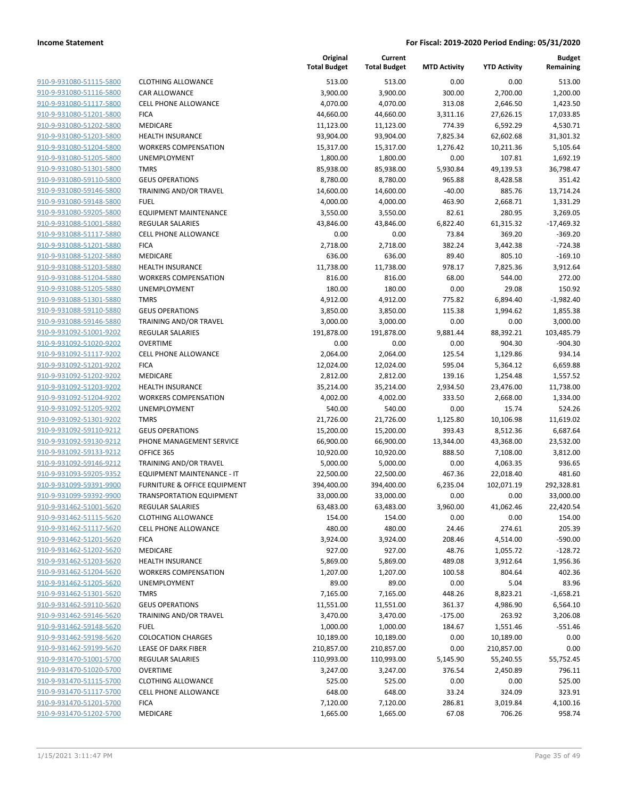| 910-9-931080-51115-5800        | C              |
|--------------------------------|----------------|
| 910-9-931080-51116-5800        | C              |
| 910-9-931080-51117-5800        | C              |
|                                |                |
| 910-9-931080-51201-5800        | F              |
| 910-9-931080-51202-5800        | ľ              |
| 910-9-931080-51203-5800        | ŀ              |
| 910-9-931080-51204-5800        | ١              |
| 910-9-931080-51205-5800        | l              |
| 910-9-931080-51301-5800        | ī              |
| 910-9-931080-59110-5800        | C              |
| 910-9-931080-59146-5800        | ٦              |
| 910-9-931080-59148-5800        | F              |
| 910-9-931080-59205-5800        | Ε              |
| 910-9-931088-51001-5880        | F              |
|                                |                |
| 910-9-931088-51117-5880        | C              |
| 910-9-931088-51201-5880        | F              |
| 910-9-931088-51202-5880        | ľ              |
| 910-9-931088-51203-5880        | ŀ              |
| 910-9-931088-51204-5880        | ١              |
| 910-9-931088-51205-5880        | ι              |
| 910-9-931088-51301-5880        | ٦              |
| 910-9-931088-59110-5880        | C              |
| 910-9-931088-59146-5880        | ٦              |
| 910-9-931092-51001-9202        | F              |
| 910-9-931092-51020-9202        | C              |
|                                | C              |
| 910-9-931092-51117-9202        |                |
| 910-9-931092-51201-9202        | F              |
| 910-9-931092-51202-9202        | ľ              |
| 910-9-931092-51203-9202        | ŀ              |
| 910-9-931092-51204-9202        | ١              |
| 910-9-931092-51205-9202        | ι              |
| 910-9-931092-51301-9202        | ٦              |
| 910-9-931092-59110-9212        | C              |
| 910-9-931092-59130-9212        | F              |
| 910-9-931092-59133-9212        | C              |
| 910-9-931092-59146-9212        | ٦              |
| 910-9-931093-59205-9352        | Ε              |
| 910-9-931099-59391-9900        |                |
|                                | F              |
| 910-9-931099-59392-9900        | ٦              |
| 910-9-931462-51001-5620        | F              |
| 910-9-931462-51115-5620        | $\overline{a}$ |
| 910-9-931462-51117-5620        | C              |
| 910-9-931462-51201-5620        | F              |
| 910-9-931462-51202-5620        | ľ              |
| <u>910-9-931462-51203-5620</u> | ŀ              |
| 910-9-931462-51204-5620        |                |
| 910-9-931462-51205-5620        |                |
| 910-9-931462-51301-5620        | ٦              |
| 910-9-931462-59110-5620        |                |
|                                | C              |
| <u>910-9-931462-59146-5620</u> | ٦              |
| 910-9-931462-59148-5620        | F              |
| 910-9-931462-59198-5620        | C              |
| 910-9-931462-59199-5620        | L              |
| 910-9-931470-51001-5700        | F              |
| 910-9-931470-51020-5700        | Ο              |
| 910-9-931470-51115-5700        | C              |
| 910-9-931470-51117-5700        | Ο              |
| 910-9-931470-51201-5700        | F              |
| 910-9-931470-51202-5700        | ľ              |
|                                |                |

|                                                    |                                        | Original<br><b>Total Budget</b> | Current<br><b>Total Budget</b> | <b>MTD Activity</b> | <b>YTD Activity</b>   | Budget<br>Remaining   |
|----------------------------------------------------|----------------------------------------|---------------------------------|--------------------------------|---------------------|-----------------------|-----------------------|
| 910-9-931080-51115-5800                            | <b>CLOTHING ALLOWANCE</b>              | 513.00                          | 513.00                         | 0.00                | 0.00                  | 513.00                |
| 910-9-931080-51116-5800                            | <b>CAR ALLOWANCE</b>                   | 3,900.00                        | 3,900.00                       | 300.00              | 2,700.00              | 1,200.00              |
| 910-9-931080-51117-5800                            | <b>CELL PHONE ALLOWANCE</b>            | 4,070.00                        | 4,070.00                       | 313.08              | 2,646.50              | 1,423.50              |
| 910-9-931080-51201-5800                            | <b>FICA</b>                            | 44,660.00                       | 44,660.00                      | 3,311.16            | 27,626.15             | 17,033.85             |
| 910-9-931080-51202-5800                            | <b>MEDICARE</b>                        | 11,123.00                       | 11,123.00                      | 774.39              | 6,592.29              | 4,530.71              |
| 910-9-931080-51203-5800                            | HEALTH INSURANCE                       | 93,904.00                       | 93,904.00                      | 7,825.34            | 62,602.68             | 31,301.32             |
| 910-9-931080-51204-5800                            | <b>WORKERS COMPENSATION</b>            | 15,317.00                       | 15,317.00                      | 1,276.42            | 10,211.36             | 5,105.64              |
| 910-9-931080-51205-5800                            | <b>UNEMPLOYMENT</b>                    | 1,800.00                        | 1,800.00                       | 0.00                | 107.81                | 1,692.19              |
| 910-9-931080-51301-5800                            | <b>TMRS</b>                            | 85,938.00                       | 85,938.00                      | 5,930.84            | 49,139.53             | 36,798.47             |
| 910-9-931080-59110-5800                            | <b>GEUS OPERATIONS</b>                 | 8,780.00                        | 8,780.00                       | 965.88              | 8,428.58              | 351.42                |
| 910-9-931080-59146-5800                            | <b>TRAINING AND/OR TRAVEL</b>          | 14,600.00                       | 14,600.00                      | $-40.00$            | 885.76                | 13,714.24             |
| 910-9-931080-59148-5800                            | <b>FUEL</b>                            | 4,000.00                        | 4,000.00                       | 463.90              | 2,668.71              | 1,331.29              |
| 910-9-931080-59205-5800                            | <b>EQUIPMENT MAINTENANCE</b>           | 3,550.00                        | 3,550.00                       | 82.61               | 280.95                | 3,269.05              |
| 910-9-931088-51001-5880                            | <b>REGULAR SALARIES</b>                | 43,846.00                       | 43,846.00                      | 6,822.40            | 61,315.32             | $-17,469.32$          |
| 910-9-931088-51117-5880                            | CELL PHONE ALLOWANCE                   | 0.00                            | 0.00                           | 73.84               | 369.20                | $-369.20$             |
| 910-9-931088-51201-5880                            | <b>FICA</b>                            | 2,718.00                        | 2,718.00                       | 382.24              | 3,442.38              | $-724.38$             |
| 910-9-931088-51202-5880                            | <b>MEDICARE</b>                        | 636.00                          | 636.00                         | 89.40               | 805.10                | $-169.10$             |
| 910-9-931088-51203-5880                            | <b>HEALTH INSURANCE</b>                | 11,738.00                       | 11,738.00                      | 978.17              | 7,825.36              | 3,912.64              |
| 910-9-931088-51204-5880                            | <b>WORKERS COMPENSATION</b>            | 816.00                          | 816.00                         | 68.00               | 544.00                | 272.00                |
| 910-9-931088-51205-5880                            | UNEMPLOYMENT                           | 180.00                          | 180.00                         | 0.00                | 29.08                 | 150.92                |
| 910-9-931088-51301-5880                            | <b>TMRS</b>                            | 4,912.00                        | 4,912.00                       | 775.82              | 6,894.40              | $-1,982.40$           |
| 910-9-931088-59110-5880                            | <b>GEUS OPERATIONS</b>                 | 3,850.00                        | 3,850.00                       | 115.38              | 1,994.62              | 1,855.38              |
| 910-9-931088-59146-5880                            | <b>TRAINING AND/OR TRAVEL</b>          | 3,000.00                        | 3,000.00                       | 0.00                | 0.00                  | 3,000.00              |
| 910-9-931092-51001-9202                            | <b>REGULAR SALARIES</b>                | 191,878.00                      | 191,878.00                     | 9,881.44            | 88,392.21             | 103,485.79            |
| 910-9-931092-51020-9202                            | <b>OVERTIME</b>                        | 0.00                            | 0.00                           | 0.00                | 904.30                | $-904.30$             |
| 910-9-931092-51117-9202                            | CELL PHONE ALLOWANCE                   | 2,064.00                        | 2,064.00                       | 125.54              | 1,129.86              | 934.14                |
| 910-9-931092-51201-9202                            | <b>FICA</b>                            | 12,024.00                       | 12,024.00                      | 595.04              | 5,364.12              | 6,659.88              |
| 910-9-931092-51202-9202                            | <b>MEDICARE</b>                        | 2,812.00                        | 2,812.00                       | 139.16              | 1,254.48              | 1,557.52              |
| 910-9-931092-51203-9202                            | <b>HEALTH INSURANCE</b>                | 35,214.00                       | 35,214.00                      | 2,934.50            | 23,476.00             | 11,738.00             |
| 910-9-931092-51204-9202                            | <b>WORKERS COMPENSATION</b>            | 4,002.00                        | 4,002.00                       | 333.50              | 2,668.00              | 1,334.00              |
| 910-9-931092-51205-9202                            | <b>UNEMPLOYMENT</b>                    | 540.00                          | 540.00                         | 0.00                | 15.74                 | 524.26                |
| 910-9-931092-51301-9202                            | <b>TMRS</b>                            | 21,726.00                       | 21,726.00                      | 1,125.80            | 10,106.98             | 11,619.02             |
| 910-9-931092-59110-9212<br>910-9-931092-59130-9212 | <b>GEUS OPERATIONS</b>                 | 15,200.00                       | 15,200.00                      | 393.43              | 8,512.36              | 6,687.64              |
| 910-9-931092-59133-9212                            | PHONE MANAGEMENT SERVICE<br>OFFICE 365 | 66,900.00                       | 66,900.00                      | 13,344.00<br>888.50 | 43,368.00<br>7,108.00 | 23,532.00<br>3,812.00 |
| 910-9-931092-59146-9212                            | <b>TRAINING AND/OR TRAVEL</b>          | 10,920.00<br>5,000.00           | 10,920.00<br>5,000.00          | 0.00                | 4,063.35              | 936.65                |
| 910-9-931093-59205-9352                            | <b>EQUIPMENT MAINTENANCE - IT</b>      | 22,500.00                       | 22,500.00                      | 467.36              | 22,018.40             | 481.60                |
| 910-9-931099-59391-9900                            | FURNITURE & OFFICE EQUIPMENT           | 394,400.00                      | 394,400.00                     | 6,235.04            | 102,071.19            | 292,328.81            |
| 910-9-931099-59392-9900                            | <b>TRANSPORTATION EQUIPMENT</b>        | 33,000.00                       | 33,000.00                      | 0.00                | 0.00                  | 33,000.00             |
| 910-9-931462-51001-5620                            | <b>REGULAR SALARIES</b>                | 63,483.00                       | 63,483.00                      | 3,960.00            | 41,062.46             | 22,420.54             |
| 910-9-931462-51115-5620                            | <b>CLOTHING ALLOWANCE</b>              | 154.00                          | 154.00                         | 0.00                | 0.00                  | 154.00                |
| 910-9-931462-51117-5620                            | <b>CELL PHONE ALLOWANCE</b>            | 480.00                          | 480.00                         | 24.46               | 274.61                | 205.39                |
| 910-9-931462-51201-5620                            | <b>FICA</b>                            | 3,924.00                        | 3,924.00                       | 208.46              | 4,514.00              | $-590.00$             |
| 910-9-931462-51202-5620                            | MEDICARE                               | 927.00                          | 927.00                         | 48.76               | 1,055.72              | $-128.72$             |
| 910-9-931462-51203-5620                            | <b>HEALTH INSURANCE</b>                | 5,869.00                        | 5,869.00                       | 489.08              | 3,912.64              | 1,956.36              |
| 910-9-931462-51204-5620                            | <b>WORKERS COMPENSATION</b>            | 1,207.00                        | 1,207.00                       | 100.58              | 804.64                | 402.36                |
| 910-9-931462-51205-5620                            | UNEMPLOYMENT                           | 89.00                           | 89.00                          | 0.00                | 5.04                  | 83.96                 |
| 910-9-931462-51301-5620                            | <b>TMRS</b>                            | 7,165.00                        | 7,165.00                       | 448.26              | 8,823.21              | $-1,658.21$           |
| 910-9-931462-59110-5620                            | <b>GEUS OPERATIONS</b>                 | 11,551.00                       | 11,551.00                      | 361.37              | 4,986.90              | 6,564.10              |
| 910-9-931462-59146-5620                            | TRAINING AND/OR TRAVEL                 | 3,470.00                        | 3,470.00                       | $-175.00$           | 263.92                | 3,206.08              |
| 910-9-931462-59148-5620                            | <b>FUEL</b>                            | 1,000.00                        | 1,000.00                       | 184.67              | 1,551.46              | $-551.46$             |
| 910-9-931462-59198-5620                            | <b>COLOCATION CHARGES</b>              | 10,189.00                       | 10,189.00                      | 0.00                | 10,189.00             | 0.00                  |
| 910-9-931462-59199-5620                            | LEASE OF DARK FIBER                    | 210,857.00                      | 210,857.00                     | 0.00                | 210,857.00            | 0.00                  |
| 910-9-931470-51001-5700                            | <b>REGULAR SALARIES</b>                | 110,993.00                      | 110,993.00                     | 5,145.90            | 55,240.55             | 55,752.45             |
| 910-9-931470-51020-5700                            | <b>OVERTIME</b>                        | 3,247.00                        | 3,247.00                       | 376.54              | 2,450.89              | 796.11                |
| 910-9-931470-51115-5700                            | <b>CLOTHING ALLOWANCE</b>              | 525.00                          | 525.00                         | 0.00                | 0.00                  | 525.00                |
| 910-9-931470-51117-5700                            | <b>CELL PHONE ALLOWANCE</b>            | 648.00                          | 648.00                         | 33.24               | 324.09                | 323.91                |
| 910-9-931470-51201-5700                            | <b>FICA</b>                            | 7,120.00                        | 7,120.00                       | 286.81              | 3,019.84              | 4,100.16              |
| 910-9-931470-51202-5700                            | MEDICARE                               | 1,665.00                        | 1,665.00                       | 67.08               | 706.26                | 958.74                |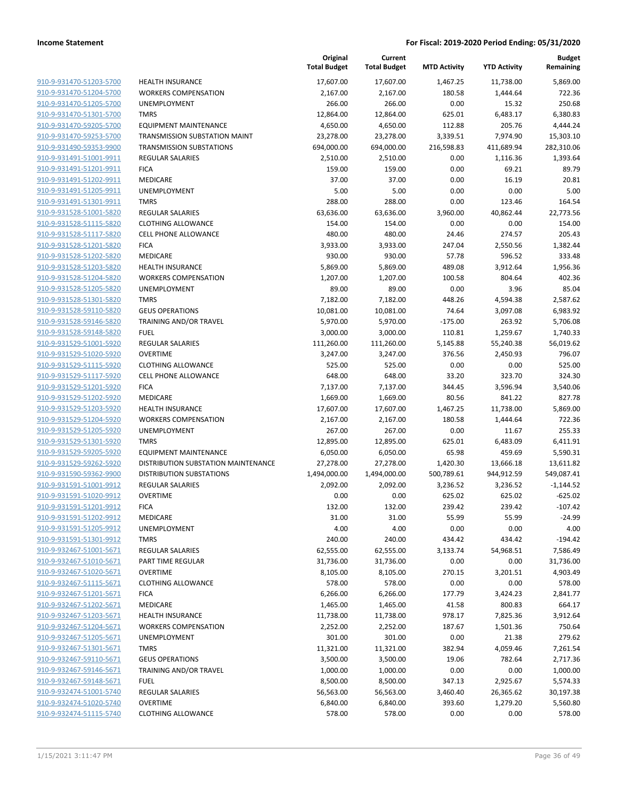|                                                    |                                             | Original<br><b>Total Budget</b> | Current<br><b>Total Budget</b> | <b>MTD Activity</b> | <b>YTD Activity</b> | <b>Budget</b><br>Remaining |
|----------------------------------------------------|---------------------------------------------|---------------------------------|--------------------------------|---------------------|---------------------|----------------------------|
| 910-9-931470-51203-5700                            | <b>HEALTH INSURANCE</b>                     | 17,607.00                       | 17,607.00                      | 1,467.25            | 11,738.00           | 5,869.00                   |
| 910-9-931470-51204-5700                            | <b>WORKERS COMPENSATION</b>                 | 2,167.00                        | 2,167.00                       | 180.58              | 1,444.64            | 722.36                     |
| 910-9-931470-51205-5700                            | UNEMPLOYMENT                                | 266.00                          | 266.00                         | 0.00                | 15.32               | 250.68                     |
| 910-9-931470-51301-5700                            | <b>TMRS</b>                                 | 12,864.00                       | 12,864.00                      | 625.01              | 6,483.17            | 6,380.83                   |
| 910-9-931470-59205-5700                            | <b>EQUIPMENT MAINTENANCE</b>                | 4,650.00                        | 4,650.00                       | 112.88              | 205.76              | 4,444.24                   |
| 910-9-931470-59253-5700                            | TRANSMISSION SUBSTATION MAINT               | 23,278.00                       | 23,278.00                      | 3,339.51            | 7,974.90            | 15,303.10                  |
| 910-9-931490-59353-9900                            | <b>TRANSMISSION SUBSTATIONS</b>             | 694,000.00                      | 694,000.00                     | 216,598.83          | 411,689.94          | 282,310.06                 |
| 910-9-931491-51001-9911                            | <b>REGULAR SALARIES</b>                     | 2,510.00                        | 2,510.00                       | 0.00                | 1,116.36            | 1,393.64                   |
| 910-9-931491-51201-9911                            | <b>FICA</b>                                 | 159.00                          | 159.00                         | 0.00                | 69.21               | 89.79                      |
| 910-9-931491-51202-9911                            | MEDICARE                                    | 37.00                           | 37.00                          | 0.00                | 16.19               | 20.81                      |
| 910-9-931491-51205-9911                            | <b>UNEMPLOYMENT</b>                         | 5.00                            | 5.00                           | 0.00                | 0.00                | 5.00                       |
| 910-9-931491-51301-9911                            | <b>TMRS</b>                                 | 288.00                          | 288.00                         | 0.00                | 123.46              | 164.54                     |
| 910-9-931528-51001-5820                            | <b>REGULAR SALARIES</b>                     | 63,636.00                       | 63,636.00                      | 3,960.00            | 40,862.44           | 22,773.56                  |
| 910-9-931528-51115-5820                            | <b>CLOTHING ALLOWANCE</b>                   | 154.00                          | 154.00                         | 0.00                | 0.00                | 154.00                     |
| 910-9-931528-51117-5820                            | <b>CELL PHONE ALLOWANCE</b>                 | 480.00                          | 480.00                         | 24.46               | 274.57              | 205.43                     |
| 910-9-931528-51201-5820                            | <b>FICA</b>                                 | 3,933.00                        | 3,933.00                       | 247.04              | 2,550.56            | 1,382.44                   |
| 910-9-931528-51202-5820                            | MEDICARE                                    | 930.00                          | 930.00                         | 57.78               | 596.52              | 333.48                     |
| 910-9-931528-51203-5820                            | <b>HEALTH INSURANCE</b>                     | 5,869.00                        | 5,869.00                       | 489.08              | 3,912.64            | 1,956.36                   |
| 910-9-931528-51204-5820                            | <b>WORKERS COMPENSATION</b>                 | 1,207.00                        | 1,207.00                       | 100.58              | 804.64              | 402.36                     |
| 910-9-931528-51205-5820                            | UNEMPLOYMENT                                | 89.00                           | 89.00                          | 0.00                | 3.96                | 85.04                      |
| 910-9-931528-51301-5820                            | <b>TMRS</b>                                 | 7,182.00                        | 7,182.00                       | 448.26              | 4,594.38            | 2,587.62                   |
| 910-9-931528-59110-5820                            | <b>GEUS OPERATIONS</b>                      | 10,081.00                       | 10,081.00                      | 74.64               | 3,097.08            | 6,983.92                   |
| 910-9-931528-59146-5820                            | TRAINING AND/OR TRAVEL                      | 5,970.00                        | 5,970.00                       | $-175.00$           | 263.92              | 5,706.08                   |
| 910-9-931528-59148-5820                            | <b>FUEL</b>                                 | 3,000.00                        | 3,000.00                       | 110.81              | 1,259.67            | 1,740.33                   |
| 910-9-931529-51001-5920                            | <b>REGULAR SALARIES</b>                     | 111,260.00                      | 111,260.00                     | 5,145.88            | 55,240.38           | 56,019.62                  |
| 910-9-931529-51020-5920                            | <b>OVERTIME</b>                             | 3,247.00                        | 3,247.00                       | 376.56              | 2,450.93            | 796.07                     |
| 910-9-931529-51115-5920                            | <b>CLOTHING ALLOWANCE</b>                   | 525.00                          | 525.00                         | 0.00                | 0.00                | 525.00                     |
| 910-9-931529-51117-5920                            | <b>CELL PHONE ALLOWANCE</b>                 | 648.00                          | 648.00                         | 33.20               | 323.70              | 324.30                     |
| 910-9-931529-51201-5920                            | <b>FICA</b>                                 | 7,137.00                        | 7,137.00                       | 344.45              | 3,596.94            | 3,540.06                   |
| 910-9-931529-51202-5920                            | MEDICARE                                    | 1,669.00                        | 1,669.00                       | 80.56               | 841.22              | 827.78                     |
| 910-9-931529-51203-5920                            | <b>HEALTH INSURANCE</b>                     | 17,607.00                       | 17,607.00                      | 1,467.25            | 11,738.00           | 5,869.00                   |
| 910-9-931529-51204-5920                            | <b>WORKERS COMPENSATION</b>                 | 2,167.00                        | 2,167.00                       | 180.58              | 1,444.64            | 722.36                     |
| 910-9-931529-51205-5920                            | UNEMPLOYMENT                                | 267.00                          | 267.00                         | 0.00                | 11.67               | 255.33                     |
| 910-9-931529-51301-5920<br>910-9-931529-59205-5920 | <b>TMRS</b><br><b>EQUIPMENT MAINTENANCE</b> | 12,895.00                       | 12,895.00<br>6,050.00          | 625.01<br>65.98     | 6,483.09<br>459.69  | 6,411.91<br>5,590.31       |
| 910-9-931529-59262-5920                            | DISTRIBUTION SUBSTATION MAINTENANCE         | 6,050.00<br>27,278.00           | 27,278.00                      | 1,420.30            | 13,666.18           | 13,611.82                  |
| 910-9-931590-59362-9900                            | <b>DISTRIBUTION SUBSTATIONS</b>             | 1,494,000.00                    | 1,494,000.00                   | 500,789.61          | 944,912.59          | 549,087.41                 |
| 910-9-931591-51001-9912                            | <b>REGULAR SALARIES</b>                     | 2,092.00                        | 2,092.00                       | 3,236.52            | 3,236.52            | $-1,144.52$                |
| 910-9-931591-51020-9912                            | <b>OVERTIME</b>                             | 0.00                            | 0.00                           | 625.02              | 625.02              | $-625.02$                  |
| 910-9-931591-51201-9912                            | <b>FICA</b>                                 | 132.00                          | 132.00                         | 239.42              | 239.42              | $-107.42$                  |
| 910-9-931591-51202-9912                            | MEDICARE                                    | 31.00                           | 31.00                          | 55.99               | 55.99               | $-24.99$                   |
| 910-9-931591-51205-9912                            | UNEMPLOYMENT                                | 4.00                            | 4.00                           | 0.00                | 0.00                | 4.00                       |
| 910-9-931591-51301-9912                            | <b>TMRS</b>                                 | 240.00                          | 240.00                         | 434.42              | 434.42              | $-194.42$                  |
| 910-9-932467-51001-5671                            | <b>REGULAR SALARIES</b>                     | 62,555.00                       | 62,555.00                      | 3,133.74            | 54,968.51           | 7,586.49                   |
| 910-9-932467-51010-5671                            | PART TIME REGULAR                           | 31,736.00                       | 31,736.00                      | 0.00                | 0.00                | 31,736.00                  |
| 910-9-932467-51020-5671                            | <b>OVERTIME</b>                             | 8,105.00                        | 8,105.00                       | 270.15              | 3,201.51            | 4,903.49                   |
| 910-9-932467-51115-5671                            | <b>CLOTHING ALLOWANCE</b>                   | 578.00                          | 578.00                         | 0.00                | 0.00                | 578.00                     |
| 910-9-932467-51201-5671                            | <b>FICA</b>                                 | 6,266.00                        | 6,266.00                       | 177.79              | 3,424.23            | 2,841.77                   |
| 910-9-932467-51202-5671                            | MEDICARE                                    | 1,465.00                        | 1,465.00                       | 41.58               | 800.83              | 664.17                     |
| 910-9-932467-51203-5671                            | <b>HEALTH INSURANCE</b>                     | 11,738.00                       | 11,738.00                      | 978.17              | 7,825.36            | 3,912.64                   |
| 910-9-932467-51204-5671                            | <b>WORKERS COMPENSATION</b>                 | 2,252.00                        | 2,252.00                       | 187.67              | 1,501.36            | 750.64                     |
| 910-9-932467-51205-5671                            | UNEMPLOYMENT                                | 301.00                          | 301.00                         | 0.00                | 21.38               | 279.62                     |
| 910-9-932467-51301-5671                            | <b>TMRS</b>                                 | 11,321.00                       | 11,321.00                      | 382.94              | 4,059.46            | 7,261.54                   |
| 910-9-932467-59110-5671                            | <b>GEUS OPERATIONS</b>                      | 3,500.00                        | 3,500.00                       | 19.06               | 782.64              | 2,717.36                   |
| 910-9-932467-59146-5671                            | TRAINING AND/OR TRAVEL                      | 1,000.00                        | 1,000.00                       | 0.00                | 0.00                | 1,000.00                   |
| 910-9-932467-59148-5671                            | <b>FUEL</b>                                 | 8,500.00                        | 8,500.00                       | 347.13              | 2,925.67            | 5,574.33                   |
| 910-9-932474-51001-5740                            | REGULAR SALARIES                            | 56,563.00                       | 56,563.00                      | 3,460.40            | 26,365.62           | 30,197.38                  |
| 910-9-932474-51020-5740                            | <b>OVERTIME</b>                             | 6,840.00                        | 6,840.00                       | 393.60              | 1,279.20            | 5,560.80                   |
| 910-9-932474-51115-5740                            | <b>CLOTHING ALLOWANCE</b>                   | 578.00                          | 578.00                         | 0.00                | 0.00                | 578.00                     |
|                                                    |                                             |                                 |                                |                     |                     |                            |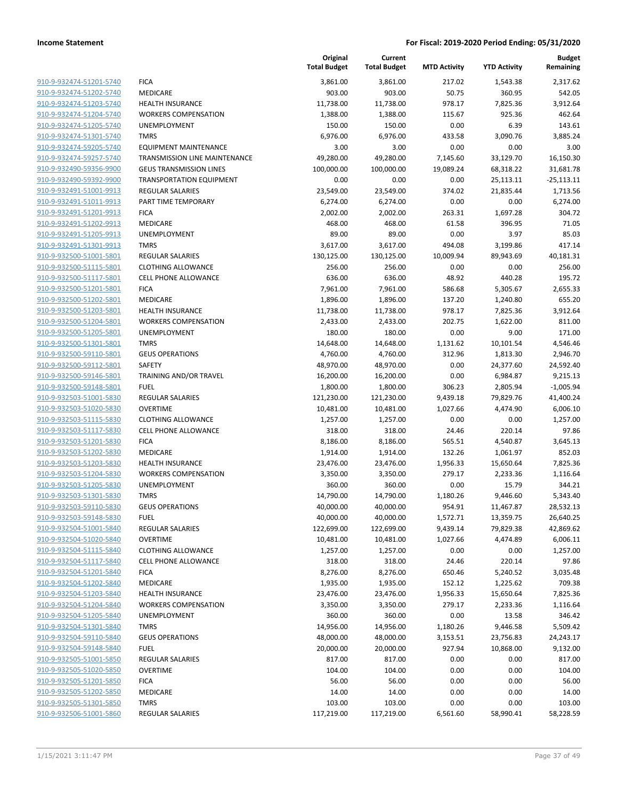|                                                    |                                                        | Original<br><b>Total Budget</b> | Current<br><b>Total Budget</b> | <b>MTD Activity</b> | <b>YTD Activity</b> | <b>Budget</b><br>Remaining |
|----------------------------------------------------|--------------------------------------------------------|---------------------------------|--------------------------------|---------------------|---------------------|----------------------------|
| 910-9-932474-51201-5740                            | <b>FICA</b>                                            | 3,861.00                        | 3,861.00                       | 217.02              | 1,543.38            | 2,317.62                   |
| 910-9-932474-51202-5740                            | MEDICARE                                               | 903.00                          | 903.00                         | 50.75               | 360.95              | 542.05                     |
| 910-9-932474-51203-5740                            | <b>HEALTH INSURANCE</b>                                | 11,738.00                       | 11,738.00                      | 978.17              | 7,825.36            | 3,912.64                   |
| 910-9-932474-51204-5740                            | <b>WORKERS COMPENSATION</b>                            | 1,388.00                        | 1,388.00                       | 115.67              | 925.36              | 462.64                     |
| 910-9-932474-51205-5740                            | <b>UNEMPLOYMENT</b>                                    | 150.00                          | 150.00                         | 0.00                | 6.39                | 143.61                     |
| 910-9-932474-51301-5740                            | <b>TMRS</b>                                            | 6,976.00                        | 6,976.00                       | 433.58              | 3,090.76            | 3,885.24                   |
| 910-9-932474-59205-5740                            | <b>EQUIPMENT MAINTENANCE</b>                           | 3.00                            | 3.00                           | 0.00                | 0.00                | 3.00                       |
| 910-9-932474-59257-5740                            | <b>TRANSMISSION LINE MAINTENANCE</b>                   | 49,280.00                       | 49,280.00                      | 7,145.60            | 33,129.70           | 16,150.30                  |
| 910-9-932490-59356-9900                            | <b>GEUS TRANSMISSION LINES</b>                         | 100,000.00                      | 100,000.00                     | 19,089.24           | 68,318.22           | 31,681.78                  |
| 910-9-932490-59392-9900                            | <b>TRANSPORTATION EQUIPMENT</b>                        | 0.00                            | 0.00                           | 0.00                | 25,113.11           | $-25,113.11$               |
| 910-9-932491-51001-9913                            | REGULAR SALARIES                                       | 23,549.00                       | 23,549.00                      | 374.02              | 21,835.44           | 1,713.56                   |
| 910-9-932491-51011-9913                            | PART TIME TEMPORARY                                    | 6,274.00                        | 6,274.00                       | 0.00                | 0.00                | 6,274.00                   |
| 910-9-932491-51201-9913                            | <b>FICA</b>                                            | 2,002.00                        | 2,002.00                       | 263.31              | 1,697.28            | 304.72                     |
| 910-9-932491-51202-9913                            | <b>MEDICARE</b>                                        | 468.00                          | 468.00                         | 61.58               | 396.95              | 71.05                      |
| 910-9-932491-51205-9913                            | <b>UNEMPLOYMENT</b>                                    | 89.00                           | 89.00                          | 0.00                | 3.97                | 85.03                      |
| 910-9-932491-51301-9913                            | <b>TMRS</b>                                            | 3,617.00                        | 3,617.00                       | 494.08              | 3,199.86            | 417.14                     |
| 910-9-932500-51001-5801                            | <b>REGULAR SALARIES</b>                                | 130,125.00                      | 130,125.00                     | 10,009.94           | 89,943.69           | 40,181.31                  |
| 910-9-932500-51115-5801<br>910-9-932500-51117-5801 | <b>CLOTHING ALLOWANCE</b>                              | 256.00                          | 256.00                         | 0.00                | 0.00                | 256.00                     |
|                                                    | <b>CELL PHONE ALLOWANCE</b>                            | 636.00                          | 636.00                         | 48.92               | 440.28              | 195.72                     |
| 910-9-932500-51201-5801                            | <b>FICA</b>                                            | 7,961.00                        | 7,961.00                       | 586.68              | 5,305.67            | 2,655.33                   |
| 910-9-932500-51202-5801<br>910-9-932500-51203-5801 | MEDICARE                                               | 1,896.00                        | 1,896.00                       | 137.20              | 1,240.80            | 655.20                     |
| 910-9-932500-51204-5801                            | <b>HEALTH INSURANCE</b><br><b>WORKERS COMPENSATION</b> | 11,738.00                       | 11,738.00                      | 978.17<br>202.75    | 7,825.36            | 3,912.64                   |
| 910-9-932500-51205-5801                            | UNEMPLOYMENT                                           | 2,433.00<br>180.00              | 2,433.00<br>180.00             | 0.00                | 1,622.00<br>9.00    | 811.00<br>171.00           |
| 910-9-932500-51301-5801                            | <b>TMRS</b>                                            | 14,648.00                       | 14,648.00                      | 1,131.62            | 10,101.54           | 4,546.46                   |
| 910-9-932500-59110-5801                            | <b>GEUS OPERATIONS</b>                                 | 4,760.00                        | 4,760.00                       | 312.96              | 1,813.30            | 2,946.70                   |
| 910-9-932500-59112-5801                            | <b>SAFETY</b>                                          | 48,970.00                       | 48,970.00                      | 0.00                | 24,377.60           | 24,592.40                  |
| 910-9-932500-59146-5801                            | TRAINING AND/OR TRAVEL                                 | 16,200.00                       | 16,200.00                      | 0.00                | 6,984.87            | 9,215.13                   |
| 910-9-932500-59148-5801                            | <b>FUEL</b>                                            | 1,800.00                        | 1,800.00                       | 306.23              | 2,805.94            | $-1,005.94$                |
| 910-9-932503-51001-5830                            | <b>REGULAR SALARIES</b>                                | 121,230.00                      | 121,230.00                     | 9,439.18            | 79,829.76           | 41,400.24                  |
| 910-9-932503-51020-5830                            | <b>OVERTIME</b>                                        | 10,481.00                       | 10,481.00                      | 1,027.66            | 4,474.90            | 6,006.10                   |
| 910-9-932503-51115-5830                            | <b>CLOTHING ALLOWANCE</b>                              | 1,257.00                        | 1,257.00                       | 0.00                | 0.00                | 1,257.00                   |
| 910-9-932503-51117-5830                            | <b>CELL PHONE ALLOWANCE</b>                            | 318.00                          | 318.00                         | 24.46               | 220.14              | 97.86                      |
| 910-9-932503-51201-5830                            | <b>FICA</b>                                            | 8,186.00                        | 8,186.00                       | 565.51              | 4,540.87            | 3,645.13                   |
| 910-9-932503-51202-5830                            | MEDICARE                                               | 1,914.00                        | 1,914.00                       | 132.26              | 1,061.97            | 852.03                     |
| 910-9-932503-51203-5830                            | <b>HEALTH INSURANCE</b>                                | 23,476.00                       | 23,476.00                      | 1,956.33            | 15,650.64           | 7,825.36                   |
| 910-9-932503-51204-5830                            | <b>WORKERS COMPENSATION</b>                            | 3,350.00                        | 3,350.00                       | 279.17              | 2,233.36            | 1,116.64                   |
| 910-9-932503-51205-5830                            | <b>UNEMPLOYMENT</b>                                    | 360.00                          | 360.00                         | 0.00                | 15.79               | 344.21                     |
| 910-9-932503-51301-5830                            | <b>TMRS</b>                                            | 14,790.00                       | 14,790.00                      | 1,180.26            | 9,446.60            | 5,343.40                   |
| 910-9-932503-59110-5830                            | <b>GEUS OPERATIONS</b>                                 | 40,000.00                       | 40,000.00                      | 954.91              | 11,467.87           | 28,532.13                  |
| 910-9-932503-59148-5830                            | <b>FUEL</b>                                            | 40,000.00                       | 40,000.00                      | 1,572.71            | 13,359.75           | 26,640.25                  |
| 910-9-932504-51001-5840                            | <b>REGULAR SALARIES</b>                                | 122,699.00                      | 122,699.00                     | 9,439.14            | 79,829.38           | 42,869.62                  |
| 910-9-932504-51020-5840                            | <b>OVERTIME</b>                                        | 10,481.00                       | 10,481.00                      | 1,027.66            | 4,474.89            | 6,006.11                   |
| 910-9-932504-51115-5840                            | <b>CLOTHING ALLOWANCE</b>                              | 1,257.00                        | 1,257.00                       | 0.00                | 0.00                | 1,257.00                   |
| 910-9-932504-51117-5840                            | <b>CELL PHONE ALLOWANCE</b>                            | 318.00                          | 318.00                         | 24.46               | 220.14              | 97.86                      |
| 910-9-932504-51201-5840                            | <b>FICA</b>                                            | 8,276.00                        | 8,276.00                       | 650.46              | 5,240.52            | 3,035.48                   |
| 910-9-932504-51202-5840                            | MEDICARE                                               | 1,935.00                        | 1,935.00                       | 152.12              | 1,225.62            | 709.38                     |
| 910-9-932504-51203-5840                            | <b>HEALTH INSURANCE</b>                                | 23,476.00                       | 23,476.00                      | 1,956.33            | 15,650.64           | 7,825.36                   |
| 910-9-932504-51204-5840                            | <b>WORKERS COMPENSATION</b>                            | 3,350.00                        | 3,350.00                       | 279.17              | 2,233.36            | 1,116.64                   |
| 910-9-932504-51205-5840                            | UNEMPLOYMENT                                           | 360.00                          | 360.00                         | 0.00                | 13.58               | 346.42                     |
| 910-9-932504-51301-5840                            | <b>TMRS</b>                                            | 14,956.00                       | 14,956.00                      | 1,180.26            | 9,446.58            | 5,509.42                   |
| 910-9-932504-59110-5840                            | <b>GEUS OPERATIONS</b>                                 | 48,000.00                       | 48,000.00                      | 3,153.51            | 23,756.83           | 24,243.17                  |
| 910-9-932504-59148-5840                            | <b>FUEL</b>                                            | 20,000.00                       | 20,000.00                      | 927.94              | 10,868.00           | 9,132.00                   |
| 910-9-932505-51001-5850                            | <b>REGULAR SALARIES</b>                                | 817.00                          | 817.00                         | 0.00                | 0.00                | 817.00                     |
| 910-9-932505-51020-5850                            | <b>OVERTIME</b>                                        | 104.00                          | 104.00                         | 0.00                | 0.00                | 104.00                     |
| 910-9-932505-51201-5850                            | <b>FICA</b>                                            | 56.00                           | 56.00                          | 0.00                | 0.00                | 56.00                      |
| 910-9-932505-51202-5850                            | MEDICARE                                               | 14.00                           | 14.00                          | 0.00                | 0.00                | 14.00                      |
| 910-9-932505-51301-5850                            | <b>TMRS</b>                                            | 103.00                          | 103.00                         | 0.00                | 0.00                | 103.00                     |
| 910-9-932506-51001-5860                            | <b>REGULAR SALARIES</b>                                | 117,219.00                      | 117,219.00                     | 6,561.60            | 58,990.41           | 58,228.59                  |
|                                                    |                                                        |                                 |                                |                     |                     |                            |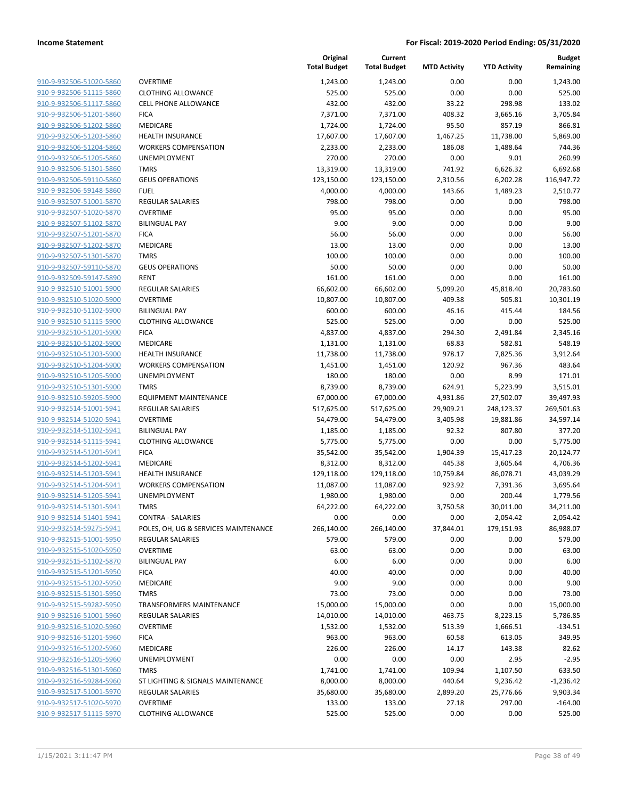| 910-9-932506-51020-5860                            | <b>OVERTIME</b>                 |
|----------------------------------------------------|---------------------------------|
| 910-9-932506-51115-5860                            | <b>CLOTHING ALL</b>             |
| 910-9-932506-51117-5860                            | <b>CELL PHONE AI</b>            |
| 910-9-932506-51201-5860                            | <b>FICA</b>                     |
| 910-9-932506-51202-5860                            | <b>MEDICARE</b>                 |
| 910-9-932506-51203-5860                            | <b>HEALTH INSUR</b>             |
| 910-9-932506-51204-5860                            | <b>WORKERS CON</b>              |
| 910-9-932506-51205-5860                            | UNEMPLOYME                      |
| 910-9-932506-51301-5860                            | <b>TMRS</b>                     |
| 910-9-932506-59110-5860                            | <b>GEUS OPERATI</b>             |
| 910-9-932506-59148-5860                            | FUEL                            |
| 910-9-932507-51001-5870                            | REGULAR SALA                    |
| 910-9-932507-51020-5870                            | OVERTIME                        |
| 910-9-932507-51102-5870                            | <b>BILINGUAL PAY</b>            |
| 910-9-932507-51201-5870                            | <b>FICA</b>                     |
| 910-9-932507-51202-5870                            | MEDICARE                        |
| 910-9-932507-51301-5870                            | TMRS                            |
| 910-9-932507-59110-5870                            | <b>GEUS OPERATI</b>             |
| 910-9-932509-59147-5890<br>910-9-932510-51001-5900 | RENT<br><b>REGULAR SALA</b>     |
| 910-9-932510-51020-5900                            | OVERTIME                        |
| 910-9-932510-51102-5900                            | <b>BILINGUAL PAY</b>            |
| 910-9-932510-51115-5900                            | <b>CLOTHING ALL</b>             |
| 910-9-932510-51201-5900                            | <b>FICA</b>                     |
| 910-9-932510-51202-5900                            | MEDICARE                        |
| 910-9-932510-51203-5900                            | <b>HEALTH INSUR</b>             |
| 910-9-932510-51204-5900                            | <b>WORKERS CON</b>              |
| 910-9-932510-51205-5900                            | UNEMPLOYME                      |
| 910-9-932510-51301-5900                            | TMRS                            |
| 910-9-932510-59205-5900                            | <b>EQUIPMENT M</b>              |
| 910-9-932514-51001-5941                            | REGULAR SALA                    |
| 910-9-932514-51020-5941                            | OVERTIME                        |
| 910-9-932514-51102-5941                            | <b>BILINGUAL PAY</b>            |
| 910-9-932514-51115-5941                            | <b>CLOTHING ALL</b>             |
| 910-9-932514-51201-5941                            | <b>FICA</b>                     |
| 910-9-932514-51202-5941                            | MEDICARE                        |
| 910-9-932514-51203-5941                            | <b>HEALTH INSUR</b>             |
| 910-9-932514-51204-5941                            | <b>WORKERS CON</b>              |
| 910-9-932514-51205-5941                            | UNEMPLOYME                      |
| 910-9-932514-51301-5941                            | TMRS                            |
| 910-9-932514-51401-5941                            | CONTRA - SALA                   |
| 910-9-932514-59275-5941<br>910-9-932515-51001-5950 | POLES, OH, UG                   |
| 910-9-932515-51020-5950                            | REGULAR SALA<br><b>OVERTIME</b> |
| 910-9-932515-51102-5870                            | <b>BILINGUAL PAY</b>            |
| 910-9-932515-51201-5950                            | <b>FICA</b>                     |
| 910-9-932515-51202-5950                            | MEDICARE                        |
| 910-9-932515-51301-5950                            | TMRS                            |
| 910-9-932515-59282-5950                            | TRANSFORMEF                     |
| 910-9-932516-51001-5960                            | REGULAR SALA                    |
| 910-9-932516-51020-5960                            | OVERTIME                        |
| 910-9-932516-51201-5960                            | <b>FICA</b>                     |
| 910-9-932516-51202-5960                            | <b>MEDICARE</b>                 |
| 910-9-932516-51205-5960                            | UNEMPLOYME                      |
| 910-9-932516-51301-5960                            | TMRS                            |
| 910-9-932516-59284-5960                            | ST LIGHTING &                   |
| 910-9-932517-51001-5970                            | REGULAR SALA                    |
| 910-9-932517-51020-5970                            | OVERTIME                        |
| 910-9-932517-51115-5970                            | <b>CLOTHING ALL</b>             |
|                                                    |                                 |

|                         |                                      | Original<br><b>Total Budget</b> | Current<br><b>Total Budget</b> | <b>MTD Activity</b> | <b>YTD Activity</b> | <b>Budget</b><br>Remaining |
|-------------------------|--------------------------------------|---------------------------------|--------------------------------|---------------------|---------------------|----------------------------|
| 910-9-932506-51020-5860 | <b>OVERTIME</b>                      | 1,243.00                        | 1,243.00                       | 0.00                | 0.00                | 1,243.00                   |
| 910-9-932506-51115-5860 | <b>CLOTHING ALLOWANCE</b>            | 525.00                          | 525.00                         | 0.00                | 0.00                | 525.00                     |
| 910-9-932506-51117-5860 | <b>CELL PHONE ALLOWANCE</b>          | 432.00                          | 432.00                         | 33.22               | 298.98              | 133.02                     |
| 910-9-932506-51201-5860 | <b>FICA</b>                          | 7,371.00                        | 7,371.00                       | 408.32              | 3,665.16            | 3,705.84                   |
| 910-9-932506-51202-5860 | <b>MEDICARE</b>                      | 1,724.00                        | 1,724.00                       | 95.50               | 857.19              | 866.81                     |
| 910-9-932506-51203-5860 | <b>HEALTH INSURANCE</b>              | 17,607.00                       | 17,607.00                      | 1,467.25            | 11,738.00           | 5,869.00                   |
| 910-9-932506-51204-5860 | <b>WORKERS COMPENSATION</b>          | 2,233.00                        | 2,233.00                       | 186.08              | 1,488.64            | 744.36                     |
| 910-9-932506-51205-5860 | <b>UNEMPLOYMENT</b>                  | 270.00                          | 270.00                         | 0.00                | 9.01                | 260.99                     |
| 910-9-932506-51301-5860 | <b>TMRS</b>                          | 13,319.00                       | 13,319.00                      | 741.92              | 6,626.32            | 6,692.68                   |
| 910-9-932506-59110-5860 | <b>GEUS OPERATIONS</b>               | 123,150.00                      | 123,150.00                     | 2,310.56            | 6,202.28            | 116,947.72                 |
| 910-9-932506-59148-5860 | <b>FUEL</b>                          | 4,000.00                        | 4,000.00                       | 143.66              | 1,489.23            | 2,510.77                   |
| 910-9-932507-51001-5870 | REGULAR SALARIES                     | 798.00                          | 798.00                         | 0.00                | 0.00                | 798.00                     |
| 910-9-932507-51020-5870 | <b>OVERTIME</b>                      | 95.00                           | 95.00                          | 0.00                | 0.00                | 95.00                      |
| 910-9-932507-51102-5870 | <b>BILINGUAL PAY</b>                 | 9.00                            | 9.00                           | 0.00                | 0.00                | 9.00                       |
| 910-9-932507-51201-5870 | <b>FICA</b>                          | 56.00                           | 56.00                          | 0.00                | 0.00                | 56.00                      |
| 910-9-932507-51202-5870 | MEDICARE                             | 13.00                           | 13.00                          | 0.00                | 0.00                | 13.00                      |
| 910-9-932507-51301-5870 | <b>TMRS</b>                          | 100.00                          | 100.00                         | 0.00                | 0.00                | 100.00                     |
| 910-9-932507-59110-5870 | <b>GEUS OPERATIONS</b>               | 50.00                           | 50.00                          | 0.00                | 0.00                | 50.00                      |
| 910-9-932509-59147-5890 | <b>RENT</b>                          | 161.00                          | 161.00                         | 0.00                | 0.00                | 161.00                     |
| 910-9-932510-51001-5900 | <b>REGULAR SALARIES</b>              | 66,602.00                       | 66,602.00                      | 5,099.20            | 45,818.40           | 20,783.60                  |
| 910-9-932510-51020-5900 | <b>OVERTIME</b>                      | 10,807.00                       | 10,807.00                      | 409.38              | 505.81              | 10,301.19                  |
| 910-9-932510-51102-5900 | <b>BILINGUAL PAY</b>                 | 600.00                          | 600.00                         | 46.16               | 415.44              | 184.56                     |
| 910-9-932510-51115-5900 | <b>CLOTHING ALLOWANCE</b>            | 525.00                          | 525.00                         | 0.00                | 0.00                | 525.00                     |
| 910-9-932510-51201-5900 | <b>FICA</b>                          | 4,837.00                        | 4,837.00                       | 294.30              | 2,491.84            | 2,345.16                   |
| 910-9-932510-51202-5900 | <b>MEDICARE</b>                      | 1,131.00                        | 1,131.00                       | 68.83               | 582.81              | 548.19                     |
| 910-9-932510-51203-5900 | <b>HEALTH INSURANCE</b>              | 11,738.00                       | 11,738.00                      | 978.17              | 7,825.36            | 3,912.64                   |
| 910-9-932510-51204-5900 | <b>WORKERS COMPENSATION</b>          | 1,451.00                        | 1,451.00                       | 120.92              | 967.36              | 483.64                     |
| 910-9-932510-51205-5900 | <b>UNEMPLOYMENT</b>                  | 180.00                          | 180.00                         | 0.00                | 8.99                | 171.01                     |
| 910-9-932510-51301-5900 | <b>TMRS</b>                          | 8,739.00                        | 8,739.00                       | 624.91              | 5,223.99            | 3,515.01                   |
| 910-9-932510-59205-5900 | <b>EQUIPMENT MAINTENANCE</b>         | 67,000.00                       | 67,000.00                      | 4,931.86            | 27,502.07           | 39,497.93                  |
| 910-9-932514-51001-5941 | <b>REGULAR SALARIES</b>              | 517,625.00                      | 517,625.00                     | 29,909.21           | 248,123.37          | 269,501.63                 |
| 910-9-932514-51020-5941 | <b>OVERTIME</b>                      | 54,479.00                       | 54,479.00                      | 3,405.98            | 19,881.86           | 34,597.14                  |
| 910-9-932514-51102-5941 | <b>BILINGUAL PAY</b>                 | 1,185.00                        | 1,185.00                       | 92.32               | 807.80              | 377.20                     |
| 910-9-932514-51115-5941 | <b>CLOTHING ALLOWANCE</b>            | 5,775.00                        | 5,775.00                       | 0.00                | 0.00                | 5,775.00                   |
| 910-9-932514-51201-5941 | <b>FICA</b>                          | 35,542.00                       | 35,542.00                      | 1,904.39            | 15,417.23           | 20,124.77                  |
| 910-9-932514-51202-5941 | <b>MEDICARE</b>                      | 8,312.00                        | 8,312.00                       | 445.38              | 3,605.64            | 4,706.36                   |
| 910-9-932514-51203-5941 | <b>HEALTH INSURANCE</b>              | 129,118.00                      | 129,118.00                     | 10,759.84           | 86,078.71           | 43,039.29                  |
| 910-9-932514-51204-5941 | <b>WORKERS COMPENSATION</b>          | 11,087.00                       | 11,087.00                      | 923.92              | 7,391.36            | 3,695.64                   |
| 910-9-932514-51205-5941 | <b>UNEMPLOYMENT</b>                  | 1,980.00                        | 1,980.00                       | 0.00                | 200.44              | 1,779.56                   |
| 910-9-932514-51301-5941 | <b>TMRS</b>                          | 64,222.00                       | 64,222.00                      | 3,750.58            | 30,011.00           | 34,211.00                  |
| 910-9-932514-51401-5941 | <b>CONTRA - SALARIES</b>             | 0.00                            | 0.00                           | 0.00                | $-2,054.42$         | 2,054.42                   |
| 910-9-932514-59275-5941 | POLES, OH, UG & SERVICES MAINTENANCE | 266,140.00                      | 266,140.00                     | 37,844.01           | 179,151.93          | 86,988.07                  |
| 910-9-932515-51001-5950 | <b>REGULAR SALARIES</b>              | 579.00                          | 579.00                         | 0.00                | 0.00                | 579.00                     |
| 910-9-932515-51020-5950 | <b>OVERTIME</b>                      | 63.00                           | 63.00                          | 0.00                | 0.00                | 63.00                      |
| 910-9-932515-51102-5870 | <b>BILINGUAL PAY</b>                 | 6.00                            | 6.00                           | 0.00                | 0.00                | 6.00                       |
| 910-9-932515-51201-5950 | <b>FICA</b>                          | 40.00                           | 40.00                          | 0.00                | 0.00                | 40.00                      |
| 910-9-932515-51202-5950 | MEDICARE                             | 9.00                            | 9.00                           | 0.00                | 0.00                | 9.00                       |
| 910-9-932515-51301-5950 | <b>TMRS</b>                          | 73.00                           | 73.00                          | 0.00                | 0.00                | 73.00                      |
| 910-9-932515-59282-5950 | <b>TRANSFORMERS MAINTENANCE</b>      | 15,000.00                       | 15,000.00                      | 0.00                | 0.00                | 15,000.00                  |
| 910-9-932516-51001-5960 | REGULAR SALARIES                     | 14,010.00                       | 14,010.00                      | 463.75              | 8,223.15            | 5,786.85                   |
| 910-9-932516-51020-5960 | <b>OVERTIME</b>                      | 1,532.00                        | 1,532.00                       | 513.39              | 1,666.51            | $-134.51$                  |
| 910-9-932516-51201-5960 | <b>FICA</b>                          | 963.00                          | 963.00                         | 60.58               | 613.05              | 349.95                     |
| 910-9-932516-51202-5960 | MEDICARE                             | 226.00                          | 226.00                         | 14.17               | 143.38              | 82.62                      |
| 910-9-932516-51205-5960 | <b>UNEMPLOYMENT</b>                  | 0.00                            | 0.00                           | 0.00                | 2.95                | $-2.95$                    |
| 910-9-932516-51301-5960 | <b>TMRS</b>                          | 1,741.00                        | 1,741.00                       | 109.94              | 1,107.50            | 633.50                     |
| 910-9-932516-59284-5960 | ST LIGHTING & SIGNALS MAINTENANCE    | 8,000.00                        | 8,000.00                       | 440.64              | 9,236.42            | $-1,236.42$                |
| 910-9-932517-51001-5970 | REGULAR SALARIES                     | 35,680.00                       | 35,680.00                      | 2,899.20            | 25,776.66           | 9,903.34                   |
| 910-9-932517-51020-5970 | <b>OVERTIME</b>                      | 133.00                          | 133.00                         | 27.18               | 297.00              | $-164.00$                  |
| 910-9-932517-51115-5970 | <b>CLOTHING ALLOWANCE</b>            | 525.00                          | 525.00                         | 0.00                | 0.00                | 525.00                     |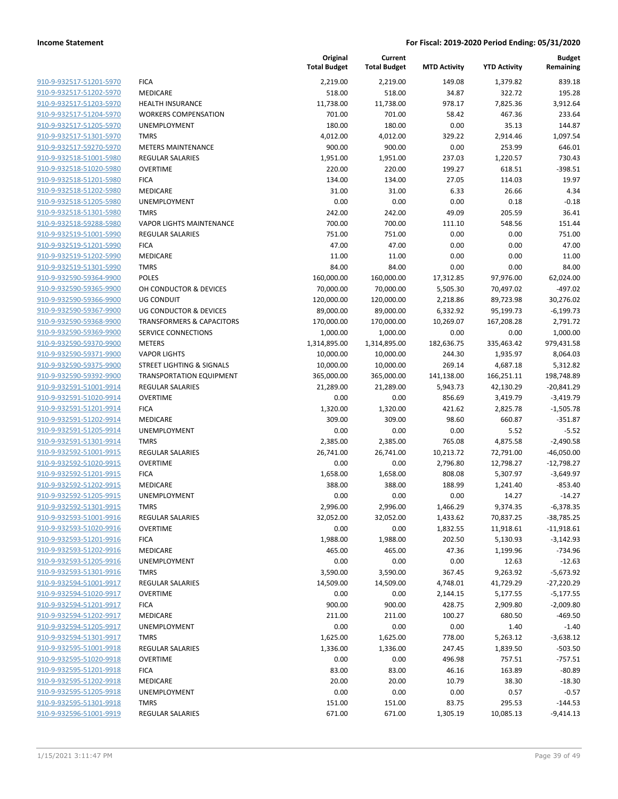|                         |                                      | Original<br><b>Total Budget</b> | Current<br><b>Total Budget</b> | <b>MTD Activity</b> | <b>YTD Activity</b> | <b>Budget</b><br>Remaining |
|-------------------------|--------------------------------------|---------------------------------|--------------------------------|---------------------|---------------------|----------------------------|
| 910-9-932517-51201-5970 | <b>FICA</b>                          | 2,219.00                        | 2,219.00                       | 149.08              | 1,379.82            | 839.18                     |
| 910-9-932517-51202-5970 | MEDICARE                             | 518.00                          | 518.00                         | 34.87               | 322.72              | 195.28                     |
| 910-9-932517-51203-5970 | <b>HEALTH INSURANCE</b>              | 11,738.00                       | 11,738.00                      | 978.17              | 7,825.36            | 3,912.64                   |
| 910-9-932517-51204-5970 | <b>WORKERS COMPENSATION</b>          | 701.00                          | 701.00                         | 58.42               | 467.36              | 233.64                     |
| 910-9-932517-51205-5970 | <b>UNEMPLOYMENT</b>                  | 180.00                          | 180.00                         | 0.00                | 35.13               | 144.87                     |
| 910-9-932517-51301-5970 | <b>TMRS</b>                          | 4,012.00                        | 4,012.00                       | 329.22              | 2,914.46            | 1,097.54                   |
| 910-9-932517-59270-5970 | <b>METERS MAINTENANCE</b>            | 900.00                          | 900.00                         | 0.00                | 253.99              | 646.01                     |
| 910-9-932518-51001-5980 | REGULAR SALARIES                     | 1,951.00                        | 1,951.00                       | 237.03              | 1,220.57            | 730.43                     |
| 910-9-932518-51020-5980 | <b>OVERTIME</b>                      | 220.00                          | 220.00                         | 199.27              | 618.51              | $-398.51$                  |
| 910-9-932518-51201-5980 | <b>FICA</b>                          | 134.00                          | 134.00                         | 27.05               | 114.03              | 19.97                      |
| 910-9-932518-51202-5980 | MEDICARE                             | 31.00                           | 31.00                          | 6.33                | 26.66               | 4.34                       |
| 910-9-932518-51205-5980 | UNEMPLOYMENT                         | 0.00                            | 0.00                           | 0.00                | 0.18                | $-0.18$                    |
| 910-9-932518-51301-5980 | <b>TMRS</b>                          | 242.00                          | 242.00                         | 49.09               | 205.59              | 36.41                      |
| 910-9-932518-59288-5980 | <b>VAPOR LIGHTS MAINTENANCE</b>      | 700.00                          | 700.00                         | 111.10              | 548.56              | 151.44                     |
| 910-9-932519-51001-5990 | <b>REGULAR SALARIES</b>              | 751.00                          | 751.00                         | 0.00                | 0.00                | 751.00                     |
| 910-9-932519-51201-5990 | <b>FICA</b>                          | 47.00                           | 47.00                          | 0.00                | 0.00                | 47.00                      |
| 910-9-932519-51202-5990 | MEDICARE                             | 11.00                           | 11.00                          | 0.00                | 0.00                | 11.00                      |
| 910-9-932519-51301-5990 | <b>TMRS</b>                          | 84.00                           | 84.00                          | 0.00                | 0.00                | 84.00                      |
| 910-9-932590-59364-9900 | <b>POLES</b>                         | 160,000.00                      | 160,000.00                     | 17,312.85           | 97,976.00           | 62,024.00                  |
| 910-9-932590-59365-9900 | OH CONDUCTOR & DEVICES               | 70,000.00                       | 70,000.00                      | 5,505.30            | 70,497.02           | $-497.02$                  |
| 910-9-932590-59366-9900 | <b>UG CONDUIT</b>                    | 120,000.00                      | 120,000.00                     | 2,218.86            | 89,723.98           | 30,276.02                  |
| 910-9-932590-59367-9900 | UG CONDUCTOR & DEVICES               | 89,000.00                       | 89,000.00                      | 6,332.92            | 95,199.73           | $-6,199.73$                |
| 910-9-932590-59368-9900 | <b>TRANSFORMERS &amp; CAPACITORS</b> | 170,000.00                      | 170,000.00                     | 10,269.07           | 167,208.28          | 2,791.72                   |
| 910-9-932590-59369-9900 | SERVICE CONNECTIONS                  | 1,000.00                        | 1,000.00                       | 0.00                | 0.00                | 1,000.00                   |
| 910-9-932590-59370-9900 | <b>METERS</b>                        | 1,314,895.00                    | 1,314,895.00                   | 182,636.75          | 335,463.42          | 979,431.58                 |
| 910-9-932590-59371-9900 | <b>VAPOR LIGHTS</b>                  | 10,000.00                       | 10,000.00                      | 244.30              | 1,935.97            | 8,064.03                   |
| 910-9-932590-59375-9900 | STREET LIGHTING & SIGNALS            | 10,000.00                       | 10,000.00                      | 269.14              | 4,687.18            | 5,312.82                   |
| 910-9-932590-59392-9900 | <b>TRANSPORTATION EQUIPMENT</b>      | 365,000.00                      | 365,000.00                     | 141,138.00          | 166,251.11          | 198,748.89                 |
| 910-9-932591-51001-9914 | <b>REGULAR SALARIES</b>              | 21,289.00                       | 21,289.00                      | 5,943.73            | 42,130.29           | $-20,841.29$               |
| 910-9-932591-51020-9914 | <b>OVERTIME</b>                      | 0.00                            | 0.00                           | 856.69              | 3,419.79            | $-3,419.79$                |
| 910-9-932591-51201-9914 | <b>FICA</b>                          | 1,320.00                        | 1,320.00                       | 421.62              | 2,825.78            | $-1,505.78$                |
| 910-9-932591-51202-9914 | MEDICARE                             | 309.00                          | 309.00                         | 98.60               | 660.87              | $-351.87$                  |
| 910-9-932591-51205-9914 | <b>UNEMPLOYMENT</b>                  | 0.00                            | 0.00                           | 0.00                | 5.52                | $-5.52$                    |
| 910-9-932591-51301-9914 | <b>TMRS</b>                          | 2,385.00                        | 2,385.00                       | 765.08              | 4,875.58            | $-2,490.58$                |
| 910-9-932592-51001-9915 | <b>REGULAR SALARIES</b>              | 26,741.00                       | 26,741.00                      | 10,213.72           | 72,791.00           | $-46,050.00$               |
| 910-9-932592-51020-9915 | <b>OVERTIME</b>                      | 0.00                            | 0.00                           | 2,796.80            | 12,798.27           | $-12,798.27$               |
| 910-9-932592-51201-9915 | <b>FICA</b>                          | 1,658.00                        | 1,658.00                       | 808.08              | 5,307.97            | $-3,649.97$                |
| 910-9-932592-51202-9915 | MEDICARE                             | 388.00                          | 388.00                         | 188.99              | 1,241.40            | $-853.40$                  |
| 910-9-932592-51205-9915 | <b>UNEMPLOYMENT</b>                  | 0.00                            | 0.00                           | 0.00                | 14.27               | $-14.27$                   |
| 910-9-932592-51301-9915 | <b>TMRS</b>                          | 2,996.00                        | 2,996.00                       | 1,466.29            | 9,374.35            | $-6,378.35$                |
| 910-9-932593-51001-9916 | <b>REGULAR SALARIES</b>              | 32,052.00                       | 32,052.00                      | 1,433.62            | 70,837.25           | $-38,785.25$               |
| 910-9-932593-51020-9916 | <b>OVERTIME</b>                      | 0.00                            | 0.00                           | 1,832.55            | 11,918.61           | $-11,918.61$               |
| 910-9-932593-51201-9916 | <b>FICA</b>                          | 1,988.00                        | 1,988.00                       | 202.50              | 5,130.93            | $-3,142.93$                |
| 910-9-932593-51202-9916 | MEDICARE                             | 465.00                          | 465.00                         | 47.36               | 1,199.96            | $-734.96$                  |
| 910-9-932593-51205-9916 | <b>UNEMPLOYMENT</b>                  | 0.00                            | 0.00                           | 0.00                | 12.63               | $-12.63$                   |
| 910-9-932593-51301-9916 | <b>TMRS</b>                          | 3,590.00                        | 3,590.00                       | 367.45              | 9,263.92            | $-5,673.92$                |
| 910-9-932594-51001-9917 | REGULAR SALARIES                     | 14,509.00                       | 14,509.00                      | 4,748.01            | 41,729.29           | $-27,220.29$               |
| 910-9-932594-51020-9917 | <b>OVERTIME</b>                      | 0.00                            | 0.00                           | 2,144.15            | 5,177.55            | $-5,177.55$                |
| 910-9-932594-51201-9917 | <b>FICA</b>                          | 900.00                          | 900.00                         | 428.75              | 2,909.80            | $-2,009.80$                |
| 910-9-932594-51202-9917 | MEDICARE                             | 211.00                          | 211.00                         | 100.27              | 680.50              | $-469.50$                  |
| 910-9-932594-51205-9917 | UNEMPLOYMENT                         | 0.00                            | 0.00                           | 0.00                | 1.40                | $-1.40$                    |
| 910-9-932594-51301-9917 | <b>TMRS</b>                          | 1,625.00                        | 1,625.00                       | 778.00              | 5,263.12            | $-3,638.12$                |
| 910-9-932595-51001-9918 | REGULAR SALARIES                     | 1,336.00                        | 1,336.00                       | 247.45              | 1,839.50            | $-503.50$                  |
| 910-9-932595-51020-9918 | <b>OVERTIME</b>                      | 0.00                            | 0.00                           | 496.98              | 757.51              | $-757.51$                  |
| 910-9-932595-51201-9918 | <b>FICA</b>                          | 83.00                           | 83.00                          | 46.16               | 163.89              | $-80.89$                   |
| 910-9-932595-51202-9918 | MEDICARE                             | 20.00                           | 20.00                          | 10.79               | 38.30               | $-18.30$                   |
| 910-9-932595-51205-9918 | UNEMPLOYMENT                         | 0.00                            | 0.00                           | 0.00                | 0.57                | $-0.57$                    |
| 910-9-932595-51301-9918 | <b>TMRS</b>                          | 151.00                          | 151.00                         | 83.75               | 295.53              | $-144.53$                  |
| 910-9-932596-51001-9919 | <b>REGULAR SALARIES</b>              | 671.00                          | 671.00                         | 1,305.19            | 10,085.13           | $-9,414.13$                |
|                         |                                      |                                 |                                |                     |                     |                            |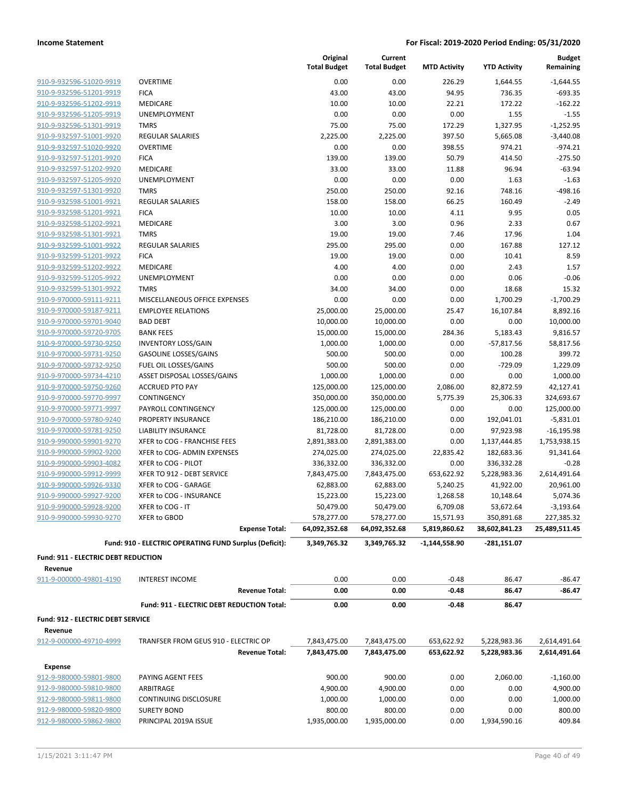|                                                     |                                                        | Original<br><b>Total Budget</b> | Current<br><b>Total Budget</b> | <b>MTD Activity</b> | <b>YTD Activity</b> | <b>Budget</b><br>Remaining |
|-----------------------------------------------------|--------------------------------------------------------|---------------------------------|--------------------------------|---------------------|---------------------|----------------------------|
| 910-9-932596-51020-9919                             | <b>OVERTIME</b>                                        | 0.00                            | 0.00                           | 226.29              | 1,644.55            | $-1,644.55$                |
| 910-9-932596-51201-9919                             | <b>FICA</b>                                            | 43.00                           | 43.00                          | 94.95               | 736.35              | $-693.35$                  |
| 910-9-932596-51202-9919                             | MEDICARE                                               | 10.00                           | 10.00                          | 22.21               | 172.22              | $-162.22$                  |
| 910-9-932596-51205-9919                             | <b>UNEMPLOYMENT</b>                                    | 0.00                            | 0.00                           | 0.00                | 1.55                | $-1.55$                    |
| 910-9-932596-51301-9919                             | <b>TMRS</b>                                            | 75.00                           | 75.00                          | 172.29              | 1,327.95            | $-1,252.95$                |
| 910-9-932597-51001-9920                             | <b>REGULAR SALARIES</b>                                | 2,225.00                        | 2,225.00                       | 397.50              | 5,665.08            | $-3,440.08$                |
| 910-9-932597-51020-9920                             | <b>OVERTIME</b>                                        | 0.00                            | 0.00                           | 398.55              | 974.21              | $-974.21$                  |
| 910-9-932597-51201-9920                             | <b>FICA</b>                                            | 139.00                          | 139.00                         | 50.79               | 414.50              | $-275.50$                  |
| 910-9-932597-51202-9920                             | <b>MEDICARE</b>                                        | 33.00                           | 33.00                          | 11.88               | 96.94               | $-63.94$                   |
| 910-9-932597-51205-9920                             | UNEMPLOYMENT                                           | 0.00                            | 0.00                           | 0.00                | 1.63                | $-1.63$                    |
| 910-9-932597-51301-9920                             | <b>TMRS</b>                                            | 250.00                          | 250.00                         | 92.16               | 748.16              | $-498.16$                  |
| 910-9-932598-51001-9921                             | <b>REGULAR SALARIES</b>                                | 158.00                          | 158.00                         | 66.25               | 160.49              | $-2.49$                    |
| 910-9-932598-51201-9921                             | <b>FICA</b>                                            | 10.00                           | 10.00                          | 4.11                | 9.95                | 0.05                       |
| 910-9-932598-51202-9921                             | MEDICARE                                               | 3.00                            | 3.00                           | 0.96                | 2.33                | 0.67                       |
| 910-9-932598-51301-9921                             | <b>TMRS</b>                                            | 19.00                           | 19.00                          | 7.46                | 17.96               | 1.04                       |
| 910-9-932599-51001-9922                             | <b>REGULAR SALARIES</b>                                | 295.00                          | 295.00                         | 0.00                | 167.88              | 127.12                     |
| 910-9-932599-51201-9922                             | <b>FICA</b>                                            | 19.00                           | 19.00                          | 0.00                | 10.41               | 8.59                       |
| 910-9-932599-51202-9922                             | MEDICARE                                               | 4.00                            | 4.00                           | 0.00                | 2.43                | 1.57                       |
| 910-9-932599-51205-9922                             | UNEMPLOYMENT                                           | 0.00                            | 0.00                           | 0.00                | 0.06                | $-0.06$                    |
| 910-9-932599-51301-9922                             | <b>TMRS</b>                                            | 34.00                           | 34.00                          | 0.00                | 18.68               | 15.32                      |
| 910-9-970000-59111-9211                             | MISCELLANEOUS OFFICE EXPENSES                          | 0.00                            | 0.00                           | 0.00                | 1,700.29            | $-1,700.29$                |
| 910-9-970000-59187-9211                             | <b>EMPLOYEE RELATIONS</b>                              | 25,000.00                       | 25,000.00                      | 25.47               | 16,107.84           | 8,892.16                   |
| 910-9-970000-59701-9040                             | <b>BAD DEBT</b>                                        | 10,000.00                       | 10,000.00                      | 0.00                | 0.00                | 10,000.00                  |
| 910-9-970000-59720-9705                             | <b>BANK FEES</b>                                       | 15,000.00                       | 15,000.00                      | 284.36              | 5,183.43            | 9,816.57                   |
| 910-9-970000-59730-9250                             | <b>INVENTORY LOSS/GAIN</b>                             | 1,000.00                        | 1,000.00                       | 0.00                | $-57,817.56$        | 58,817.56                  |
| 910-9-970000-59731-9250                             | <b>GASOLINE LOSSES/GAINS</b>                           | 500.00                          | 500.00                         | 0.00                | 100.28              | 399.72                     |
| 910-9-970000-59732-9250                             | FUEL OIL LOSSES/GAINS                                  | 500.00                          | 500.00                         | 0.00                | $-729.09$           | 1,229.09                   |
| 910-9-970000-59734-4210                             | ASSET DISPOSAL LOSSES/GAINS                            | 1,000.00                        | 1,000.00                       | 0.00                | 0.00                | 1,000.00                   |
| 910-9-970000-59750-9260                             | <b>ACCRUED PTO PAY</b>                                 | 125,000.00                      | 125,000.00                     | 2,086.00            | 82,872.59           | 42,127.41                  |
| 910-9-970000-59770-9997                             | CONTINGENCY                                            | 350,000.00                      | 350,000.00                     | 5,775.39            | 25,306.33           | 324,693.67                 |
| 910-9-970000-59771-9997                             | PAYROLL CONTINGENCY                                    | 125,000.00                      | 125,000.00                     | 0.00                | 0.00                | 125,000.00                 |
| 910-9-970000-59780-9240                             | PROPERTY INSURANCE                                     | 186,210.00                      | 186,210.00                     | 0.00                | 192,041.01          | $-5,831.01$                |
| 910-9-970000-59781-9250                             | <b>LIABILITY INSURANCE</b>                             | 81,728.00                       | 81,728.00                      | 0.00                | 97,923.98           | $-16, 195.98$              |
| 910-9-990000-59901-9270                             | XFER to COG - FRANCHISE FEES                           | 2,891,383.00                    | 2,891,383.00                   | 0.00                | 1,137,444.85        | 1,753,938.15               |
| 910-9-990000-59902-9200                             | XFER to COG- ADMIN EXPENSES                            | 274,025.00                      | 274,025.00                     | 22,835.42           | 182,683.36          | 91,341.64                  |
| 910-9-990000-59903-4082                             | XFER to COG - PILOT                                    | 336,332.00                      | 336,332.00                     | 0.00                | 336,332.28          | $-0.28$                    |
| 910-9-990000-59912-9999                             | XFER TO 912 - DEBT SERVICE                             | 7,843,475.00                    | 7,843,475.00                   | 653,622.92          | 5,228,983.36        | 2,614,491.64               |
| 910-9-990000-59926-9330                             | XFER to COG - GARAGE                                   | 62,883.00                       | 62,883.00                      | 5,240.25            | 41,922.00           | 20,961.00                  |
| 910-9-990000-59927-9200                             | XFER to COG - INSURANCE                                | 15,223.00                       | 15,223.00                      | 1,268.58            | 10,148.64           | 5,074.36                   |
| 910-9-990000-59928-9200                             | XFER to COG - IT                                       | 50,479.00                       | 50,479.00                      | 6,709.08            | 53,672.64           | $-3,193.64$                |
| 910-9-990000-59930-9270                             | XFER to GBOD                                           | 578,277.00                      | 578,277.00                     | 15,571.93           | 350,891.68          | 227,385.32                 |
|                                                     | <b>Expense Total:</b>                                  | 64,092,352.68                   | 64,092,352.68                  | 5,819,860.62        | 38,602,841.23       | 25,489,511.45              |
|                                                     | Fund: 910 - ELECTRIC OPERATING FUND Surplus (Deficit): | 3,349,765.32                    | 3,349,765.32                   | $-1,144,558.90$     | $-281,151.07$       |                            |
| Fund: 911 - ELECTRIC DEBT REDUCTION                 |                                                        |                                 |                                |                     |                     |                            |
| Revenue                                             |                                                        |                                 |                                |                     |                     |                            |
| 911-9-000000-49801-4190                             | <b>INTEREST INCOME</b><br><b>Revenue Total:</b>        | 0.00<br>0.00                    | 0.00<br>0.00                   | $-0.48$<br>$-0.48$  | 86.47<br>86.47      | $-86.47$<br>$-86.47$       |
|                                                     |                                                        |                                 |                                |                     |                     |                            |
|                                                     | Fund: 911 - ELECTRIC DEBT REDUCTION Total:             | 0.00                            | 0.00                           | $-0.48$             | 86.47               |                            |
| <b>Fund: 912 - ELECTRIC DEBT SERVICE</b><br>Revenue |                                                        |                                 |                                |                     |                     |                            |
| 912-9-000000-49710-4999                             | TRANFSER FROM GEUS 910 - ELECTRIC OP                   | 7,843,475.00                    | 7,843,475.00                   | 653,622.92          | 5,228,983.36        | 2,614,491.64               |
|                                                     | <b>Revenue Total:</b>                                  | 7,843,475.00                    | 7,843,475.00                   | 653,622.92          | 5,228,983.36        | 2,614,491.64               |
| <b>Expense</b>                                      |                                                        |                                 |                                |                     |                     |                            |
| 912-9-980000-59801-9800                             | PAYING AGENT FEES                                      | 900.00                          | 900.00                         | 0.00                | 2,060.00            | $-1,160.00$                |
| 912-9-980000-59810-9800                             | ARBITRAGE                                              | 4,900.00                        | 4,900.00                       | 0.00                | 0.00                | 4,900.00                   |
| 912-9-980000-59811-9800                             | CONTINUING DISCLOSURE                                  | 1,000.00                        | 1,000.00                       | 0.00                | 0.00                | 1,000.00                   |
| 912-9-980000-59820-9800                             | <b>SURETY BOND</b>                                     | 800.00                          | 800.00                         | 0.00                | 0.00                | 800.00                     |
| 912-9-980000-59862-9800                             | PRINCIPAL 2019A ISSUE                                  | 1,935,000.00                    | 1,935,000.00                   | 0.00                | 1,934,590.16        | 409.84                     |
|                                                     |                                                        |                                 |                                |                     |                     |                            |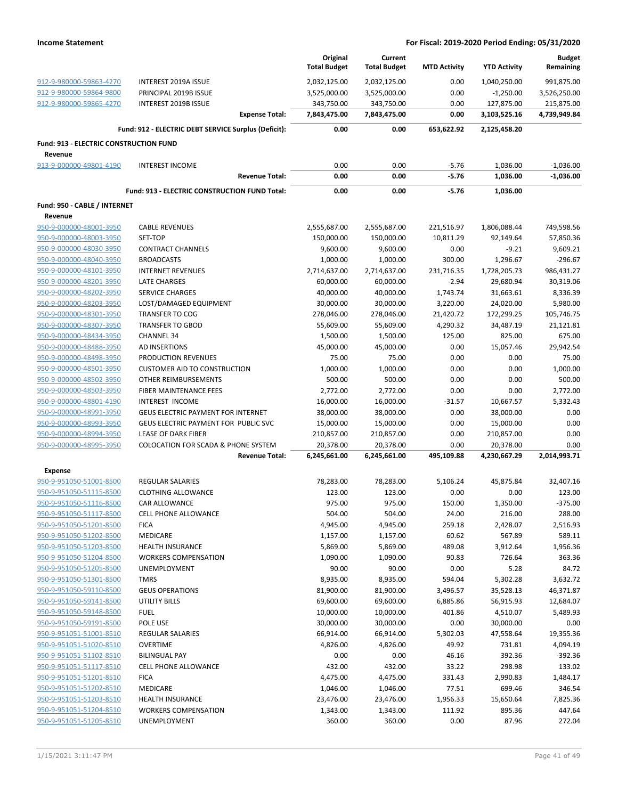|                                         |                                                                         | Original<br><b>Total Budget</b> | Current<br><b>Total Budget</b> | <b>MTD Activity</b> | <b>YTD Activity</b>       | <b>Budget</b><br>Remaining |
|-----------------------------------------|-------------------------------------------------------------------------|---------------------------------|--------------------------------|---------------------|---------------------------|----------------------------|
| 912-9-980000-59863-4270                 | <b>INTEREST 2019A ISSUE</b>                                             | 2,032,125.00                    | 2,032,125.00                   | 0.00                | 1,040,250.00              | 991,875.00                 |
| 912-9-980000-59864-9800                 | PRINCIPAL 2019B ISSUE                                                   | 3,525,000.00                    | 3,525,000.00                   | 0.00                | $-1,250.00$               | 3,526,250.00               |
| 912-9-980000-59865-4270                 | <b>INTEREST 2019B ISSUE</b>                                             | 343,750.00                      | 343,750.00                     | 0.00                | 127,875.00                | 215,875.00                 |
|                                         | <b>Expense Total:</b>                                                   | 7,843,475.00                    | 7,843,475.00                   | 0.00                | 3,103,525.16              | 4,739,949.84               |
|                                         | Fund: 912 - ELECTRIC DEBT SERVICE Surplus (Deficit):                    | 0.00                            | 0.00                           | 653,622.92          | 2,125,458.20              |                            |
| Fund: 913 - ELECTRIC CONSTRUCTION FUND  |                                                                         |                                 |                                |                     |                           |                            |
| Revenue                                 |                                                                         |                                 |                                |                     |                           |                            |
| 913-9-000000-49801-4190                 | <b>INTEREST INCOME</b>                                                  | 0.00                            | 0.00                           | $-5.76$             | 1,036.00                  | $-1,036.00$                |
|                                         | <b>Revenue Total:</b>                                                   | 0.00                            | 0.00                           | $-5.76$             | 1,036.00                  | $-1,036.00$                |
|                                         | Fund: 913 - ELECTRIC CONSTRUCTION FUND Total:                           | 0.00                            | 0.00                           | $-5.76$             | 1,036.00                  |                            |
| Fund: 950 - CABLE / INTERNET<br>Revenue |                                                                         |                                 |                                |                     |                           |                            |
| 950-9-000000-48001-3950                 | <b>CABLE REVENUES</b>                                                   | 2,555,687.00                    | 2,555,687.00                   | 221,516.97          | 1,806,088.44              | 749,598.56                 |
| 950-9-000000-48003-3950                 | SET-TOP                                                                 | 150,000.00                      | 150,000.00                     | 10,811.29           | 92,149.64                 | 57,850.36                  |
| 950-9-000000-48030-3950                 | <b>CONTRACT CHANNELS</b>                                                | 9,600.00                        | 9,600.00                       | 0.00                | $-9.21$                   | 9,609.21                   |
| 950-9-000000-48040-3950                 | <b>BROADCASTS</b>                                                       | 1,000.00                        | 1,000.00                       | 300.00              | 1,296.67                  | $-296.67$                  |
| 950-9-000000-48101-3950                 | <b>INTERNET REVENUES</b>                                                | 2,714,637.00                    | 2,714,637.00                   | 231,716.35          | 1,728,205.73              | 986,431.27                 |
| 950-9-000000-48201-3950                 | <b>LATE CHARGES</b>                                                     | 60,000.00                       | 60,000.00                      | $-2.94$             | 29,680.94                 | 30,319.06                  |
| 950-9-000000-48202-3950                 | <b>SERVICE CHARGES</b>                                                  | 40,000.00                       | 40,000.00                      | 1,743.74            | 31,663.61                 | 8,336.39                   |
| 950-9-000000-48203-3950                 | LOST/DAMAGED EQUIPMENT                                                  | 30,000.00                       | 30,000.00                      | 3,220.00            | 24,020.00                 | 5,980.00                   |
| 950-9-000000-48301-3950                 | <b>TRANSFER TO COG</b>                                                  | 278,046.00                      | 278,046.00                     | 21,420.72           | 172,299.25                | 105,746.75                 |
| 950-9-000000-48307-3950                 | <b>TRANSFER TO GBOD</b>                                                 | 55,609.00                       | 55,609.00                      | 4,290.32            | 34,487.19                 | 21,121.81                  |
| 950-9-000000-48434-3950                 | <b>CHANNEL 34</b>                                                       | 1,500.00                        | 1,500.00                       | 125.00              | 825.00                    | 675.00                     |
| 950-9-000000-48488-3950                 | AD INSERTIONS                                                           | 45,000.00                       | 45,000.00                      | 0.00                | 15,057.46                 | 29,942.54                  |
| 950-9-000000-48498-3950                 | PRODUCTION REVENUES                                                     | 75.00                           | 75.00                          | 0.00                | 0.00                      | 75.00                      |
| 950-9-000000-48501-3950                 | <b>CUSTOMER AID TO CONSTRUCTION</b>                                     | 1,000.00                        | 1,000.00                       | 0.00                | 0.00                      | 1,000.00                   |
| 950-9-000000-48502-3950                 | OTHER REIMBURSEMENTS                                                    | 500.00                          | 500.00                         | 0.00                | 0.00                      | 500.00                     |
| 950-9-000000-48503-3950                 | FIBER MAINTENANCE FEES                                                  | 2,772.00                        | 2,772.00                       | 0.00                | 0.00                      | 2,772.00                   |
| 950-9-000000-48801-4190                 | INTEREST INCOME                                                         | 16,000.00                       | 16,000.00                      | $-31.57$            | 10,667.57                 | 5,332.43                   |
| 950-9-000000-48991-3950                 | <b>GEUS ELECTRIC PAYMENT FOR INTERNET</b>                               | 38,000.00                       | 38,000.00                      | 0.00                | 38,000.00                 | 0.00                       |
|                                         |                                                                         |                                 |                                |                     |                           |                            |
| 950-9-000000-48993-3950                 | GEUS ELECTRIC PAYMENT FOR PUBLIC SVC                                    | 15,000.00                       | 15,000.00                      | 0.00                | 15,000.00                 | 0.00                       |
| 950-9-000000-48994-3950                 | LEASE OF DARK FIBER                                                     | 210,857.00                      | 210,857.00                     | 0.00                | 210,857.00                | 0.00                       |
| 950-9-000000-48995-3950                 | <b>COLOCATION FOR SCADA &amp; PHONE SYSTEM</b><br><b>Revenue Total:</b> | 20,378.00<br>6,245,661.00       | 20,378.00<br>6,245,661.00      | 0.00<br>495,109.88  | 20,378.00<br>4,230,667.29 | 0.00<br>2,014,993.71       |
| <b>Expense</b>                          |                                                                         |                                 |                                |                     |                           |                            |
| 950-9-951050-51001-8500                 | <b>REGULAR SALARIES</b>                                                 | 78,283.00                       | 78,283.00                      | 5,106.24            | 45,875.84                 | 32,407.16                  |
| 950-9-951050-51115-8500                 | <b>CLOTHING ALLOWANCE</b>                                               | 123.00                          | 123.00                         | 0.00                | 0.00                      | 123.00                     |
| 950-9-951050-51116-8500                 | <b>CAR ALLOWANCE</b>                                                    | 975.00                          | 975.00                         | 150.00              | 1,350.00                  | $-375.00$                  |
| 950-9-951050-51117-8500                 | <b>CELL PHONE ALLOWANCE</b>                                             | 504.00                          | 504.00                         | 24.00               | 216.00                    | 288.00                     |
| 950-9-951050-51201-8500                 | <b>FICA</b>                                                             | 4,945.00                        | 4,945.00                       | 259.18              | 2,428.07                  | 2,516.93                   |
| 950-9-951050-51202-8500                 | MEDICARE                                                                | 1,157.00                        | 1,157.00                       | 60.62               | 567.89                    | 589.11                     |
| 950-9-951050-51203-8500                 | <b>HEALTH INSURANCE</b>                                                 | 5,869.00                        | 5,869.00                       | 489.08              | 3,912.64                  | 1,956.36                   |
| 950-9-951050-51204-8500                 | <b>WORKERS COMPENSATION</b>                                             | 1,090.00                        | 1,090.00                       | 90.83               | 726.64                    | 363.36                     |
| 950-9-951050-51205-8500                 | <b>UNEMPLOYMENT</b>                                                     | 90.00                           | 90.00                          | 0.00                | 5.28                      | 84.72                      |
| 950-9-951050-51301-8500                 | <b>TMRS</b>                                                             | 8,935.00                        | 8,935.00                       | 594.04              | 5,302.28                  | 3,632.72                   |
|                                         |                                                                         |                                 |                                |                     |                           |                            |
| 950-9-951050-59110-8500                 | <b>GEUS OPERATIONS</b>                                                  | 81,900.00                       | 81,900.00                      | 3,496.57            | 35,528.13                 | 46,371.87                  |
| 950-9-951050-59141-8500                 | <b>UTILITY BILLS</b>                                                    | 69,600.00                       | 69,600.00                      | 6,885.86            | 56,915.93                 | 12,684.07                  |
| 950-9-951050-59148-8500                 | <b>FUEL</b>                                                             | 10,000.00                       | 10,000.00                      | 401.86              | 4,510.07                  | 5,489.93                   |
| 950-9-951050-59191-8500                 | POLE USE                                                                | 30,000.00                       | 30,000.00                      | 0.00                | 30,000.00                 | 0.00                       |
| 950-9-951051-51001-8510                 | <b>REGULAR SALARIES</b>                                                 | 66,914.00                       | 66,914.00                      | 5,302.03            | 47,558.64                 | 19,355.36                  |
| 950-9-951051-51020-8510                 | <b>OVERTIME</b>                                                         | 4,826.00                        | 4,826.00                       | 49.92               | 731.81                    | 4,094.19                   |
| 950-9-951051-51102-8510                 | <b>BILINGUAL PAY</b>                                                    | 0.00                            | 0.00                           | 46.16               | 392.36                    | $-392.36$                  |
| 950-9-951051-51117-8510                 | CELL PHONE ALLOWANCE                                                    | 432.00                          | 432.00                         | 33.22               | 298.98                    | 133.02                     |
| 950-9-951051-51201-8510                 | <b>FICA</b>                                                             | 4,475.00                        | 4,475.00                       | 331.43              | 2,990.83                  | 1,484.17                   |
| 950-9-951051-51202-8510                 | MEDICARE                                                                | 1,046.00                        | 1,046.00                       | 77.51               | 699.46                    | 346.54                     |
| 950-9-951051-51203-8510                 | <b>HEALTH INSURANCE</b>                                                 | 23,476.00                       | 23,476.00                      | 1,956.33            | 15,650.64                 | 7,825.36                   |
| 950-9-951051-51204-8510                 | <b>WORKERS COMPENSATION</b>                                             | 1,343.00                        | 1,343.00                       | 111.92              | 895.36                    | 447.64                     |
| 950-9-951051-51205-8510                 | UNEMPLOYMENT                                                            | 360.00                          | 360.00                         | 0.00                | 87.96                     | 272.04                     |
|                                         |                                                                         |                                 |                                |                     |                           |                            |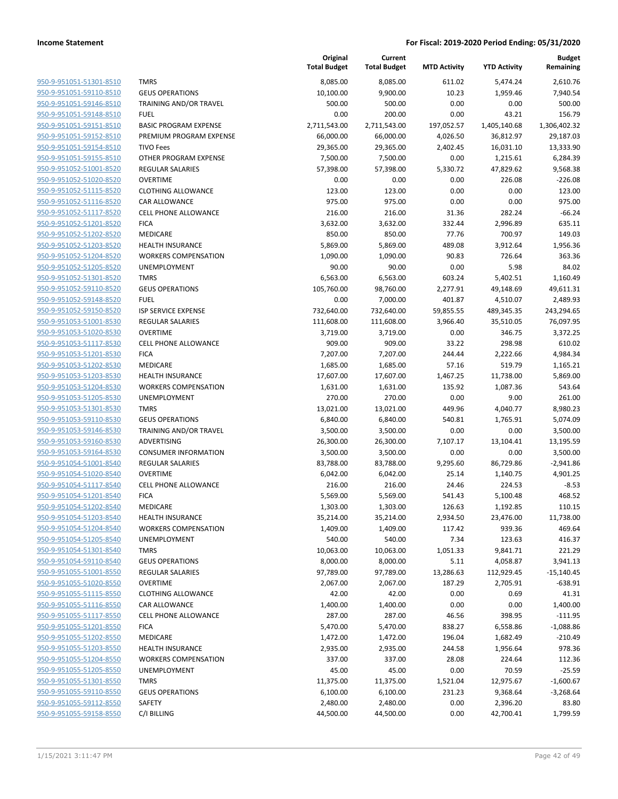|                                                    |                                     | Original<br><b>Total Budget</b> | Current<br><b>Total Budget</b> | <b>MTD Activity</b> | <b>YTD Activity</b>    | <b>Budget</b><br>Remaining |
|----------------------------------------------------|-------------------------------------|---------------------------------|--------------------------------|---------------------|------------------------|----------------------------|
| 950-9-951051-51301-8510                            | <b>TMRS</b>                         | 8,085.00                        | 8,085.00                       | 611.02              | 5,474.24               | 2,610.76                   |
| 950-9-951051-59110-8510                            | <b>GEUS OPERATIONS</b>              | 10,100.00                       | 9,900.00                       | 10.23               | 1,959.46               | 7,940.54                   |
| 950-9-951051-59146-8510                            | TRAINING AND/OR TRAVEL              | 500.00                          | 500.00                         | 0.00                | 0.00                   | 500.00                     |
| 950-9-951051-59148-8510                            | <b>FUEL</b>                         | 0.00                            | 200.00                         | 0.00                | 43.21                  | 156.79                     |
| 950-9-951051-59151-8510                            | <b>BASIC PROGRAM EXPENSE</b>        | 2,711,543.00                    | 2,711,543.00                   | 197,052.57          | 1,405,140.68           | 1,306,402.32               |
| 950-9-951051-59152-8510                            | PREMIUM PROGRAM EXPENSE             | 66,000.00                       | 66,000.00                      | 4,026.50            | 36,812.97              | 29,187.03                  |
| 950-9-951051-59154-8510                            | <b>TIVO Fees</b>                    | 29,365.00                       | 29,365.00                      | 2,402.45            | 16,031.10              | 13,333.90                  |
| 950-9-951051-59155-8510                            | OTHER PROGRAM EXPENSE               | 7,500.00                        | 7,500.00                       | 0.00                | 1,215.61               | 6,284.39                   |
| 950-9-951052-51001-8520                            | <b>REGULAR SALARIES</b>             | 57,398.00                       | 57,398.00                      | 5,330.72            | 47,829.62              | 9,568.38                   |
| 950-9-951052-51020-8520                            | <b>OVERTIME</b>                     | 0.00                            | 0.00                           | 0.00                | 226.08                 | $-226.08$                  |
| 950-9-951052-51115-8520                            | <b>CLOTHING ALLOWANCE</b>           | 123.00                          | 123.00                         | 0.00                | 0.00                   | 123.00                     |
| 950-9-951052-51116-8520                            | CAR ALLOWANCE                       | 975.00                          | 975.00                         | 0.00                | 0.00                   | 975.00                     |
| 950-9-951052-51117-8520                            | <b>CELL PHONE ALLOWANCE</b>         | 216.00                          | 216.00                         | 31.36               | 282.24                 | $-66.24$                   |
| 950-9-951052-51201-8520                            | <b>FICA</b>                         | 3,632.00                        | 3,632.00                       | 332.44              | 2,996.89               | 635.11                     |
| 950-9-951052-51202-8520                            | MEDICARE                            | 850.00                          | 850.00                         | 77.76               | 700.97                 | 149.03                     |
| 950-9-951052-51203-8520                            | <b>HEALTH INSURANCE</b>             | 5,869.00                        | 5,869.00                       | 489.08              | 3,912.64               | 1,956.36                   |
| 950-9-951052-51204-8520                            | <b>WORKERS COMPENSATION</b>         | 1,090.00                        | 1,090.00                       | 90.83               | 726.64                 | 363.36                     |
| 950-9-951052-51205-8520                            | <b>UNEMPLOYMENT</b>                 | 90.00                           | 90.00                          | 0.00                | 5.98                   | 84.02                      |
| 950-9-951052-51301-8520                            | <b>TMRS</b>                         | 6,563.00                        | 6,563.00                       | 603.24              | 5,402.51               | 1,160.49                   |
| 950-9-951052-59110-8520                            | <b>GEUS OPERATIONS</b>              | 105,760.00                      | 98,760.00                      | 2,277.91            | 49,148.69              | 49,611.31                  |
| 950-9-951052-59148-8520                            | <b>FUEL</b>                         | 0.00                            | 7,000.00                       | 401.87              | 4,510.07               | 2,489.93                   |
| 950-9-951052-59150-8520                            | ISP SERVICE EXPENSE                 | 732,640.00                      | 732,640.00                     | 59,855.55           | 489,345.35             | 243,294.65                 |
| 950-9-951053-51001-8530                            | REGULAR SALARIES                    | 111,608.00                      | 111,608.00                     | 3,966.40            | 35,510.05              | 76,097.95                  |
| 950-9-951053-51020-8530                            | <b>OVERTIME</b>                     | 3,719.00                        | 3,719.00                       | 0.00                | 346.75                 | 3,372.25                   |
| 950-9-951053-51117-8530                            | <b>CELL PHONE ALLOWANCE</b>         | 909.00                          | 909.00                         | 33.22               | 298.98                 | 610.02                     |
| 950-9-951053-51201-8530                            | <b>FICA</b>                         | 7,207.00                        | 7,207.00                       | 244.44              | 2,222.66               | 4,984.34                   |
| 950-9-951053-51202-8530                            | MEDICARE                            | 1,685.00                        | 1,685.00                       | 57.16               | 519.79                 | 1,165.21                   |
| 950-9-951053-51203-8530                            | <b>HEALTH INSURANCE</b>             | 17,607.00                       | 17,607.00                      | 1,467.25            | 11,738.00              | 5,869.00                   |
| 950-9-951053-51204-8530                            | <b>WORKERS COMPENSATION</b>         | 1,631.00                        | 1,631.00                       | 135.92              | 1,087.36               | 543.64                     |
| 950-9-951053-51205-8530                            | <b>UNEMPLOYMENT</b>                 | 270.00                          | 270.00                         | 0.00                | 9.00                   | 261.00                     |
| 950-9-951053-51301-8530                            | <b>TMRS</b>                         | 13,021.00                       | 13,021.00                      | 449.96              | 4,040.77               | 8,980.23                   |
| 950-9-951053-59110-8530                            | <b>GEUS OPERATIONS</b>              | 6,840.00                        | 6,840.00                       | 540.81              | 1,765.91               | 5,074.09                   |
| 950-9-951053-59146-8530                            | TRAINING AND/OR TRAVEL              | 3,500.00                        | 3,500.00                       | 0.00                | 0.00                   | 3,500.00                   |
| 950-9-951053-59160-8530                            | ADVERTISING                         | 26,300.00                       | 26,300.00                      | 7,107.17            | 13,104.41              | 13,195.59                  |
| 950-9-951053-59164-8530                            | <b>CONSUMER INFORMATION</b>         | 3,500.00                        | 3,500.00                       | 0.00                | 0.00                   | 3,500.00                   |
| 950-9-951054-51001-8540                            | REGULAR SALARIES                    | 83,788.00                       | 83,788.00                      | 9,295.60            | 86,729.86              | $-2,941.86$                |
| 950-9-951054-51020-8540                            | <b>OVERTIME</b>                     | 6,042.00                        | 6,042.00                       | 25.14               | 1,140.75               | 4,901.25                   |
| 950-9-951054-51117-8540                            | <b>CELL PHONE ALLOWANCE</b>         | 216.00                          | 216.00                         | 24.46               | 224.53                 | $-8.53$                    |
| 950-9-951054-51201-8540                            | <b>FICA</b>                         | 5,569.00                        | 5,569.00                       | 541.43              | 5,100.48               | 468.52                     |
| 950-9-951054-51202-8540                            | <b>MEDICARE</b>                     | 1,303.00                        | 1,303.00                       | 126.63              | 1,192.85               | 110.15                     |
| 950-9-951054-51203-8540                            | <b>HEALTH INSURANCE</b>             | 35,214.00                       | 35,214.00                      | 2,934.50            | 23,476.00              | 11,738.00                  |
| 950-9-951054-51204-8540<br>950-9-951054-51205-8540 | <b>WORKERS COMPENSATION</b>         | 1,409.00                        | 1,409.00                       | 117.42              | 939.36                 | 469.64                     |
| 950-9-951054-51301-8540                            | UNEMPLOYMENT                        | 540.00                          | 540.00                         | 7.34                | 123.63                 | 416.37                     |
| 950-9-951054-59110-8540                            | <b>TMRS</b>                         | 10,063.00                       | 10,063.00                      | 1,051.33            | 9,841.71               | 221.29                     |
|                                                    | <b>GEUS OPERATIONS</b>              | 8,000.00<br>97,789.00           | 8,000.00                       | 5.11                | 4,058.87               | 3,941.13                   |
| 950-9-951055-51001-8550<br>950-9-951055-51020-8550 | REGULAR SALARIES<br><b>OVERTIME</b> | 2,067.00                        | 97,789.00<br>2,067.00          | 13,286.63<br>187.29 | 112,929.45<br>2,705.91 | $-15,140.45$<br>$-638.91$  |
| 950-9-951055-51115-8550                            | <b>CLOTHING ALLOWANCE</b>           | 42.00                           | 42.00                          | 0.00                | 0.69                   | 41.31                      |
| 950-9-951055-51116-8550                            | CAR ALLOWANCE                       | 1,400.00                        | 1,400.00                       | 0.00                | 0.00                   | 1,400.00                   |
| 950-9-951055-51117-8550                            | <b>CELL PHONE ALLOWANCE</b>         | 287.00                          | 287.00                         | 46.56               | 398.95                 | $-111.95$                  |
|                                                    |                                     |                                 |                                |                     |                        |                            |
| 950-9-951055-51201-8550<br>950-9-951055-51202-8550 | <b>FICA</b><br>MEDICARE             | 5,470.00<br>1,472.00            | 5,470.00<br>1,472.00           | 838.27<br>196.04    | 6,558.86<br>1,682.49   | $-1,088.86$<br>$-210.49$   |
| 950-9-951055-51203-8550                            | <b>HEALTH INSURANCE</b>             | 2,935.00                        | 2,935.00                       | 244.58              |                        | 978.36                     |
| 950-9-951055-51204-8550                            | <b>WORKERS COMPENSATION</b>         |                                 |                                | 28.08               | 1,956.64               |                            |
| 950-9-951055-51205-8550                            | <b>UNEMPLOYMENT</b>                 | 337.00<br>45.00                 | 337.00<br>45.00                | 0.00                | 224.64<br>70.59        | 112.36<br>$-25.59$         |
|                                                    |                                     |                                 |                                |                     |                        |                            |
| 950-9-951055-51301-8550                            | <b>TMRS</b>                         | 11,375.00                       | 11,375.00                      | 1,521.04            | 12,975.67              | $-1,600.67$                |
| 950-9-951055-59110-8550                            | <b>GEUS OPERATIONS</b>              | 6,100.00                        | 6,100.00                       | 231.23              | 9,368.64               | $-3,268.64$                |
| 950-9-951055-59112-8550<br>950-9-951055-59158-8550 | SAFETY                              | 2,480.00                        | 2,480.00                       | 0.00                | 2,396.20               | 83.80                      |
|                                                    | C/I BILLING                         | 44,500.00                       | 44,500.00                      | 0.00                | 42,700.41              | 1,799.59                   |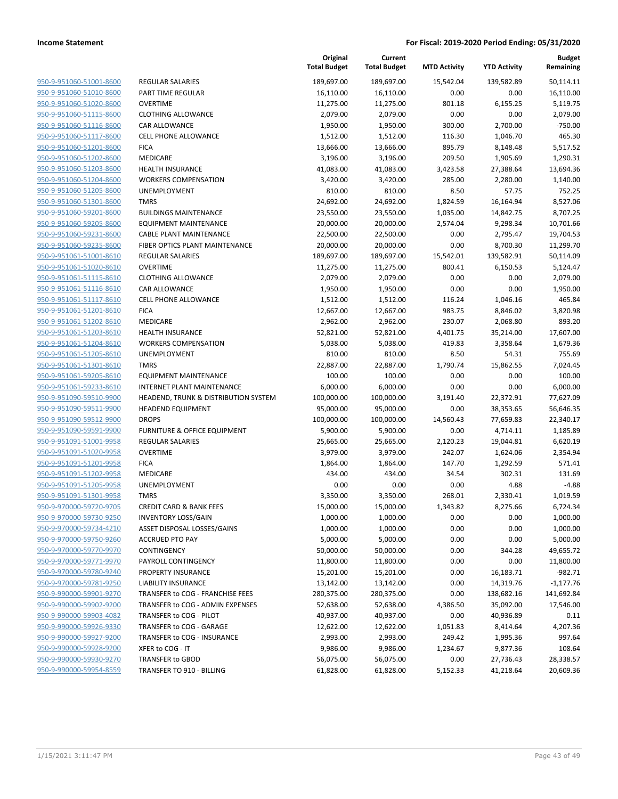| 950-9-951060-51001-8600        |
|--------------------------------|
| 950-9-951060-51010-8600        |
| 950-9-951060-51020-8600        |
| 950-9-951060-51115-8600        |
| 950-9-951060-51116-8600        |
| 950-9-951060-51117-8600        |
| 950-9-951060-51201-8600        |
| 950-9-951060-51202-8600        |
| 950-9-951060-51203-8600        |
| 950-9-951060-51204-8600        |
| 950-9-951060-51205-8600        |
| 950-9-951060-51301-8600        |
| 950-9-951060-59201-8600        |
| 950-9-951060-59205-8600        |
| 950-9-951060-59231-8600        |
| 950-9-951060-59235-8600        |
| 950-9-951061-51001-8610        |
| <u>950-9-951061-51020-8610</u> |
| 950-9-951061-51115-8610        |
| 950-9-951061-51116-8610        |
| 950-9-951061-51117-8610        |
| 950-9-951061-51201-8610        |
| <u>950-9-951061-51202-8610</u> |
| 950-9-951061-51203-8610        |
| 950-9-951061-51204-8610        |
| 950-9-951061-51205-8610        |
| 950-9-951061-51301-8610        |
| <u>950-9-951061-59205-8610</u> |
| 950-9-951061-59233-8610        |
| 950-9-951090-59510-9900        |
| 950-9-951090-59511-9900        |
| 950-9-951090-59512-9900        |
| <u>950-9-951090-59591-9900</u> |
| 950-9-951091-51001-9958        |
| 950-9-951091-51020-9958        |
| 950-9-951091-51201-9958        |
| 950-9-951091-51202-9958        |
| <u>950-9-951091-51205-9958</u> |
| 950-9-951091-51301-9958        |
| 950-9-970000-59720-9705        |
| 950-9-970000-59730-9250        |
| 950-9-970000-59734-4210        |
| 950-9-970000-59750-9260        |
| 950-9-970000-59770-9970        |
| 950-9-970000-59771-9970        |
| 950-9-970000-59780-9240        |
| 950-9-970000-59781-9250        |
| <u>950-9-990000-59901-9270</u> |
| 950-9-990000-59902-9200        |
| 950-9-990000-59903-4082        |
| 950-9-990000-59926-9330        |
| 950-9-990000-59927-9200        |
| <u>950-9-990000-59928-9200</u> |
| 950-9-990000-59930-9270        |
| 950-9-990000-59954-8559        |

|                         |                                      | Original<br><b>Total Budget</b> | Current<br><b>Total Budget</b> | <b>MTD Activity</b> | <b>YTD Activity</b> | <b>Budget</b><br>Remaining |
|-------------------------|--------------------------------------|---------------------------------|--------------------------------|---------------------|---------------------|----------------------------|
| 950-9-951060-51001-8600 | <b>REGULAR SALARIES</b>              | 189,697.00                      | 189,697.00                     | 15,542.04           | 139,582.89          | 50,114.11                  |
| 950-9-951060-51010-8600 | PART TIME REGULAR                    | 16,110.00                       | 16,110.00                      | 0.00                | 0.00                | 16,110.00                  |
| 950-9-951060-51020-8600 | <b>OVERTIME</b>                      | 11,275.00                       | 11,275.00                      | 801.18              | 6,155.25            | 5,119.75                   |
| 950-9-951060-51115-8600 | <b>CLOTHING ALLOWANCE</b>            | 2,079.00                        | 2,079.00                       | 0.00                | 0.00                | 2,079.00                   |
| 950-9-951060-51116-8600 | CAR ALLOWANCE                        | 1,950.00                        | 1,950.00                       | 300.00              | 2,700.00            | $-750.00$                  |
| 950-9-951060-51117-8600 | <b>CELL PHONE ALLOWANCE</b>          | 1,512.00                        | 1,512.00                       | 116.30              | 1,046.70            | 465.30                     |
| 950-9-951060-51201-8600 | <b>FICA</b>                          | 13,666.00                       | 13,666.00                      | 895.79              | 8,148.48            | 5,517.52                   |
| 950-9-951060-51202-8600 | MEDICARE                             | 3,196.00                        | 3,196.00                       | 209.50              | 1,905.69            | 1,290.31                   |
| 950-9-951060-51203-8600 | <b>HEALTH INSURANCE</b>              | 41,083.00                       | 41,083.00                      | 3,423.58            | 27,388.64           | 13,694.36                  |
| 950-9-951060-51204-8600 | <b>WORKERS COMPENSATION</b>          | 3,420.00                        | 3,420.00                       | 285.00              | 2,280.00            | 1,140.00                   |
| 950-9-951060-51205-8600 | UNEMPLOYMENT                         | 810.00                          | 810.00                         | 8.50                | 57.75               | 752.25                     |
| 950-9-951060-51301-8600 | <b>TMRS</b>                          | 24,692.00                       | 24,692.00                      | 1,824.59            | 16,164.94           | 8,527.06                   |
| 950-9-951060-59201-8600 | <b>BUILDINGS MAINTENANCE</b>         | 23,550.00                       | 23,550.00                      | 1,035.00            | 14,842.75           | 8,707.25                   |
| 950-9-951060-59205-8600 | <b>EQUIPMENT MAINTENANCE</b>         | 20,000.00                       | 20,000.00                      | 2,574.04            | 9,298.34            | 10,701.66                  |
| 950-9-951060-59231-8600 | <b>CABLE PLANT MAINTENANCE</b>       | 22,500.00                       | 22,500.00                      | 0.00                | 2,795.47            | 19,704.53                  |
| 950-9-951060-59235-8600 | FIBER OPTICS PLANT MAINTENANCE       | 20,000.00                       | 20,000.00                      | 0.00                | 8,700.30            | 11,299.70                  |
| 950-9-951061-51001-8610 | <b>REGULAR SALARIES</b>              | 189,697.00                      | 189,697.00                     | 15,542.01           | 139,582.91          | 50,114.09                  |
| 950-9-951061-51020-8610 | <b>OVERTIME</b>                      | 11,275.00                       | 11,275.00                      | 800.41              | 6,150.53            | 5,124.47                   |
| 950-9-951061-51115-8610 | <b>CLOTHING ALLOWANCE</b>            | 2,079.00                        | 2,079.00                       | 0.00                | 0.00                | 2,079.00                   |
| 950-9-951061-51116-8610 | CAR ALLOWANCE                        | 1,950.00                        | 1,950.00                       | 0.00                | 0.00                | 1,950.00                   |
| 950-9-951061-51117-8610 | <b>CELL PHONE ALLOWANCE</b>          | 1,512.00                        | 1,512.00                       | 116.24              | 1,046.16            | 465.84                     |
| 950-9-951061-51201-8610 | <b>FICA</b>                          | 12,667.00                       | 12,667.00                      | 983.75              | 8,846.02            | 3,820.98                   |
| 950-9-951061-51202-8610 | MEDICARE                             | 2,962.00                        | 2,962.00                       | 230.07              | 2,068.80            | 893.20                     |
| 950-9-951061-51203-8610 | <b>HEALTH INSURANCE</b>              | 52,821.00                       | 52,821.00                      | 4,401.75            | 35,214.00           | 17,607.00                  |
| 950-9-951061-51204-8610 | <b>WORKERS COMPENSATION</b>          | 5,038.00                        | 5,038.00                       | 419.83              | 3,358.64            | 1,679.36                   |
| 950-9-951061-51205-8610 | UNEMPLOYMENT                         | 810.00                          | 810.00                         | 8.50                | 54.31               | 755.69                     |
| 950-9-951061-51301-8610 | <b>TMRS</b>                          | 22,887.00                       | 22,887.00                      | 1,790.74            | 15,862.55           | 7,024.45                   |
| 950-9-951061-59205-8610 | <b>EQUIPMENT MAINTENANCE</b>         | 100.00                          | 100.00                         | 0.00                | 0.00                | 100.00                     |
| 950-9-951061-59233-8610 | <b>INTERNET PLANT MAINTENANCE</b>    | 6,000.00                        | 6,000.00                       | 0.00                | 0.00                | 6,000.00                   |
| 950-9-951090-59510-9900 | HEADEND, TRUNK & DISTRIBUTION SYSTEM | 100,000.00                      | 100,000.00                     | 3,191.40            | 22,372.91           | 77,627.09                  |
| 950-9-951090-59511-9900 | <b>HEADEND EQUIPMENT</b>             | 95,000.00                       | 95,000.00                      | 0.00                | 38,353.65           | 56,646.35                  |
| 950-9-951090-59512-9900 | <b>DROPS</b>                         | 100,000.00                      | 100,000.00                     | 14,560.43           | 77,659.83           | 22,340.17                  |
| 950-9-951090-59591-9900 | FURNITURE & OFFICE EQUIPMENT         | 5,900.00                        | 5,900.00                       | 0.00                | 4,714.11            | 1,185.89                   |
| 950-9-951091-51001-9958 | <b>REGULAR SALARIES</b>              | 25,665.00                       | 25,665.00                      | 2,120.23            | 19,044.81           | 6,620.19                   |
| 950-9-951091-51020-9958 | <b>OVERTIME</b>                      | 3,979.00                        | 3,979.00                       | 242.07              | 1,624.06            | 2,354.94                   |
| 950-9-951091-51201-9958 | <b>FICA</b>                          | 1,864.00                        | 1,864.00                       | 147.70              | 1,292.59            | 571.41                     |
| 950-9-951091-51202-9958 | <b>MEDICARE</b>                      | 434.00                          | 434.00                         | 34.54               | 302.31              | 131.69                     |
| 950-9-951091-51205-9958 | <b>UNEMPLOYMENT</b>                  | 0.00                            | 0.00                           | 0.00                | 4.88                | $-4.88$                    |
| 950-9-951091-51301-9958 | <b>TMRS</b>                          | 3,350.00                        | 3,350.00                       | 268.01              | 2,330.41            | 1,019.59                   |
| 950-9-970000-59720-9705 | <b>CREDIT CARD &amp; BANK FEES</b>   | 15,000.00                       | 15,000.00                      | 1,343.82            | 8,275.66            | 6,724.34                   |
| 950-9-970000-59730-9250 | <b>INVENTORY LOSS/GAIN</b>           | 1,000.00                        | 1,000.00                       | 0.00                | 0.00                | 1,000.00                   |
| 950-9-970000-59734-4210 | ASSET DISPOSAL LOSSES/GAINS          | 1,000.00                        | 1,000.00                       | 0.00                | 0.00                | 1,000.00                   |
| 950-9-970000-59750-9260 | <b>ACCRUED PTO PAY</b>               | 5,000.00                        | 5,000.00                       | 0.00                | 0.00                | 5,000.00                   |
| 950-9-970000-59770-9970 | CONTINGENCY                          | 50,000.00                       | 50,000.00                      | 0.00                | 344.28              | 49,655.72                  |
| 950-9-970000-59771-9970 | PAYROLL CONTINGENCY                  | 11,800.00                       | 11,800.00                      | 0.00                | 0.00                | 11,800.00                  |
| 950-9-970000-59780-9240 | PROPERTY INSURANCE                   | 15,201.00                       | 15,201.00                      | 0.00                | 16,183.71           | $-982.71$                  |
| 950-9-970000-59781-9250 | <b>LIABILITY INSURANCE</b>           | 13,142.00                       | 13,142.00                      | 0.00                | 14,319.76           | $-1,177.76$                |
| 950-9-990000-59901-9270 | TRANSFER to COG - FRANCHISE FEES     | 280,375.00                      | 280,375.00                     | 0.00                | 138,682.16          | 141,692.84                 |
| 950-9-990000-59902-9200 | TRANSFER to COG - ADMIN EXPENSES     | 52,638.00                       | 52,638.00                      | 4,386.50            | 35,092.00           | 17,546.00                  |
| 950-9-990000-59903-4082 | TRANSFER to COG - PILOT              | 40,937.00                       | 40,937.00                      | 0.00                | 40,936.89           | 0.11                       |
| 950-9-990000-59926-9330 | TRANSFER to COG - GARAGE             | 12,622.00                       | 12,622.00                      | 1,051.83            | 8,414.64            | 4,207.36                   |
| 950-9-990000-59927-9200 | TRANSFER to COG - INSURANCE          | 2,993.00                        | 2,993.00                       | 249.42              | 1,995.36            | 997.64                     |
| 950-9-990000-59928-9200 | XFER to COG - IT                     | 9,986.00                        | 9,986.00                       | 1,234.67            | 9,877.36            | 108.64                     |
| 950-9-990000-59930-9270 | TRANSFER to GBOD                     | 56,075.00                       | 56,075.00                      | 0.00                | 27,736.43           | 28,338.57                  |
| 950-9-990000-59954-8559 | TRANSFER TO 910 - BILLING            | 61,828.00                       | 61,828.00                      | 5,152.33            | 41,218.64           | 20,609.36                  |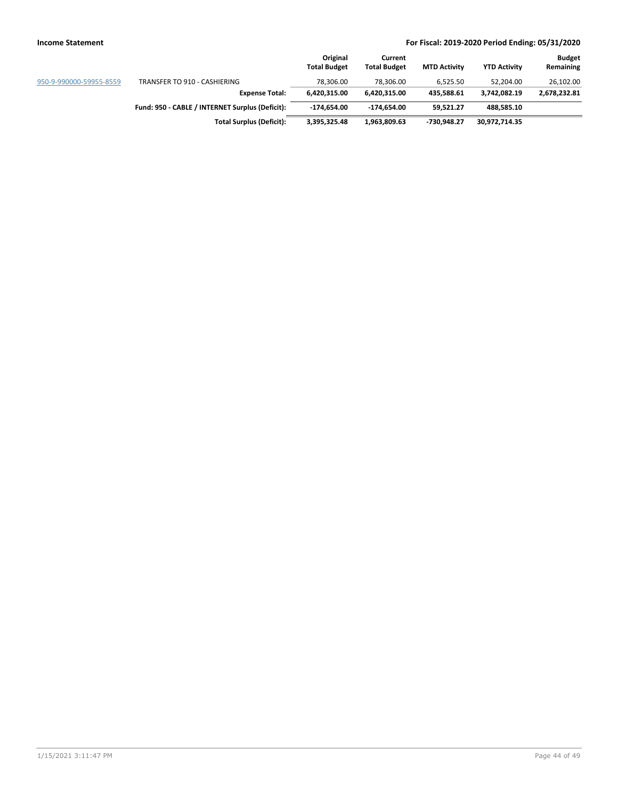|                         |                                                 | Original<br><b>Total Budget</b> | Current<br><b>Total Budget</b> | <b>MTD Activity</b> | <b>YTD Activity</b> | <b>Budget</b><br>Remaining |
|-------------------------|-------------------------------------------------|---------------------------------|--------------------------------|---------------------|---------------------|----------------------------|
| 950-9-990000-59955-8559 | TRANSFER TO 910 - CASHIERING                    | 78.306.00                       | 78.306.00                      | 6.525.50            | 52.204.00           | 26,102.00                  |
|                         | <b>Expense Total:</b>                           | 6.420.315.00                    | 6.420.315.00                   | 435.588.61          | 3.742.082.19        | 2,678,232.81               |
|                         | Fund: 950 - CABLE / INTERNET Surplus (Deficit): | -174.654.00                     | -174.654.00                    | 59.521.27           | 488.585.10          |                            |
|                         | <b>Total Surplus (Deficit):</b>                 | 3,395,325.48                    | 1,963,809.63                   | -730,948.27         | 30,972,714.35       |                            |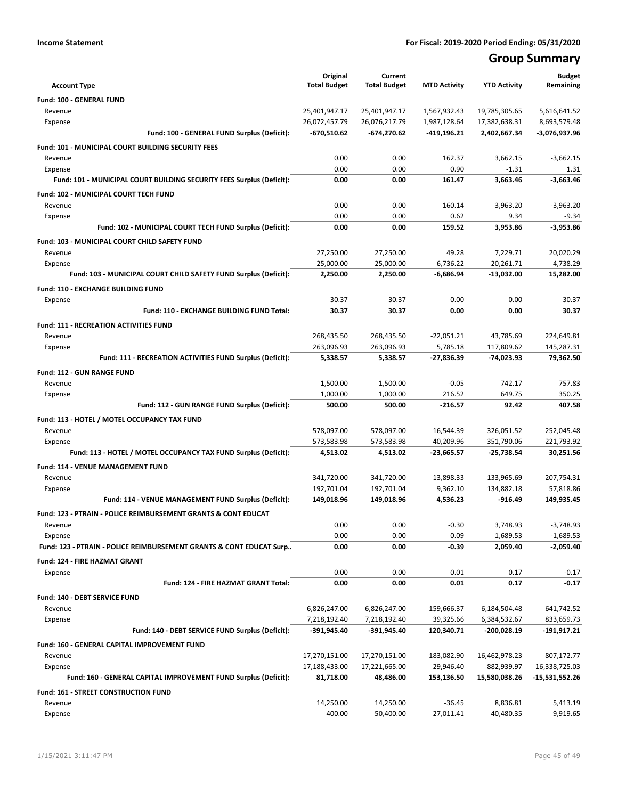# **Group Summary**

|                                                                           | Original            | Current             |                     |                     | <b>Budget</b>  |
|---------------------------------------------------------------------------|---------------------|---------------------|---------------------|---------------------|----------------|
| <b>Account Type</b>                                                       | <b>Total Budget</b> | <b>Total Budget</b> | <b>MTD Activity</b> | <b>YTD Activity</b> | Remaining      |
| Fund: 100 - GENERAL FUND                                                  |                     |                     |                     |                     |                |
| Revenue                                                                   | 25,401,947.17       | 25,401,947.17       | 1,567,932.43        | 19,785,305.65       | 5,616,641.52   |
| Expense                                                                   | 26,072,457.79       | 26,076,217.79       | 1,987,128.64        | 17,382,638.31       | 8,693,579.48   |
| Fund: 100 - GENERAL FUND Surplus (Deficit):                               | -670,510.62         | -674,270.62         | -419,196.21         | 2,402,667.34        | -3,076,937.96  |
| <b>Fund: 101 - MUNICIPAL COURT BUILDING SECURITY FEES</b>                 |                     |                     |                     |                     |                |
| Revenue                                                                   | 0.00                | 0.00                | 162.37              | 3,662.15            | $-3,662.15$    |
| Expense                                                                   | 0.00                | 0.00                | 0.90                | $-1.31$             | 1.31           |
| Fund: 101 - MUNICIPAL COURT BUILDING SECURITY FEES Surplus (Deficit):     | 0.00                | 0.00                | 161.47              | 3,663.46            | $-3,663.46$    |
| Fund: 102 - MUNICIPAL COURT TECH FUND                                     |                     |                     |                     |                     |                |
| Revenue                                                                   | 0.00                | 0.00                | 160.14              | 3,963.20            | $-3,963.20$    |
| Expense                                                                   | 0.00                | 0.00                | 0.62                | 9.34                | $-9.34$        |
| Fund: 102 - MUNICIPAL COURT TECH FUND Surplus (Deficit):                  | 0.00                | 0.00                | 159.52              | 3,953.86            | $-3,953.86$    |
| Fund: 103 - MUNICIPAL COURT CHILD SAFETY FUND                             |                     |                     |                     |                     |                |
| Revenue                                                                   | 27,250.00           | 27,250.00           | 49.28               | 7,229.71            | 20,020.29      |
| Expense                                                                   | 25,000.00           | 25,000.00           | 6,736.22            | 20,261.71           | 4,738.29       |
| Fund: 103 - MUNICIPAL COURT CHILD SAFETY FUND Surplus (Deficit):          | 2,250.00            | 2,250.00            | -6,686.94           | $-13,032.00$        | 15,282.00      |
| <b>Fund: 110 - EXCHANGE BUILDING FUND</b>                                 |                     |                     |                     |                     |                |
| Expense                                                                   | 30.37               | 30.37               | 0.00                | 0.00                | 30.37          |
| Fund: 110 - EXCHANGE BUILDING FUND Total:                                 | 30.37               | 30.37               | 0.00                | 0.00                | 30.37          |
| <b>Fund: 111 - RECREATION ACTIVITIES FUND</b>                             |                     |                     |                     |                     |                |
| Revenue                                                                   | 268,435.50          | 268,435.50          | $-22,051.21$        | 43,785.69           | 224,649.81     |
| Expense                                                                   | 263,096.93          | 263,096.93          | 5,785.18            | 117,809.62          | 145,287.31     |
| Fund: 111 - RECREATION ACTIVITIES FUND Surplus (Deficit):                 | 5,338.57            | 5,338.57            | $-27,836.39$        | -74,023.93          | 79,362.50      |
| Fund: 112 - GUN RANGE FUND                                                |                     |                     |                     |                     |                |
| Revenue                                                                   | 1,500.00            | 1,500.00            | $-0.05$             | 742.17              | 757.83         |
| Expense                                                                   | 1,000.00            | 1,000.00            | 216.52              | 649.75              | 350.25         |
| Fund: 112 - GUN RANGE FUND Surplus (Deficit):                             | 500.00              | 500.00              | $-216.57$           | 92.42               | 407.58         |
| Fund: 113 - HOTEL / MOTEL OCCUPANCY TAX FUND                              |                     |                     |                     |                     |                |
| Revenue                                                                   | 578,097.00          | 578,097.00          | 16,544.39           | 326,051.52          | 252,045.48     |
| Expense                                                                   | 573,583.98          | 573,583.98          | 40,209.96           | 351,790.06          | 221,793.92     |
| Fund: 113 - HOTEL / MOTEL OCCUPANCY TAX FUND Surplus (Deficit):           | 4,513.02            | 4,513.02            | -23,665.57          | -25,738.54          | 30,251.56      |
| Fund: 114 - VENUE MANAGEMENT FUND                                         |                     |                     |                     |                     |                |
| Revenue                                                                   | 341,720.00          | 341,720.00          | 13,898.33           | 133,965.69          | 207,754.31     |
| Expense                                                                   | 192,701.04          | 192,701.04          | 9,362.10            | 134,882.18          | 57,818.86      |
| Fund: 114 - VENUE MANAGEMENT FUND Surplus (Deficit):                      | 149,018.96          | 149,018.96          | 4,536.23            | -916.49             | 149,935.45     |
| <b>Fund: 123 - PTRAIN - POLICE REIMBURSEMENT GRANTS &amp; CONT EDUCAT</b> |                     |                     |                     |                     |                |
| Revenue                                                                   | 0.00                | 0.00                | $-0.30$             | 3,748.93            | $-3,748.93$    |
| Expense                                                                   | 0.00                | 0.00                | 0.09                | 1,689.53            | $-1,689.53$    |
| Fund: 123 - PTRAIN - POLICE REIMBURSEMENT GRANTS & CONT EDUCAT Surp       | 0.00                | 0.00                | $-0.39$             | 2,059.40            | $-2,059.40$    |
| Fund: 124 - FIRE HAZMAT GRANT                                             |                     |                     |                     |                     |                |
| Expense                                                                   | 0.00                | 0.00                | 0.01                | 0.17                | $-0.17$        |
| Fund: 124 - FIRE HAZMAT GRANT Total:                                      | 0.00                | 0.00                | 0.01                | 0.17                | $-0.17$        |
| Fund: 140 - DEBT SERVICE FUND                                             |                     |                     |                     |                     |                |
| Revenue                                                                   | 6,826,247.00        | 6,826,247.00        | 159,666.37          | 6,184,504.48        | 641,742.52     |
| Expense                                                                   | 7,218,192.40        | 7,218,192.40        | 39,325.66           | 6,384,532.67        | 833,659.73     |
| Fund: 140 - DEBT SERVICE FUND Surplus (Deficit):                          | -391,945.40         | -391,945.40         | 120,340.71          | -200,028.19         | -191,917.21    |
| Fund: 160 - GENERAL CAPITAL IMPROVEMENT FUND                              |                     |                     |                     |                     |                |
| Revenue                                                                   | 17,270,151.00       | 17,270,151.00       | 183,082.90          | 16,462,978.23       | 807,172.77     |
| Expense                                                                   | 17,188,433.00       | 17,221,665.00       | 29,946.40           | 882,939.97          | 16,338,725.03  |
| Fund: 160 - GENERAL CAPITAL IMPROVEMENT FUND Surplus (Deficit):           | 81,718.00           | 48,486.00           | 153,136.50          | 15,580,038.26       | -15,531,552.26 |
| Fund: 161 - STREET CONSTRUCTION FUND                                      |                     |                     |                     |                     |                |
| Revenue                                                                   | 14,250.00           | 14,250.00           | $-36.45$            | 8,836.81            | 5,413.19       |
| Expense                                                                   | 400.00              | 50,400.00           | 27,011.41           | 40,480.35           | 9,919.65       |
|                                                                           |                     |                     |                     |                     |                |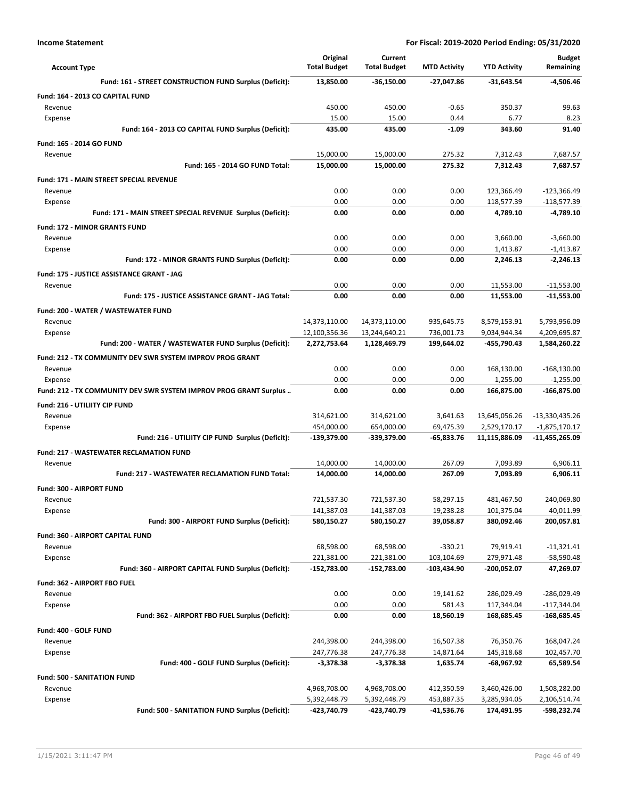| <b>Account Type</b>                                               | Original<br><b>Total Budget</b> | Current<br><b>Total Budget</b> | <b>MTD Activity</b>      | <b>YTD Activity</b>          | Budget<br>Remaining          |
|-------------------------------------------------------------------|---------------------------------|--------------------------------|--------------------------|------------------------------|------------------------------|
| Fund: 161 - STREET CONSTRUCTION FUND Surplus (Deficit):           | 13,850.00                       | $-36,150.00$                   | $-27,047.86$             | $-31,643.54$                 | -4,506.46                    |
| Fund: 164 - 2013 CO CAPITAL FUND                                  |                                 |                                |                          |                              |                              |
| Revenue                                                           | 450.00                          | 450.00                         | $-0.65$                  | 350.37                       | 99.63                        |
| Expense                                                           | 15.00                           | 15.00                          | 0.44                     | 6.77                         | 8.23                         |
| Fund: 164 - 2013 CO CAPITAL FUND Surplus (Deficit):               | 435.00                          | 435.00                         | $-1.09$                  | 343.60                       | 91.40                        |
| <b>Fund: 165 - 2014 GO FUND</b>                                   |                                 |                                |                          |                              |                              |
| Revenue                                                           | 15,000.00                       | 15,000.00                      | 275.32                   | 7,312.43                     | 7,687.57                     |
| Fund: 165 - 2014 GO FUND Total:                                   | 15,000.00                       | 15,000.00                      | 275.32                   | 7,312.43                     | 7,687.57                     |
| <b>Fund: 171 - MAIN STREET SPECIAL REVENUE</b>                    |                                 |                                |                          |                              |                              |
| Revenue                                                           | 0.00                            | 0.00                           | 0.00                     | 123,366.49                   | -123,366.49                  |
| Expense                                                           | 0.00                            | 0.00                           | 0.00                     | 118,577.39                   | $-118,577.39$                |
| Fund: 171 - MAIN STREET SPECIAL REVENUE Surplus (Deficit):        | 0.00                            | 0.00                           | 0.00                     | 4,789.10                     | $-4,789.10$                  |
| <b>Fund: 172 - MINOR GRANTS FUND</b>                              |                                 |                                |                          |                              |                              |
| Revenue                                                           | 0.00                            | 0.00                           | 0.00                     | 3,660.00                     | $-3,660.00$                  |
| Expense<br>Fund: 172 - MINOR GRANTS FUND Surplus (Deficit):       | 0.00<br>0.00                    | 0.00<br>0.00                   | 0.00<br>0.00             | 1,413.87<br>2,246.13         | $-1,413.87$<br>$-2,246.13$   |
|                                                                   |                                 |                                |                          |                              |                              |
| Fund: 175 - JUSTICE ASSISTANCE GRANT - JAG                        |                                 | 0.00                           |                          |                              |                              |
| Revenue<br>Fund: 175 - JUSTICE ASSISTANCE GRANT - JAG Total:      | 0.00<br>0.00                    | 0.00                           | 0.00<br>0.00             | 11,553.00<br>11,553.00       | $-11,553.00$<br>$-11,553.00$ |
|                                                                   |                                 |                                |                          |                              |                              |
| Fund: 200 - WATER / WASTEWATER FUND                               | 14,373,110.00                   |                                |                          |                              |                              |
| Revenue<br>Expense                                                | 12,100,356.36                   | 14,373,110.00<br>13,244,640.21 | 935,645.75<br>736,001.73 | 8,579,153.91<br>9,034,944.34 | 5,793,956.09<br>4,209,695.87 |
| Fund: 200 - WATER / WASTEWATER FUND Surplus (Deficit):            | 2,272,753.64                    | 1,128,469.79                   | 199,644.02               | -455,790.43                  | 1,584,260.22                 |
| Fund: 212 - TX COMMUNITY DEV SWR SYSTEM IMPROV PROG GRANT         |                                 |                                |                          |                              |                              |
| Revenue                                                           | 0.00                            | 0.00                           | 0.00                     | 168,130.00                   | $-168,130.00$                |
| Expense                                                           | 0.00                            | 0.00                           | 0.00                     | 1,255.00                     | $-1,255.00$                  |
| Fund: 212 - TX COMMUNITY DEV SWR SYSTEM IMPROV PROG GRANT Surplus | 0.00                            | 0.00                           | 0.00                     | 166,875.00                   | -166,875.00                  |
| Fund: 216 - UTILIITY CIP FUND                                     |                                 |                                |                          |                              |                              |
| Revenue                                                           | 314,621.00                      | 314,621.00                     | 3,641.63                 | 13,645,056.26                | -13,330,435.26               |
| Expense                                                           | 454,000.00                      | 654,000.00                     | 69,475.39                | 2,529,170.17                 | $-1,875,170.17$              |
| Fund: 216 - UTILIITY CIP FUND Surplus (Deficit):                  | -139,379.00                     | -339,379.00                    | -65,833.76               | 11,115,886.09                | -11,455,265.09               |
| <b>Fund: 217 - WASTEWATER RECLAMATION FUND</b>                    |                                 |                                |                          |                              |                              |
| Revenue                                                           | 14,000.00                       | 14,000.00                      | 267.09                   | 7,093.89                     | 6,906.11                     |
| Fund: 217 - WASTEWATER RECLAMATION FUND Total:                    | 14,000.00                       | 14,000.00                      | 267.09                   | 7.093.89                     | 6,906.11                     |
| Fund: 300 - AIRPORT FUND                                          |                                 |                                |                          |                              |                              |
| Revenue                                                           | 721,537.30                      | 721,537.30                     | 58,297.15                | 481.467.50                   | 240,069.80                   |
| Expense                                                           | 141,387.03                      | 141,387.03                     | 19,238.28                | 101,375.04                   | 40,011.99                    |
| Fund: 300 - AIRPORT FUND Surplus (Deficit):                       | 580,150.27                      | 580,150.27                     | 39,058.87                | 380,092.46                   | 200,057.81                   |
| Fund: 360 - AIRPORT CAPITAL FUND                                  |                                 |                                |                          |                              |                              |
| Revenue                                                           | 68,598.00                       | 68,598.00                      | $-330.21$                | 79,919.41                    | $-11,321.41$                 |
| Expense                                                           | 221,381.00                      | 221,381.00                     | 103,104.69               | 279,971.48                   | -58,590.48                   |
| Fund: 360 - AIRPORT CAPITAL FUND Surplus (Deficit):               | -152,783.00                     | $-152,783.00$                  | $-103,434.90$            | -200,052.07                  | 47,269.07                    |
| Fund: 362 - AIRPORT FBO FUEL                                      |                                 |                                |                          |                              |                              |
| Revenue                                                           | 0.00                            | 0.00                           | 19,141.62                | 286,029.49                   | -286,029.49                  |
| Expense                                                           | 0.00                            | 0.00                           | 581.43                   | 117,344.04                   | $-117,344.04$                |
| Fund: 362 - AIRPORT FBO FUEL Surplus (Deficit):                   | 0.00                            | 0.00                           | 18,560.19                | 168,685.45                   | -168,685.45                  |
| Fund: 400 - GOLF FUND                                             |                                 |                                |                          |                              |                              |
| Revenue                                                           | 244,398.00                      | 244,398.00                     | 16,507.38                | 76,350.76                    | 168,047.24                   |
| Expense                                                           | 247,776.38                      | 247,776.38                     | 14,871.64                | 145,318.68                   | 102,457.70                   |
| Fund: 400 - GOLF FUND Surplus (Deficit):                          | $-3,378.38$                     | $-3,378.38$                    | 1,635.74                 | -68,967.92                   | 65,589.54                    |
| Fund: 500 - SANITATION FUND                                       |                                 |                                |                          |                              |                              |
| Revenue                                                           | 4,968,708.00                    | 4,968,708.00                   | 412,350.59               | 3,460,426.00                 | 1,508,282.00                 |
| Expense                                                           | 5,392,448.79                    | 5,392,448.79                   | 453,887.35               | 3,285,934.05                 | 2,106,514.74                 |
| Fund: 500 - SANITATION FUND Surplus (Deficit):                    | -423,740.79                     | -423,740.79                    | -41,536.76               | 174,491.95                   | -598,232.74                  |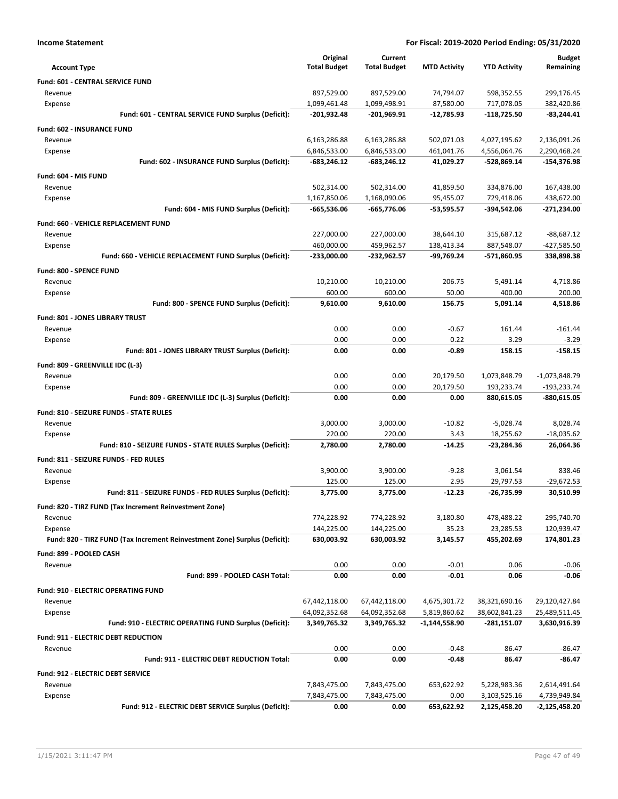|  | Income Statement |
|--|------------------|
|--|------------------|

| <b>Account Type</b>                                                        | Original<br><b>Total Budget</b> | Current<br><b>Total Budget</b> | <b>MTD Activity</b> | <b>YTD Activity</b> | <b>Budget</b><br>Remaining |
|----------------------------------------------------------------------------|---------------------------------|--------------------------------|---------------------|---------------------|----------------------------|
| Fund: 601 - CENTRAL SERVICE FUND                                           |                                 |                                |                     |                     |                            |
| Revenue                                                                    | 897,529.00                      | 897,529.00                     | 74,794.07           | 598,352.55          | 299,176.45                 |
| Expense                                                                    | 1,099,461.48                    | 1,099,498.91                   | 87,580.00           | 717,078.05          | 382,420.86                 |
| Fund: 601 - CENTRAL SERVICE FUND Surplus (Deficit):                        | -201,932.48                     | -201,969.91                    | $-12,785.93$        | $-118,725.50$       | $-83.244.41$               |
| <b>Fund: 602 - INSURANCE FUND</b>                                          |                                 |                                |                     |                     |                            |
| Revenue                                                                    | 6,163,286.88                    | 6,163,286.88                   | 502,071.03          | 4,027,195.62        | 2,136,091.26               |
| Expense                                                                    | 6,846,533.00                    | 6,846,533.00                   | 461,041.76          | 4,556,064.76        | 2,290,468.24               |
| Fund: 602 - INSURANCE FUND Surplus (Deficit):                              | -683,246.12                     | $-683,246.12$                  | 41,029.27           | -528,869.14         | $-154,376.98$              |
| Fund: 604 - MIS FUND                                                       |                                 |                                |                     |                     |                            |
| Revenue                                                                    | 502,314.00                      | 502,314.00                     | 41,859.50           | 334,876.00          | 167,438.00                 |
| Expense                                                                    | 1,167,850.06                    | 1,168,090.06                   | 95,455.07           | 729,418.06          | 438,672.00                 |
| Fund: 604 - MIS FUND Surplus (Deficit):                                    | -665,536.06                     | -665,776.06                    | $-53,595.57$        | -394,542.06         | -271,234.00                |
| Fund: 660 - VEHICLE REPLACEMENT FUND                                       |                                 |                                |                     |                     |                            |
| Revenue                                                                    | 227,000.00                      | 227,000.00                     | 38,644.10           | 315,687.12          | $-88,687.12$               |
| Expense                                                                    | 460,000.00                      | 459,962.57                     | 138,413.34          | 887,548.07          | -427,585.50                |
| Fund: 660 - VEHICLE REPLACEMENT FUND Surplus (Deficit):                    | -233,000.00                     | -232,962.57                    | -99,769.24          | -571,860.95         | 338,898.38                 |
| Fund: 800 - SPENCE FUND                                                    |                                 |                                |                     |                     |                            |
| Revenue                                                                    | 10,210.00                       | 10,210.00                      | 206.75              | 5,491.14            | 4,718.86                   |
| Expense                                                                    | 600.00                          | 600.00                         | 50.00               | 400.00              | 200.00                     |
| Fund: 800 - SPENCE FUND Surplus (Deficit):                                 | 9,610.00                        | 9,610.00                       | 156.75              | 5,091.14            | 4,518.86                   |
| Fund: 801 - JONES LIBRARY TRUST                                            |                                 |                                |                     |                     |                            |
| Revenue                                                                    | 0.00                            | 0.00                           | $-0.67$             | 161.44              | $-161.44$                  |
| Expense                                                                    | 0.00                            | 0.00                           | 0.22                | 3.29                | $-3.29$                    |
| Fund: 801 - JONES LIBRARY TRUST Surplus (Deficit):                         | 0.00                            | 0.00                           | $-0.89$             | 158.15              | $-158.15$                  |
| Fund: 809 - GREENVILLE IDC (L-3)                                           |                                 |                                |                     |                     |                            |
| Revenue                                                                    | 0.00                            | 0.00                           | 20,179.50           | 1,073,848.79        | $-1,073,848.79$            |
| Expense                                                                    | 0.00                            | 0.00                           | 20,179.50           | 193,233.74          | $-193,233.74$              |
| Fund: 809 - GREENVILLE IDC (L-3) Surplus (Deficit):                        | 0.00                            | 0.00                           | 0.00                | 880,615.05          | -880,615.05                |
| Fund: 810 - SEIZURE FUNDS - STATE RULES                                    |                                 |                                |                     |                     |                            |
| Revenue                                                                    | 3,000.00                        | 3,000.00                       | $-10.82$            | $-5,028.74$         | 8,028.74                   |
| Expense                                                                    | 220.00                          | 220.00                         | 3.43                | 18,255.62           | $-18,035.62$               |
| Fund: 810 - SEIZURE FUNDS - STATE RULES Surplus (Deficit):                 | 2,780.00                        | 2,780.00                       | $-14.25$            | -23,284.36          | 26,064.36                  |
| Fund: 811 - SEIZURE FUNDS - FED RULES                                      |                                 |                                |                     |                     |                            |
| Revenue                                                                    | 3,900.00                        | 3,900.00                       | $-9.28$             | 3,061.54            | 838.46                     |
| Expense                                                                    | 125.00                          | 125.00                         | 2.95                | 29,797.53           | $-29,672.53$               |
| Fund: 811 - SEIZURE FUNDS - FED RULES Surplus (Deficit):                   | 3,775.00                        | 3,775.00                       | $-12.23$            | -26,735.99          | 30,510.99                  |
| Fund: 820 - TIRZ FUND (Tax Increment Reinvestment Zone)                    |                                 |                                |                     |                     |                            |
| Revenue                                                                    | 774,228.92                      | 774,228.92                     | 3,180.80            | 478,488.22          | 295,740.70                 |
| Expense                                                                    | 144,225.00                      | 144,225.00                     | 35.23               | 23,285.53           | 120,939.47                 |
| Fund: 820 - TIRZ FUND (Tax Increment Reinvestment Zone) Surplus (Deficit): | 630,003.92                      | 630,003.92                     | 3,145.57            | 455,202.69          | 174,801.23                 |
| Fund: 899 - POOLED CASH                                                    |                                 |                                |                     |                     |                            |
| Revenue                                                                    | 0.00                            | 0.00                           | $-0.01$             | 0.06                | $-0.06$                    |
| Fund: 899 - POOLED CASH Total:                                             | 0.00                            | 0.00                           | $-0.01$             | 0.06                | $-0.06$                    |
|                                                                            |                                 |                                |                     |                     |                            |
| Fund: 910 - ELECTRIC OPERATING FUND<br>Revenue                             | 67,442,118.00                   | 67,442,118.00                  | 4,675,301.72        | 38,321,690.16       | 29,120,427.84              |
| Expense                                                                    | 64,092,352.68                   | 64,092,352.68                  | 5,819,860.62        | 38,602,841.23       | 25,489,511.45              |
| Fund: 910 - ELECTRIC OPERATING FUND Surplus (Deficit):                     | 3,349,765.32                    | 3,349,765.32                   | $-1,144,558.90$     | -281,151.07         | 3,630,916.39               |
|                                                                            |                                 |                                |                     |                     |                            |
| Fund: 911 - ELECTRIC DEBT REDUCTION                                        |                                 |                                |                     |                     |                            |
| Revenue<br>Fund: 911 - ELECTRIC DEBT REDUCTION Total:                      | 0.00<br>0.00                    | 0.00<br>0.00                   | $-0.48$<br>$-0.48$  | 86.47<br>86.47      | -86.47<br>-86.47           |
|                                                                            |                                 |                                |                     |                     |                            |
| <b>Fund: 912 - ELECTRIC DEBT SERVICE</b>                                   |                                 |                                |                     |                     |                            |
| Revenue                                                                    | 7,843,475.00                    | 7,843,475.00                   | 653,622.92          | 5,228,983.36        | 2,614,491.64               |
| Expense                                                                    | 7,843,475.00                    | 7,843,475.00                   | 0.00                | 3,103,525.16        | 4,739,949.84               |
| Fund: 912 - ELECTRIC DEBT SERVICE Surplus (Deficit):                       | 0.00                            | 0.00                           | 653,622.92          | 2,125,458.20        | -2,125,458.20              |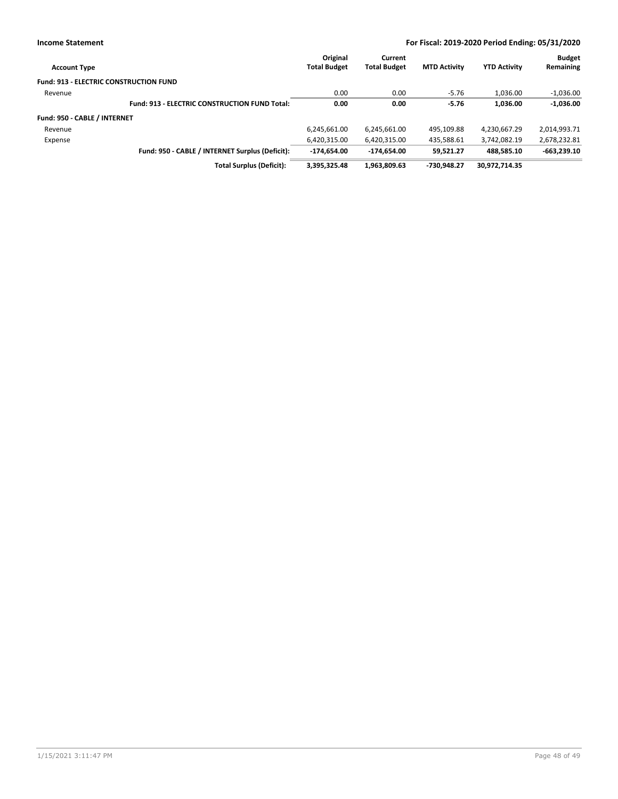| <b>Account Type</b>                           |                                                      | Original<br><b>Total Budget</b> | Current<br><b>Total Budget</b> | <b>MTD Activity</b> | <b>YTD Activity</b> | <b>Budget</b><br>Remaining |
|-----------------------------------------------|------------------------------------------------------|---------------------------------|--------------------------------|---------------------|---------------------|----------------------------|
| <b>Fund: 913 - ELECTRIC CONSTRUCTION FUND</b> |                                                      |                                 |                                |                     |                     |                            |
| Revenue                                       |                                                      | 0.00                            | 0.00                           | $-5.76$             | 1,036.00            | $-1,036.00$                |
|                                               | <b>Fund: 913 - ELECTRIC CONSTRUCTION FUND Total:</b> | 0.00                            | 0.00                           | $-5.76$             | 1,036.00            | $-1,036.00$                |
| Fund: 950 - CABLE / INTERNET                  |                                                      |                                 |                                |                     |                     |                            |
| Revenue                                       |                                                      | 6,245,661.00                    | 6,245,661.00                   | 495,109.88          | 4,230,667.29        | 2,014,993.71               |
| Expense                                       |                                                      | 6,420,315.00                    | 6,420,315.00                   | 435,588.61          | 3.742.082.19        | 2,678,232.81               |
|                                               | Fund: 950 - CABLE / INTERNET Surplus (Deficit):      | $-174.654.00$                   | $-174.654.00$                  | 59.521.27           | 488.585.10          | $-663,239.10$              |
|                                               | <b>Total Surplus (Deficit):</b>                      | 3,395,325.48                    | 1,963,809.63                   | -730.948.27         | 30,972,714.35       |                            |